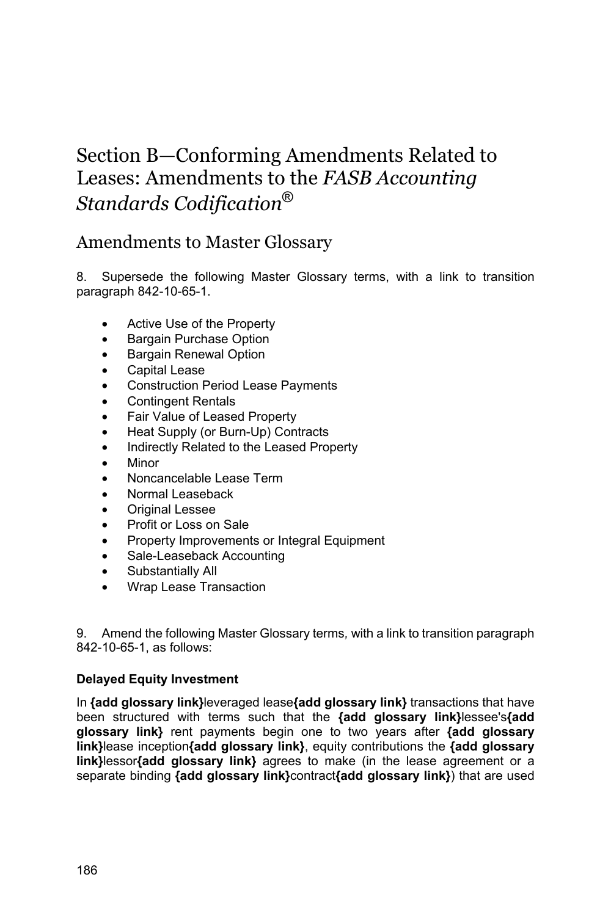# Section B—Conforming Amendments Related to Leases: Amendments to the *FASB Accounting Standards Codification*®

# Amendments to Master Glossary

8. Supersede the following Master Glossary terms, with a link to transition paragraph 842-10-65-1.

- Active Use of the Property
- Bargain Purchase Option
- Bargain Renewal Option
- Capital Lease
- Construction Period Lease Payments
- **Contingent Rentals**
- Fair Value of Leased Property
- Heat Supply (or Burn-Up) Contracts
- Indirectly Related to the Leased Property
- Minor
- Noncancelable Lease Term
- Normal Leaseback
- Original Lessee
- Profit or Loss on Sale
- Property Improvements or Integral Equipment
- Sale-Leaseback Accounting
- Substantially All
- Wrap Lease Transaction

9. Amend the following Master Glossary terms*,* with a link to transition paragraph 842-10-65-1, as follows:

### **Delayed Equity Investment**

In **{add glossary link}**leveraged lease**{add glossary link}** transactions that have been structured with terms such that the **{add glossary link}**lessee's**{add glossary link}** rent payments begin one to two years after **{add glossary link}**lease inception**{add glossary link}**, equity contributions the **{add glossary link}**lessor**{add glossary link}** agrees to make (in the lease agreement or a separate binding **{add glossary link}**contract**{add glossary link}**) that are used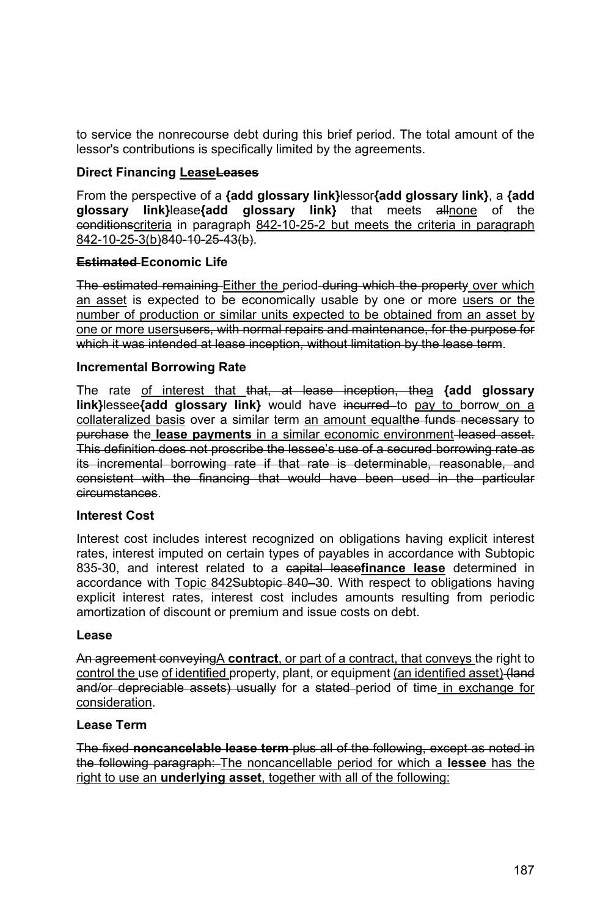to service the nonrecourse debt during this brief period. The total amount of the lessor's contributions is specifically limited by the agreements.

### **Direct Financing LeaseLeases**

From the perspective of a **{add glossary link}**lessor**{add glossary link}**, a **{add glossary link}**lease**{add glossary link}** that meets allnone of the conditionscriteria in paragraph 842-10-25-2 but meets the criteria in paragraph 842-10-25-3(b) 840-10-25-43(b).

### **Estimated Economic Life**

The estimated remaining Either the period during which the property over which an asset is expected to be economically usable by one or more users or the number of production or similar units expected to be obtained from an asset by one or more usersusers, with normal repairs and maintenance, for the purpose for which it was intended at lease inception, without limitation by the lease term.

#### **Incremental Borrowing Rate**

The rate of interest that that, at lease inception, thea **{add glossary**  link}lessee{add glossary link} would have incurred to pay to borrow on a collateralized basis over a similar term an amount equalthe funds necessary to purchase the **lease payments** in a similar economic environment leased asset. This definition does not proscribe the lessee's use of a secured borrowing rate as its incremental borrowing rate if that rate is determinable, reasonable, and consistent with the financing that would have been used in the particular circumstances.

#### **Interest Cost**

Interest cost includes interest recognized on obligations having explicit interest rates, interest imputed on certain types of payables in accordance with Subtopic 835-30, and interest related to a capital lease**finance lease** determined in accordance with Topic 842Subtopic 840–30. With respect to obligations having explicit interest rates, interest cost includes amounts resulting from periodic amortization of discount or premium and issue costs on debt.

#### **Lease**

An agreement conveyingA **contract**, or part of a contract, that conveys the right to control the use of identified property, plant, or equipment (an identified asset) (land and/or depreciable assets) usually for a stated period of time in exchange for consideration.

#### **Lease Term**

The fixed **noncancelable lease term** plus all of the following, except as noted in the following paragraph: The noncancellable period for which a **lessee** has the right to use an **underlying asset**, together with all of the following: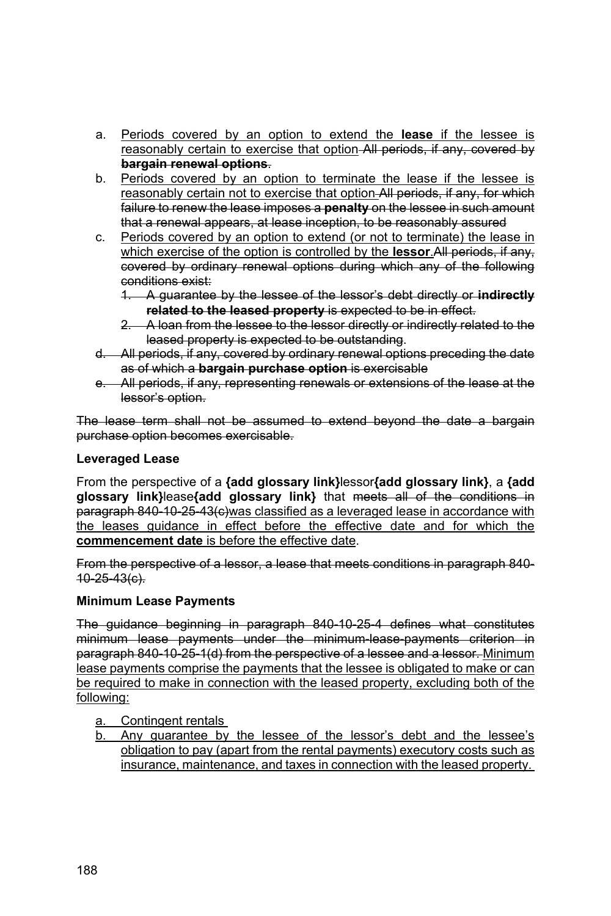- a. Periods covered by an option to extend the **lease** if the lessee is reasonably certain to exercise that option All periods, if any, covered by **bargain renewal options**.
- b. Periods covered by an option to terminate the lease if the lessee is reasonably certain not to exercise that option All periods, if any, for which failure to renew the lease imposes a **penalty** on the lessee in such amount that a renewal appears, at lease inception, to be reasonably assured
- c. Periods covered by an option to extend (or not to terminate) the lease in which exercise of the option is controlled by the **lessor**.All periods, if any, covered by ordinary renewal options during which any of the following conditions exist:
	- 1. A guarantee by the lessee of the lessor's debt directly or **indirectly related to the leased property** is expected to be in effect.
	- 2. A loan from the lessee to the lessor directly or indirectly related to the leased property is expected to be outstanding.
- d. All periods, if any, covered by ordinary renewal options preceding the date as of which a **bargain purchase option** is exercisable
- e. All periods, if any, representing renewals or extensions of the lease at the lessor's option.

The lease term shall not be assumed to extend beyond the date a bargain purchase option becomes exercisable.

### **Leveraged Lease**

From the perspective of a **{add glossary link}**lessor**{add glossary link}**, a **{add glossary link}**lease**{add glossary link}** that meets all of the conditions in paragraph 840-10-25-43(e) was classified as a leveraged lease in accordance with the leases guidance in effect before the effective date and for which the **commencement date** is before the effective date.

From the perspective of a lessor, a lease that meets conditions in paragraph 840- 10-25-43(c).

### **Minimum Lease Payments**

The guidance beginning in paragraph 840-10-25-4 defines what constitutes minimum lease payments under the minimum-lease-payments criterion in paragraph 840-10-25-1(d) from the perspective of a lessee and a lessor. Minimum lease payments comprise the payments that the lessee is obligated to make or can be required to make in connection with the leased property, excluding both of the following:

- a. Contingent rentals
- b. Any guarantee by the lessee of the lessor's debt and the lessee's obligation to pay (apart from the rental payments) executory costs such as insurance, maintenance, and taxes in connection with the leased property.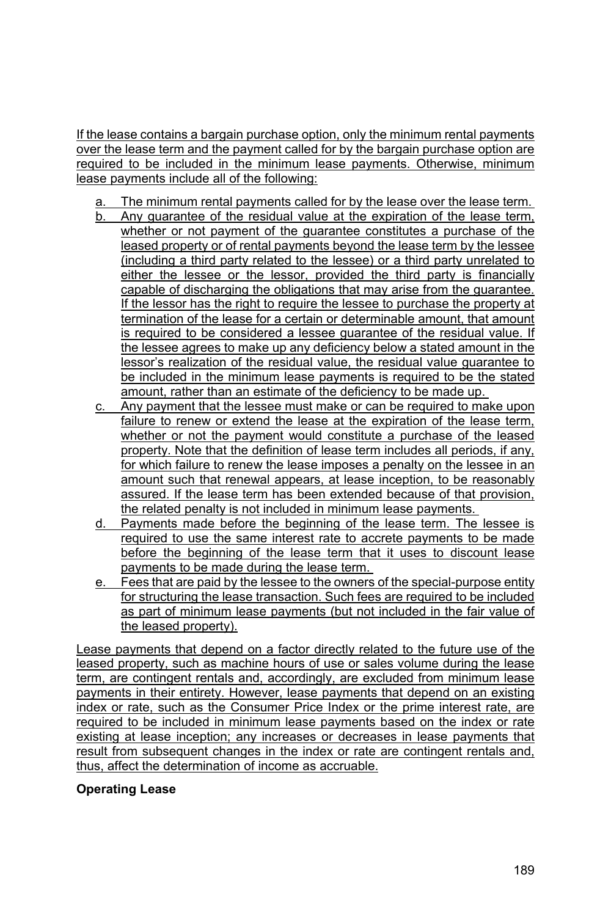If the lease contains a bargain purchase option, only the minimum rental payments over the lease term and the payment called for by the bargain purchase option are required to be included in the minimum lease payments. Otherwise, minimum lease payments include all of the following:

- a. The minimum rental payments called for by the lease over the lease term.
- Any guarantee of the residual value at the expiration of the lease term, whether or not payment of the guarantee constitutes a purchase of the leased property or of rental payments beyond the lease term by the lessee (including a third party related to the lessee) or a third party unrelated to either the lessee or the lessor, provided the third party is financially capable of discharging the obligations that may arise from the guarantee. If the lessor has the right to require the lessee to purchase the property at termination of the lease for a certain or determinable amount, that amount is required to be considered a lessee guarantee of the residual value. If the lessee agrees to make up any deficiency below a stated amount in the lessor's realization of the residual value, the residual value guarantee to be included in the minimum lease payments is required to be the stated amount, rather than an estimate of the deficiency to be made up.
- c. Any payment that the lessee must make or can be required to make upon failure to renew or extend the lease at the expiration of the lease term, whether or not the payment would constitute a purchase of the leased property. Note that the definition of lease term includes all periods, if any, for which failure to renew the lease imposes a penalty on the lessee in an amount such that renewal appears, at lease inception, to be reasonably assured. If the lease term has been extended because of that provision, the related penalty is not included in minimum lease payments.
- d. Payments made before the beginning of the lease term. The lessee is required to use the same interest rate to accrete payments to be made before the beginning of the lease term that it uses to discount lease payments to be made during the lease term.
- e. Fees that are paid by the lessee to the owners of the special-purpose entity for structuring the lease transaction. Such fees are required to be included as part of minimum lease payments (but not included in the fair value of the leased property).

Lease payments that depend on a factor directly related to the future use of the leased property, such as machine hours of use or sales volume during the lease term, are contingent rentals and, accordingly, are excluded from minimum lease payments in their entirety. However, lease payments that depend on an existing index or rate, such as the Consumer Price Index or the prime interest rate, are required to be included in minimum lease payments based on the index or rate existing at lease inception; any increases or decreases in lease payments that result from subsequent changes in the index or rate are contingent rentals and, thus, affect the determination of income as accruable.

### **Operating Lease**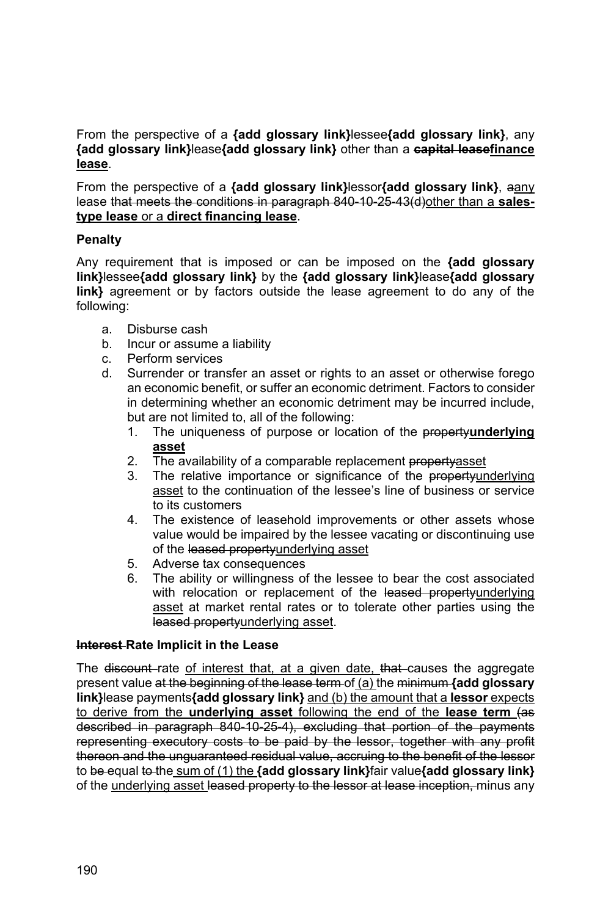From the perspective of a **{add glossary link}**lessee**{add glossary link}**, any **{add glossary link}**lease**{add glossary link}** other than a **capital leasefinance lease**.

From the perspective of a **{add glossary link}**lessor**{add glossary link}**, aany lease that meets the conditions in paragraph 840-10-25-43(d)other than a **salestype lease** or a **direct financing lease**.

#### **Penalty**

Any requirement that is imposed or can be imposed on the **{add glossary link}**lessee**{add glossary link}** by the **{add glossary link}**lease**{add glossary link}** agreement or by factors outside the lease agreement to do any of the following:

- a. Disburse cash
- b. Incur or assume a liability
- c. Perform services
- d. Surrender or transfer an asset or rights to an asset or otherwise forego an economic benefit, or suffer an economic detriment. Factors to consider in determining whether an economic detriment may be incurred include, but are not limited to, all of the following:
	- 1. The uniqueness of purpose or location of the property**underlying asset**
	- 2. The availability of a comparable replacement propertyasset
	- 3. The relative importance or significance of the propertyunderlying asset to the continuation of the lessee's line of business or service to its customers
	- 4. The existence of leasehold improvements or other assets whose value would be impaired by the lessee vacating or discontinuing use of the leased propertyunderlying asset
	- 5. Adverse tax consequences
	- 6. The ability or willingness of the lessee to bear the cost associated with relocation or replacement of the leased propertyunderlying asset at market rental rates or to tolerate other parties using the leased propertyunderlying asset.

#### **Interest Rate Implicit in the Lease**

The discount rate of interest that, at a given date, that causes the aggregate present value at the beginning of the lease term of (a) the minimum **{add glossary link}**lease payments**{add glossary link}** and (b) the amount that a **lessor** expects to derive from the **underlying asset** following the end of the **lease term** (as described in paragraph 840-10-25-4), excluding that portion of the payments representing executory costs to be paid by the lessor, together with any profit thereon and the unguaranteed residual value, accruing to the benefit of the lessor to be equal to the sum of (1) the **{add glossary link}**fair value**{add glossary link}** of the underlying asset leased property to the lessor at lease inception, minus any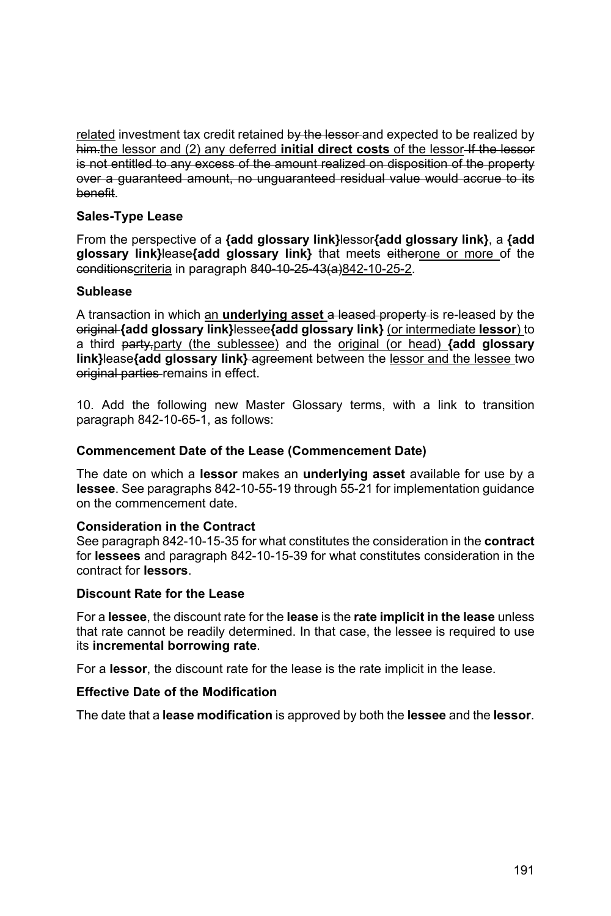related investment tax credit retained by the lessor and expected to be realized by him.the lessor and (2) any deferred **initial direct costs** of the lessor-If the lessor is not entitled to any excess of the amount realized on disposition of the property over a guaranteed amount, no unguaranteed residual value would accrue to its benefit.

### **Sales-Type Lease**

From the perspective of a **{add glossary link}**lessor**{add glossary link}**, a **{add glossary link}**lease**{add glossary link}** that meets eitherone or more of the conditionscriteria in paragraph 840-10-25-43(a)842-10-25-2.

#### **Sublease**

A transaction in which an **underlying asset** a leased property is re-leased by the original **{add glossary link}**lessee**{add glossary link}** (or intermediate **lessor**) to a third party,party (the sublessee) and the original (or head) **{add glossary**  link}lease**{add glossary link}-agreement** between the lessor and the lessee two original parties remains in effect.

10. Add the following new Master Glossary terms, with a link to transition paragraph 842-10-65-1, as follows:

#### **Commencement Date of the Lease (Commencement Date)**

The date on which a **lessor** makes an **underlying asset** available for use by a **lessee**. See paragraphs 842-10-55-19 through 55-21 for implementation guidance on the commencement date.

#### **Consideration in the Contract**

See paragraph 842-10-15-35 for what constitutes the consideration in the **contract** for **lessees** and paragraph 842-10-15-39 for what constitutes consideration in the contract for **lessors**.

#### **Discount Rate for the Lease**

For a **lessee**, the discount rate for the **lease** is the **rate implicit in the lease** unless that rate cannot be readily determined. In that case, the lessee is required to use its **incremental borrowing rate**.

For a **lessor**, the discount rate for the lease is the rate implicit in the lease.

#### **Effective Date of the Modification**

The date that a **lease modification** is approved by both the **lessee** and the **lessor**.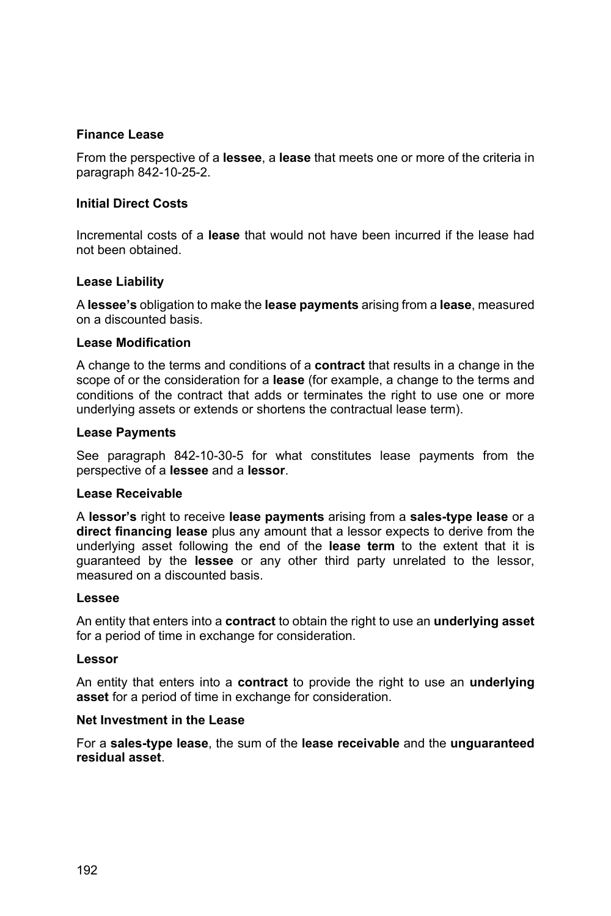### **Finance Lease**

From the perspective of a **lessee**, a **lease** that meets one or more of the criteria in paragraph 842-10-25-2.

### **Initial Direct Costs**

Incremental costs of a **lease** that would not have been incurred if the lease had not been obtained.

### **Lease Liability**

A **lessee's** obligation to make the **lease payments** arising from a **lease**, measured on a discounted basis.

#### **Lease Modification**

A change to the terms and conditions of a **contract** that results in a change in the scope of or the consideration for a **lease** (for example, a change to the terms and conditions of the contract that adds or terminates the right to use one or more underlying assets or extends or shortens the contractual lease term).

#### **Lease Payments**

See paragraph 842-10-30-5 for what constitutes lease payments from the perspective of a **lessee** and a **lessor**.

#### **Lease Receivable**

A **lessor's** right to receive **lease payments** arising from a **sales-type lease** or a **direct financing lease** plus any amount that a lessor expects to derive from the underlying asset following the end of the **lease term** to the extent that it is guaranteed by the **lessee** or any other third party unrelated to the lessor, measured on a discounted basis.

#### **Lessee**

An entity that enters into a **contract** to obtain the right to use an **underlying asset** for a period of time in exchange for consideration.

#### **Lessor**

An entity that enters into a **contract** to provide the right to use an **underlying asset** for a period of time in exchange for consideration.

#### **Net Investment in the Lease**

For a **sales-type lease**, the sum of the **lease receivable** and the **unguaranteed residual asset**.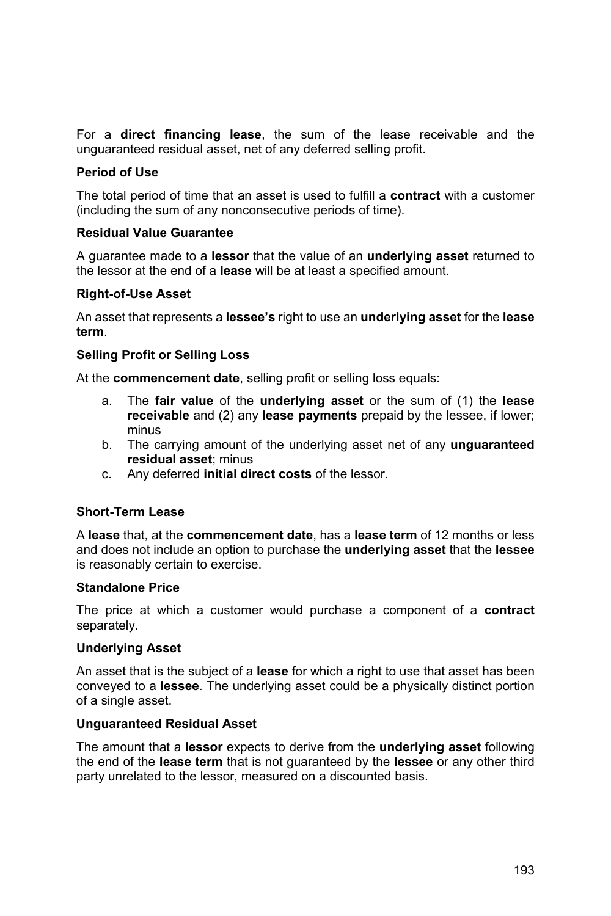For a **direct financing lease**, the sum of the lease receivable and the unguaranteed residual asset, net of any deferred selling profit.

#### **Period of Use**

The total period of time that an asset is used to fulfill a **contract** with a customer (including the sum of any nonconsecutive periods of time).

#### **Residual Value Guarantee**

A guarantee made to a **lessor** that the value of an **underlying asset** returned to the lessor at the end of a **lease** will be at least a specified amount.

#### **Right-of-Use Asset**

An asset that represents a **lessee's** right to use an **underlying asset** for the **lease term**.

#### **Selling Profit or Selling Loss**

At the **commencement date**, selling profit or selling loss equals:

- a. The **fair value** of the **underlying asset** or the sum of (1) the **lease receivable** and (2) any **lease payments** prepaid by the lessee, if lower; minus
- b. The carrying amount of the underlying asset net of any **unguaranteed residual asset**; minus
- c. Any deferred **initial direct costs** of the lessor.

#### **Short-Term Lease**

A **lease** that, at the **commencement date**, has a **lease term** of 12 months or less and does not include an option to purchase the **underlying asset** that the **lessee** is reasonably certain to exercise.

#### **Standalone Price**

The price at which a customer would purchase a component of a **contract** separately.

#### **Underlying Asset**

An asset that is the subject of a **lease** for which a right to use that asset has been conveyed to a **lessee**. The underlying asset could be a physically distinct portion of a single asset.

#### **Unguaranteed Residual Asset**

The amount that a **lessor** expects to derive from the **underlying asset** following the end of the **lease term** that is not guaranteed by the **lessee** or any other third party unrelated to the lessor, measured on a discounted basis.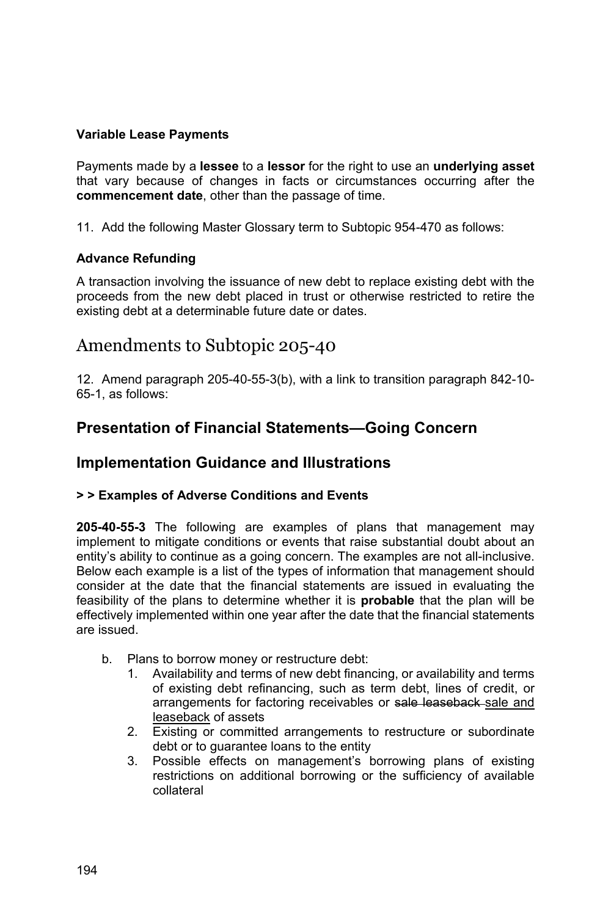### **Variable Lease Payments**

Payments made by a **lessee** to a **lessor** for the right to use an **underlying asset** that vary because of changes in facts or circumstances occurring after the **commencement date**, other than the passage of time.

11. Add the following Master Glossary term to Subtopic 954-470 as follows:

### **Advance Refunding**

A transaction involving the issuance of new debt to replace existing debt with the proceeds from the new debt placed in trust or otherwise restricted to retire the existing debt at a determinable future date or dates.

# Amendments to Subtopic 205-40

12. Amend paragraph 205-40-55-3(b), with a link to transition paragraph 842-10- 65-1, as follows:

## **Presentation of Financial Statements—Going Concern**

## **Implementation Guidance and Illustrations**

### **> > Examples of Adverse Conditions and Events**

**205-40-55-3** The following are examples of plans that management may implement to mitigate conditions or events that raise substantial doubt about an entity's ability to continue as a going concern. The examples are not all-inclusive. Below each example is a list of the types of information that management should consider at the date that the financial statements are issued in evaluating the feasibility of the plans to determine whether it is **probable** that the plan will be effectively implemented within one year after the date that the financial statements are issued.

- b. Plans to borrow money or restructure debt:
	- 1. Availability and terms of new debt financing, or availability and terms of existing debt refinancing, such as term debt, lines of credit, or arrangements for factoring receivables or sale leaseback sale and leaseback of assets
	- 2. Existing or committed arrangements to restructure or subordinate debt or to guarantee loans to the entity
	- 3. Possible effects on management's borrowing plans of existing restrictions on additional borrowing or the sufficiency of available collateral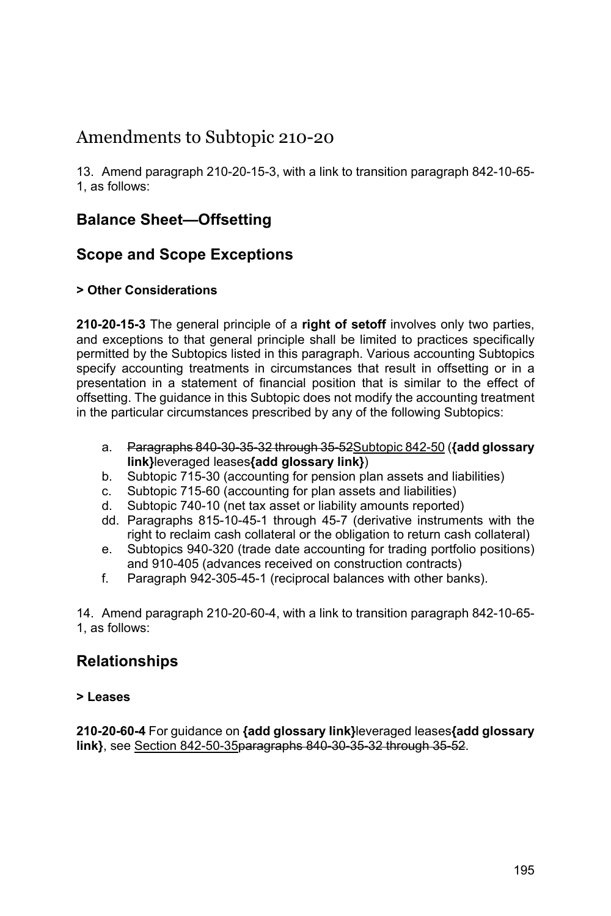# Amendments to Subtopic 210-20

13. Amend paragraph 210-20-15-3, with a link to transition paragraph 842-10-65- 1, as follows:

# **Balance Sheet—Offsetting**

## **Scope and Scope Exceptions**

## **> Other Considerations**

**210-20-15-3** The general principle of a **right of setoff** involves only two parties, and exceptions to that general principle shall be limited to practices specifically permitted by the Subtopics listed in this paragraph. Various accounting Subtopics specify accounting treatments in circumstances that result in offsetting or in a presentation in a statement of financial position that is similar to the effect of offsetting. The guidance in this Subtopic does not modify the accounting treatment in the particular circumstances prescribed by any of the following Subtopics:

- a. Paragraphs 840-30-35-32 through 35-52Subtopic 842-50 (**{add glossary link}**leveraged leases**{add glossary link}**)
- b. Subtopic 715-30 (accounting for pension plan assets and liabilities)
- c. Subtopic 715-60 (accounting for plan assets and liabilities)
- d. Subtopic 740-10 (net tax asset or liability amounts reported)
- dd. Paragraphs 815-10-45-1 through 45-7 (derivative instruments with the right to reclaim cash collateral or the obligation to return cash collateral)
- e. Subtopics 940-320 (trade date accounting for trading portfolio positions) and 910-405 (advances received on construction contracts)
- f. Paragraph 942-305-45-1 (reciprocal balances with other banks).

14. Amend paragraph 210-20-60-4, with a link to transition paragraph 842-10-65- 1, as follows:

# **Relationships**

### **> Leases**

**210-20-60-4** For guidance on **{add glossary link}**leveraged leases**{add glossary link}**, see Section 842-50-35paragraphs 840-30-35-32 through 35-52.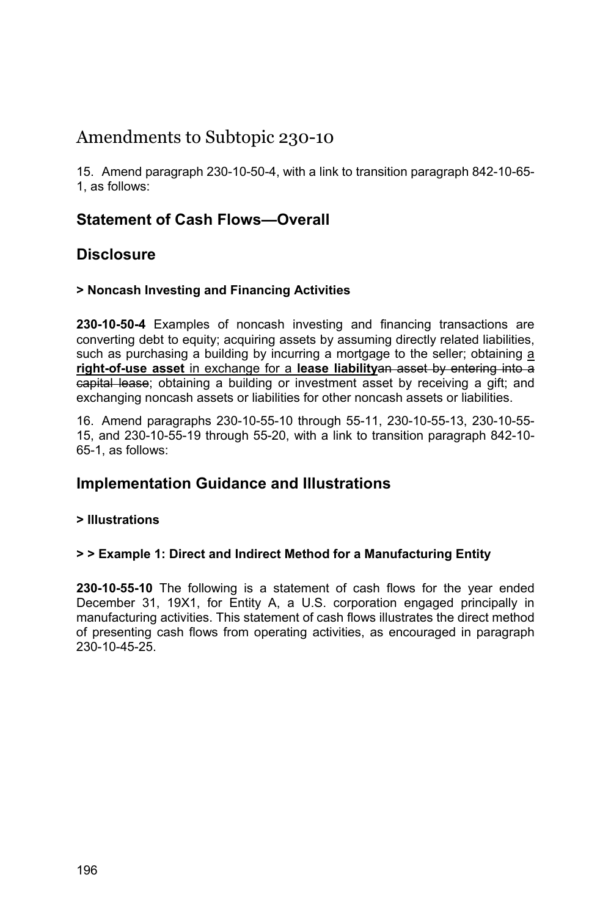# Amendments to Subtopic 230-10

15. Amend paragraph 230-10-50-4, with a link to transition paragraph 842-10-65- 1, as follows:

## **Statement of Cash Flows—Overall**

## **Disclosure**

### **> Noncash Investing and Financing Activities**

**230-10-50-4** Examples of noncash investing and financing transactions are converting debt to equity; acquiring assets by assuming directly related liabilities, such as purchasing a building by incurring a mortgage to the seller; obtaining a **right-of-use asset** in exchange for a **lease liability**an asset by entering into a capital lease; obtaining a building or investment asset by receiving a gift; and exchanging noncash assets or liabilities for other noncash assets or liabilities.

16. Amend paragraphs 230-10-55-10 through 55-11, 230-10-55-13, 230-10-55- 15, and 230-10-55-19 through 55-20, with a link to transition paragraph 842-10- 65-1, as follows:

## **Implementation Guidance and Illustrations**

### **> Illustrations**

### **> > Example 1: Direct and Indirect Method for a Manufacturing Entity**

**230-10-55-10** The following is a statement of cash flows for the year ended December 31, 19X1, for Entity A, a U.S. corporation engaged principally in manufacturing activities. This statement of cash flows illustrates the direct method of presenting cash flows from operating activities, as encouraged in paragraph 230-10-45-25.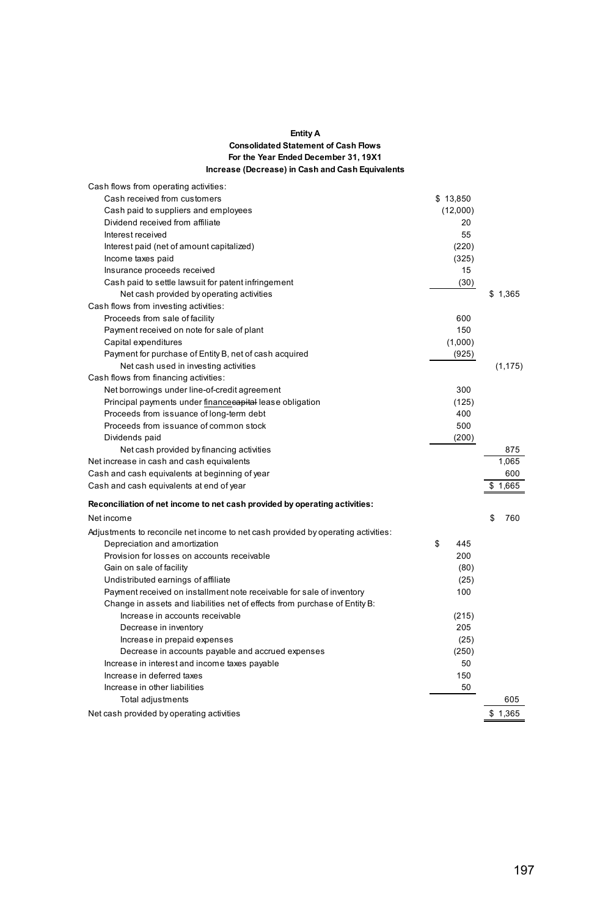#### **Entity A Consolidated Statement of Cash Flows For the Year Ended December 31, 19X1 Increase (Decrease) in Cash and Cash Equivalents**

| Cash flows from operating activities:                                             |           |           |
|-----------------------------------------------------------------------------------|-----------|-----------|
| Cash received from customers                                                      | \$13,850  |           |
| Cash paid to suppliers and employees                                              | (12,000)  |           |
| Dividend received from affiliate                                                  | 20        |           |
| Interest received                                                                 | 55        |           |
| Interest paid (net of amount capitalized)                                         | (220)     |           |
| Income taxes paid                                                                 | (325)     |           |
| Insurance proceeds received                                                       | 15        |           |
| Cash paid to settle lawsuit for patent infringement                               | (30)      |           |
| Net cash provided by operating activities                                         |           | \$1.365   |
| Cash flows from investing activities:                                             |           |           |
| Proceeds from sale of facility                                                    | 600       |           |
| Payment received on note for sale of plant                                        | 150       |           |
| Capital expenditures                                                              | (1,000)   |           |
| Payment for purchase of Entity B, net of cash acquired                            | (925)     |           |
| Net cash used in investing activities                                             |           | (1, 175)  |
| Cash flows from financing activities:                                             |           |           |
| Net borrowings under line-of-credit agreement                                     | 300       |           |
| Principal payments under financecapital lease obligation                          | (125)     |           |
| Proceeds from issuance of long-term debt                                          | 400       |           |
| Proceeds from issuance of common stock                                            | 500       |           |
| Dividends paid                                                                    | (200)     |           |
| Net cash provided by financing activities                                         |           | 875       |
| Net increase in cash and cash equivalents                                         |           | 1.065     |
| Cash and cash equivalents at beginning of year                                    |           | 600       |
| Cash and cash equivalents at end of year                                          |           | \$1,665   |
| Reconciliation of net income to net cash provided by operating activities:        |           |           |
| Net income                                                                        |           | \$<br>760 |
| Adjustments to reconcile net income to net cash provided by operating activities: |           |           |
| Depreciation and amortization                                                     | \$<br>445 |           |
| Provision for losses on accounts receivable                                       | 200       |           |
| Gain on sale of facility                                                          | (80)      |           |
| Undistributed earnings of affiliate                                               | (25)      |           |
| Payment received on installment note receivable for sale of inventory             | 100       |           |
| Change in assets and liabilities net of effects from purchase of Entity B:        |           |           |
| Increase in accounts receivable                                                   | (215)     |           |
| Decrease in inventory                                                             | 205       |           |
| Increase in prepaid expenses                                                      | (25)      |           |
| Decrease in accounts payable and accrued expenses                                 | (250)     |           |
| Increase in interest and income taxes payable                                     | 50        |           |
| Increase in deferred taxes                                                        | 150       |           |
| Increase in other liabilities                                                     | 50        |           |
| Total adjustments                                                                 |           | 605       |
| Net cash provided by operating activities                                         |           | \$1,365   |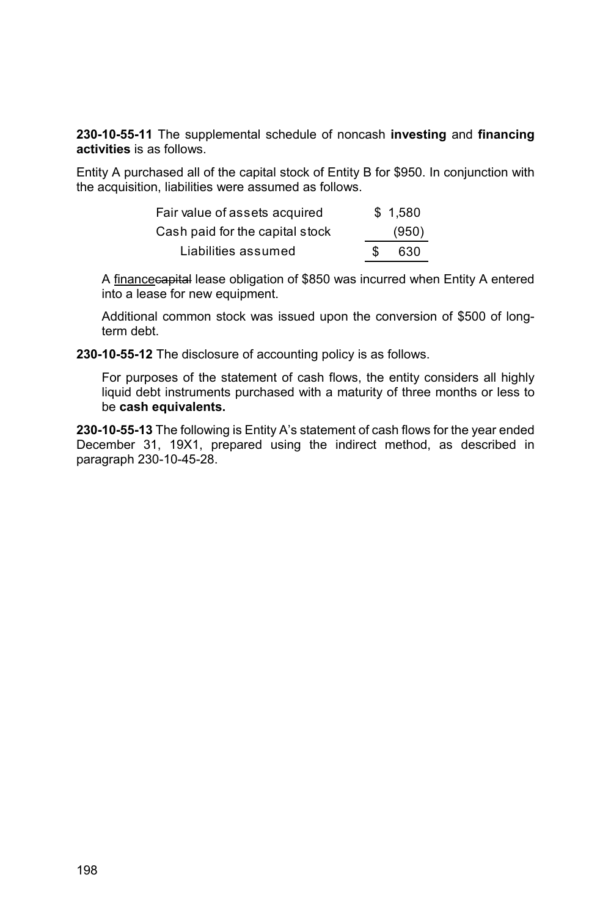**230-10-55-11** The supplemental schedule of noncash **investing** and **financing activities** is as follows.

Entity A purchased all of the capital stock of Entity B for \$950. In conjunction with the acquisition, liabilities were assumed as follows.

| Fair value of assets acquired   | \$1.580 |
|---------------------------------|---------|
| Cash paid for the capital stock | (950)   |
| Liabilities assumed             | 630     |

A financecapital lease obligation of \$850 was incurred when Entity A entered into a lease for new equipment.

Additional common stock was issued upon the conversion of \$500 of longterm debt.

**230-10-55-12** The disclosure of accounting policy is as follows.

For purposes of the statement of cash flows, the entity considers all highly liquid debt instruments purchased with a maturity of three months or less to be **cash equivalents.** 

**230-10-55-13** The following is Entity A's statement of cash flows for the year ended December 31, 19X1, prepared using the indirect method, as described in paragraph 230-10-45-28.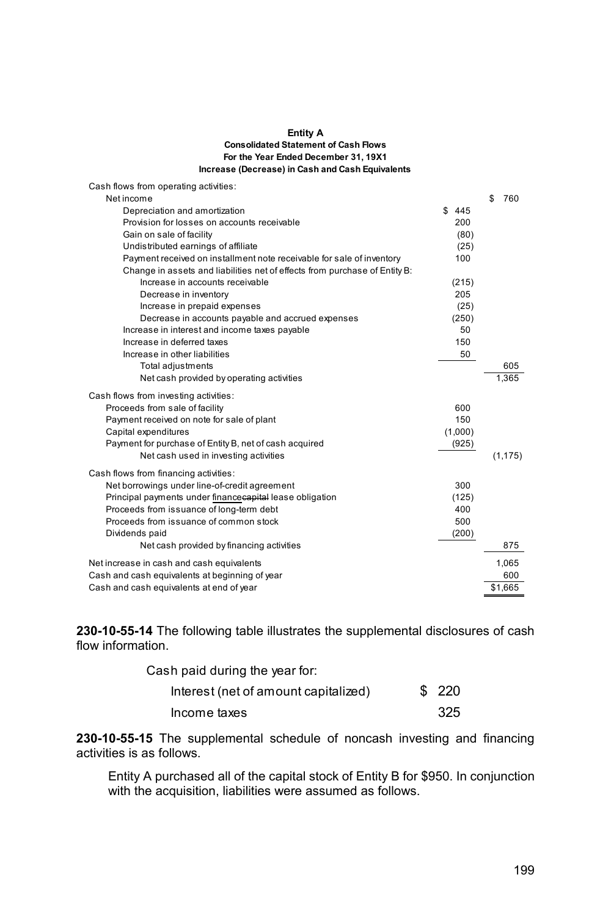#### **Entity A For the Year Ended December 31, 19X1 Increase (Decrease) in Cash and Cash Equivalents Consolidated Statement of Cash Flows**

| Cash flows from operating activities:                                                      |         |              |
|--------------------------------------------------------------------------------------------|---------|--------------|
| Net income                                                                                 |         | \$<br>760    |
| Depreciation and amortization                                                              | \$445   |              |
| Provision for losses on accounts receivable                                                | 200     |              |
| Gain on sale of facility                                                                   | (80)    |              |
| Undistributed earnings of affiliate                                                        | (25)    |              |
| Payment received on installment note receivable for sale of inventory                      | 100     |              |
| Change in assets and liabilities net of effects from purchase of Entity B:                 |         |              |
| Increase in accounts receivable                                                            | (215)   |              |
| Decrease in inventory                                                                      | 205     |              |
| Increase in prepaid expenses                                                               | (25)    |              |
| Decrease in accounts payable and accrued expenses                                          | (250)   |              |
| Increase in interest and income taxes payable                                              | 50      |              |
| Increase in deferred taxes                                                                 | 150     |              |
| Increase in other liabilities                                                              | 50      |              |
| Total adjustments                                                                          |         | 605          |
| Net cash provided by operating activities                                                  |         | 1,365        |
| Cash flows from investing activities:                                                      |         |              |
| Proceeds from sale of facility                                                             | 600     |              |
| Payment received on note for sale of plant                                                 | 150     |              |
| Capital expenditures                                                                       | (1,000) |              |
| Payment for purchase of Entity B, net of cash acquired                                     | (925)   |              |
| Net cash used in investing activities                                                      |         | (1, 175)     |
| Cash flows from financing activities:                                                      |         |              |
| Net borrowings under line-of-credit agreement                                              | 300     |              |
| Principal payments under financecapital lease obligation                                   | (125)   |              |
| Proceeds from issuance of long-term debt                                                   | 400     |              |
| Proceeds from issuance of common stock                                                     | 500     |              |
| Dividends paid                                                                             | (200)   |              |
| Net cash provided by financing activities                                                  |         | 875          |
|                                                                                            |         |              |
| Net increase in cash and cash equivalents                                                  |         | 1,065<br>600 |
| Cash and cash equivalents at beginning of year<br>Cash and cash equivalents at end of year |         | \$1,665      |
|                                                                                            |         |              |

**230-10-55-14** The following table illustrates the supplemental disclosures of cash flow information.

| Cash paid during the year for:       |        |
|--------------------------------------|--------|
| Interest (net of amount capitalized) | \$ 220 |
| Income taxes                         | 325    |

**230-10-55-15** The supplemental schedule of noncash investing and financing activities is as follows.

Entity A purchased all of the capital stock of Entity B for \$950. In conjunction with the acquisition, liabilities were assumed as follows.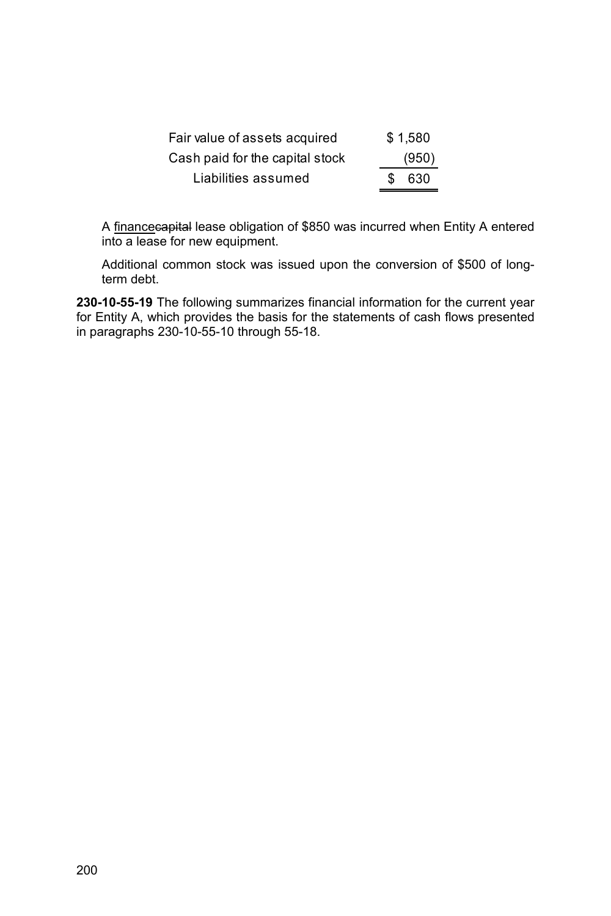| Fair value of assets acquired   |     | \$1.580 |
|---------------------------------|-----|---------|
| Cash paid for the capital stock |     | (950)   |
| Liabilities assumed             | SS. | -630    |

A financecapital lease obligation of \$850 was incurred when Entity A entered into a lease for new equipment.

Additional common stock was issued upon the conversion of \$500 of longterm debt.

**230-10-55-19** The following summarizes financial information for the current year for Entity A, which provides the basis for the statements of cash flows presented in paragraphs 230-10-55-10 through 55-18.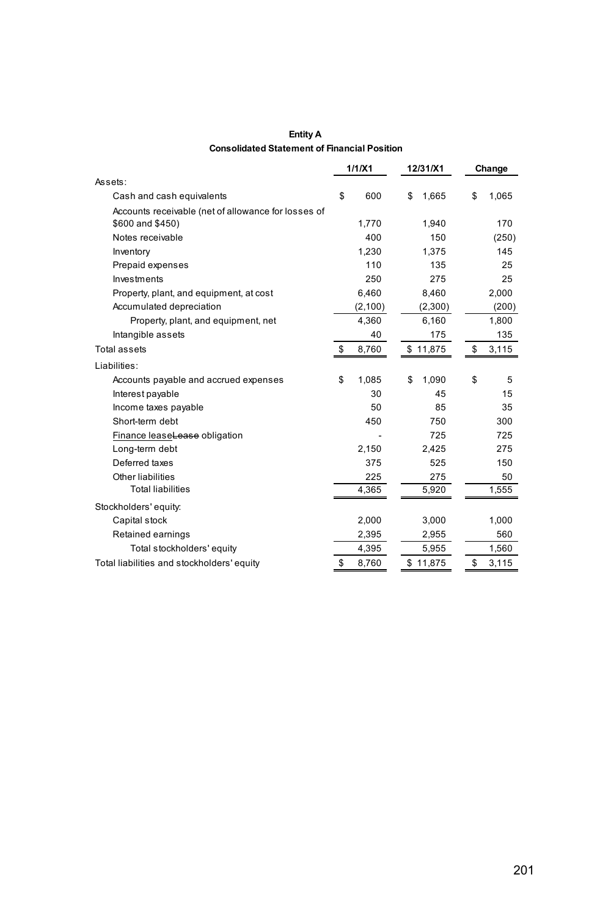| <b>Entity A</b>                                     |  |
|-----------------------------------------------------|--|
| <b>Consolidated Statement of Financial Position</b> |  |

|                                                     | 1/1/X1      | 12/31/X1    | Change      |
|-----------------------------------------------------|-------------|-------------|-------------|
| Assets:                                             |             |             |             |
| Cash and cash equivalents                           | \$<br>600   | \$<br>1,665 | \$<br>1,065 |
| Accounts receivable (net of allowance for losses of |             |             |             |
| \$600 and \$450)                                    | 1.770       | 1,940       | 170         |
| Notes receivable                                    | 400         | 150         | (250)       |
| Inventory                                           | 1,230       | 1,375       | 145         |
| Prepaid expenses                                    | 110         | 135         | 25          |
| Investments                                         | 250         | 275         | 25          |
| Property, plant, and equipment, at cost             | 6,460       | 8,460       | 2,000       |
| Accumulated depreciation                            | (2,100)     | (2,300)     | (200)       |
| Property, plant, and equipment, net                 | 4,360       | 6,160       | 1,800       |
| Intangible assets                                   | 40          | 175         | 135         |
| Total assets                                        | \$<br>8,760 | \$11,875    | \$<br>3,115 |
| Liabilities:                                        |             |             |             |
| Accounts payable and accrued expenses               | \$<br>1,085 | \$<br>1,090 | \$<br>5     |
| Interest payable                                    | 30          | 45          | 15          |
| Income taxes payable                                | 50          | 85          | 35          |
| Short-term debt                                     | 450         | 750         | 300         |
| Finance leaseLease obligation                       |             | 725         | 725         |
| Long-term debt                                      | 2,150       | 2,425       | 275         |
| Deferred taxes                                      | 375         | 525         | 150         |
| Other liabilities                                   | 225         | 275         | 50          |
| <b>Total liabilities</b>                            | 4,365       | 5,920       | 1,555       |
| Stockholders' equity:                               |             |             |             |
| Capital stock                                       | 2,000       | 3,000       | 1,000       |
| Retained earnings                                   | 2,395       | 2,955       | 560         |
| Total stockholders' equity                          | 4,395       | 5,955       | 1,560       |
| Total liabilities and stockholders' equity          | \$<br>8.760 | \$11.875    | \$<br>3,115 |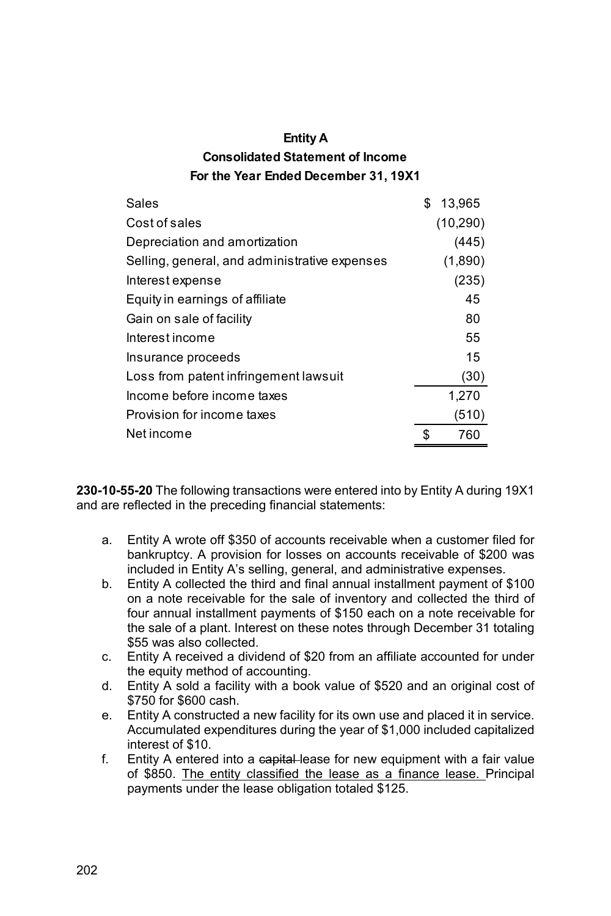| <b>Entity A</b>                         |
|-----------------------------------------|
| <b>Consolidated Statement of Income</b> |
| For the Year Ended December 31, 19X1    |

| Sales                                         | \$ | 13,965    |
|-----------------------------------------------|----|-----------|
| Cost of sales                                 |    | (10, 290) |
| Depreciation and amortization                 |    | (445)     |
| Selling, general, and administrative expenses |    | (1,890)   |
| Interest expense                              |    | (235)     |
| Equity in earnings of affiliate               |    | 45        |
| Gain on sale of facility                      |    | 80        |
| Interest income                               |    | 55        |
| Insurance proceeds                            |    | 15        |
| Loss from patent infringement lawsuit         |    | (30)      |
| Income before income taxes                    |    | 1,270     |
| Provision for income taxes                    |    | (510)     |
| Net income                                    | ፍ  | 760       |
|                                               |    |           |

**230-10-55-20** The following transactions were entered into by Entity A during 19X1 and are reflected in the preceding financial statements:

- a. Entity A wrote off \$350 of accounts receivable when a customer filed for bankruptcy. A provision for losses on accounts receivable of \$200 was included in Entity A's selling, general, and administrative expenses.
- b. Entity A collected the third and final annual installment payment of \$100 on a note receivable for the sale of inventory and collected the third of four annual installment payments of \$150 each on a note receivable for the sale of a plant. Interest on these notes through December 31 totaling \$55 was also collected.
- c. Entity A received a dividend of \$20 from an affiliate accounted for under the equity method of accounting.
- d. Entity A sold a facility with a book value of \$520 and an original cost of \$750 for \$600 cash.
- e. Entity A constructed a new facility for its own use and placed it in service. Accumulated expenditures during the year of \$1,000 included capitalized interest of \$10.
- f. Entity A entered into a capital-lease for new equipment with a fair value of \$850. The entity classified the lease as a finance lease. Principal payments under the lease obligation totaled \$125.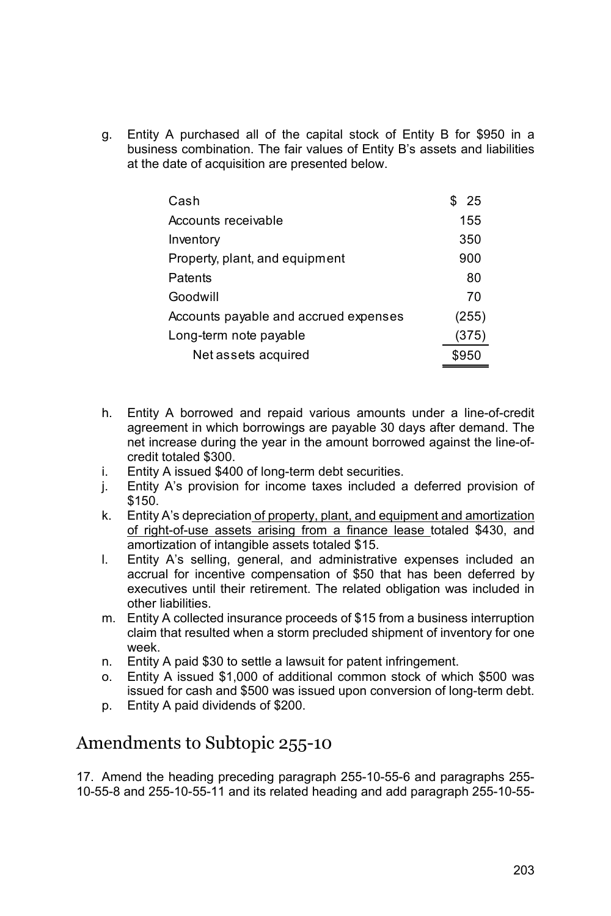g. Entity A purchased all of the capital stock of Entity B for \$950 in a business combination. The fair values of Entity B's assets and liabilities at the date of acquisition are presented below.

| Cash                                  | - 25  |
|---------------------------------------|-------|
| Accounts receivable                   | 155   |
| Inventory                             | 350   |
| Property, plant, and equipment        | 900   |
| Patents                               | 80    |
| Goodwill                              | 70    |
| Accounts payable and accrued expenses | (255) |
| Long-term note payable                | (375) |
| Net assets acquired                   | \$950 |

- h. Entity A borrowed and repaid various amounts under a line-of-credit agreement in which borrowings are payable 30 days after demand. The net increase during the year in the amount borrowed against the line-ofcredit totaled \$300.
- i. Entity A issued \$400 of long-term debt securities.
- j. Entity A's provision for income taxes included a deferred provision of \$150.
- k. Entity A's depreciation of property, plant, and equipment and amortization of right-of-use assets arising from a finance lease totaled \$430, and amortization of intangible assets totaled \$15.
- l. Entity A's selling, general, and administrative expenses included an accrual for incentive compensation of \$50 that has been deferred by executives until their retirement. The related obligation was included in other liabilities.
- m. Entity A collected insurance proceeds of \$15 from a business interruption claim that resulted when a storm precluded shipment of inventory for one week.
- n. Entity A paid \$30 to settle a lawsuit for patent infringement.
- o. Entity A issued \$1,000 of additional common stock of which \$500 was issued for cash and \$500 was issued upon conversion of long-term debt.
- p. Entity A paid dividends of \$200.

# Amendments to Subtopic 255-10

17. Amend the heading preceding paragraph 255-10-55-6 and paragraphs 255- 10-55-8 and 255-10-55-11 and its related heading and add paragraph 255-10-55-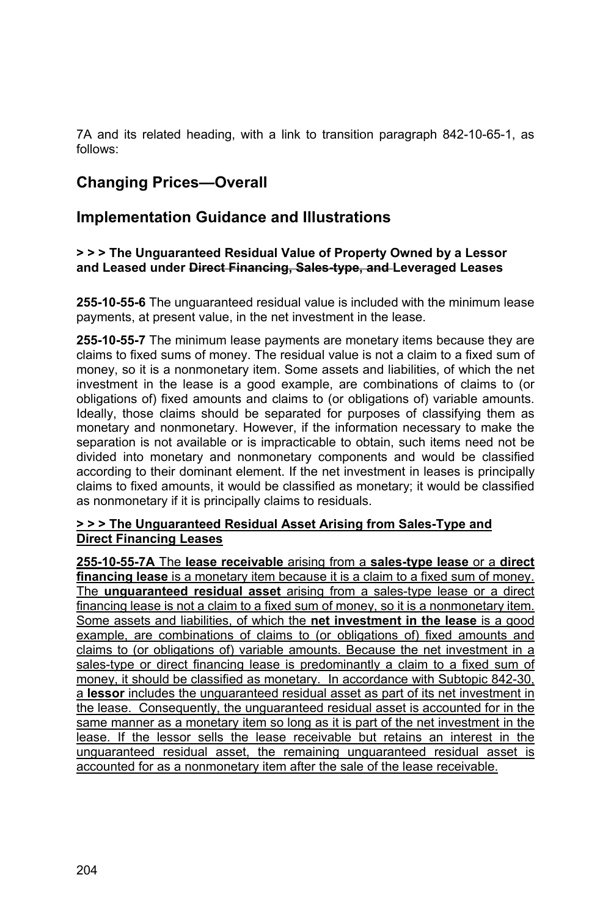7A and its related heading, with a link to transition paragraph 842-10-65-1, as follows:

## **Changing Prices—Overall**

## **Implementation Guidance and Illustrations**

### **> > > The Unguaranteed Residual Value of Property Owned by a Lessor and Leased under Direct Financing, Sales-type, and Leveraged Leases**

**255-10-55-6** The unguaranteed residual value is included with the minimum lease payments, at present value, in the net investment in the lease.

**255-10-55-7** The minimum lease payments are monetary items because they are claims to fixed sums of money. The residual value is not a claim to a fixed sum of money, so it is a nonmonetary item. Some assets and liabilities, of which the net investment in the lease is a good example, are combinations of claims to (or obligations of) fixed amounts and claims to (or obligations of) variable amounts. Ideally, those claims should be separated for purposes of classifying them as monetary and nonmonetary. However, if the information necessary to make the separation is not available or is impracticable to obtain, such items need not be divided into monetary and nonmonetary components and would be classified according to their dominant element. If the net investment in leases is principally claims to fixed amounts, it would be classified as monetary; it would be classified as nonmonetary if it is principally claims to residuals.

#### **> > > The Unguaranteed Residual Asset Arising from Sales-Type and Direct Financing Leases**

**255-10-55-7A** The **lease receivable** arising from a **sales-type lease** or a **direct financing lease** is a monetary item because it is a claim to a fixed sum of money. The **unguaranteed residual asset** arising from a sales-type lease or a direct financing lease is not a claim to a fixed sum of money, so it is a nonmonetary item. Some assets and liabilities, of which the **net investment in the lease** is a good example, are combinations of claims to (or obligations of) fixed amounts and claims to (or obligations of) variable amounts. Because the net investment in a sales-type or direct financing lease is predominantly a claim to a fixed sum of money, it should be classified as monetary. In accordance with Subtopic 842-30, a **lessor** includes the unguaranteed residual asset as part of its net investment in the lease. Consequently, the unguaranteed residual asset is accounted for in the same manner as a monetary item so long as it is part of the net investment in the lease. If the lessor sells the lease receivable but retains an interest in the unguaranteed residual asset, the remaining unguaranteed residual asset is accounted for as a nonmonetary item after the sale of the lease receivable.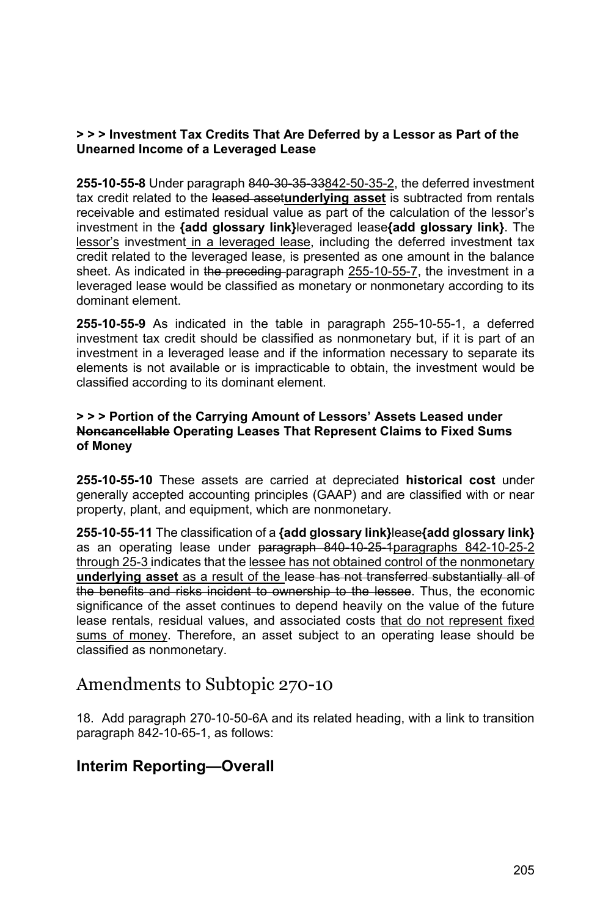### **> > > Investment Tax Credits That Are Deferred by a Lessor as Part of the Unearned Income of a Leveraged Lease**

**255-10-55-8** Under paragraph 840-30-35-33842-50-35-2, the deferred investment tax credit related to the leased asset**underlying asset** is subtracted from rentals receivable and estimated residual value as part of the calculation of the lessor's investment in the **{add glossary link}**leveraged lease**{add glossary link}**. The lessor's investment in a leveraged lease, including the deferred investment tax credit related to the leveraged lease, is presented as one amount in the balance sheet. As indicated in the preceding paragraph 255-10-55-7, the investment in a leveraged lease would be classified as monetary or nonmonetary according to its dominant element.

**255-10-55-9** As indicated in the table in paragraph 255-10-55-1, a deferred investment tax credit should be classified as nonmonetary but, if it is part of an investment in a leveraged lease and if the information necessary to separate its elements is not available or is impracticable to obtain, the investment would be classified according to its dominant element.

### **> > > Portion of the Carrying Amount of Lessors' Assets Leased under Noncancellable Operating Leases That Represent Claims to Fixed Sums of Money**

**255-10-55-10** These assets are carried at depreciated **historical cost** under generally accepted accounting principles (GAAP) and are classified with or near property, plant, and equipment, which are nonmonetary.

**255-10-55-11** The classification of a **{add glossary link}**lease**{add glossary link}**  as an operating lease under paragraph 840-10-25-1paragraphs 842-10-25-2 through 25-3 indicates that the lessee has not obtained control of the nonmonetary **underlying asset** as a result of the lease has not transferred substantially all of the benefits and risks incident to ownership to the lessee. Thus, the economic significance of the asset continues to depend heavily on the value of the future lease rentals, residual values, and associated costs that do not represent fixed sums of money. Therefore, an asset subject to an operating lease should be classified as nonmonetary.

# Amendments to Subtopic 270-10

18. Add paragraph 270-10-50-6A and its related heading, with a link to transition paragraph 842-10-65-1, as follows:

## **Interim Reporting—Overall**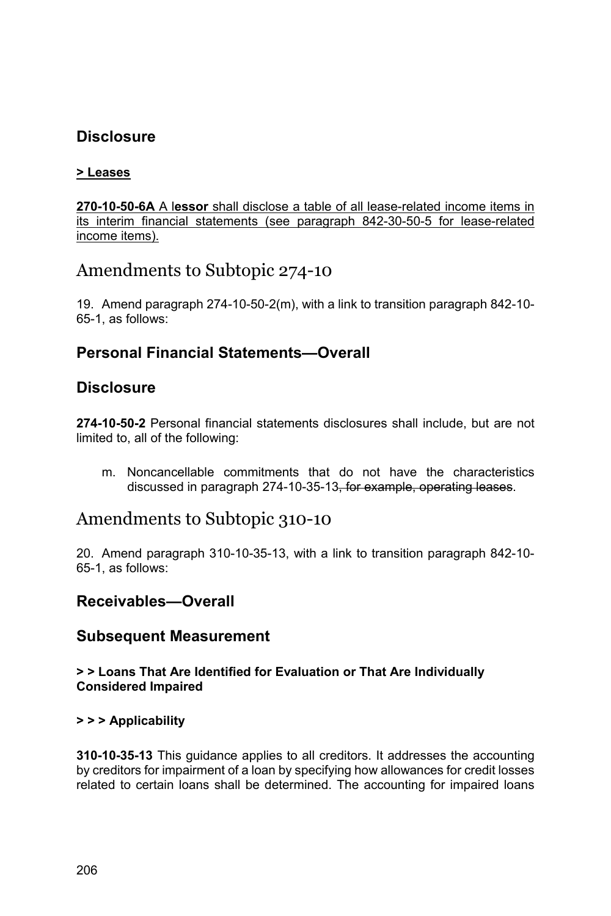# **Disclosure**

## **> Leases**

**270-10-50-6A** A l**essor** shall disclose a table of all lease-related income items in its interim financial statements (see paragraph 842-30-50-5 for lease-related income items).

# Amendments to Subtopic 274-10

19. Amend paragraph 274-10-50-2(m), with a link to transition paragraph 842-10- 65-1, as follows:

## **Personal Financial Statements—Overall**

## **Disclosure**

**274-10-50-2** Personal financial statements disclosures shall include, but are not limited to, all of the following:

m. Noncancellable commitments that do not have the characteristics discussed in paragraph 274-10-35-13, for example, operating leases.

## Amendments to Subtopic 310-10

20. Amend paragraph 310-10-35-13, with a link to transition paragraph 842-10- 65-1, as follows:

## **Receivables—Overall**

## **Subsequent Measurement**

### **> > Loans That Are Identified for Evaluation or That Are Individually Considered Impaired**

### **> > > Applicability**

**310-10-35-13** This guidance applies to all creditors. It addresses the accounting by creditors for impairment of a loan by specifying how allowances for credit losses related to certain loans shall be determined. The accounting for impaired loans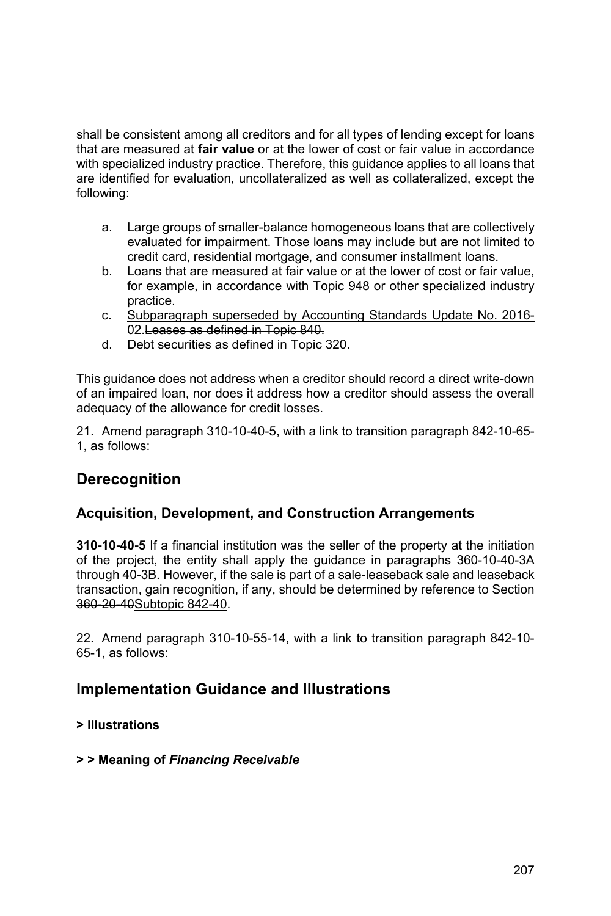shall be consistent among all creditors and for all types of lending except for loans that are measured at **fair value** or at the lower of cost or fair value in accordance with specialized industry practice. Therefore, this guidance applies to all loans that are identified for evaluation, uncollateralized as well as collateralized, except the following:

- a. Large groups of smaller-balance homogeneous loans that are collectively evaluated for impairment. Those loans may include but are not limited to credit card, residential mortgage, and consumer installment loans.
- b. Loans that are measured at fair value or at the lower of cost or fair value, for example, in accordance with Topic 948 or other specialized industry practice.
- c. Subparagraph superseded by Accounting Standards Update No. 2016- 02.Leases as defined in Topic 840.
- d. Debt securities as defined in Topic 320.

This guidance does not address when a creditor should record a direct write-down of an impaired loan, nor does it address how a creditor should assess the overall adequacy of the allowance for credit losses.

21. Amend paragraph 310-10-40-5, with a link to transition paragraph 842-10-65- 1, as follows:

## **Derecognition**

### **Acquisition, Development, and Construction Arrangements**

**310-10-40-5** If a financial institution was the seller of the property at the initiation of the project, the entity shall apply the guidance in paragraphs 360-10-40-3A through 40-3B. However, if the sale is part of a sale-leaseback-sale and leaseback transaction, gain recognition, if any, should be determined by reference to Section 360-20-40Subtopic 842-40.

22. Amend paragraph 310-10-55-14, with a link to transition paragraph 842-10- 65-1, as follows:

## **Implementation Guidance and Illustrations**

### **> Illustrations**

### **> > Meaning of** *Financing Receivable*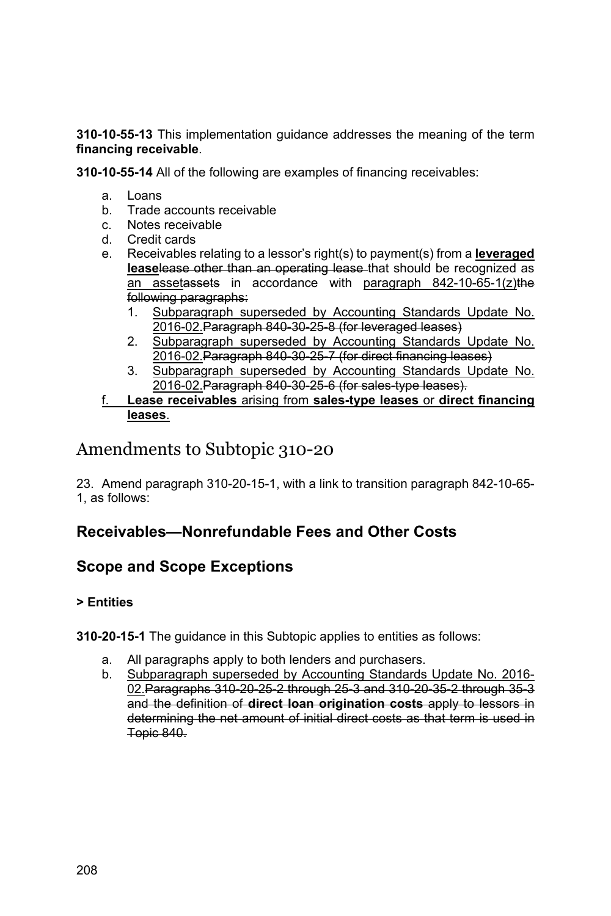**310-10-55-13** This implementation guidance addresses the meaning of the term **financing receivable**.

**310-10-55-14** All of the following are examples of financing receivables:

- a. Loans
- b. Trade accounts receivable
- c. Notes receivable
- d. Credit cards
- e. Receivables relating to a lessor's right(s) to payment(s) from a **leveraged lease**lease other than an operating lease that should be recognized as an assetassets in accordance with paragraph 842-10-65-1(z)the following paragraphs:
	- 1. Subparagraph superseded by Accounting Standards Update No. 2016-02.Paragraph 840-30-25-8 (for leveraged leases)
	- 2. Subparagraph superseded by Accounting Standards Update No. 2016-02.Paragraph 840-30-25-7 (for direct financing leases)
	- 3. Subparagraph superseded by Accounting Standards Update No. 2016-02.Paragraph 840-30-25-6 (for sales-type leases).

### f. **Lease receivables** arising from **sales-type leases** or **direct financing leases**.

# Amendments to Subtopic 310-20

23. Amend paragraph 310-20-15-1, with a link to transition paragraph 842-10-65- 1, as follows:

## **Receivables—Nonrefundable Fees and Other Costs**

# **Scope and Scope Exceptions**

## **> Entities**

### **310-20-15-1** The guidance in this Subtopic applies to entities as follows:

- a. All paragraphs apply to both lenders and purchasers.
- b. Subparagraph superseded by Accounting Standards Update No. 2016- 02.Paragraphs 310-20-25-2 through 25-3 and 310-20-35-2 through 35-3 and the definition of **direct loan origination costs** apply to lessors in determining the net amount of initial direct costs as that term is used in Topic 840.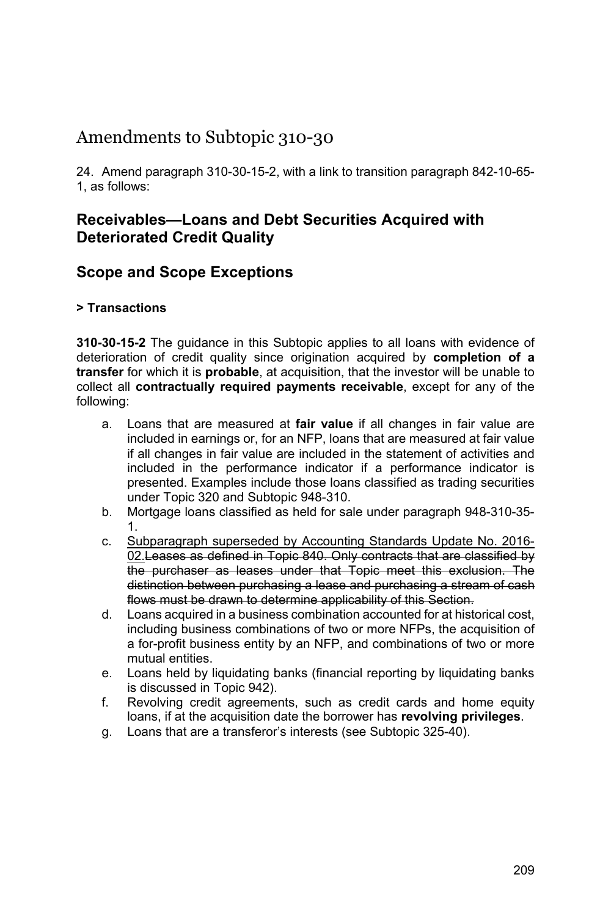# Amendments to Subtopic 310-30

24. Amend paragraph 310-30-15-2, with a link to transition paragraph 842-10-65- 1, as follows:

## **Receivables—Loans and Debt Securities Acquired with Deteriorated Credit Quality**

## **Scope and Scope Exceptions**

### **> Transactions**

**310-30-15-2** The guidance in this Subtopic applies to all loans with evidence of deterioration of credit quality since origination acquired by **completion of a transfer** for which it is **probable**, at acquisition, that the investor will be unable to collect all **contractually required payments receivable**, except for any of the following:

- a. Loans that are measured at **fair value** if all changes in fair value are included in earnings or, for an NFP, loans that are measured at fair value if all changes in fair value are included in the statement of activities and included in the performance indicator if a performance indicator is presented. Examples include those loans classified as trading securities under Topic 320 and Subtopic 948-310.
- b. Mortgage loans classified as held for sale under paragraph 948-310-35- 1.
- c. Subparagraph superseded by Accounting Standards Update No. 2016- 02. Leases as defined in Topic 840. Only contracts that are classified by the purchaser as leases under that Topic meet this exclusion. The distinction between purchasing a lease and purchasing a stream of cash flows must be drawn to determine applicability of this Section.
- d. Loans acquired in a business combination accounted for at historical cost, including business combinations of two or more NFPs, the acquisition of a for-profit business entity by an NFP, and combinations of two or more mutual entities.
- e. Loans held by liquidating banks (financial reporting by liquidating banks is discussed in Topic 942).
- f. Revolving credit agreements, such as credit cards and home equity loans, if at the acquisition date the borrower has **revolving privileges**.
- g. Loans that are a transferor's interests (see Subtopic 325-40).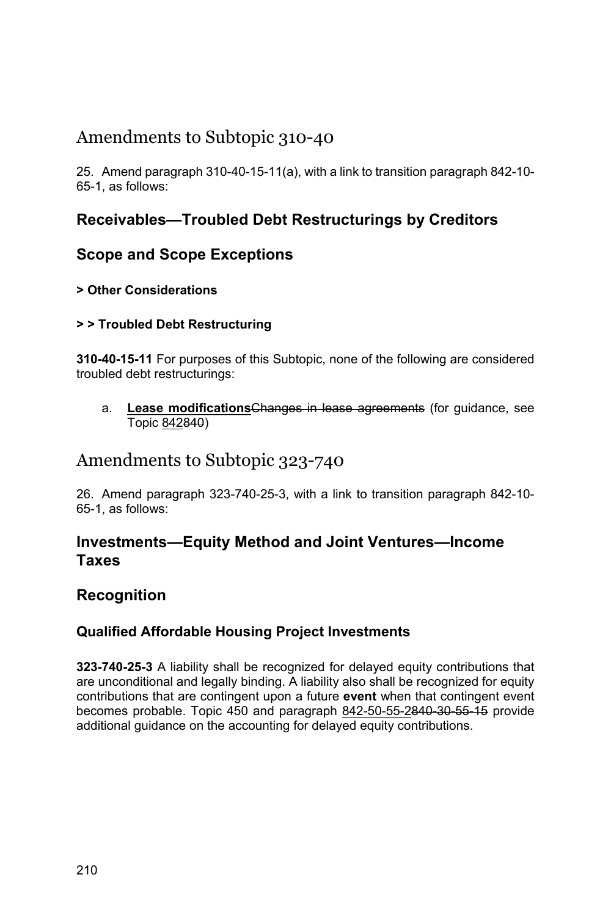# Amendments to Subtopic 310-40

25. Amend paragraph 310-40-15-11(a), with a link to transition paragraph 842-10- 65-1, as follows:

# **Receivables—Troubled Debt Restructurings by Creditors**

## **Scope and Scope Exceptions**

## **> Other Considerations**

## **> > Troubled Debt Restructuring**

**310-40-15-11** For purposes of this Subtopic, none of the following are considered troubled debt restructurings:

a. **Lease modifications**Changes in lease agreements (for guidance, see Topic 842840)

# Amendments to Subtopic 323-740

26. Amend paragraph 323-740-25-3, with a link to transition paragraph 842-10- 65-1, as follows:

## **Investments—Equity Method and Joint Ventures—Income Taxes**

## **Recognition**

## **Qualified Affordable Housing Project Investments**

**323-740-25-3** A liability shall be recognized for delayed equity contributions that are unconditional and legally binding. A liability also shall be recognized for equity contributions that are contingent upon a future **event** when that contingent event becomes probable. Topic 450 and paragraph 842-50-55-2840-30-55-15 provide additional guidance on the accounting for delayed equity contributions.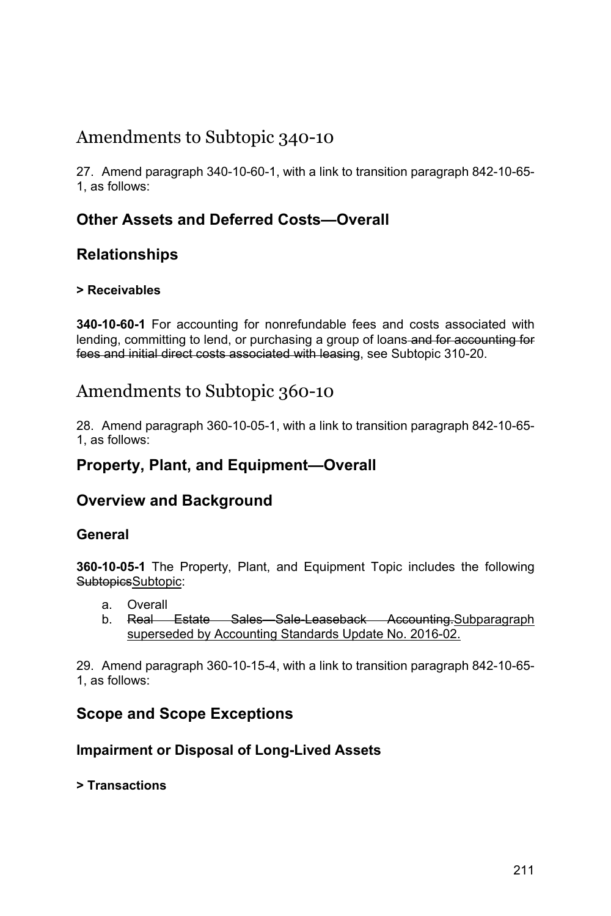# Amendments to Subtopic 340-10

27. Amend paragraph 340-10-60-1, with a link to transition paragraph 842-10-65- 1, as follows:

# **Other Assets and Deferred Costs—Overall**

# **Relationships**

## **> Receivables**

**340-10-60-1** For accounting for nonrefundable fees and costs associated with lending, committing to lend, or purchasing a group of loans-and for accounting for fees and initial direct costs associated with leasing, see Subtopic 310-20.

# Amendments to Subtopic 360-10

28. Amend paragraph 360-10-05-1, with a link to transition paragraph 842-10-65- 1, as follows:

## **Property, Plant, and Equipment—Overall**

## **Overview and Background**

## **General**

**360-10-05-1** The Property, Plant, and Equipment Topic includes the following SubtopicsSubtopic:

- a. Overall
- b. Real Estate Sales Sale-Leaseback Accounting.Subparagraph superseded by Accounting Standards Update No. 2016-02.

29. Amend paragraph 360-10-15-4, with a link to transition paragraph 842-10-65- 1, as follows:

## **Scope and Scope Exceptions**

## **Impairment or Disposal of Long-Lived Assets**

### **> Transactions**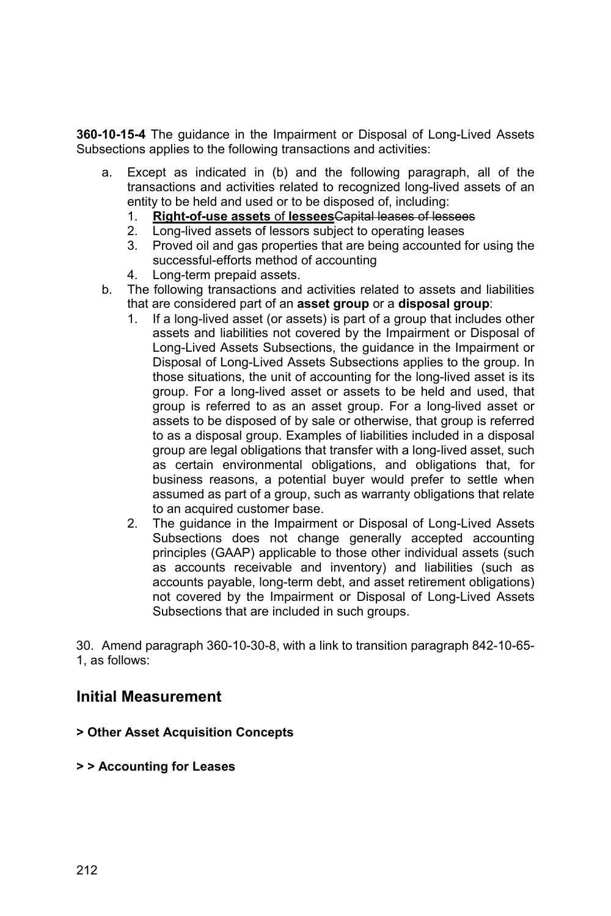**360-10-15-4** The guidance in the Impairment or Disposal of Long-Lived Assets Subsections applies to the following transactions and activities:

- a. Except as indicated in (b) and the following paragraph, all of the transactions and activities related to recognized long-lived assets of an entity to be held and used or to be disposed of, including:
	- 1. **Right-of-use assets** of **lessees**Capital leases of lessees
	- 2. Long-lived assets of lessors subject to operating leases
	- 3. Proved oil and gas properties that are being accounted for using the successful-efforts method of accounting
	- 4. Long-term prepaid assets.
- b. The following transactions and activities related to assets and liabilities that are considered part of an **asset group** or a **disposal group**:
	- 1. If a long-lived asset (or assets) is part of a group that includes other assets and liabilities not covered by the Impairment or Disposal of Long-Lived Assets Subsections, the guidance in the Impairment or Disposal of Long-Lived Assets Subsections applies to the group. In those situations, the unit of accounting for the long-lived asset is its group. For a long-lived asset or assets to be held and used, that group is referred to as an asset group. For a long-lived asset or assets to be disposed of by sale or otherwise, that group is referred to as a disposal group. Examples of liabilities included in a disposal group are legal obligations that transfer with a long-lived asset, such as certain environmental obligations, and obligations that, for business reasons, a potential buyer would prefer to settle when assumed as part of a group, such as warranty obligations that relate to an acquired customer base.
	- 2. The guidance in the Impairment or Disposal of Long-Lived Assets Subsections does not change generally accepted accounting principles (GAAP) applicable to those other individual assets (such as accounts receivable and inventory) and liabilities (such as accounts payable, long-term debt, and asset retirement obligations) not covered by the Impairment or Disposal of Long-Lived Assets Subsections that are included in such groups.

30. Amend paragraph 360-10-30-8, with a link to transition paragraph 842-10-65- 1, as follows:

## **Initial Measurement**

### **> Other Asset Acquisition Concepts**

### **> > Accounting for Leases**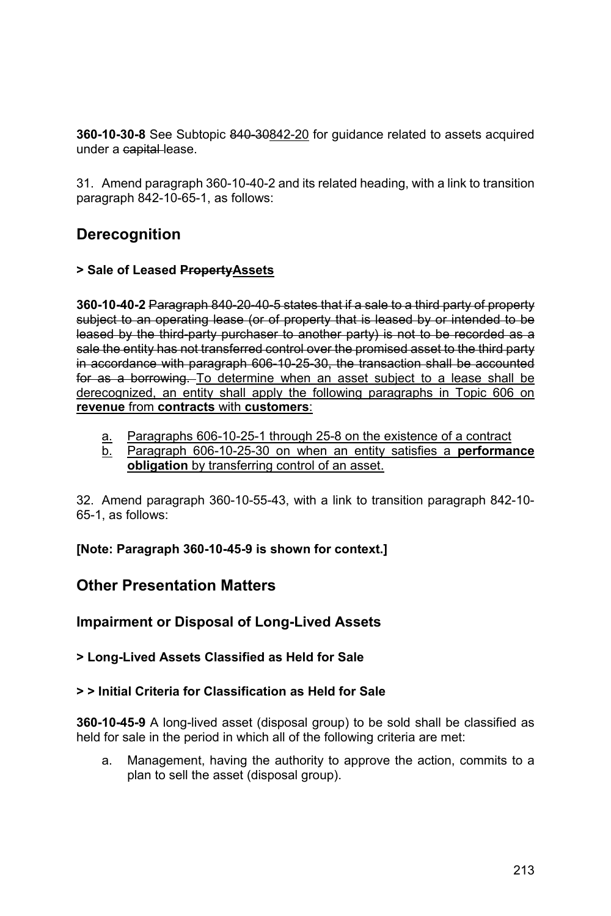**360-10-30-8** See Subtopic 840-30842-20 for guidance related to assets acquired under a capital-lease.

31. Amend paragraph 360-10-40-2 and its related heading, with a link to transition paragraph 842-10-65-1, as follows:

# **Derecognition**

### **> Sale of Leased PropertyAssets**

**360-10-40-2** Paragraph 840-20-40-5 states that if a sale to a third party of property subject to an operating lease (or of property that is leased by or intended to be leased by the third-party purchaser to another party) is not to be recorded as a sale the entity has not transferred control over the promised asset to the third party in accordance with paragraph 606-10-25-30, the transaction shall be accounted for as a borrowing. To determine when an asset subject to a lease shall be derecognized, an entity shall apply the following paragraphs in Topic 606 on **revenue** from **contracts** with **customers**:

- a. Paragraphs 606-10-25-1 through 25-8 on the existence of a contract
- b. Paragraph 606-10-25-30 on when an entity satisfies a **performance obligation** by transferring control of an asset.

32. Amend paragraph 360-10-55-43, with a link to transition paragraph 842-10- 65-1, as follows:

**[Note: Paragraph 360-10-45-9 is shown for context.]** 

## **Other Presentation Matters**

**Impairment or Disposal of Long-Lived Assets** 

**> Long-Lived Assets Classified as Held for Sale** 

### **> > Initial Criteria for Classification as Held for Sale**

**360-10-45-9** A long-lived asset (disposal group) to be sold shall be classified as held for sale in the period in which all of the following criteria are met:

a. Management, having the authority to approve the action, commits to a plan to sell the asset (disposal group).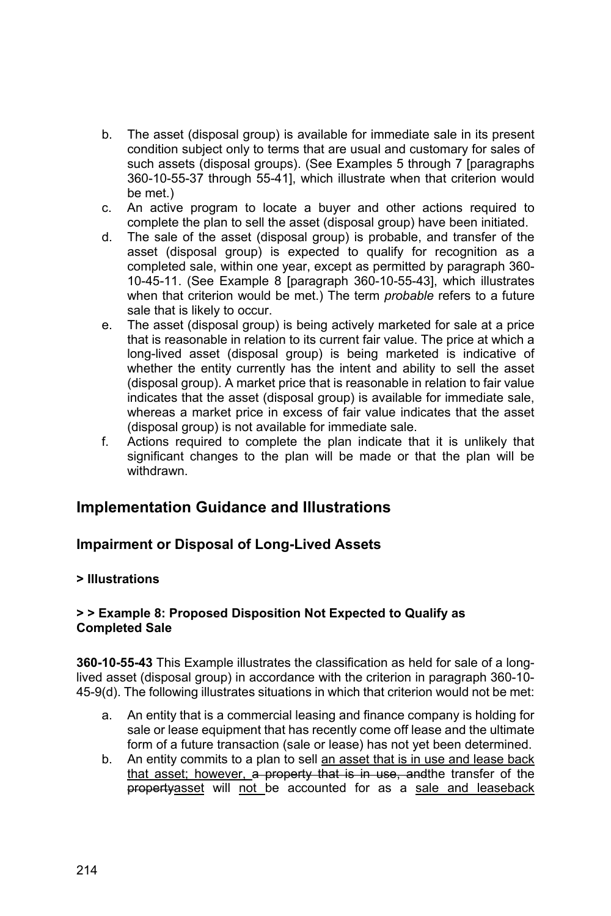- b. The asset (disposal group) is available for immediate sale in its present condition subject only to terms that are usual and customary for sales of such assets (disposal groups). (See Examples 5 through 7 [paragraphs 360-10-55-37 through 55-41], which illustrate when that criterion would be met.)
- c. An active program to locate a buyer and other actions required to complete the plan to sell the asset (disposal group) have been initiated.
- d. The sale of the asset (disposal group) is probable, and transfer of the asset (disposal group) is expected to qualify for recognition as a completed sale, within one year, except as permitted by paragraph 360- 10-45-11. (See Example 8 [paragraph 360-10-55-43], which illustrates when that criterion would be met.) The term *probable* refers to a future sale that is likely to occur.
- e. The asset (disposal group) is being actively marketed for sale at a price that is reasonable in relation to its current fair value. The price at which a long-lived asset (disposal group) is being marketed is indicative of whether the entity currently has the intent and ability to sell the asset (disposal group). A market price that is reasonable in relation to fair value indicates that the asset (disposal group) is available for immediate sale, whereas a market price in excess of fair value indicates that the asset (disposal group) is not available for immediate sale.
- f. Actions required to complete the plan indicate that it is unlikely that significant changes to the plan will be made or that the plan will be withdrawn.

## **Implementation Guidance and Illustrations**

## **Impairment or Disposal of Long-Lived Assets**

### **> Illustrations**

### **> > Example 8: Proposed Disposition Not Expected to Qualify as Completed Sale**

**360-10-55-43** This Example illustrates the classification as held for sale of a longlived asset (disposal group) in accordance with the criterion in paragraph 360-10- 45-9(d). The following illustrates situations in which that criterion would not be met:

- a. An entity that is a commercial leasing and finance company is holding for sale or lease equipment that has recently come off lease and the ultimate form of a future transaction (sale or lease) has not yet been determined.
- b. An entity commits to a plan to sell an asset that is in use and lease back that asset; however, a property that is in use, and the transfer of the propertyasset will not be accounted for as a sale and leaseback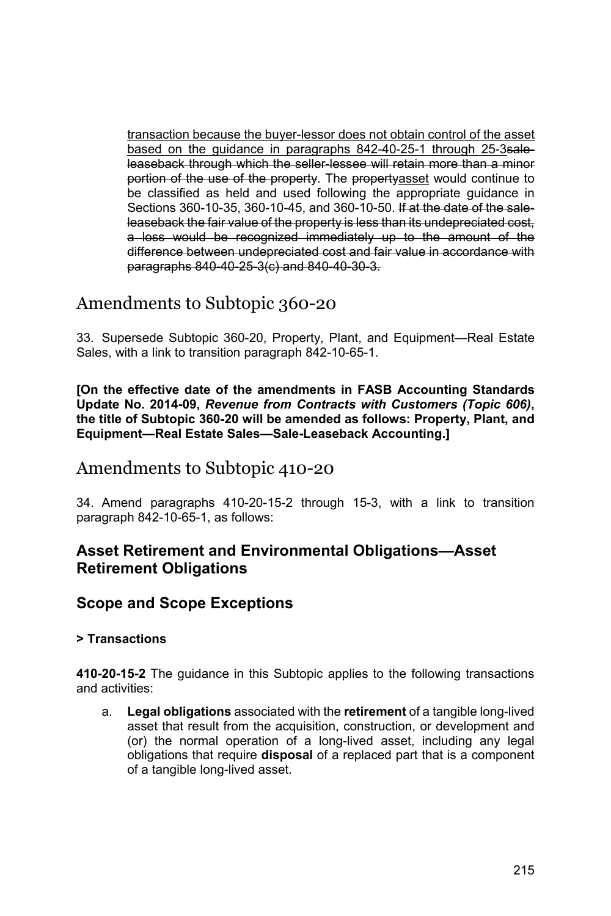transaction because the buyer-lessor does not obtain control of the asset based on the guidance in paragraphs 842-40-25-1 through 25-3saleleaseback through which the seller-lessee will retain more than a minor portion of the use of the property. The propertyasset would continue to be classified as held and used following the appropriate guidance in Sections 360-10-35, 360-10-45, and 360-10-50. If at the date of the saleleaseback the fair value of the property is less than its undepreciated cost, a loss would be recognized immediately up to the amount of the difference between undepreciated cost and fair value in accordance with paragraphs 840-40-25-3(c) and 840-40-30-3.

# Amendments to Subtopic 360-20

33. Supersede Subtopic 360-20, Property, Plant, and Equipment—Real Estate Sales, with a link to transition paragraph 842-10-65-1.

**[On the effective date of the amendments in FASB Accounting Standards Update No. 2014-09,** *Revenue from Contracts with Customers (Topic 606)***, the title of Subtopic 360-20 will be amended as follows: Property, Plant, and Equipment—Real Estate Sales—Sale-Leaseback Accounting.]** 

# Amendments to Subtopic 410-20

34. Amend paragraphs 410-20-15-2 through 15-3, with a link to transition paragraph 842-10-65-1, as follows:

## **Asset Retirement and Environmental Obligations—Asset Retirement Obligations**

## **Scope and Scope Exceptions**

### **> Transactions**

**410-20-15-2** The guidance in this Subtopic applies to the following transactions and activities:

a. **Legal obligations** associated with the **retirement** of a tangible long-lived asset that result from the acquisition, construction, or development and (or) the normal operation of a long-lived asset, including any legal obligations that require **disposal** of a replaced part that is a component of a tangible long-lived asset.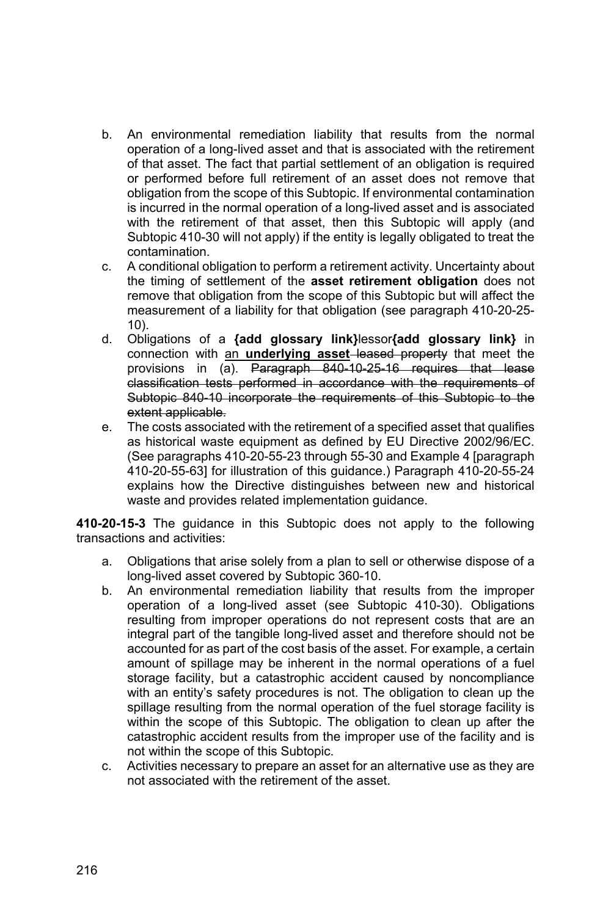- b. An environmental remediation liability that results from the normal operation of a long-lived asset and that is associated with the retirement of that asset. The fact that partial settlement of an obligation is required or performed before full retirement of an asset does not remove that obligation from the scope of this Subtopic. If environmental contamination is incurred in the normal operation of a long-lived asset and is associated with the retirement of that asset, then this Subtopic will apply (and Subtopic 410-30 will not apply) if the entity is legally obligated to treat the contamination.
- c. A conditional obligation to perform a retirement activity. Uncertainty about the timing of settlement of the **asset retirement obligation** does not remove that obligation from the scope of this Subtopic but will affect the measurement of a liability for that obligation (see paragraph 410-20-25- 10).
- d. Obligations of a **{add glossary link}**lessor**{add glossary link}** in connection with an **underlying asset** leased property that meet the provisions in (a). Paragraph 840-10-25-16 requires that lease classification tests performed in accordance with the requirements of Subtopic 840-10 incorporate the requirements of this Subtopic to the extent applicable.
- e. The costs associated with the retirement of a specified asset that qualifies as historical waste equipment as defined by EU Directive 2002/96/EC. (See paragraphs 410-20-55-23 through 55-30 and Example 4 [paragraph 410-20-55-63] for illustration of this guidance.) Paragraph 410-20-55-24 explains how the Directive distinguishes between new and historical waste and provides related implementation guidance.

**410-20-15-3** The guidance in this Subtopic does not apply to the following transactions and activities:

- a. Obligations that arise solely from a plan to sell or otherwise dispose of a long-lived asset covered by Subtopic 360-10.
- b. An environmental remediation liability that results from the improper operation of a long-lived asset (see Subtopic 410-30). Obligations resulting from improper operations do not represent costs that are an integral part of the tangible long-lived asset and therefore should not be accounted for as part of the cost basis of the asset. For example, a certain amount of spillage may be inherent in the normal operations of a fuel storage facility, but a catastrophic accident caused by noncompliance with an entity's safety procedures is not. The obligation to clean up the spillage resulting from the normal operation of the fuel storage facility is within the scope of this Subtopic. The obligation to clean up after the catastrophic accident results from the improper use of the facility and is not within the scope of this Subtopic.
- c. Activities necessary to prepare an asset for an alternative use as they are not associated with the retirement of the asset.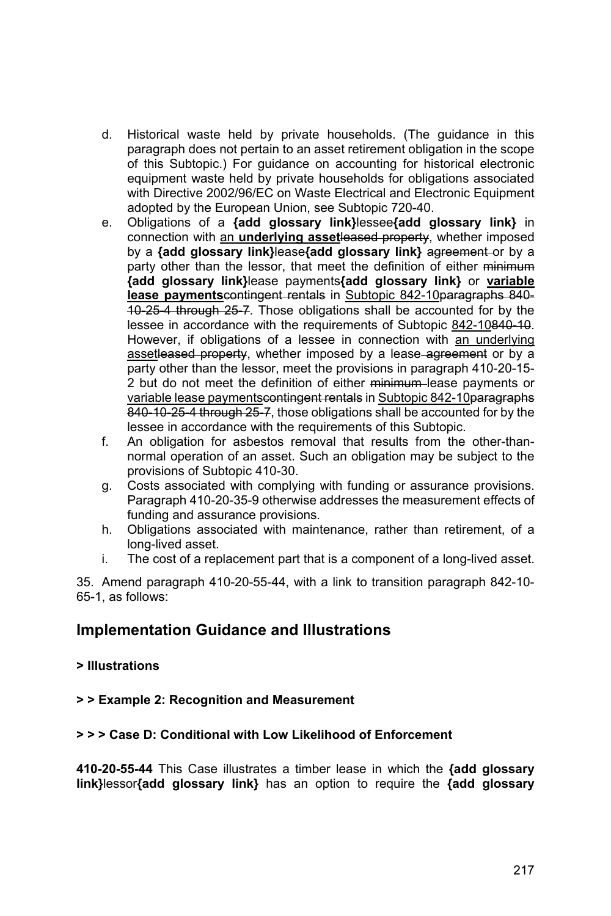- d. Historical waste held by private households. (The guidance in this paragraph does not pertain to an asset retirement obligation in the scope of this Subtopic.) For guidance on accounting for historical electronic equipment waste held by private households for obligations associated with Directive 2002/96/EC on Waste Electrical and Electronic Equipment adopted by the European Union, see Subtopic 720-40.
- e. Obligations of a **{add glossary link}**lessee**{add glossary link}** in connection with an **underlying asset**leased property, whether imposed by a **{add glossary link}lease{add glossary link}** agreement or by a party other than the lessor, that meet the definition of either minimum **{add glossary link}**lease payments**{add glossary link}** or **variable lease payments**contingent rentals in Subtopic 842-10paragraphs 840-10-25-4 through 25-7. Those obligations shall be accounted for by the lessee in accordance with the requirements of Subtopic 842-10840-10. However, if obligations of a lessee in connection with an underlying assetleased property, whether imposed by a lease agreement or by a party other than the lessor, meet the provisions in paragraph 410-20-15- 2 but do not meet the definition of either minimum lease payments or variable lease paymentscontingent rentals in Subtopic 842-10paragraphs 840-10-25-4 through 25-7, those obligations shall be accounted for by the lessee in accordance with the requirements of this Subtopic.
- f. An obligation for asbestos removal that results from the other-thannormal operation of an asset. Such an obligation may be subject to the provisions of Subtopic 410-30.
- g. Costs associated with complying with funding or assurance provisions. Paragraph 410-20-35-9 otherwise addresses the measurement effects of funding and assurance provisions.
- h. Obligations associated with maintenance, rather than retirement, of a long-lived asset.
- i. The cost of a replacement part that is a component of a long-lived asset.

35. Amend paragraph 410-20-55-44, with a link to transition paragraph 842-10- 65-1, as follows:

## **Implementation Guidance and Illustrations**

### **> Illustrations**

### **> > Example 2: Recognition and Measurement**

### **> > > Case D: Conditional with Low Likelihood of Enforcement**

**410-20-55-44** This Case illustrates a timber lease in which the **{add glossary link}**lessor**{add glossary link}** has an option to require the **{add glossary**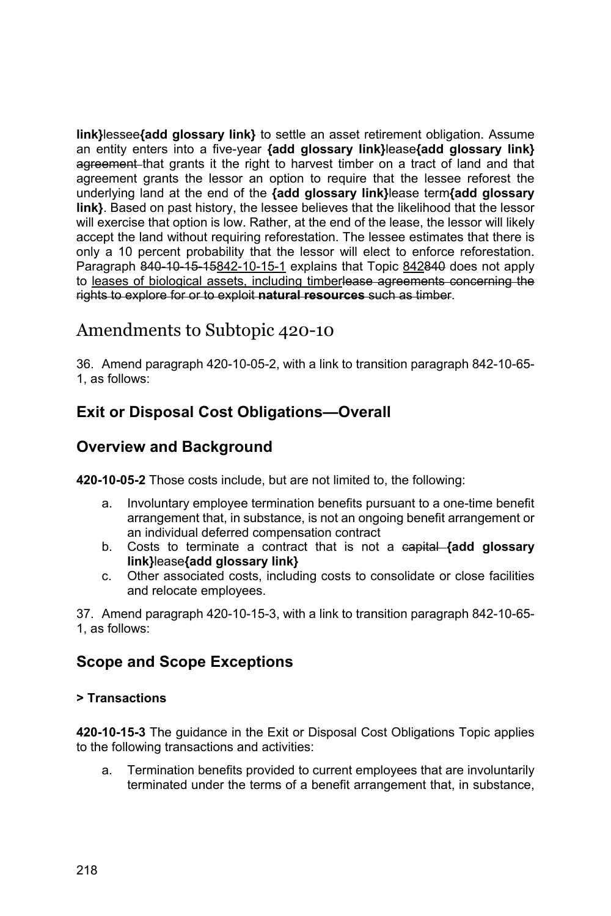**link}**lessee**{add glossary link}** to settle an asset retirement obligation. Assume an entity enters into a five-year **{add glossary link}**lease**{add glossary link}**  agreement that grants it the right to harvest timber on a tract of land and that agreement grants the lessor an option to require that the lessee reforest the underlying land at the end of the **{add glossary link}**lease term**{add glossary link}**. Based on past history, the lessee believes that the likelihood that the lessor will exercise that option is low. Rather, at the end of the lease, the lessor will likely accept the land without requiring reforestation. The lessee estimates that there is only a 10 percent probability that the lessor will elect to enforce reforestation. Paragraph 840-10-15-10-15-1 explains that Topic 842840 does not apply to leases of biological assets, including timberlease agreements concerning the rights to explore for or to exploit **natural resources** such as timber.

# Amendments to Subtopic 420-10

36. Amend paragraph 420-10-05-2, with a link to transition paragraph 842-10-65- 1, as follows:

# **Exit or Disposal Cost Obligations—Overall**

## **Overview and Background**

**420-10-05-2** Those costs include, but are not limited to, the following:

- a. Involuntary employee termination benefits pursuant to a one-time benefit arrangement that, in substance, is not an ongoing benefit arrangement or an individual deferred compensation contract
- b. Costs to terminate a contract that is not a capital **{add glossary link}**lease**{add glossary link}**
- c. Other associated costs, including costs to consolidate or close facilities and relocate employees.

37. Amend paragraph 420-10-15-3, with a link to transition paragraph 842-10-65- 1, as follows:

# **Scope and Scope Exceptions**

### **> Transactions**

**420-10-15-3** The guidance in the Exit or Disposal Cost Obligations Topic applies to the following transactions and activities:

a. Termination benefits provided to current employees that are involuntarily terminated under the terms of a benefit arrangement that, in substance,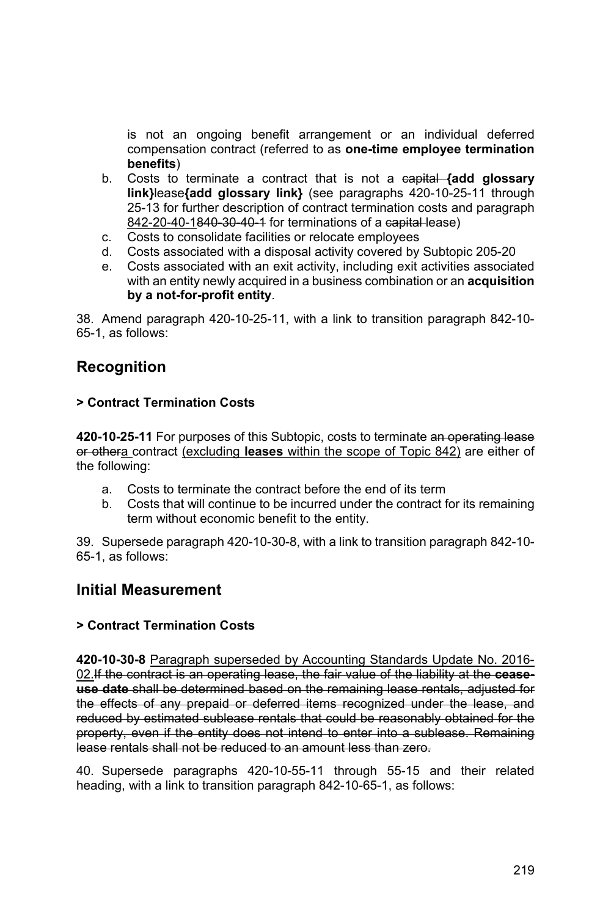is not an ongoing benefit arrangement or an individual deferred compensation contract (referred to as **one-time employee termination benefits**)

- b. Costs to terminate a contract that is not a capital **{add glossary link}**lease**{add glossary link}** (see paragraphs 420-10-25-11 through 25-13 for further description of contract termination costs and paragraph 842-20-40-1840-30-40-1 for terminations of a capital lease)
- c. Costs to consolidate facilities or relocate employees
- d. Costs associated with a disposal activity covered by Subtopic 205-20
- e. Costs associated with an exit activity, including exit activities associated with an entity newly acquired in a business combination or an **acquisition by a not-for-profit entity**.

38. Amend paragraph 420-10-25-11, with a link to transition paragraph 842-10- 65-1, as follows:

## **Recognition**

#### **> Contract Termination Costs**

**420-10-25-11** For purposes of this Subtopic, costs to terminate an operating lease or othera contract (excluding **leases** within the scope of Topic 842) are either of the following:

- a. Costs to terminate the contract before the end of its term
- b. Costs that will continue to be incurred under the contract for its remaining term without economic benefit to the entity.

39. Supersede paragraph 420-10-30-8, with a link to transition paragraph 842-10- 65-1, as follows:

### **Initial Measurement**

#### **> Contract Termination Costs**

**420-10-30-8** Paragraph superseded by Accounting Standards Update No. 2016- 02.If the contract is an operating lease, the fair value of the liability at the **ceaseuse date** shall be determined based on the remaining lease rentals, adjusted for the effects of any prepaid or deferred items recognized under the lease, and reduced by estimated sublease rentals that could be reasonably obtained for the property, even if the entity does not intend to enter into a sublease. Remaining lease rentals shall not be reduced to an amount less than zero.

40. Supersede paragraphs 420-10-55-11 through 55-15 and their related heading, with a link to transition paragraph 842-10-65-1, as follows: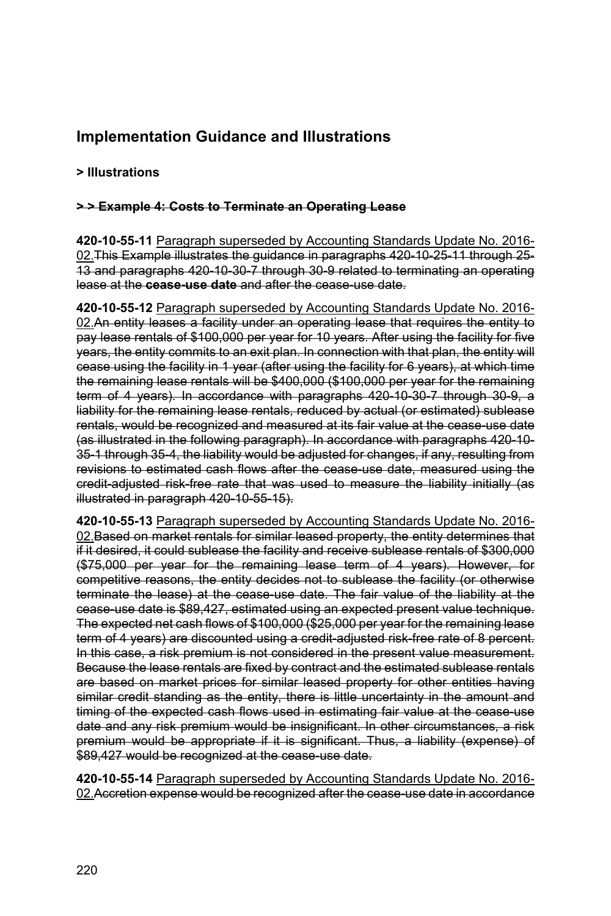# **Implementation Guidance and Illustrations**

### **> Illustrations**

#### **> > Example 4: Costs to Terminate an Operating Lease**

**420-10-55-11** Paragraph superseded by Accounting Standards Update No. 2016- 02. This Example illustrates the guidance in paragraphs 420-10-25-11 through 25-13 and paragraphs 420-10-30-7 through 30-9 related to terminating an operating lease at the **cease-use date** and after the cease-use date.

**420-10-55-12** Paragraph superseded by Accounting Standards Update No. 2016- 02.An entity leases a facility under an operating lease that requires the entity to pay lease rentals of \$100,000 per year for 10 years. After using the facility for five years, the entity commits to an exit plan. In connection with that plan, the entity will cease using the facility in 1 year (after using the facility for 6 years), at which time the remaining lease rentals will be \$400,000 (\$100,000 per year for the remaining term of 4 years). In accordance with paragraphs 420-10-30-7 through 30-9, a liability for the remaining lease rentals, reduced by actual (or estimated) sublease rentals, would be recognized and measured at its fair value at the cease-use date (as illustrated in the following paragraph). In accordance with paragraphs 420-10- 35-1 through 35-4, the liability would be adjusted for changes, if any, resulting from revisions to estimated cash flows after the cease use date, measured using the credit-adjusted risk-free rate that was used to measure the liability initially (as illustrated in paragraph 420-10-55-15).

**420-10-55-13** Paragraph superseded by Accounting Standards Update No. 2016- 02. Based on market rentals for similar leased property, the entity determines that if it desired, it could sublease the facility and receive sublease rentals of \$300,000 (\$75,000 per year for the remaining lease term of 4 years). However, for competitive reasons, the entity decides not to sublease the facility (or otherwise terminate the lease) at the cease use date. The fair value of the liability at the cease-use date is \$89,427, estimated using an expected present value technique. The expected net cash flows of \$100,000 (\$25,000 per year for the remaining lease term of 4 years) are discounted using a credit adjusted risk-free rate of 8 percent. In this case, a risk premium is not considered in the present value measurement. Because the lease rentals are fixed by contract and the estimated sublease rentals are based on market prices for similar leased property for other entities having similar credit standing as the entity, there is little uncertainty in the amount and timing of the expected cash flows used in estimating fair value at the cease use date and any risk premium would be insignificant. In other circumstances, a risk premium would be appropriate if it is significant. Thus, a liability (expense) of \$89,427 would be recognized at the cease-use date.

**420-10-55-14** Paragraph superseded by Accounting Standards Update No. 2016- 02.Accretion expense would be recognized after the cease-use date in accordance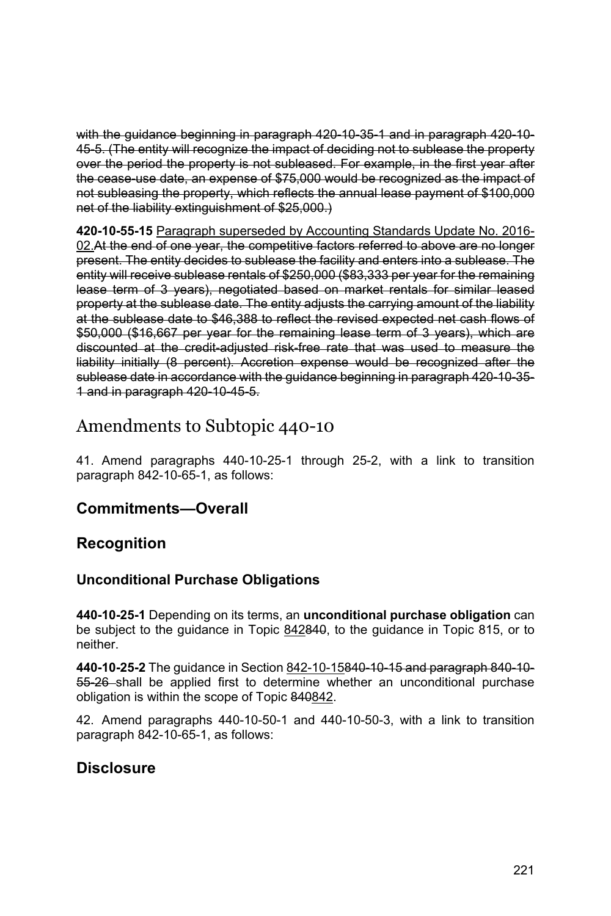with the guidance beginning in paragraph 420-10-35-1 and in paragraph 420-10- 45-5. (The entity will recognize the impact of deciding not to sublease the property over the period the property is not subleased. For example, in the first year after the cease-use date, an expense of \$75,000 would be recognized as the impact of not subleasing the property, which reflects the annual lease payment of \$100,000 net of the liability extinguishment of \$25,000.)

**420-10-55-15** Paragraph superseded by Accounting Standards Update No. 2016- 02.At the end of one year, the competitive factors referred to above are no longer present. The entity decides to sublease the facility and enters into a sublease. The entity will receive sublease rentals of \$250,000 (\$83,333 per year for the remaining lease term of 3 years), negotiated based on market rentals for similar leased property at the sublease date. The entity adjusts the carrying amount of the liability at the sublease date to \$46,388 to reflect the revised expected net cash flows of \$50,000 (\$16,667 per year for the remaining lease term of 3 years), which are discounted at the credit-adjusted risk-free rate that was used to measure the liability initially (8 percent). Accretion expense would be recognized after the sublease date in accordance with the guidance beginning in paragraph 420-10-35- 1 and in paragraph 420-10-45-5.

# Amendments to Subtopic 440-10

41. Amend paragraphs 440-10-25-1 through 25-2, with a link to transition paragraph 842-10-65-1, as follows:

## **Commitments—Overall**

## **Recognition**

## **Unconditional Purchase Obligations**

**440-10-25-1** Depending on its terms, an **unconditional purchase obligation** can be subject to the guidance in Topic 842840, to the guidance in Topic 815, or to neither.

**440-10-25-2** The guidance in Section 842-10-15840-10-15 and paragraph 840-10- 55-26 shall be applied first to determine whether an unconditional purchase obligation is within the scope of Topic 840842.

42. Amend paragraphs 440-10-50-1 and 440-10-50-3, with a link to transition paragraph 842-10-65-1, as follows:

## **Disclosure**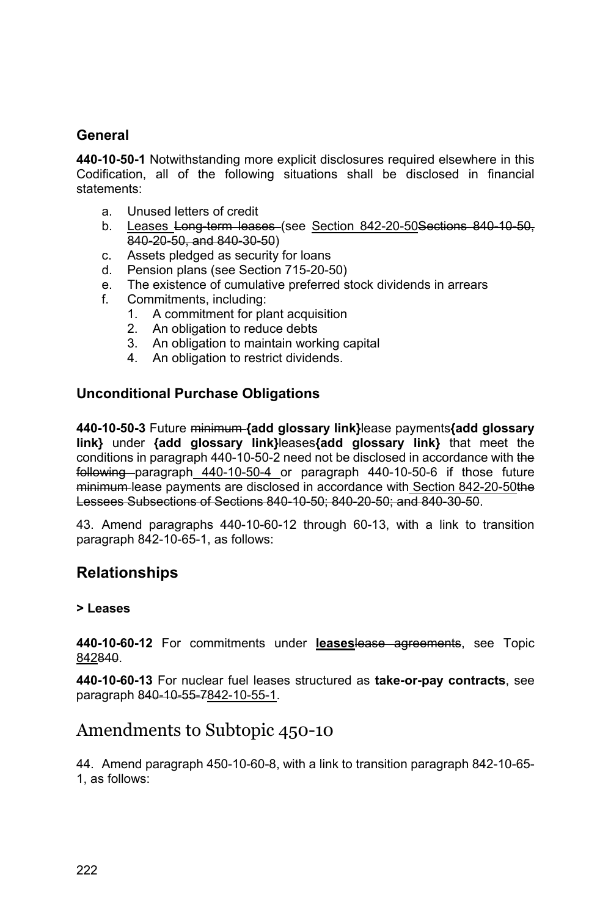### **General**

**440-10-50-1** Notwithstanding more explicit disclosures required elsewhere in this Codification, all of the following situations shall be disclosed in financial statements:

- a. Unused letters of credit
- b. Leases Long-term leases (see Section 842-20-50 Sections 840-10-50, 840-20-50, and 840-30-50)
- c. Assets pledged as security for loans
- d. Pension plans (see Section 715-20-50)
- e. The existence of cumulative preferred stock dividends in arrears
- f. Commitments, including:
	- 1. A commitment for plant acquisition
	- 2. An obligation to reduce debts
	- 3. An obligation to maintain working capital
	- 4. An obligation to restrict dividends.

#### **Unconditional Purchase Obligations**

**440-10-50-3** Future minimum **{add glossary link}**lease payments**{add glossary link}** under **{add glossary link}**leases**{add glossary link}** that meet the conditions in paragraph 440-10-50-2 need not be disclosed in accordance with the following paragraph 440-10-50-4 or paragraph 440-10-50-6 if those future minimum lease payments are disclosed in accordance with Section 842-20-50the Lessees Subsections of Sections 840-10-50; 840-20-50; and 840-30-50.

43. Amend paragraphs 440-10-60-12 through 60-13, with a link to transition paragraph 842-10-65-1, as follows:

### **Relationships**

#### **> Leases**

**440-10-60-12** For commitments under **leases**lease agreements, see Topic 842840.

**440-10-60-13** For nuclear fuel leases structured as **take-or-pay contracts**, see paragraph 840-10-55-7842-10-55-1.

### Amendments to Subtopic 450-10

44. Amend paragraph 450-10-60-8, with a link to transition paragraph 842-10-65- 1, as follows: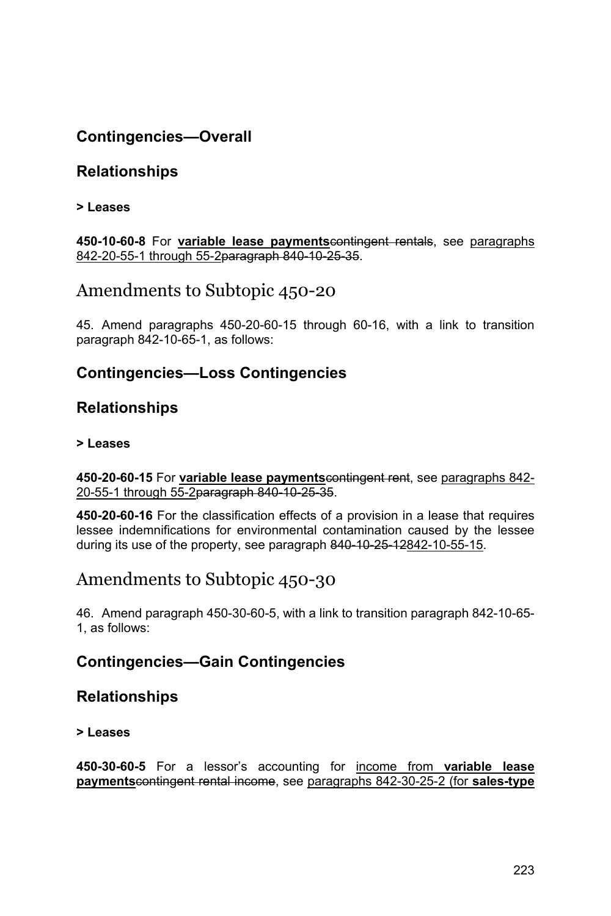# **Contingencies—Overall**

## **Relationships**

#### **> Leases**

**450-10-60-8** For **variable lease payments**contingent rentals, see paragraphs 842-20-55-1 through 55-2paragraph 840-10-25-35.

# Amendments to Subtopic 450-20

45. Amend paragraphs 450-20-60-15 through 60-16, with a link to transition paragraph 842-10-65-1, as follows:

### **Contingencies—Loss Contingencies**

### **Relationships**

#### **> Leases**

**450-20-60-15** For **variable lease payments**contingent rent, see paragraphs 842- 20-55-1 through 55-2paragraph 840-10-25-35.

**450-20-60-16** For the classification effects of a provision in a lease that requires lessee indemnifications for environmental contamination caused by the lessee during its use of the property, see paragraph 840-10-25-12842-10-55-15.

# Amendments to Subtopic 450-30

46. Amend paragraph 450-30-60-5, with a link to transition paragraph 842-10-65- 1, as follows:

### **Contingencies—Gain Contingencies**

### **Relationships**

#### **> Leases**

**450-30-60-5** For a lessor's accounting for income from **variable lease payments**contingent rental income, see paragraphs 842-30-25-2 (for **sales-type**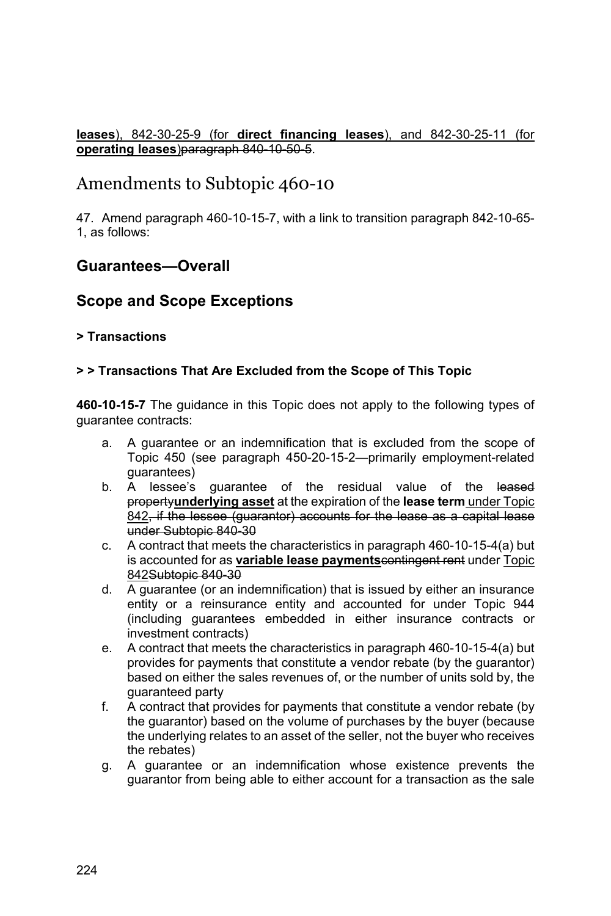#### **leases**), 842-30-25-9 (for **direct financing leases**), and 842-30-25-11 (for **operating leases**)paragraph 840-10-50-5.

# Amendments to Subtopic 460-10

47. Amend paragraph 460-10-15-7, with a link to transition paragraph 842-10-65- 1, as follows:

### **Guarantees—Overall**

### **Scope and Scope Exceptions**

#### **> Transactions**

#### **> > Transactions That Are Excluded from the Scope of This Topic**

**460-10-15-7** The guidance in this Topic does not apply to the following types of guarantee contracts:

- a. A guarantee or an indemnification that is excluded from the scope of Topic 450 (see paragraph 450-20-15-2—primarily employment-related guarantees)
- b. A lessee's guarantee of the residual value of the leased property**underlying asset** at the expiration of the **lease term** under Topic 842, if the lessee (guarantor) accounts for the lease as a capital lease under Subtopic 840-30
- c. A contract that meets the characteristics in paragraph 460-10-15-4(a) but is accounted for as **variable lease payments**contingent rent under Topic 842Subtopic 840-30
- d. A guarantee (or an indemnification) that is issued by either an insurance entity or a reinsurance entity and accounted for under Topic 944 (including guarantees embedded in either insurance contracts or investment contracts)
- e. A contract that meets the characteristics in paragraph 460-10-15-4(a) but provides for payments that constitute a vendor rebate (by the guarantor) based on either the sales revenues of, or the number of units sold by, the guaranteed party
- f. A contract that provides for payments that constitute a vendor rebate (by the guarantor) based on the volume of purchases by the buyer (because the underlying relates to an asset of the seller, not the buyer who receives the rebates)
- g. A guarantee or an indemnification whose existence prevents the guarantor from being able to either account for a transaction as the sale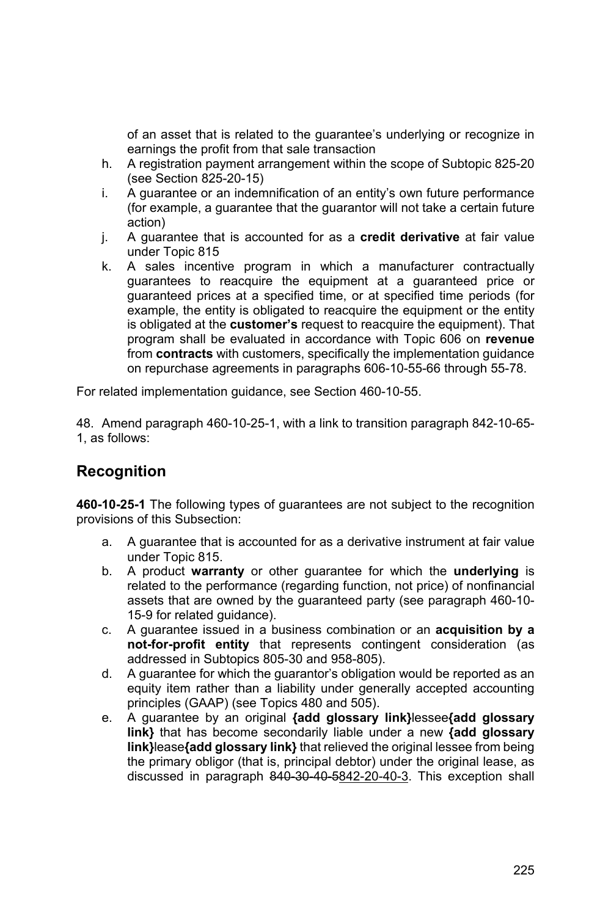of an asset that is related to the guarantee's underlying or recognize in earnings the profit from that sale transaction

- h. A registration payment arrangement within the scope of Subtopic 825-20 (see Section 825-20-15)
- i. A guarantee or an indemnification of an entity's own future performance (for example, a guarantee that the guarantor will not take a certain future action)
- j. A guarantee that is accounted for as a **credit derivative** at fair value under Topic 815
- k. A sales incentive program in which a manufacturer contractually guarantees to reacquire the equipment at a guaranteed price or guaranteed prices at a specified time, or at specified time periods (for example, the entity is obligated to reacquire the equipment or the entity is obligated at the **customer's** request to reacquire the equipment). That program shall be evaluated in accordance with Topic 606 on **revenue** from **contracts** with customers, specifically the implementation guidance on repurchase agreements in paragraphs 606-10-55-66 through 55-78.

For related implementation guidance, see Section 460-10-55.

48. Amend paragraph 460-10-25-1, with a link to transition paragraph 842-10-65- 1, as follows:

# **Recognition**

**460-10-25-1** The following types of guarantees are not subject to the recognition provisions of this Subsection:

- a. A guarantee that is accounted for as a derivative instrument at fair value under Topic 815.
- b. A product **warranty** or other guarantee for which the **underlying** is related to the performance (regarding function, not price) of nonfinancial assets that are owned by the guaranteed party (see paragraph 460-10- 15-9 for related guidance).
- c. A guarantee issued in a business combination or an **acquisition by a not-for-profit entity** that represents contingent consideration (as addressed in Subtopics 805-30 and 958-805).
- d. A guarantee for which the guarantor's obligation would be reported as an equity item rather than a liability under generally accepted accounting principles (GAAP) (see Topics 480 and 505).
- e. A guarantee by an original **{add glossary link}**lessee**{add glossary link}** that has become secondarily liable under a new **{add glossary link}**lease**{add glossary link}** that relieved the original lessee from being the primary obligor (that is, principal debtor) under the original lease, as discussed in paragraph 840-30-40-5842-20-40-3. This exception shall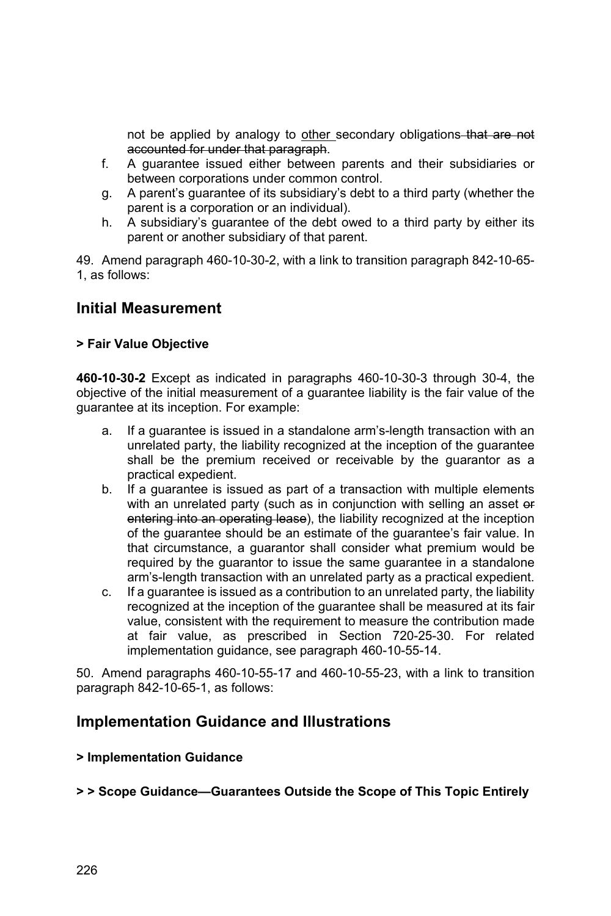not be applied by analogy to other secondary obligations that are not accounted for under that paragraph.

- f. A guarantee issued either between parents and their subsidiaries or between corporations under common control.
- g. A parent's guarantee of its subsidiary's debt to a third party (whether the parent is a corporation or an individual).
- h. A subsidiary's guarantee of the debt owed to a third party by either its parent or another subsidiary of that parent.

49. Amend paragraph 460-10-30-2, with a link to transition paragraph 842-10-65- 1, as follows:

### **Initial Measurement**

#### **> Fair Value Objective**

**460-10-30-2** Except as indicated in paragraphs 460-10-30-3 through 30-4, the objective of the initial measurement of a guarantee liability is the fair value of the guarantee at its inception. For example:

- a. If a guarantee is issued in a standalone arm's-length transaction with an unrelated party, the liability recognized at the inception of the guarantee shall be the premium received or receivable by the guarantor as a practical expedient.
- b. If a guarantee is issued as part of a transaction with multiple elements with an unrelated party (such as in conjunction with selling an asset or entering into an operating lease), the liability recognized at the inception of the guarantee should be an estimate of the guarantee's fair value. In that circumstance, a guarantor shall consider what premium would be required by the guarantor to issue the same guarantee in a standalone arm's-length transaction with an unrelated party as a practical expedient.
- c. If a guarantee is issued as a contribution to an unrelated party, the liability recognized at the inception of the guarantee shall be measured at its fair value, consistent with the requirement to measure the contribution made at fair value, as prescribed in Section 720-25-30. For related implementation guidance, see paragraph 460-10-55-14.

50. Amend paragraphs 460-10-55-17 and 460-10-55-23, with a link to transition paragraph 842-10-65-1, as follows:

### **Implementation Guidance and Illustrations**

#### **> Implementation Guidance**

#### **> > Scope Guidance—Guarantees Outside the Scope of This Topic Entirely**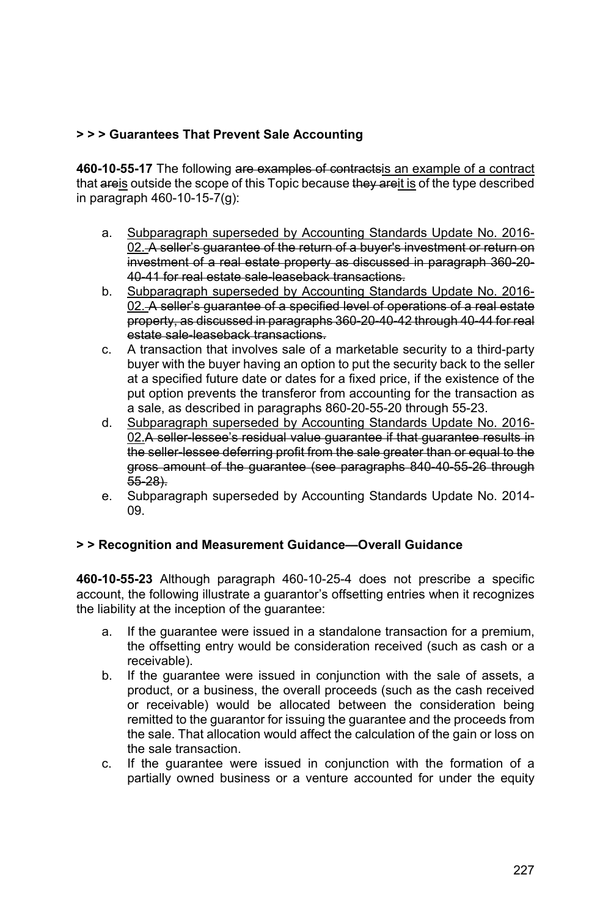#### **> > > Guarantees That Prevent Sale Accounting**

**460-10-55-17** The following are examples of contractsis an example of a contract that areis outside the scope of this Topic because they areit is of the type described in paragraph 460-10-15-7(g):

- a. Subparagraph superseded by Accounting Standards Update No. 2016- 02. A seller's quarantee of the return of a buyer's investment or return on investment of a real estate property as discussed in paragraph 360-20- 40-41 for real estate sale-leaseback transactions.
- b. Subparagraph superseded by Accounting Standards Update No. 2016- 02. A seller's guarantee of a specified level of operations of a real estate property, as discussed in paragraphs 360-20-40-42 through 40-44 for real estate sale-leaseback transactions.
- c. A transaction that involves sale of a marketable security to a third-party buyer with the buyer having an option to put the security back to the seller at a specified future date or dates for a fixed price, if the existence of the put option prevents the transferor from accounting for the transaction as a sale, as described in paragraphs 860-20-55-20 through 55-23.
- d. Subparagraph superseded by Accounting Standards Update No. 2016- 02.A seller-lessee's residual value guarantee if that guarantee results in the seller-lessee deferring profit from the sale greater than or equal to the gross amount of the guarantee (see paragraphs 840-40-55-26 through 55-28).
- e. Subparagraph superseded by Accounting Standards Update No. 2014- 09.

#### **> > Recognition and Measurement Guidance—Overall Guidance**

**460-10-55-23** Although paragraph 460-10-25-4 does not prescribe a specific account, the following illustrate a guarantor's offsetting entries when it recognizes the liability at the inception of the guarantee:

- a. If the guarantee were issued in a standalone transaction for a premium, the offsetting entry would be consideration received (such as cash or a receivable).
- b. If the guarantee were issued in conjunction with the sale of assets, a product, or a business, the overall proceeds (such as the cash received or receivable) would be allocated between the consideration being remitted to the guarantor for issuing the guarantee and the proceeds from the sale. That allocation would affect the calculation of the gain or loss on the sale transaction.
- c. If the guarantee were issued in conjunction with the formation of a partially owned business or a venture accounted for under the equity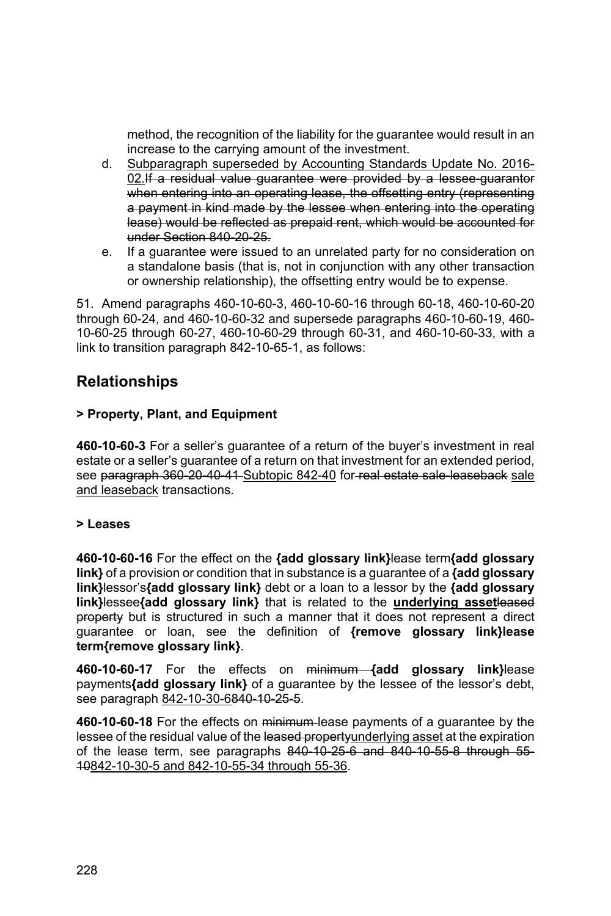method, the recognition of the liability for the guarantee would result in an increase to the carrying amount of the investment.

- d. Subparagraph superseded by Accounting Standards Update No. 2016- 02.If a residual value quarantee were provided by a lessee quarantor when entering into an operating lease, the offsetting entry (representing a payment in kind made by the lessee when entering into the operating lease) would be reflected as prepaid rent, which would be accounted for under Section 840-20-25.
- e. If a guarantee were issued to an unrelated party for no consideration on a standalone basis (that is, not in conjunction with any other transaction or ownership relationship), the offsetting entry would be to expense.

51. Amend paragraphs 460-10-60-3, 460-10-60-16 through 60-18, 460-10-60-20 through 60-24, and 460-10-60-32 and supersede paragraphs 460-10-60-19, 460- 10-60-25 through 60-27, 460-10-60-29 through 60-31, and 460-10-60-33, with a link to transition paragraph 842-10-65-1, as follows:

### **Relationships**

#### **> Property, Plant, and Equipment**

**460-10-60-3** For a seller's guarantee of a return of the buyer's investment in real estate or a seller's guarantee of a return on that investment for an extended period, see paragraph 360-20-40-41-Subtopic 842-40 for real estate sale-leaseback sale and leaseback transactions.

#### **> Leases**

**460-10-60-16** For the effect on the **{add glossary link}**lease term**{add glossary link}** of a provision or condition that in substance is a guarantee of a **{add glossary link}**lessor's**{add glossary link}** debt or a loan to a lessor by the **{add glossary link}**lessee**{add glossary link}** that is related to the **underlying asset**leased property but is structured in such a manner that it does not represent a direct guarantee or loan, see the definition of **{remove glossary link}lease term{remove glossary link}**.

**460-10-60-17** For the effects on minimum **{add glossary link}**lease payments**{add glossary link}** of a guarantee by the lessee of the lessor's debt, see paragraph 842-10-30-6840-10-25-5.

**460-10-60-18** For the effects on minimum lease payments of a guarantee by the lessee of the residual value of the leased property underlying asset at the expiration of the lease term, see paragraphs 840-10-25-6 and 840-10-55-8 through 55- 10842-10-30-5 and 842-10-55-34 through 55-36.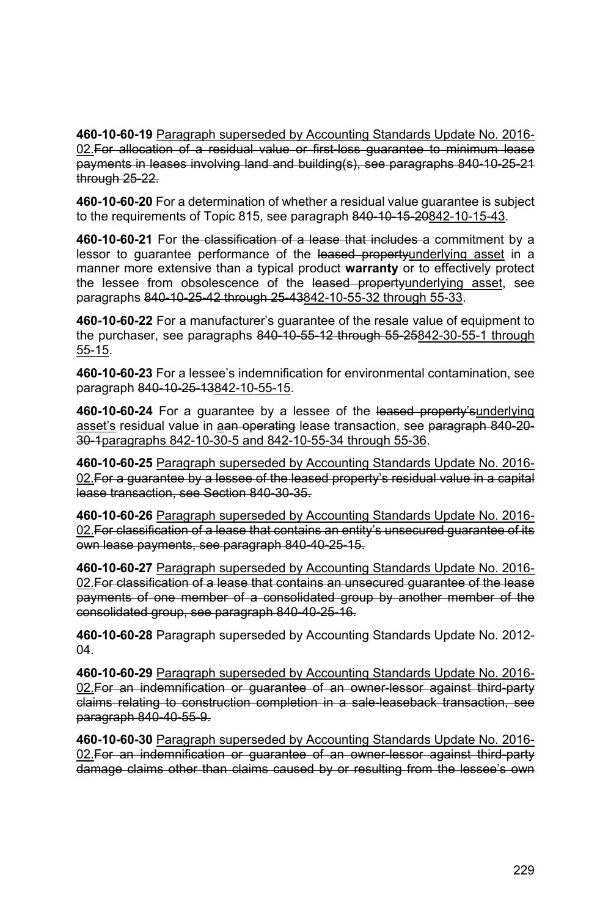**460-10-60-19** Paragraph superseded by Accounting Standards Update No. 2016- 02. For allocation of a residual value or first-loss guarantee to minimum lease payments in leases involving land and building(s), see paragraphs 840-10-25-21 through 25-22.

**460-10-60-20** For a determination of whether a residual value guarantee is subject to the requirements of Topic 815, see paragraph 840-10-15-20842-10-15-43.

**460-10-60-21** For the classification of a lease that includes a commitment by a lessor to guarantee performance of the leased propertyunderlying asset in a manner more extensive than a typical product **warranty** or to effectively protect the lessee from obsolescence of the leased propertyunderlying asset, see paragraphs 840-10-25-42 through 25-43842-10-55-32 through 55-33.

**460-10-60-22** For a manufacturer's guarantee of the resale value of equipment to the purchaser, see paragraphs 840-10-55-12 through 55-25842-30-55-1 through 55-15.

**460-10-60-23** For a lessee's indemnification for environmental contamination, see paragraph 840-10-25-13842-10-55-15.

**460-10-60-24** For a guarantee by a lessee of the leased property'sunderlying asset's residual value in aan operating lease transaction, see paragraph 840-20-30-1paragraphs 842-10-30-5 and 842-10-55-34 through 55-36.

**460-10-60-25** Paragraph superseded by Accounting Standards Update No. 2016- 02. For a guarantee by a lessee of the leased property's residual value in a capital lease transaction, see Section 840-30-35.

**460-10-60-26** Paragraph superseded by Accounting Standards Update No. 2016- 02. For classification of a lease that contains an entity's unsecured guarantee of its own lease payments, see paragraph 840-40-25-15.

**460-10-60-27** Paragraph superseded by Accounting Standards Update No. 2016- 02. For classification of a lease that contains an unsecured guarantee of the lease payments of one member of a consolidated group by another member of the consolidated group, see paragraph 840-40-25-16.

**460-10-60-28** Paragraph superseded by Accounting Standards Update No. 2012- 04.

**460-10-60-29** Paragraph superseded by Accounting Standards Update No. 2016- 02.For an indemnification or guarantee of an owner-lessor against third-party claims relating to construction completion in a sale-leaseback transaction, see paragraph 840-40-55-9.

**460-10-60-30** Paragraph superseded by Accounting Standards Update No. 2016- 02. For an indemnification or guarantee of an owner-lessor against third-party damage claims other than claims caused by or resulting from the lessee's own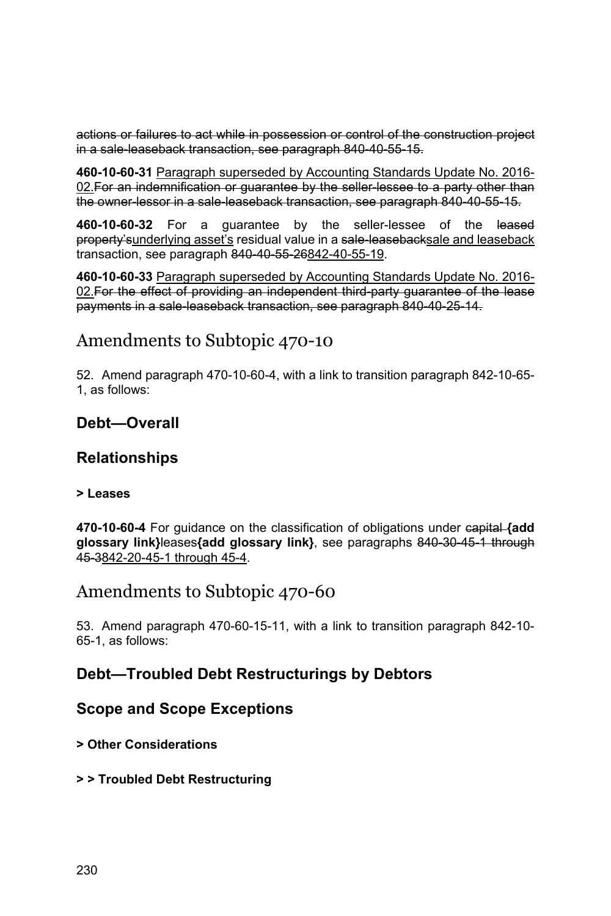actions or failures to act while in possession or control of the construction project in a sale-leaseback transaction, see paragraph 840-40-55-15.

**460-10-60-31** Paragraph superseded by Accounting Standards Update No. 2016- 02. For an indemnification or quarantee by the seller lessee to a party other than the owner-lessor in a sale-leaseback transaction, see paragraph 840-40-55-15.

**460-10-60-32** For a guarantee by the seller-lessee of the leased property' sunderlying asset's residual value in a sale-leaseback sale and leaseback transaction, see paragraph 840-40-55-26842-40-55-19.

**460-10-60-33** Paragraph superseded by Accounting Standards Update No. 2016- 02. For the effect of providing an independent third party quarantee of the lease payments in a sale-leaseback transaction, see paragraph 840-40-25-14.

# Amendments to Subtopic 470-10

52. Amend paragraph 470-10-60-4, with a link to transition paragraph 842-10-65- 1, as follows:

### **Debt—Overall**

### **Relationships**

#### **> Leases**

**470-10-60-4** For guidance on the classification of obligations under capital **{add glossary link}**leases**{add glossary link}**, see paragraphs 840-30-45-1 through 45-3842-20-45-1 through 45-4.

# Amendments to Subtopic 470-60

53. Amend paragraph 470-60-15-11, with a link to transition paragraph 842-10- 65-1, as follows:

### **Debt—Troubled Debt Restructurings by Debtors**

### **Scope and Scope Exceptions**

#### **> Other Considerations**

#### **> > Troubled Debt Restructuring**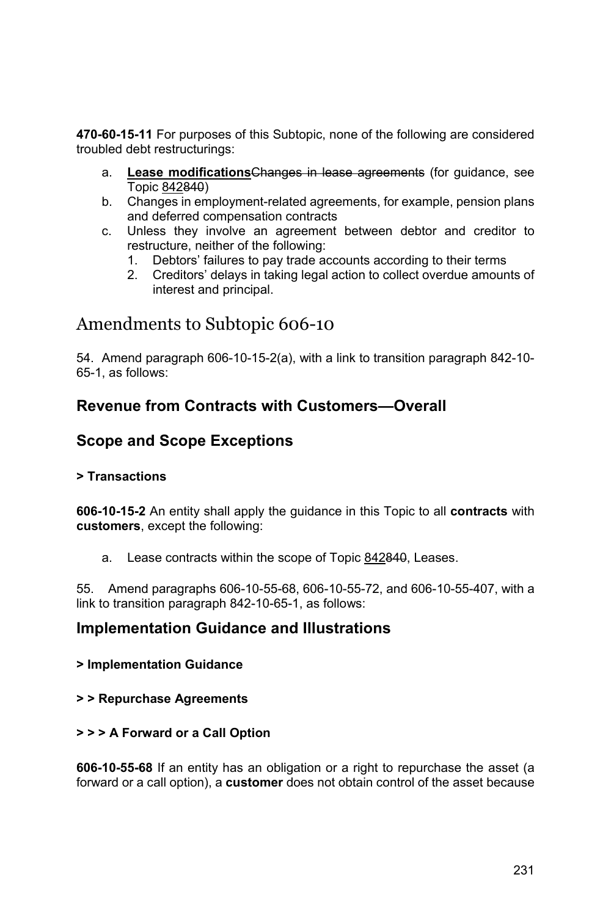**470-60-15-11** For purposes of this Subtopic, none of the following are considered troubled debt restructurings:

- a. **Lease modifications**Changes in lease agreements (for guidance, see Topic 842840)
- b. Changes in employment-related agreements, for example, pension plans and deferred compensation contracts
- c. Unless they involve an agreement between debtor and creditor to restructure, neither of the following:
	- 1. Debtors' failures to pay trade accounts according to their terms
	- 2. Creditors' delays in taking legal action to collect overdue amounts of interest and principal.

# Amendments to Subtopic 606-10

54. Amend paragraph 606-10-15-2(a), with a link to transition paragraph 842-10- 65-1, as follows:

### **Revenue from Contracts with Customers—Overall**

### **Scope and Scope Exceptions**

#### **> Transactions**

**606-10-15-2** An entity shall apply the guidance in this Topic to all **contracts** with **customers**, except the following:

a. Lease contracts within the scope of Topic 842840, Leases.

55. Amend paragraphs 606-10-55-68, 606-10-55-72, and 606-10-55-407, with a link to transition paragraph 842-10-65-1, as follows:

### **Implementation Guidance and Illustrations**

#### **> Implementation Guidance**

#### **> > Repurchase Agreements**

#### **> > > A Forward or a Call Option**

**606-10-55-68** If an entity has an obligation or a right to repurchase the asset (a forward or a call option), a **customer** does not obtain control of the asset because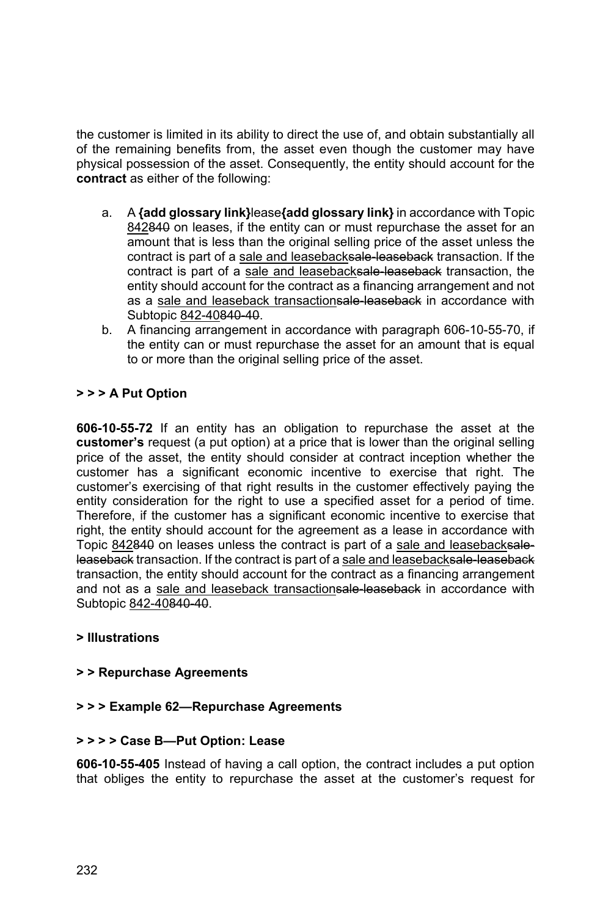the customer is limited in its ability to direct the use of, and obtain substantially all of the remaining benefits from, the asset even though the customer may have physical possession of the asset. Consequently, the entity should account for the **contract** as either of the following:

- a. A **{add glossary link}**lease**{add glossary link}** in accordance with Topic 842840 on leases, if the entity can or must repurchase the asset for an amount that is less than the original selling price of the asset unless the contract is part of a sale and leasebacksale leaseback transaction. If the contract is part of a sale and leasebacksale-leaseback transaction, the entity should account for the contract as a financing arrangement and not as a sale and leaseback transactionsale leaseback in accordance with Subtopic 842-40840-40.
- b. A financing arrangement in accordance with paragraph 606-10-55-70, if the entity can or must repurchase the asset for an amount that is equal to or more than the original selling price of the asset.

#### **> > > A Put Option**

**606-10-55-72** If an entity has an obligation to repurchase the asset at the **customer's** request (a put option) at a price that is lower than the original selling price of the asset, the entity should consider at contract inception whether the customer has a significant economic incentive to exercise that right. The customer's exercising of that right results in the customer effectively paying the entity consideration for the right to use a specified asset for a period of time. Therefore, if the customer has a significant economic incentive to exercise that right, the entity should account for the agreement as a lease in accordance with Topic 842840 on leases unless the contract is part of a sale and leasebacksaleleaseback transaction. If the contract is part of a sale and leasebacksale-leaseback transaction, the entity should account for the contract as a financing arrangement and not as a sale and leaseback transactionsale-leaseback in accordance with Subtopic 842-40840-40.

#### **> Illustrations**

#### **> > Repurchase Agreements**

#### **> > > Example 62—Repurchase Agreements**

#### **> > > > Case B—Put Option: Lease**

**606-10-55-405** Instead of having a call option, the contract includes a put option that obliges the entity to repurchase the asset at the customer's request for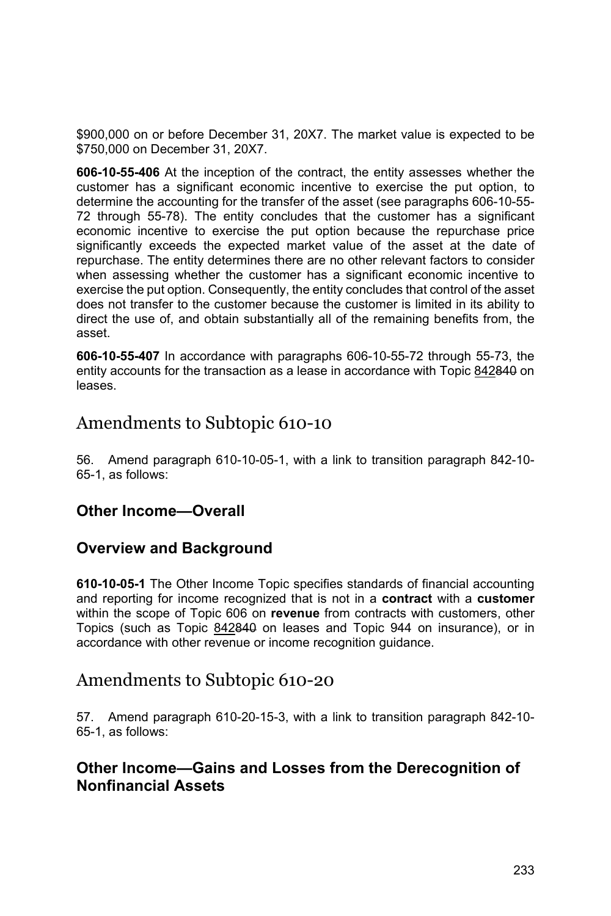\$900,000 on or before December 31, 20X7. The market value is expected to be \$750,000 on December 31, 20X7.

**606-10-55-406** At the inception of the contract, the entity assesses whether the customer has a significant economic incentive to exercise the put option, to determine the accounting for the transfer of the asset (see paragraphs 606-10-55- 72 through 55-78). The entity concludes that the customer has a significant economic incentive to exercise the put option because the repurchase price significantly exceeds the expected market value of the asset at the date of repurchase. The entity determines there are no other relevant factors to consider when assessing whether the customer has a significant economic incentive to exercise the put option. Consequently, the entity concludes that control of the asset does not transfer to the customer because the customer is limited in its ability to direct the use of, and obtain substantially all of the remaining benefits from, the asset.

**606-10-55-407** In accordance with paragraphs 606-10-55-72 through 55-73, the entity accounts for the transaction as a lease in accordance with Topic 842840 on leases.

## Amendments to Subtopic 610-10

56. Amend paragraph 610-10-05-1, with a link to transition paragraph 842-10- 65-1, as follows:

### **Other Income—Overall**

### **Overview and Background**

**610-10-05-1** The Other Income Topic specifies standards of financial accounting and reporting for income recognized that is not in a **contract** with a **customer** within the scope of Topic 606 on **revenue** from contracts with customers, other Topics (such as Topic 842840 on leases and Topic 944 on insurance), or in accordance with other revenue or income recognition guidance.

### Amendments to Subtopic 610-20

57. Amend paragraph 610-20-15-3, with a link to transition paragraph 842-10- 65-1, as follows:

### **Other Income—Gains and Losses from the Derecognition of Nonfinancial Assets**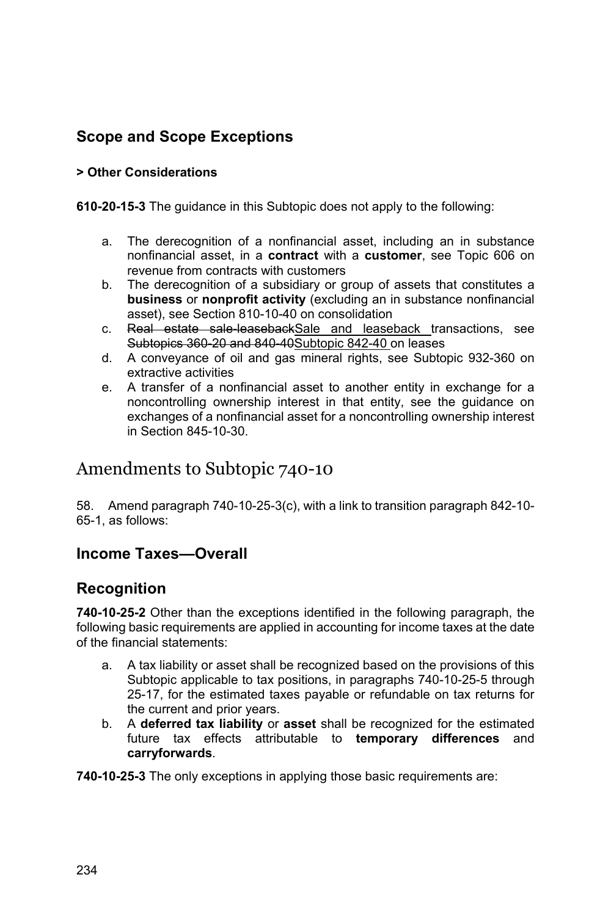# **Scope and Scope Exceptions**

#### **> Other Considerations**

**610-20-15-3** The guidance in this Subtopic does not apply to the following:

- a. The derecognition of a nonfinancial asset, including an in substance nonfinancial asset, in a **contract** with a **customer**, see Topic 606 on revenue from contracts with customers
- b. The derecognition of a subsidiary or group of assets that constitutes a **business** or **nonprofit activity** (excluding an in substance nonfinancial asset), see Section 810-10-40 on consolidation
- c. Real estate sale-leasebackSale and leaseback transactions, see Subtopics 360-20 and 840-40Subtopic 842-40 on leases
- d. A conveyance of oil and gas mineral rights, see Subtopic 932-360 on extractive activities
- e. A transfer of a nonfinancial asset to another entity in exchange for a noncontrolling ownership interest in that entity, see the guidance on exchanges of a nonfinancial asset for a noncontrolling ownership interest in Section 845-10-30.

# Amendments to Subtopic 740-10

58. Amend paragraph 740-10-25-3(c), with a link to transition paragraph 842-10- 65-1, as follows:

# **Income Taxes—Overall**

# **Recognition**

**740-10-25-2** Other than the exceptions identified in the following paragraph, the following basic requirements are applied in accounting for income taxes at the date of the financial statements:

- a. A tax liability or asset shall be recognized based on the provisions of this Subtopic applicable to tax positions, in paragraphs 740-10-25-5 through 25-17, for the estimated taxes payable or refundable on tax returns for the current and prior years.
- b. A **deferred tax liability** or **asset** shall be recognized for the estimated future tax effects attributable to **temporary differences** and **carryforwards**.

**740-10-25-3** The only exceptions in applying those basic requirements are: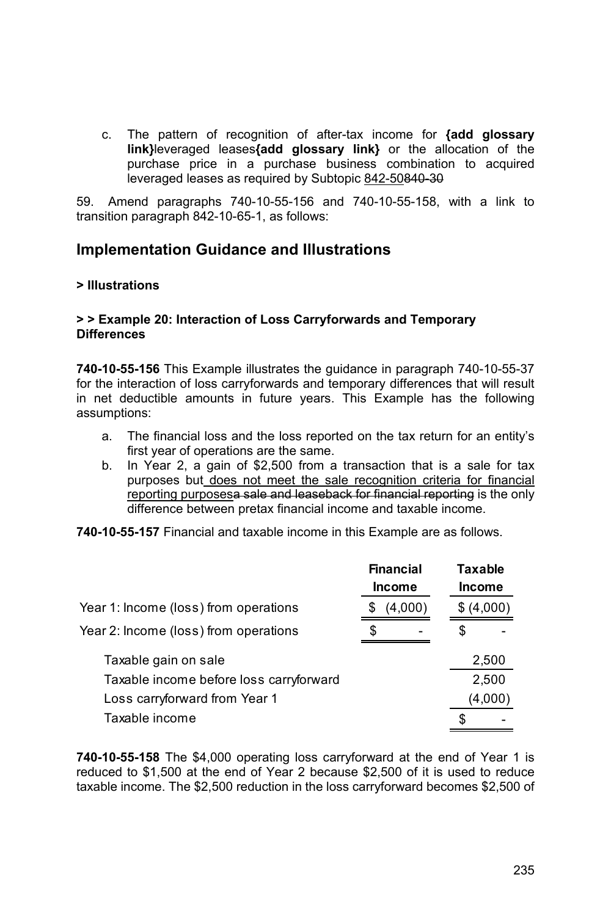c. The pattern of recognition of after-tax income for **{add glossary link}**leveraged leases**{add glossary link}** or the allocation of the purchase price in a purchase business combination to acquired leveraged leases as required by Subtopic 842-50840-30

59. Amend paragraphs 740-10-55-156 and 740-10-55-158, with a link to transition paragraph 842-10-65-1, as follows:

### **Implementation Guidance and Illustrations**

#### **> Illustrations**

#### **> > Example 20: Interaction of Loss Carryforwards and Temporary Differences**

**740-10-55-156** This Example illustrates the guidance in paragraph 740-10-55-37 for the interaction of loss carryforwards and temporary differences that will result in net deductible amounts in future years. This Example has the following assumptions:

- a. The financial loss and the loss reported on the tax return for an entity's first year of operations are the same.
- b. In Year 2, a gain of \$2,500 from a transaction that is a sale for tax purposes but does not meet the sale recognition criteria for financial reporting purposesa sale and leaseback for financial reporting is the only difference between pretax financial income and taxable income.

**740-10-55-157** Financial and taxable income in this Example are as follows.

|                                         | <b>Financial</b><br><b>Income</b> |  | <b>Taxable</b><br><b>Income</b> |         |
|-----------------------------------------|-----------------------------------|--|---------------------------------|---------|
| Year 1: Income (loss) from operations   | (4,000)<br>S                      |  | \$ (4,000)                      |         |
| Year 2: Income (loss) from operations   | S                                 |  | S                               |         |
| Taxable gain on sale                    |                                   |  |                                 | 2,500   |
| Taxable income before loss carryforward |                                   |  |                                 | 2,500   |
| Loss carryforward from Year 1           |                                   |  |                                 | (4,000) |
| Taxable income                          |                                   |  |                                 |         |

**740-10-55-158** The \$4,000 operating loss carryforward at the end of Year 1 is reduced to \$1,500 at the end of Year 2 because \$2,500 of it is used to reduce taxable income. The \$2,500 reduction in the loss carryforward becomes \$2,500 of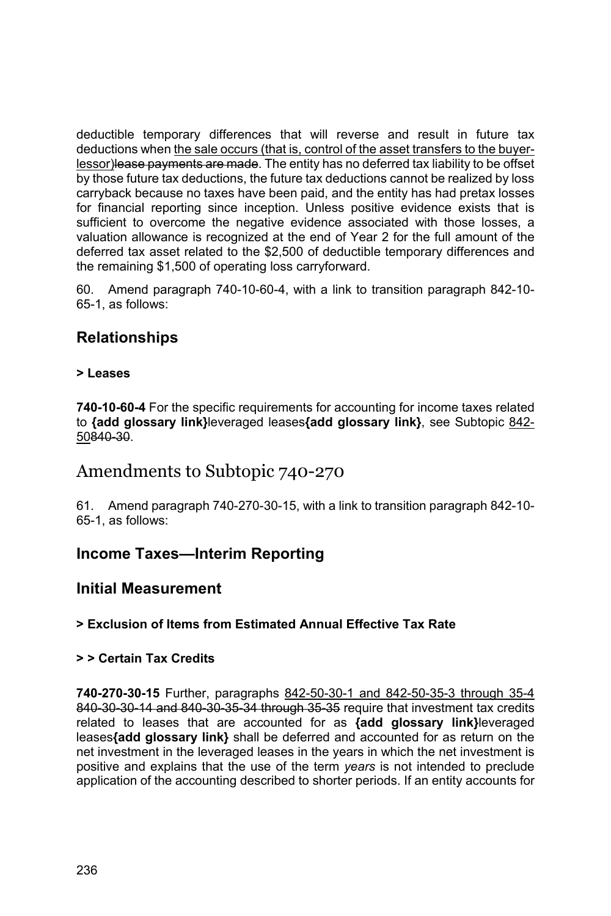deductible temporary differences that will reverse and result in future tax deductions when the sale occurs (that is, control of the asset transfers to the buyerlessor)lease payments are made. The entity has no deferred tax liability to be offset by those future tax deductions, the future tax deductions cannot be realized by loss carryback because no taxes have been paid, and the entity has had pretax losses for financial reporting since inception. Unless positive evidence exists that is sufficient to overcome the negative evidence associated with those losses, a valuation allowance is recognized at the end of Year 2 for the full amount of the deferred tax asset related to the \$2,500 of deductible temporary differences and the remaining \$1,500 of operating loss carryforward.

60. Amend paragraph 740-10-60-4, with a link to transition paragraph 842-10- 65-1, as follows:

## **Relationships**

#### **> Leases**

**740-10-60-4** For the specific requirements for accounting for income taxes related to **{add glossary link}**leveraged leases**{add glossary link}**, see Subtopic 842- 50840-30.

### Amendments to Subtopic 740-270

61. Amend paragraph 740-270-30-15, with a link to transition paragraph 842-10- 65-1, as follows:

### **Income Taxes—Interim Reporting**

#### **Initial Measurement**

#### **> Exclusion of Items from Estimated Annual Effective Tax Rate**

#### **> > Certain Tax Credits**

**740-270-30-15** Further, paragraphs 842-50-30-1 and 842-50-35-3 through 35-4 840-30-30-14 and 840-30-35-34 through 35-35 require that investment tax credits related to leases that are accounted for as **{add glossary link}**leveraged leases**{add glossary link}** shall be deferred and accounted for as return on the net investment in the leveraged leases in the years in which the net investment is positive and explains that the use of the term *years* is not intended to preclude application of the accounting described to shorter periods. If an entity accounts for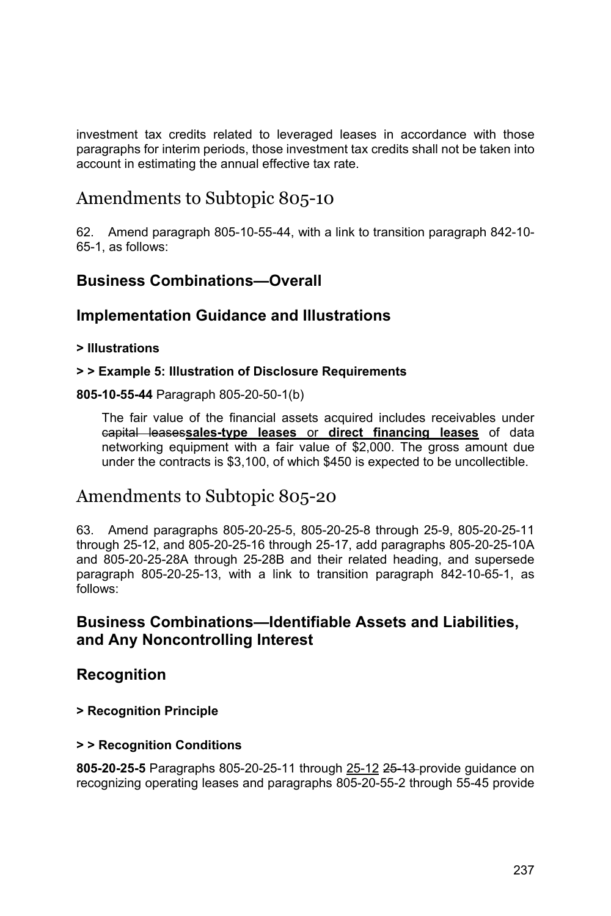investment tax credits related to leveraged leases in accordance with those paragraphs for interim periods, those investment tax credits shall not be taken into account in estimating the annual effective tax rate.

# Amendments to Subtopic 805-10

62. Amend paragraph 805-10-55-44, with a link to transition paragraph 842-10- 65-1, as follows:

### **Business Combinations—Overall**

### **Implementation Guidance and Illustrations**

#### **> Illustrations**

#### **> > Example 5: Illustration of Disclosure Requirements**

#### **805-10-55-44** Paragraph 805-20-50-1(b)

The fair value of the financial assets acquired includes receivables under capital leases**sales-type leases** or **direct financing leases** of data networking equipment with a fair value of \$2,000. The gross amount due under the contracts is \$3,100, of which \$450 is expected to be uncollectible.

# Amendments to Subtopic 805-20

63. Amend paragraphs 805-20-25-5, 805-20-25-8 through 25-9, 805-20-25-11 through 25-12, and 805-20-25-16 through 25-17, add paragraphs 805-20-25-10A and 805-20-25-28A through 25-28B and their related heading, and supersede paragraph 805-20-25-13, with a link to transition paragraph 842-10-65-1, as follows:

### **Business Combinations—Identifiable Assets and Liabilities, and Any Noncontrolling Interest**

### **Recognition**

#### **> Recognition Principle**

#### **> > Recognition Conditions**

**805-20-25-5** Paragraphs 805-20-25-11 through 25-12 25-13 provide guidance on recognizing operating leases and paragraphs 805-20-55-2 through 55-45 provide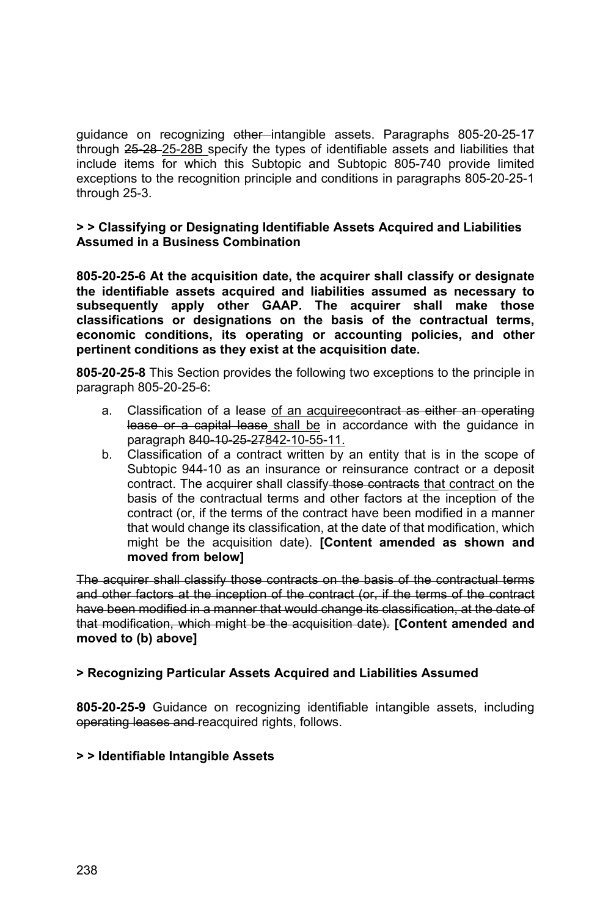guidance on recognizing other intangible assets. Paragraphs 805-20-25-17 through 25-28-25-28B specify the types of identifiable assets and liabilities that include items for which this Subtopic and Subtopic 805-740 provide limited exceptions to the recognition principle and conditions in paragraphs 805-20-25-1 through 25-3.

#### **> > Classifying or Designating Identifiable Assets Acquired and Liabilities Assumed in a Business Combination**

**805-20-25-6 At the acquisition date, the acquirer shall classify or designate the identifiable assets acquired and liabilities assumed as necessary to subsequently apply other GAAP. The acquirer shall make those classifications or designations on the basis of the contractual terms, economic conditions, its operating or accounting policies, and other pertinent conditions as they exist at the acquisition date.**

**805-20-25-8** This Section provides the following two exceptions to the principle in paragraph 805-20-25-6:

- a. Classification of a lease of an acquireecontract as either an operating lease or a capital lease shall be in accordance with the guidance in paragraph 840-10-25-27842-10-55-11.
- b. Classification of a contract written by an entity that is in the scope of Subtopic 944-10 as an insurance or reinsurance contract or a deposit contract. The acquirer shall classify those contracts that contract on the basis of the contractual terms and other factors at the inception of the contract (or, if the terms of the contract have been modified in a manner that would change its classification, at the date of that modification, which might be the acquisition date). **[Content amended as shown and moved from below]**

The acquirer shall classify those contracts on the basis of the contractual terms and other factors at the inception of the contract (or, if the terms of the contract have been modified in a manner that would change its classification, at the date of that modification, which might be the acquisition date). **[Content amended and moved to (b) above]**

#### **> Recognizing Particular Assets Acquired and Liabilities Assumed**

**805-20-25-9** Guidance on recognizing identifiable intangible assets, including operating leases and reacquired rights, follows.

#### **> > Identifiable Intangible Assets**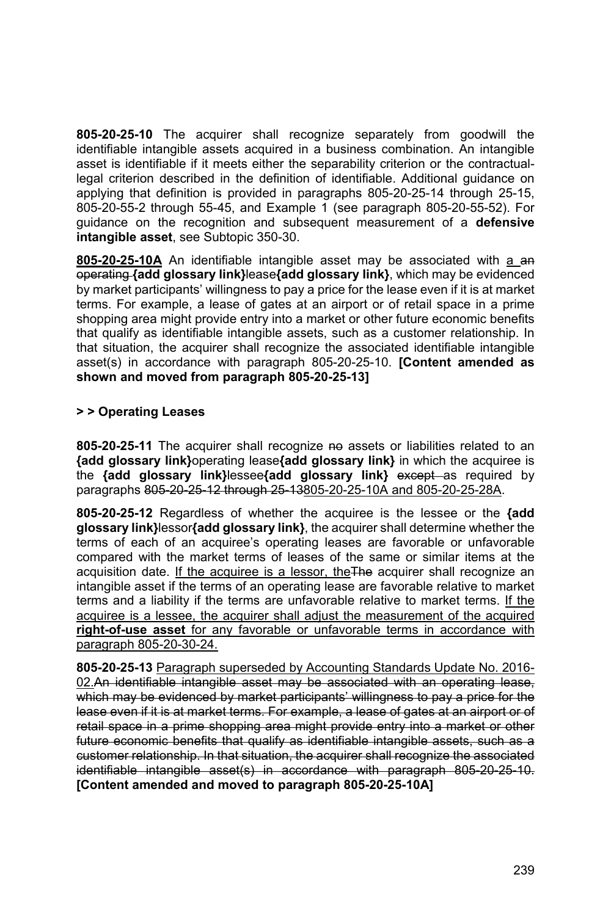**805-20-25-10** The acquirer shall recognize separately from goodwill the identifiable intangible assets acquired in a business combination. An intangible asset is identifiable if it meets either the separability criterion or the contractuallegal criterion described in the definition of identifiable. Additional guidance on applying that definition is provided in paragraphs 805-20-25-14 through 25-15, 805-20-55-2 through 55-45, and Example 1 (see paragraph 805-20-55-52). For guidance on the recognition and subsequent measurement of a **defensive intangible asset**, see Subtopic 350-30.

**805-20-25-10A** An identifiable intangible asset may be associated with a an operating **{add glossary link}**lease**{add glossary link}**, which may be evidenced by market participants' willingness to pay a price for the lease even if it is at market terms. For example, a lease of gates at an airport or of retail space in a prime shopping area might provide entry into a market or other future economic benefits that qualify as identifiable intangible assets, such as a customer relationship. In that situation, the acquirer shall recognize the associated identifiable intangible asset(s) in accordance with paragraph 805-20-25-10. **[Content amended as shown and moved from paragraph 805-20-25-13]** 

#### **> > Operating Leases**

**805-20-25-11** The acquirer shall recognize no assets or liabilities related to an **{add glossary link}**operating lease**{add glossary link}** in which the acquiree is the **{add glossary link}**lessee**{add glossary link}** except as required by paragraphs 805-20-25-12 through 25-13805-20-25-10A and 805-20-25-28A.

**805-20-25-12** Regardless of whether the acquiree is the lessee or the **{add glossary link}**lessor**{add glossary link}**, the acquirer shall determine whether the terms of each of an acquiree's operating leases are favorable or unfavorable compared with the market terms of leases of the same or similar items at the acquisition date. If the acquiree is a lessor, theThe acquirer shall recognize an intangible asset if the terms of an operating lease are favorable relative to market terms and a liability if the terms are unfavorable relative to market terms. If the acquiree is a lessee, the acquirer shall adjust the measurement of the acquired **right-of-use asset** for any favorable or unfavorable terms in accordance with paragraph 805-20-30-24.

**805-20-25-13** Paragraph superseded by Accounting Standards Update No. 2016- 02.An identifiable intangible asset may be associated with an operating lease, which may be evidenced by market participants' willingness to pay a price for the lease even if it is at market terms. For example, a lease of gates at an airport or of retail space in a prime shopping area might provide entry into a market or other future economic benefits that qualify as identifiable intangible assets, such as a customer relationship. In that situation, the acquirer shall recognize the associated identifiable intangible asset(s) in accordance with paragraph 805-20-25-10. **[Content amended and moved to paragraph 805-20-25-10A]**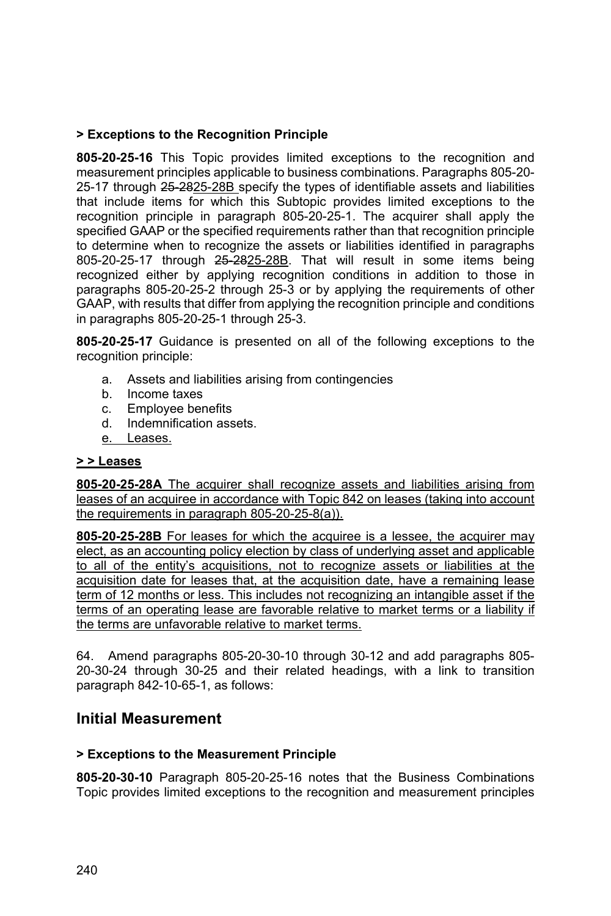#### **> Exceptions to the Recognition Principle**

**805-20-25-16** This Topic provides limited exceptions to the recognition and measurement principles applicable to business combinations. Paragraphs 805-20- 25-17 through 25-2825-28B specify the types of identifiable assets and liabilities that include items for which this Subtopic provides limited exceptions to the recognition principle in paragraph 805-20-25-1. The acquirer shall apply the specified GAAP or the specified requirements rather than that recognition principle to determine when to recognize the assets or liabilities identified in paragraphs 805-20-25-17 through 25-2825-28B. That will result in some items being recognized either by applying recognition conditions in addition to those in paragraphs 805-20-25-2 through 25-3 or by applying the requirements of other GAAP, with results that differ from applying the recognition principle and conditions in paragraphs 805-20-25-1 through 25-3.

**805-20-25-17** Guidance is presented on all of the following exceptions to the recognition principle:

- a. Assets and liabilities arising from contingencies
- b. Income taxes
- c. Employee benefits
- d. Indemnification assets.
- e. Leases.

#### **> > Leases**

**805-20-25-28A** The acquirer shall recognize assets and liabilities arising from leases of an acquiree in accordance with Topic 842 on leases (taking into account the requirements in paragraph 805-20-25-8(a)).

**805-20-25-28B** For leases for which the acquiree is a lessee, the acquirer may elect, as an accounting policy election by class of underlying asset and applicable to all of the entity's acquisitions, not to recognize assets or liabilities at the acquisition date for leases that, at the acquisition date, have a remaining lease term of 12 months or less. This includes not recognizing an intangible asset if the terms of an operating lease are favorable relative to market terms or a liability if the terms are unfavorable relative to market terms.

64. Amend paragraphs 805-20-30-10 through 30-12 and add paragraphs 805- 20-30-24 through 30-25 and their related headings, with a link to transition paragraph 842-10-65-1, as follows:

### **Initial Measurement**

#### **> Exceptions to the Measurement Principle**

**805-20-30-10** Paragraph 805-20-25-16 notes that the Business Combinations Topic provides limited exceptions to the recognition and measurement principles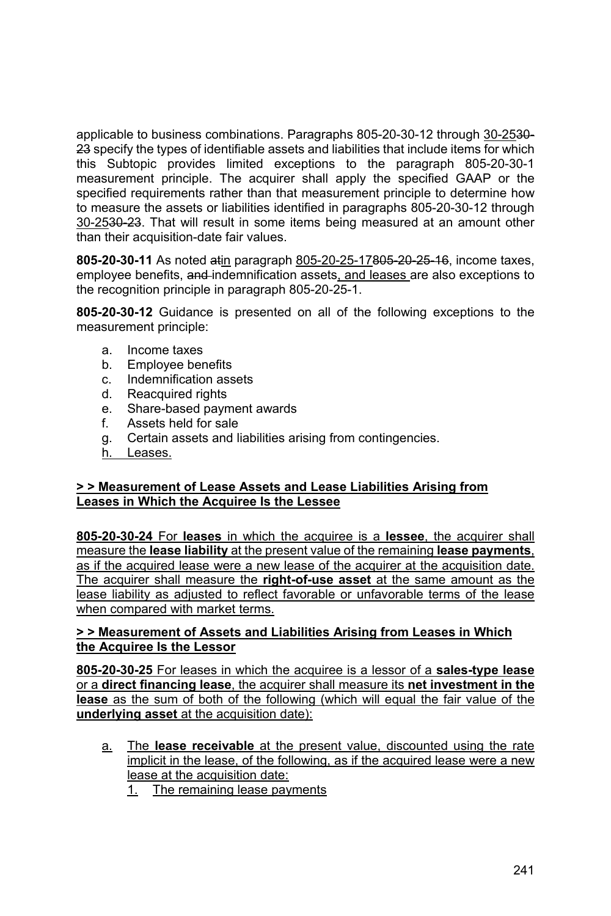applicable to business combinations. Paragraphs 805-20-30-12 through 30-2530- 23 specify the types of identifiable assets and liabilities that include items for which this Subtopic provides limited exceptions to the paragraph 805-20-30-1 measurement principle. The acquirer shall apply the specified GAAP or the specified requirements rather than that measurement principle to determine how to measure the assets or liabilities identified in paragraphs 805-20-30-12 through 30-2530-23. That will result in some items being measured at an amount other than their acquisition-date fair values.

**805-20-30-11** As noted atin paragraph 805-20-25-17805-20-25-16, income taxes, employee benefits, and indemnification assets, and leases are also exceptions to the recognition principle in paragraph 805-20-25-1.

**805-20-30-12** Guidance is presented on all of the following exceptions to the measurement principle:

- a. Income taxes
- b. Employee benefits
- c. Indemnification assets
- d. Reacquired rights
- e. Share-based payment awards
- f. Assets held for sale
- g. Certain assets and liabilities arising from contingencies.
- h. Leases.

#### **> > Measurement of Lease Assets and Lease Liabilities Arising from Leases in Which the Acquiree Is the Lessee**

**805-20-30-24** For **leases** in which the acquiree is a **lessee**, the acquirer shall measure the **lease liability** at the present value of the remaining **lease payments**, as if the acquired lease were a new lease of the acquirer at the acquisition date. The acquirer shall measure the **right-of-use asset** at the same amount as the lease liability as adjusted to reflect favorable or unfavorable terms of the lease when compared with market terms.

#### **> > Measurement of Assets and Liabilities Arising from Leases in Which the Acquiree Is the Lessor**

**805-20-30-25** For leases in which the acquiree is a lessor of a **sales-type lease**  or a **direct financing lease**, the acquirer shall measure its **net investment in the lease** as the sum of both of the following (which will equal the fair value of the **underlying asset** at the acquisition date):

- a. The **lease receivable** at the present value, discounted using the rate implicit in the lease, of the following, as if the acquired lease were a new lease at the acquisition date:
	- 1. The remaining lease payments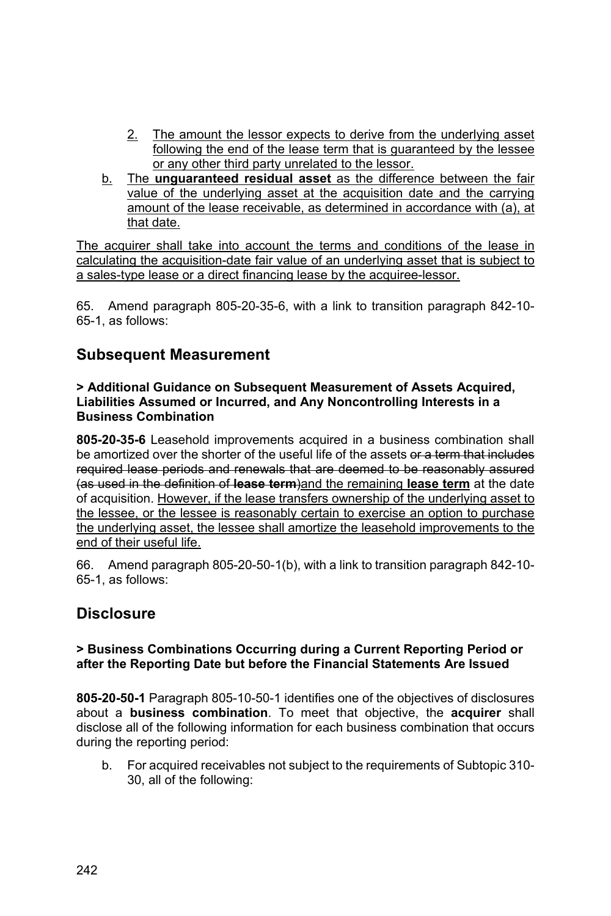- 2. The amount the lessor expects to derive from the underlying asset following the end of the lease term that is guaranteed by the lessee or any other third party unrelated to the lessor.
- b. The **unguaranteed residual asset** as the difference between the fair value of the underlying asset at the acquisition date and the carrying amount of the lease receivable, as determined in accordance with (a), at that date.

The acquirer shall take into account the terms and conditions of the lease in calculating the acquisition-date fair value of an underlying asset that is subject to a sales-type lease or a direct financing lease by the acquiree-lessor.

65. Amend paragraph 805-20-35-6, with a link to transition paragraph 842-10- 65-1, as follows:

### **Subsequent Measurement**

**> Additional Guidance on Subsequent Measurement of Assets Acquired, Liabilities Assumed or Incurred, and Any Noncontrolling Interests in a Business Combination** 

**805-20-35-6** Leasehold improvements acquired in a business combination shall be amortized over the shorter of the useful life of the assets or a term that includes required lease periods and renewals that are deemed to be reasonably assured (as used in the definition of **lease term**)and the remaining **lease term** at the date of acquisition. However, if the lease transfers ownership of the underlying asset to the lessee, or the lessee is reasonably certain to exercise an option to purchase the underlying asset, the lessee shall amortize the leasehold improvements to the end of their useful life.

66. Amend paragraph 805-20-50-1(b), with a link to transition paragraph 842-10- 65-1, as follows:

### **Disclosure**

#### **> Business Combinations Occurring during a Current Reporting Period or after the Reporting Date but before the Financial Statements Are Issued**

**805-20-50-1** Paragraph 805-10-50-1 identifies one of the objectives of disclosures about a **business combination**. To meet that objective, the **acquirer** shall disclose all of the following information for each business combination that occurs during the reporting period:

b. For acquired receivables not subject to the requirements of Subtopic 310- 30, all of the following: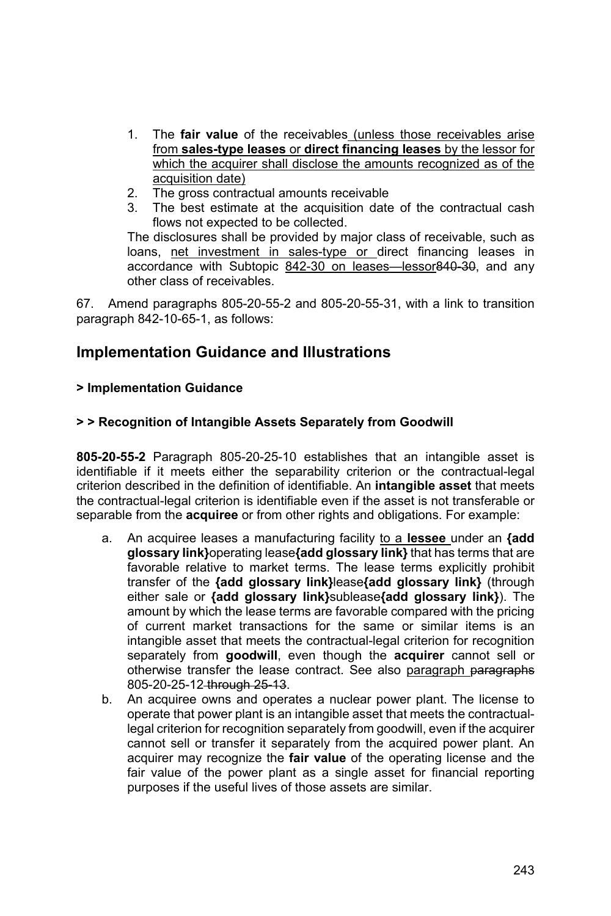- 1. The **fair value** of the receivables (unless those receivables arise from **sales-type leases** or **direct financing leases** by the lessor for which the acquirer shall disclose the amounts recognized as of the acquisition date)
- 2. The gross contractual amounts receivable
- 3. The best estimate at the acquisition date of the contractual cash flows not expected to be collected.

The disclosures shall be provided by major class of receivable, such as loans, net investment in sales-type or direct financing leases in accordance with Subtopic 842-30 on leases-lessor 840-30, and any other class of receivables.

67. Amend paragraphs 805-20-55-2 and 805-20-55-31, with a link to transition paragraph 842-10-65-1, as follows:

### **Implementation Guidance and Illustrations**

#### **> Implementation Guidance**

#### **> > Recognition of Intangible Assets Separately from Goodwill**

**805-20-55-2** Paragraph 805-20-25-10 establishes that an intangible asset is identifiable if it meets either the separability criterion or the contractual-legal criterion described in the definition of identifiable. An **intangible asset** that meets the contractual-legal criterion is identifiable even if the asset is not transferable or separable from the **acquiree** or from other rights and obligations. For example:

- a. An acquiree leases a manufacturing facility to a **lessee** under an **{add glossary link}**operating lease**{add glossary link}** that has terms that are favorable relative to market terms. The lease terms explicitly prohibit transfer of the **{add glossary link}**lease**{add glossary link}** (through either sale or **{add glossary link}**sublease**{add glossary link}**). The amount by which the lease terms are favorable compared with the pricing of current market transactions for the same or similar items is an intangible asset that meets the contractual-legal criterion for recognition separately from **goodwill**, even though the **acquirer** cannot sell or otherwise transfer the lease contract. See also paragraph paragraphs 805-20-25-12 through 25-13.
- b. An acquiree owns and operates a nuclear power plant. The license to operate that power plant is an intangible asset that meets the contractuallegal criterion for recognition separately from goodwill, even if the acquirer cannot sell or transfer it separately from the acquired power plant. An acquirer may recognize the **fair value** of the operating license and the fair value of the power plant as a single asset for financial reporting purposes if the useful lives of those assets are similar.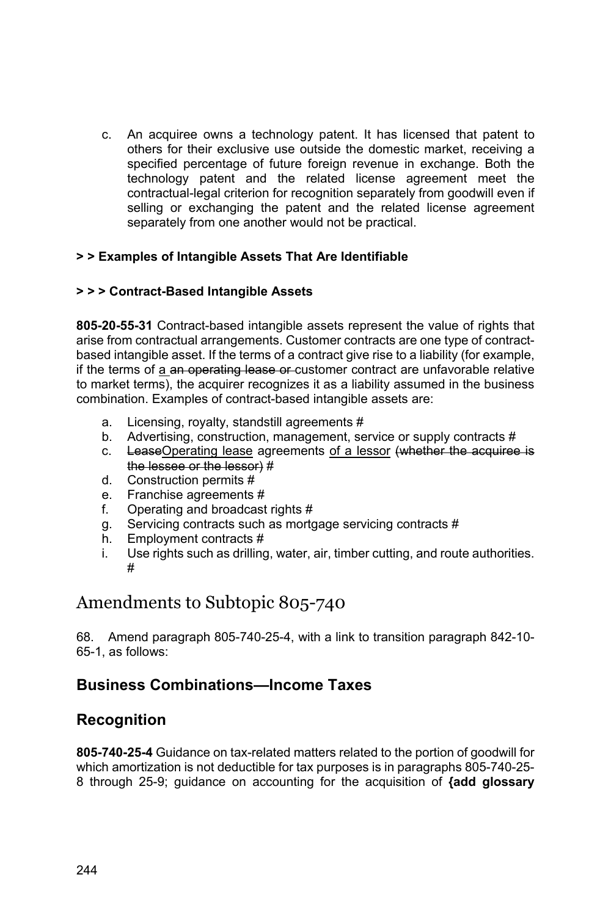c. An acquiree owns a technology patent. It has licensed that patent to others for their exclusive use outside the domestic market, receiving a specified percentage of future foreign revenue in exchange. Both the technology patent and the related license agreement meet the contractual-legal criterion for recognition separately from goodwill even if selling or exchanging the patent and the related license agreement separately from one another would not be practical.

#### **> > Examples of Intangible Assets That Are Identifiable**

#### **> > > Contract-Based Intangible Assets**

**805-20-55-31** Contract-based intangible assets represent the value of rights that arise from contractual arrangements. Customer contracts are one type of contractbased intangible asset. If the terms of a contract give rise to a liability (for example, if the terms of a an operating lease or customer contract are unfavorable relative to market terms), the acquirer recognizes it as a liability assumed in the business combination. Examples of contract-based intangible assets are:

- a. Licensing, royalty, standstill agreements #
- b. Advertising, construction, management, service or supply contracts #
- c. LeaseOperating lease agreements of a lessor (whether the acquiree is the lessee or the lessor) #
- d. Construction permits #
- e. Franchise agreements #
- f. Operating and broadcast rights #
- g. Servicing contracts such as mortgage servicing contracts #
- h. Employment contracts #
- i. Use rights such as drilling, water, air, timber cutting, and route authorities. #

# Amendments to Subtopic 805-740

68. Amend paragraph 805-740-25-4, with a link to transition paragraph 842-10- 65-1, as follows:

## **Business Combinations—Income Taxes**

### **Recognition**

**805-740-25-4** Guidance on tax-related matters related to the portion of goodwill for which amortization is not deductible for tax purposes is in paragraphs 805-740-25- 8 through 25-9; guidance on accounting for the acquisition of **{add glossary**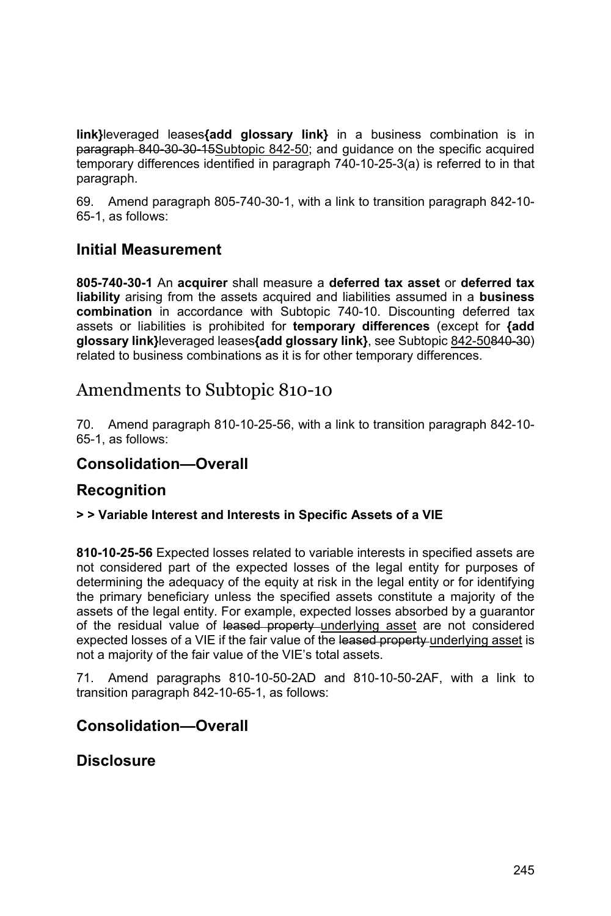**link}**leveraged leases**{add glossary link}** in a business combination is in paragraph 840-30-30-15Subtopic 842-50; and guidance on the specific acquired temporary differences identified in paragraph 740-10-25-3(a) is referred to in that paragraph.

69. Amend paragraph 805-740-30-1, with a link to transition paragraph 842-10- 65-1, as follows:

### **Initial Measurement**

**805-740-30-1** An **acquirer** shall measure a **deferred tax asset** or **deferred tax liability** arising from the assets acquired and liabilities assumed in a **business combination** in accordance with Subtopic 740-10. Discounting deferred tax assets or liabilities is prohibited for **temporary differences** (except for **{add glossary link}**leveraged leases**{add glossary link}**, see Subtopic 842-50840-30) related to business combinations as it is for other temporary differences.

# Amendments to Subtopic 810-10

70. Amend paragraph 810-10-25-56, with a link to transition paragraph 842-10- 65-1, as follows:

### **Consolidation—Overall**

### **Recognition**

#### **> > Variable Interest and Interests in Specific Assets of a VIE**

**810-10-25-56** Expected losses related to variable interests in specified assets are not considered part of the expected losses of the legal entity for purposes of determining the adequacy of the equity at risk in the legal entity or for identifying the primary beneficiary unless the specified assets constitute a majority of the assets of the legal entity. For example, expected losses absorbed by a guarantor of the residual value of leased property underlying asset are not considered expected losses of a VIE if the fair value of the leased property underlying asset is not a majority of the fair value of the VIE's total assets.

71. Amend paragraphs 810-10-50-2AD and 810-10-50-2AF, with a link to transition paragraph 842-10-65-1, as follows:

### **Consolidation—Overall**

### **Disclosure**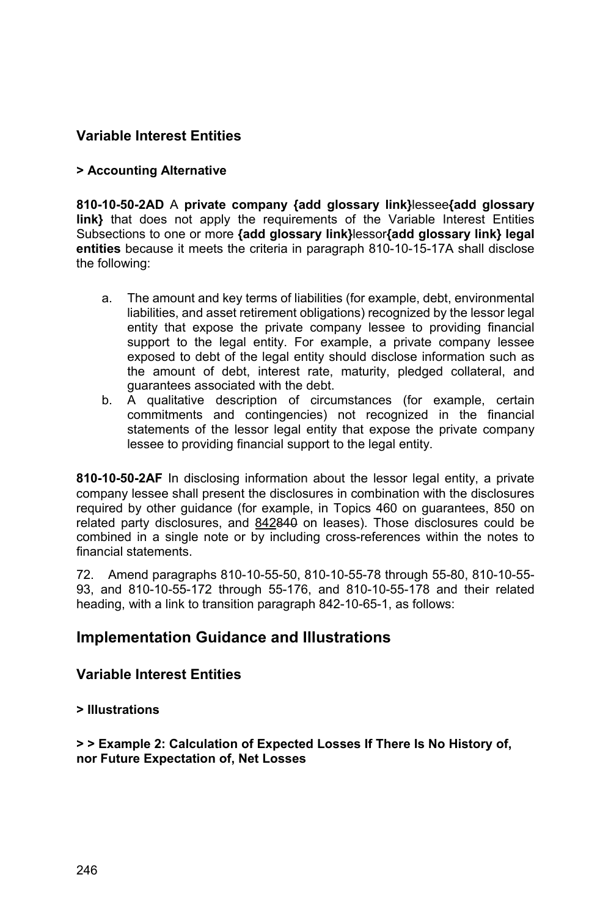### **Variable Interest Entities**

#### **> Accounting Alternative**

**810-10-50-2AD** A **private company {add glossary link}**lessee**{add glossary link}** that does not apply the requirements of the Variable Interest Entities Subsections to one or more **{add glossary link}**lessor**{add glossary link} legal entities** because it meets the criteria in paragraph 810-10-15-17A shall disclose the following:

- a. The amount and key terms of liabilities (for example, debt, environmental liabilities, and asset retirement obligations) recognized by the lessor legal entity that expose the private company lessee to providing financial support to the legal entity. For example, a private company lessee exposed to debt of the legal entity should disclose information such as the amount of debt, interest rate, maturity, pledged collateral, and guarantees associated with the debt.
- b. A qualitative description of circumstances (for example, certain commitments and contingencies) not recognized in the financial statements of the lessor legal entity that expose the private company lessee to providing financial support to the legal entity.

**810-10-50-2AF** In disclosing information about the lessor legal entity, a private company lessee shall present the disclosures in combination with the disclosures required by other guidance (for example, in Topics 460 on guarantees, 850 on related party disclosures, and 842840 on leases). Those disclosures could be combined in a single note or by including cross-references within the notes to financial statements.

72. Amend paragraphs 810-10-55-50, 810-10-55-78 through 55-80, 810-10-55- 93, and 810-10-55-172 through 55-176, and 810-10-55-178 and their related heading, with a link to transition paragraph 842-10-65-1, as follows:

### **Implementation Guidance and Illustrations**

#### **Variable Interest Entities**

#### **> Illustrations**

**> > Example 2: Calculation of Expected Losses If There Is No History of, nor Future Expectation of, Net Losses**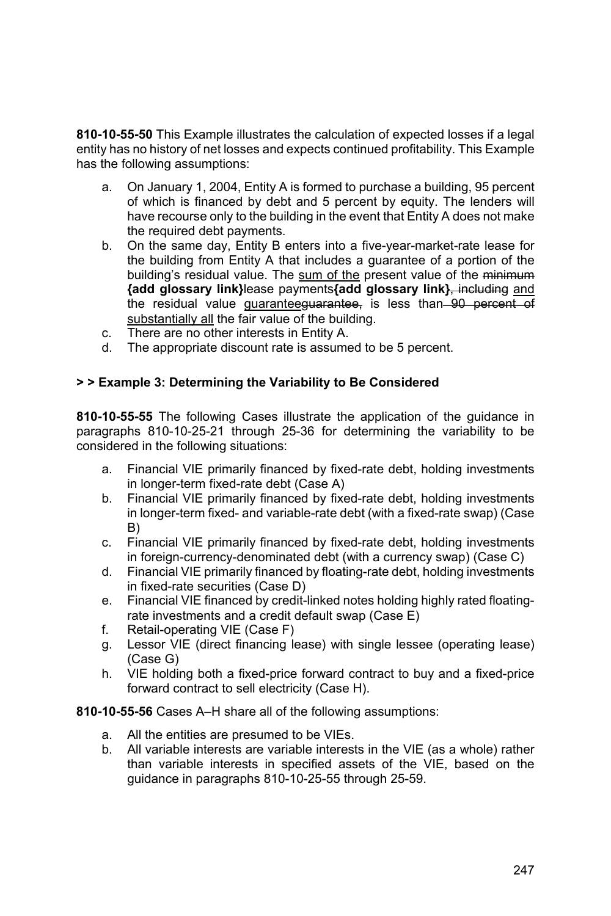**810-10-55-50** This Example illustrates the calculation of expected losses if a legal entity has no history of net losses and expects continued profitability. This Example has the following assumptions:

- a. On January 1, 2004, Entity A is formed to purchase a building, 95 percent of which is financed by debt and 5 percent by equity. The lenders will have recourse only to the building in the event that Entity A does not make the required debt payments.
- b. On the same day, Entity B enters into a five-year-market-rate lease for the building from Entity A that includes a guarantee of a portion of the building's residual value. The sum of the present value of the minimum **{add glossary link}**lease payments**{add glossary link}**, including and the residual value guaranteeguarantee, is less than 90 percent of substantially all the fair value of the building.
- c. There are no other interests in Entity A.
- d. The appropriate discount rate is assumed to be 5 percent.

#### **> > Example 3: Determining the Variability to Be Considered**

**810-10-55-55** The following Cases illustrate the application of the guidance in paragraphs 810-10-25-21 through 25-36 for determining the variability to be considered in the following situations:

- a. Financial VIE primarily financed by fixed-rate debt, holding investments in longer-term fixed-rate debt (Case A)
- b. Financial VIE primarily financed by fixed-rate debt, holding investments in longer-term fixed- and variable-rate debt (with a fixed-rate swap) (Case B)
- c. Financial VIE primarily financed by fixed-rate debt, holding investments in foreign-currency-denominated debt (with a currency swap) (Case C)
- d. Financial VIE primarily financed by floating-rate debt, holding investments in fixed-rate securities (Case D)
- e. Financial VIE financed by credit-linked notes holding highly rated floatingrate investments and a credit default swap (Case E)
- f. Retail-operating VIE (Case F)
- g. Lessor VIE (direct financing lease) with single lessee (operating lease) (Case G)
- h. VIE holding both a fixed-price forward contract to buy and a fixed-price forward contract to sell electricity (Case H).
- **810-10-55-56** Cases A–H share all of the following assumptions:
	- a. All the entities are presumed to be VIEs.
	- b. All variable interests are variable interests in the VIE (as a whole) rather than variable interests in specified assets of the VIE, based on the guidance in paragraphs 810-10-25-55 through 25-59.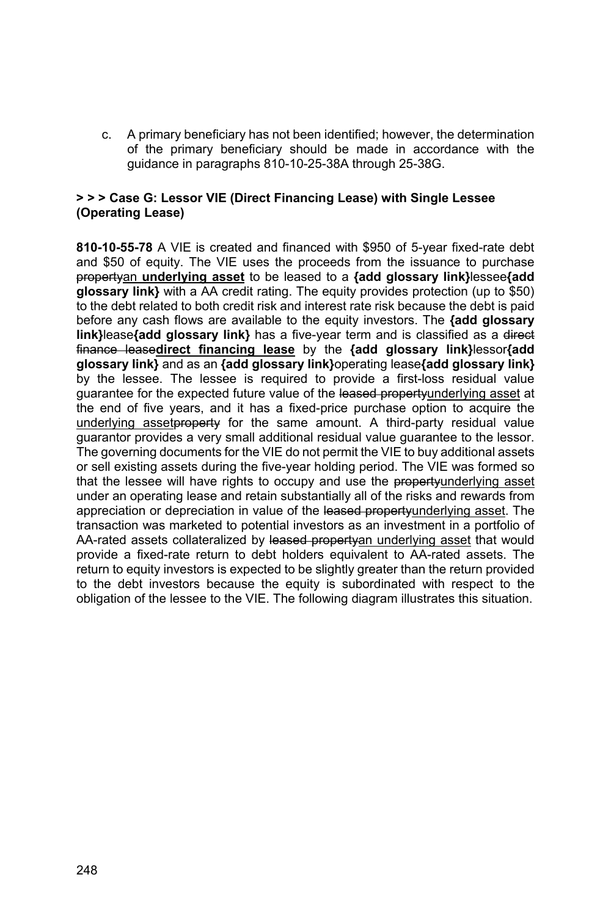c. A primary beneficiary has not been identified; however, the determination of the primary beneficiary should be made in accordance with the guidance in paragraphs 810-10-25-38A through 25-38G.

#### **> > > Case G: Lessor VIE (Direct Financing Lease) with Single Lessee (Operating Lease)**

**810-10-55-78** A VIE is created and financed with \$950 of 5-year fixed-rate debt and \$50 of equity. The VIE uses the proceeds from the issuance to purchase propertyan **underlying asset** to be leased to a **{add glossary link}**lessee**{add glossary link}** with a AA credit rating. The equity provides protection (up to \$50) to the debt related to both credit risk and interest rate risk because the debt is paid before any cash flows are available to the equity investors. The **{add glossary link}**lease**{add glossary link}** has a five-year term and is classified as a direct finance lease**direct financing lease** by the **{add glossary link}**lessor**{add glossary link}** and as an **{add glossary link}**operating lease**{add glossary link}** by the lessee. The lessee is required to provide a first-loss residual value quarantee for the expected future value of the leased propertyunderlying asset at the end of five years, and it has a fixed-price purchase option to acquire the underlying asset property for the same amount. A third-party residual value guarantor provides a very small additional residual value guarantee to the lessor. The governing documents for the VIE do not permit the VIE to buy additional assets or sell existing assets during the five-year holding period. The VIE was formed so that the lessee will have rights to occupy and use the propertyunderlying asset under an operating lease and retain substantially all of the risks and rewards from appreciation or depreciation in value of the leased propertyunderlying asset. The transaction was marketed to potential investors as an investment in a portfolio of AA-rated assets collateralized by leased propertyan underlying asset that would provide a fixed-rate return to debt holders equivalent to AA-rated assets. The return to equity investors is expected to be slightly greater than the return provided to the debt investors because the equity is subordinated with respect to the obligation of the lessee to the VIE. The following diagram illustrates this situation.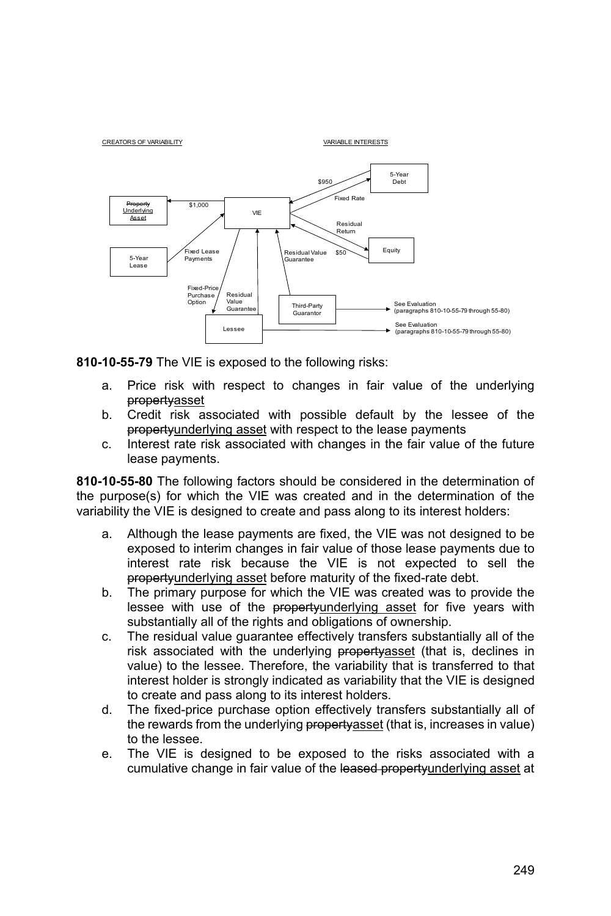

**810-10-55-79** The VIE is exposed to the following risks:

- a. Price risk with respect to changes in fair value of the underlying propertyasset
- b. Credit risk associated with possible default by the lessee of the propertyunderlying asset with respect to the lease payments
- c. Interest rate risk associated with changes in the fair value of the future lease payments.

**810-10-55-80** The following factors should be considered in the determination of the purpose(s) for which the VIE was created and in the determination of the variability the VIE is designed to create and pass along to its interest holders:

- a. Although the lease payments are fixed, the VIE was not designed to be exposed to interim changes in fair value of those lease payments due to interest rate risk because the VIE is not expected to sell the propertyunderlying asset before maturity of the fixed-rate debt.
- b. The primary purpose for which the VIE was created was to provide the lessee with use of the propertyunderlying asset for five years with substantially all of the rights and obligations of ownership.
- c. The residual value guarantee effectively transfers substantially all of the risk associated with the underlying property asset (that is, declines in value) to the lessee. Therefore, the variability that is transferred to that interest holder is strongly indicated as variability that the VIE is designed to create and pass along to its interest holders.
- d. The fixed-price purchase option effectively transfers substantially all of the rewards from the underlying property asset (that is, increases in value) to the lessee.
- e. The VIE is designed to be exposed to the risks associated with a cumulative change in fair value of the leased propertyunderlying asset at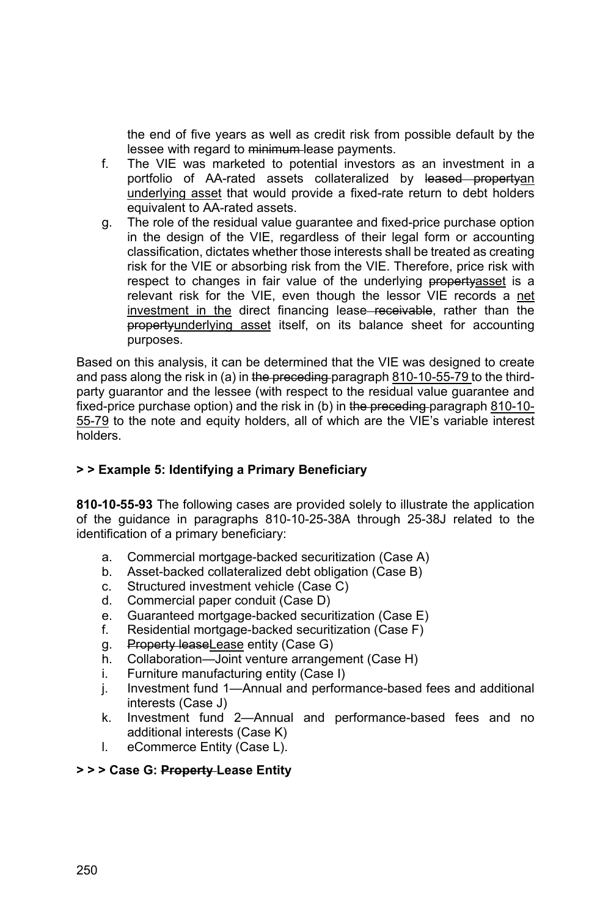the end of five years as well as credit risk from possible default by the lessee with regard to minimum-lease payments.

- f. The VIE was marketed to potential investors as an investment in a portfolio of AA-rated assets collateralized by leased propertyan underlying asset that would provide a fixed-rate return to debt holders equivalent to AA-rated assets.
- g. The role of the residual value guarantee and fixed-price purchase option in the design of the VIE, regardless of their legal form or accounting classification, dictates whether those interests shall be treated as creating risk for the VIE or absorbing risk from the VIE. Therefore, price risk with respect to changes in fair value of the underlying propertyasset is a relevant risk for the VIE, even though the lessor VIE records a net investment in the direct financing lease–receivable, rather than the propertyunderlying asset itself, on its balance sheet for accounting purposes.

Based on this analysis, it can be determined that the VIE was designed to create and pass along the risk in (a) in the preceding paragraph 810-10-55-79 to the thirdparty guarantor and the lessee (with respect to the residual value guarantee and fixed-price purchase option) and the risk in (b) in the preceding-paragraph 810-10-55-79 to the note and equity holders, all of which are the VIE's variable interest holders.

#### **> > Example 5: Identifying a Primary Beneficiary**

**810-10-55-93** The following cases are provided solely to illustrate the application of the guidance in paragraphs 810-10-25-38A through 25-38J related to the identification of a primary beneficiary:

- a. Commercial mortgage-backed securitization (Case A)
- b. Asset-backed collateralized debt obligation (Case B)
- c. Structured investment vehicle (Case C)
- d. Commercial paper conduit (Case D)
- e. Guaranteed mortgage-backed securitization (Case E)
- f. Residential mortgage-backed securitization (Case F)
- g. Property lease Lease entity (Case G)
- h. Collaboration—Joint venture arrangement (Case H)
- i. Furniture manufacturing entity (Case I)
- j. Investment fund 1—Annual and performance-based fees and additional interests (Case J)
- k. Investment fund 2—Annual and performance-based fees and no additional interests (Case K)
- l. eCommerce Entity (Case L).

#### **> > > Case G: Property Lease Entity**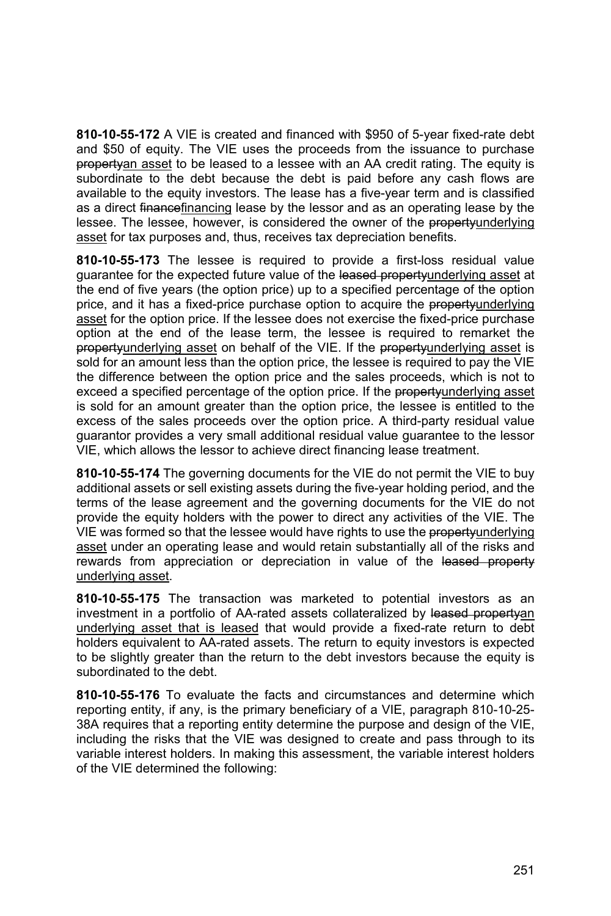**810-10-55-172** A VIE is created and financed with \$950 of 5-year fixed-rate debt and \$50 of equity. The VIE uses the proceeds from the issuance to purchase propertyan asset to be leased to a lessee with an AA credit rating. The equity is subordinate to the debt because the debt is paid before any cash flows are available to the equity investors. The lease has a five-year term and is classified as a direct financefinancing lease by the lessor and as an operating lease by the lessee. The lessee, however, is considered the owner of the propertyunderlying asset for tax purposes and, thus, receives tax depreciation benefits.

**810-10-55-173** The lessee is required to provide a first-loss residual value quarantee for the expected future value of the leased propertyunderlying asset at the end of five years (the option price) up to a specified percentage of the option price, and it has a fixed-price purchase option to acquire the propertyunderlying asset for the option price. If the lessee does not exercise the fixed-price purchase option at the end of the lease term, the lessee is required to remarket the propertyunderlying asset on behalf of the VIE. If the propertyunderlying asset is sold for an amount less than the option price, the lessee is required to pay the VIE the difference between the option price and the sales proceeds, which is not to exceed a specified percentage of the option price. If the propertyunderlying asset is sold for an amount greater than the option price, the lessee is entitled to the excess of the sales proceeds over the option price. A third-party residual value guarantor provides a very small additional residual value guarantee to the lessor VIE, which allows the lessor to achieve direct financing lease treatment.

**810-10-55-174** The governing documents for the VIE do not permit the VIE to buy additional assets or sell existing assets during the five-year holding period, and the terms of the lease agreement and the governing documents for the VIE do not provide the equity holders with the power to direct any activities of the VIE. The VIE was formed so that the lessee would have rights to use the propertyunderlying asset under an operating lease and would retain substantially all of the risks and rewards from appreciation or depreciation in value of the leased property underlying asset.

**810-10-55-175** The transaction was marketed to potential investors as an investment in a portfolio of AA-rated assets collateralized by leased propertyan underlying asset that is leased that would provide a fixed-rate return to debt holders equivalent to AA-rated assets. The return to equity investors is expected to be slightly greater than the return to the debt investors because the equity is subordinated to the debt.

**810-10-55-176** To evaluate the facts and circumstances and determine which reporting entity, if any, is the primary beneficiary of a VIE, paragraph 810-10-25- 38A requires that a reporting entity determine the purpose and design of the VIE, including the risks that the VIE was designed to create and pass through to its variable interest holders. In making this assessment, the variable interest holders of the VIE determined the following: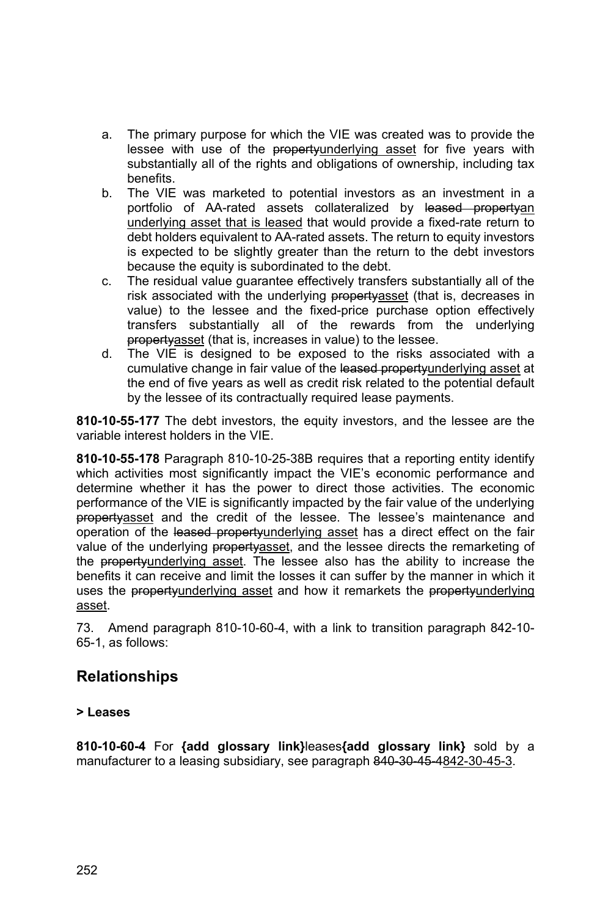- a. The primary purpose for which the VIE was created was to provide the lessee with use of the propertyunderlying asset for five years with substantially all of the rights and obligations of ownership, including tax benefits.
- b. The VIE was marketed to potential investors as an investment in a portfolio of AA-rated assets collateralized by leased propertyan underlying asset that is leased that would provide a fixed-rate return to debt holders equivalent to AA-rated assets. The return to equity investors is expected to be slightly greater than the return to the debt investors because the equity is subordinated to the debt.
- c. The residual value guarantee effectively transfers substantially all of the risk associated with the underlying property asset (that is, decreases in value) to the lessee and the fixed-price purchase option effectively transfers substantially all of the rewards from the underlying propertyasset (that is, increases in value) to the lessee.
- d. The VIE is designed to be exposed to the risks associated with a cumulative change in fair value of the leased propertyunderlying asset at the end of five years as well as credit risk related to the potential default by the lessee of its contractually required lease payments.

**810-10-55-177** The debt investors, the equity investors, and the lessee are the variable interest holders in the VIE.

**810-10-55-178** Paragraph 810-10-25-38B requires that a reporting entity identify which activities most significantly impact the VIE's economic performance and determine whether it has the power to direct those activities. The economic performance of the VIE is significantly impacted by the fair value of the underlying propertyasset and the credit of the lessee. The lessee's maintenance and operation of the leased propertyunderlying asset has a direct effect on the fair value of the underlying propertyasset, and the lessee directs the remarketing of the propertyunderlying asset. The lessee also has the ability to increase the benefits it can receive and limit the losses it can suffer by the manner in which it uses the propertyunderlying asset and how it remarkets the propertyunderlying asset.

73. Amend paragraph 810-10-60-4, with a link to transition paragraph 842-10- 65-1, as follows:

### **Relationships**

#### **> Leases**

**810-10-60-4** For **{add glossary link}**leases**{add glossary link}** sold by a manufacturer to a leasing subsidiary, see paragraph 840-30-45-4842-30-45-3.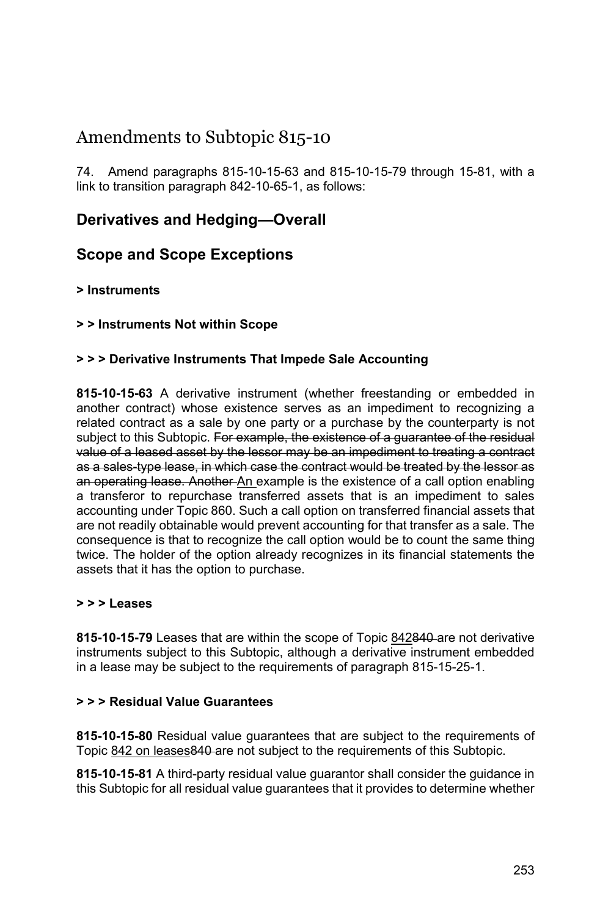# Amendments to Subtopic 815-10

74. Amend paragraphs 815-10-15-63 and 815-10-15-79 through 15-81, with a link to transition paragraph 842-10-65-1, as follows:

### **Derivatives and Hedging—Overall**

### **Scope and Scope Exceptions**

#### **> Instruments**

#### **> > Instruments Not within Scope**

#### **> > > Derivative Instruments That Impede Sale Accounting**

**815-10-15-63** A derivative instrument (whether freestanding or embedded in another contract) whose existence serves as an impediment to recognizing a related contract as a sale by one party or a purchase by the counterparty is not subject to this Subtopic. For example, the existence of a guarantee of the residual value of a leased asset by the lessor may be an impediment to treating a contract as a sales-type lease, in which case the contract would be treated by the lessor as an operating lease. Another An example is the existence of a call option enabling a transferor to repurchase transferred assets that is an impediment to sales accounting under Topic 860. Such a call option on transferred financial assets that are not readily obtainable would prevent accounting for that transfer as a sale. The consequence is that to recognize the call option would be to count the same thing twice. The holder of the option already recognizes in its financial statements the assets that it has the option to purchase.

#### **> > > Leases**

**815-10-15-79** Leases that are within the scope of Topic 842840 are not derivative instruments subject to this Subtopic, although a derivative instrument embedded in a lease may be subject to the requirements of paragraph 815-15-25-1.

#### **> > > Residual Value Guarantees**

**815-10-15-80** Residual value guarantees that are subject to the requirements of Topic 842 on leases 840 are not subject to the requirements of this Subtopic.

**815-10-15-81** A third-party residual value guarantor shall consider the guidance in this Subtopic for all residual value guarantees that it provides to determine whether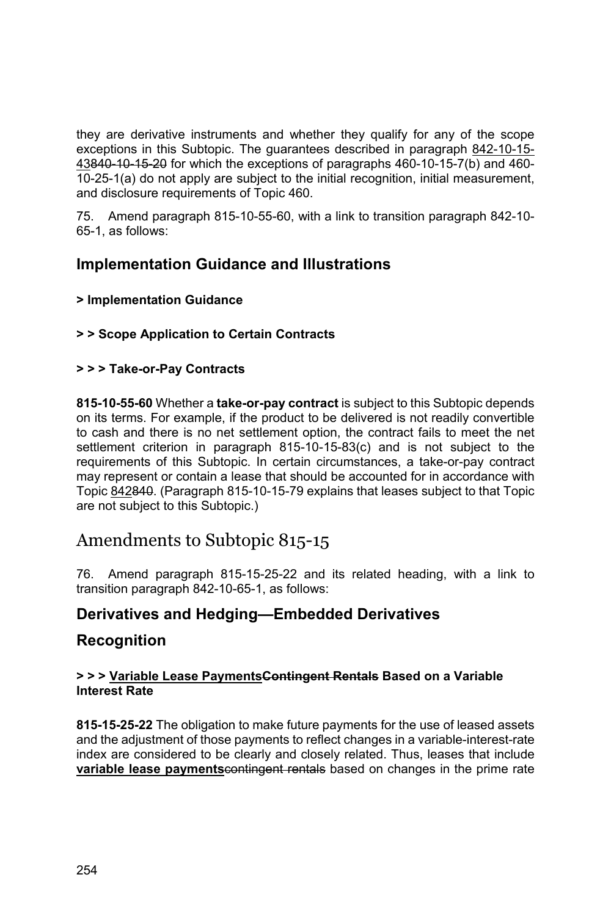they are derivative instruments and whether they qualify for any of the scope exceptions in this Subtopic. The guarantees described in paragraph 842-10-15- 43840-10-15-20 for which the exceptions of paragraphs 460-10-15-7(b) and 460- 10-25-1(a) do not apply are subject to the initial recognition, initial measurement, and disclosure requirements of Topic 460.

75. Amend paragraph 815-10-55-60, with a link to transition paragraph 842-10- 65-1, as follows:

### **Implementation Guidance and Illustrations**

#### **> Implementation Guidance**

#### **> > Scope Application to Certain Contracts**

#### **> > > Take-or-Pay Contracts**

**815-10-55-60** Whether a **take-or-pay contract** is subject to this Subtopic depends on its terms. For example, if the product to be delivered is not readily convertible to cash and there is no net settlement option, the contract fails to meet the net settlement criterion in paragraph 815-10-15-83(c) and is not subject to the requirements of this Subtopic. In certain circumstances, a take-or-pay contract may represent or contain a lease that should be accounted for in accordance with Topic 842840. (Paragraph 815-10-15-79 explains that leases subject to that Topic are not subject to this Subtopic.)

# Amendments to Subtopic 815-15

76. Amend paragraph 815-15-25-22 and its related heading, with a link to transition paragraph 842-10-65-1, as follows:

### **Derivatives and Hedging—Embedded Derivatives**

### **Recognition**

#### **> > > Variable Lease PaymentsContingent Rentals Based on a Variable Interest Rate**

**815-15-25-22** The obligation to make future payments for the use of leased assets and the adjustment of those payments to reflect changes in a variable-interest-rate index are considered to be clearly and closely related. Thus, leases that include **variable lease payments** contingent rentals based on changes in the prime rate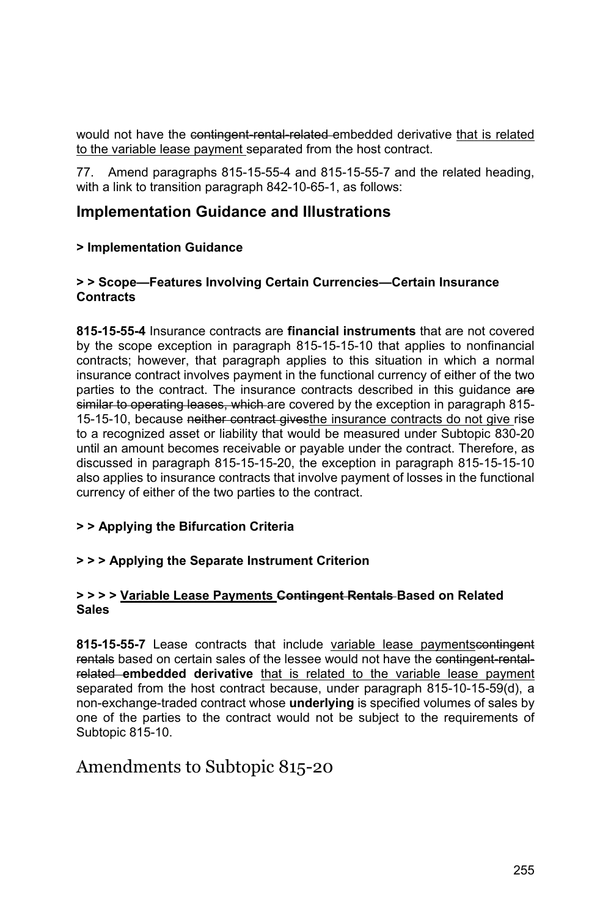would not have the contingent-rental-related embedded derivative that is related to the variable lease payment separated from the host contract.

77. Amend paragraphs 815-15-55-4 and 815-15-55-7 and the related heading, with a link to transition paragraph 842-10-65-1, as follows:

### **Implementation Guidance and Illustrations**

#### **> Implementation Guidance**

#### **> > Scope—Features Involving Certain Currencies—Certain Insurance Contracts**

**815-15-55-4** Insurance contracts are **financial instruments** that are not covered by the scope exception in paragraph 815-15-15-10 that applies to nonfinancial contracts; however, that paragraph applies to this situation in which a normal insurance contract involves payment in the functional currency of either of the two parties to the contract. The insurance contracts described in this quidance are similar to operating leases, which are covered by the exception in paragraph 815-15-15-10, because neither contract givesthe insurance contracts do not give rise to a recognized asset or liability that would be measured under Subtopic 830-20 until an amount becomes receivable or payable under the contract. Therefore, as discussed in paragraph 815-15-15-20, the exception in paragraph 815-15-15-10 also applies to insurance contracts that involve payment of losses in the functional currency of either of the two parties to the contract.

#### **> > Applying the Bifurcation Criteria**

#### **> > > Applying the Separate Instrument Criterion**

#### **> > > > Variable Lease Payments Contingent Rentals Based on Related Sales**

**815-15-55-7** Lease contracts that include variable lease paymentscontingent rentals based on certain sales of the lessee would not have the contingent-rentalrelated **embedded derivative** that is related to the variable lease payment separated from the host contract because, under paragraph 815-10-15-59(d), a non-exchange-traded contract whose **underlying** is specified volumes of sales by one of the parties to the contract would not be subject to the requirements of Subtopic 815-10.

### Amendments to Subtopic 815-20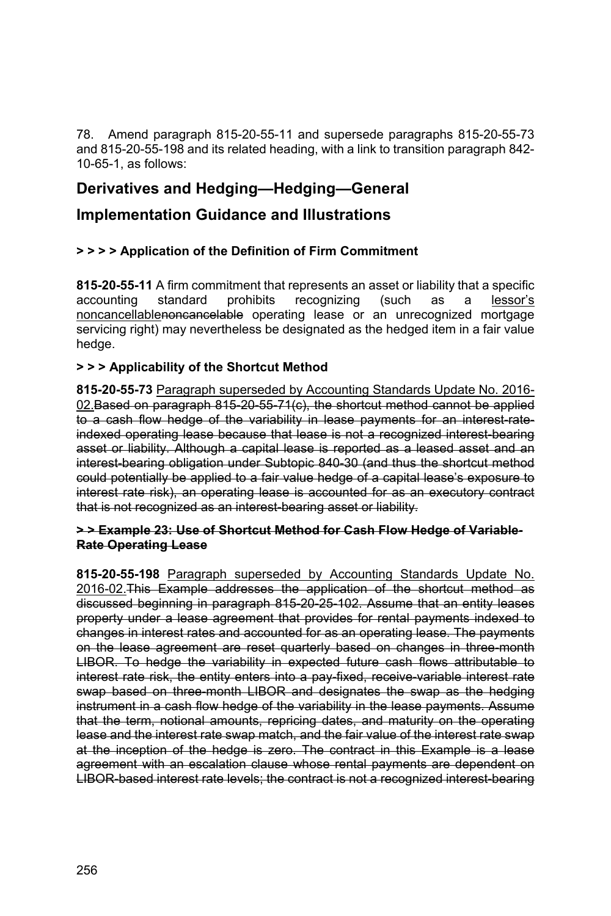78. Amend paragraph 815-20-55-11 and supersede paragraphs 815-20-55-73 and 815-20-55-198 and its related heading, with a link to transition paragraph 842- 10-65-1, as follows:

# **Derivatives and Hedging—Hedging—General**

### **Implementation Guidance and Illustrations**

#### **> > > > Application of the Definition of Firm Commitment**

**815-20-55-11** A firm commitment that represents an asset or liability that a specific accounting standard prohibits recognizing (such as a lessor's noncancellablenoncancelable operating lease or an unrecognized mortgage servicing right) may nevertheless be designated as the hedged item in a fair value hedge.

#### **> > > Applicability of the Shortcut Method**

**815-20-55-73** Paragraph superseded by Accounting Standards Update No. 2016- 02. Based on paragraph 815-20-55-71(c), the shortcut method cannot be applied to a cash flow hedge of the variability in lease payments for an interest rateindexed operating lease because that lease is not a recognized interest-bearing asset or liability. Although a capital lease is reported as a leased asset and an interest-bearing obligation under Subtopic 840-30 (and thus the shortcut method could potentially be applied to a fair value hedge of a capital lease's exposure to interest rate risk), an operating lease is accounted for as an executory contract that is not recognized as an interest-bearing asset or liability.

#### **> > Example 23: Use of Shortcut Method for Cash Flow Hedge of Variable-Rate Operating Lease**

**815-20-55-198** Paragraph superseded by Accounting Standards Update No. 2016-02.This Example addresses the application of the shortcut method as discussed beginning in paragraph 815-20-25-102. Assume that an entity leases property under a lease agreement that provides for rental payments indexed to changes in interest rates and accounted for as an operating lease. The payments on the lease agreement are reset quarterly based on changes in three-month LIBOR. To hedge the variability in expected future cash flows attributable to interest rate risk, the entity enters into a pay-fixed, receive-variable interest rate swap based on three-month LIBOR and designates the swap as the hedging instrument in a cash flow hedge of the variability in the lease payments. Assume that the term, notional amounts, repricing dates, and maturity on the operating lease and the interest rate swap match, and the fair value of the interest rate swap at the inception of the hedge is zero. The contract in this Example is a lease agreement with an escalation clause whose rental payments are dependent on LIBOR based interest rate levels; the contract is not a recognized interest bearing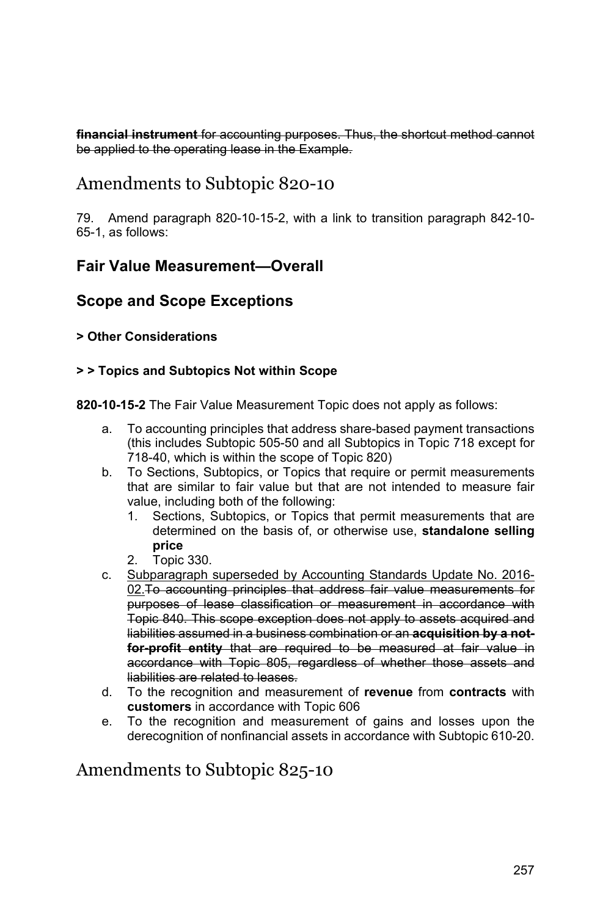**financial instrument** for accounting purposes. Thus, the shortcut method cannot be applied to the operating lease in the Example.

# Amendments to Subtopic 820-10

79. Amend paragraph 820-10-15-2, with a link to transition paragraph 842-10- 65-1, as follows:

### **Fair Value Measurement—Overall**

### **Scope and Scope Exceptions**

#### **> Other Considerations**

#### **> > Topics and Subtopics Not within Scope**

**820-10-15-2** The Fair Value Measurement Topic does not apply as follows:

- a. To accounting principles that address share-based payment transactions (this includes Subtopic 505-50 and all Subtopics in Topic 718 except for 718-40, which is within the scope of Topic 820)
- b. To Sections, Subtopics, or Topics that require or permit measurements that are similar to fair value but that are not intended to measure fair value, including both of the following:
	- 1. Sections, Subtopics, or Topics that permit measurements that are determined on the basis of, or otherwise use, **standalone selling price**
	- 2. Topic 330.
- c. Subparagraph superseded by Accounting Standards Update No. 2016- 02.To accounting principles that address fair value measurements for purposes of lease classification or measurement in accordance with Topic 840. This scope exception does not apply to assets acquired and liabilities assumed in a business combination or an **acquisition by a notfor-profit entity** that are required to be measured at fair value in accordance with Topic 805, regardless of whether those assets and liabilities are related to leases.
- d. To the recognition and measurement of **revenue** from **contracts** with **customers** in accordance with Topic 606
- e. To the recognition and measurement of gains and losses upon the derecognition of nonfinancial assets in accordance with Subtopic 610-20.

# Amendments to Subtopic 825-10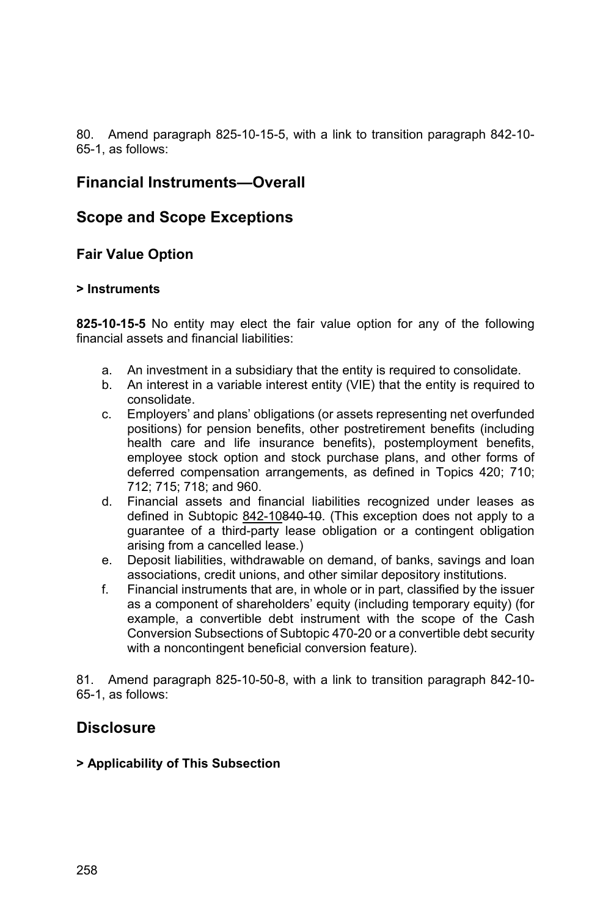80. Amend paragraph 825-10-15-5, with a link to transition paragraph 842-10- 65-1, as follows:

### **Financial Instruments—Overall**

### **Scope and Scope Exceptions**

**Fair Value Option** 

#### **> Instruments**

**825-10-15-5** No entity may elect the fair value option for any of the following financial assets and financial liabilities:

- a. An investment in a subsidiary that the entity is required to consolidate.
- b. An interest in a variable interest entity (VIE) that the entity is required to consolidate.
- c. Employers' and plans' obligations (or assets representing net overfunded positions) for pension benefits, other postretirement benefits (including health care and life insurance benefits), postemployment benefits, employee stock option and stock purchase plans, and other forms of deferred compensation arrangements, as defined in Topics 420; 710; 712; 715; 718; and 960.
- d. Financial assets and financial liabilities recognized under leases as defined in Subtopic 842-10840-10. (This exception does not apply to a guarantee of a third-party lease obligation or a contingent obligation arising from a cancelled lease.)
- e. Deposit liabilities, withdrawable on demand, of banks, savings and loan associations, credit unions, and other similar depository institutions.
- f. Financial instruments that are, in whole or in part, classified by the issuer as a component of shareholders' equity (including temporary equity) (for example, a convertible debt instrument with the scope of the Cash Conversion Subsections of Subtopic 470-20 or a convertible debt security with a noncontingent beneficial conversion feature).

81. Amend paragraph 825-10-50-8, with a link to transition paragraph 842-10- 65-1, as follows:

### **Disclosure**

#### **> Applicability of This Subsection**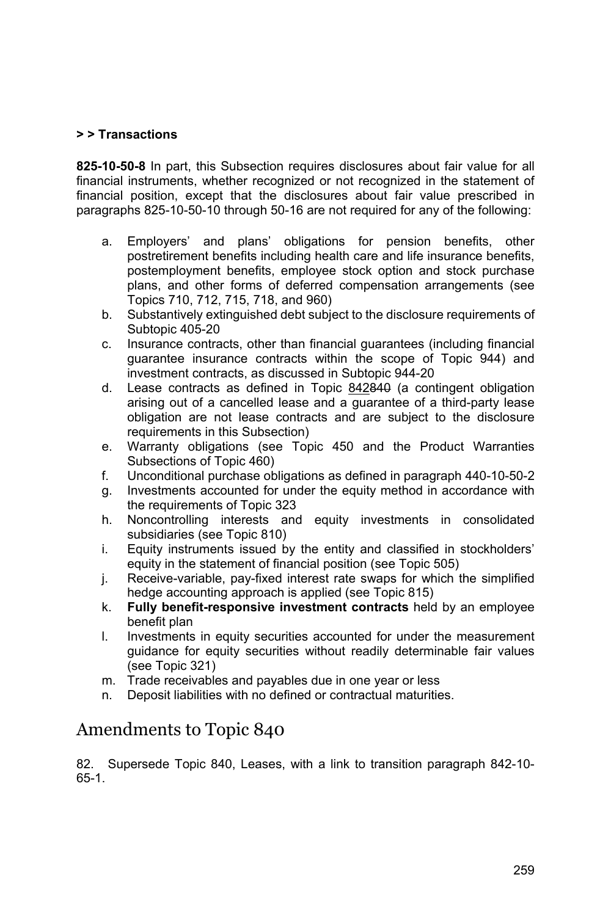#### **> > Transactions**

**825-10-50-8** In part, this Subsection requires disclosures about fair value for all financial instruments, whether recognized or not recognized in the statement of financial position, except that the disclosures about fair value prescribed in paragraphs 825-10-50-10 through 50-16 are not required for any of the following:

- a. Employers' and plans' obligations for pension benefits, other postretirement benefits including health care and life insurance benefits, postemployment benefits, employee stock option and stock purchase plans, and other forms of deferred compensation arrangements (see Topics 710, 712, 715, 718, and 960)
- b. Substantively extinguished debt subject to the disclosure requirements of Subtopic 405-20
- c. Insurance contracts, other than financial guarantees (including financial guarantee insurance contracts within the scope of Topic 944) and investment contracts, as discussed in Subtopic 944-20
- d. Lease contracts as defined in Topic 842840 (a contingent obligation arising out of a cancelled lease and a guarantee of a third-party lease obligation are not lease contracts and are subject to the disclosure requirements in this Subsection)
- e. Warranty obligations (see Topic 450 and the Product Warranties Subsections of Topic 460)
- f. Unconditional purchase obligations as defined in paragraph 440-10-50-2
- g. Investments accounted for under the equity method in accordance with the requirements of Topic 323
- h. Noncontrolling interests and equity investments in consolidated subsidiaries (see Topic 810)
- i. Equity instruments issued by the entity and classified in stockholders' equity in the statement of financial position (see Topic 505)
- j. Receive-variable, pay-fixed interest rate swaps for which the simplified hedge accounting approach is applied (see Topic 815)
- k. **Fully benefit-responsive investment contracts** held by an employee benefit plan
- l. Investments in equity securities accounted for under the measurement guidance for equity securities without readily determinable fair values (see Topic 321)
- m. Trade receivables and payables due in one year or less
- n. Deposit liabilities with no defined or contractual maturities.

# Amendments to Topic 840

82. Supersede Topic 840, Leases, with a link to transition paragraph 842-10- 65-1.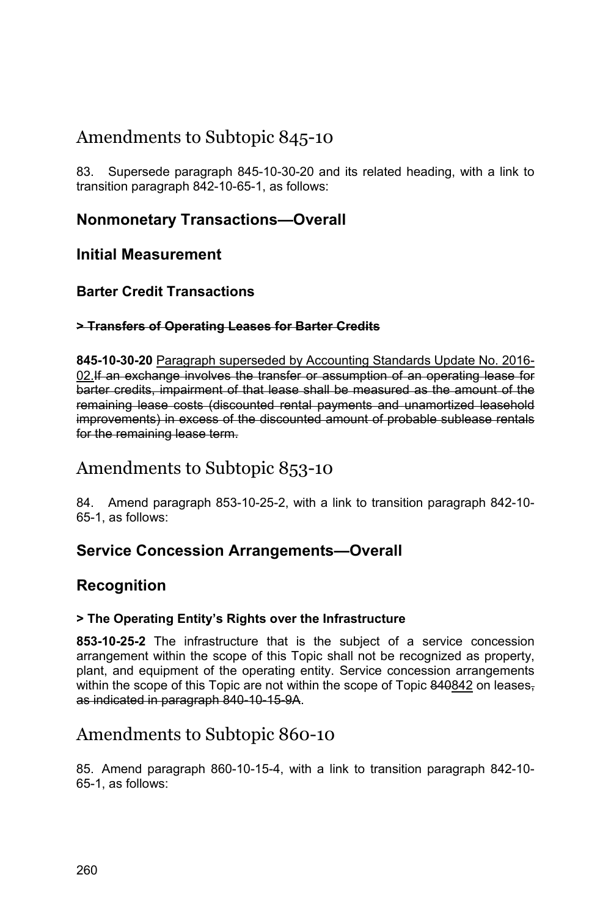# Amendments to Subtopic 845-10

83. Supersede paragraph 845-10-30-20 and its related heading, with a link to transition paragraph 842-10-65-1, as follows:

## **Nonmonetary Transactions—Overall**

### **Initial Measurement**

### **Barter Credit Transactions**

#### **> Transfers of Operating Leases for Barter Credits**

**845-10-30-20** Paragraph superseded by Accounting Standards Update No. 2016- 02.If an exchange involves the transfer or assumption of an operating lease for barter credits, impairment of that lease shall be measured as the amount of the remaining lease costs (discounted rental payments and unamortized leasehold improvements) in excess of the discounted amount of probable sublease rentals for the remaining lease term.

# Amendments to Subtopic 853-10

84. Amend paragraph 853-10-25-2, with a link to transition paragraph 842-10- 65-1, as follows:

## **Service Concession Arrangements—Overall**

## **Recognition**

#### **> The Operating Entity's Rights over the Infrastructure**

**853-10-25-2** The infrastructure that is the subject of a service concession arrangement within the scope of this Topic shall not be recognized as property, plant, and equipment of the operating entity. Service concession arrangements within the scope of this Topic are not within the scope of Topic 840842 on leasesas indicated in paragraph 840-10-15-9A.

# Amendments to Subtopic 860-10

85. Amend paragraph 860-10-15-4, with a link to transition paragraph 842-10- 65-1, as follows: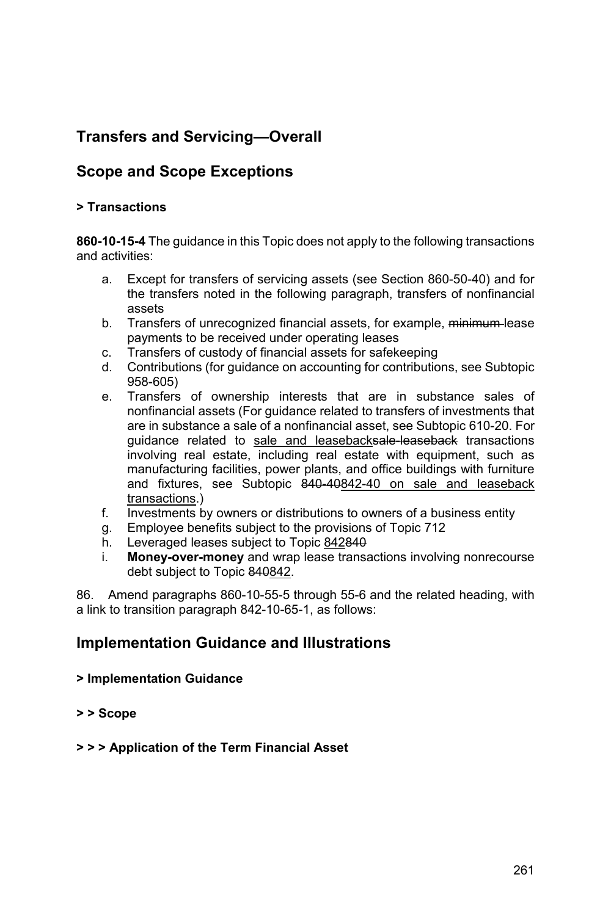# **Transfers and Servicing—Overall**

# **Scope and Scope Exceptions**

#### **> Transactions**

**860-10-15-4** The guidance in this Topic does not apply to the following transactions and activities:

- a. Except for transfers of servicing assets (see Section 860-50-40) and for the transfers noted in the following paragraph, transfers of nonfinancial assets
- b. Transfers of unrecognized financial assets, for example, minimum-lease payments to be received under operating leases
- c. Transfers of custody of financial assets for safekeeping
- d. Contributions (for guidance on accounting for contributions, see Subtopic 958-605)
- e. Transfers of ownership interests that are in substance sales of nonfinancial assets (For guidance related to transfers of investments that are in substance a sale of a nonfinancial asset, see Subtopic 610-20. For guidance related to sale and leasebacksale-leaseback transactions involving real estate, including real estate with equipment, such as manufacturing facilities, power plants, and office buildings with furniture and fixtures, see Subtopic 840-40842-40 on sale and leaseback transactions.)
- f. Investments by owners or distributions to owners of a business entity
- g. Employee benefits subject to the provisions of Topic 712
- h. Leveraged leases subject to Topic 842840
- i. **Money-over-money** and wrap lease transactions involving nonrecourse debt subject to Topic 840842.

86. Amend paragraphs 860-10-55-5 through 55-6 and the related heading, with a link to transition paragraph 842-10-65-1, as follows:

## **Implementation Guidance and Illustrations**

#### **> Implementation Guidance**

**> > Scope** 

#### **> > > Application of the Term Financial Asset**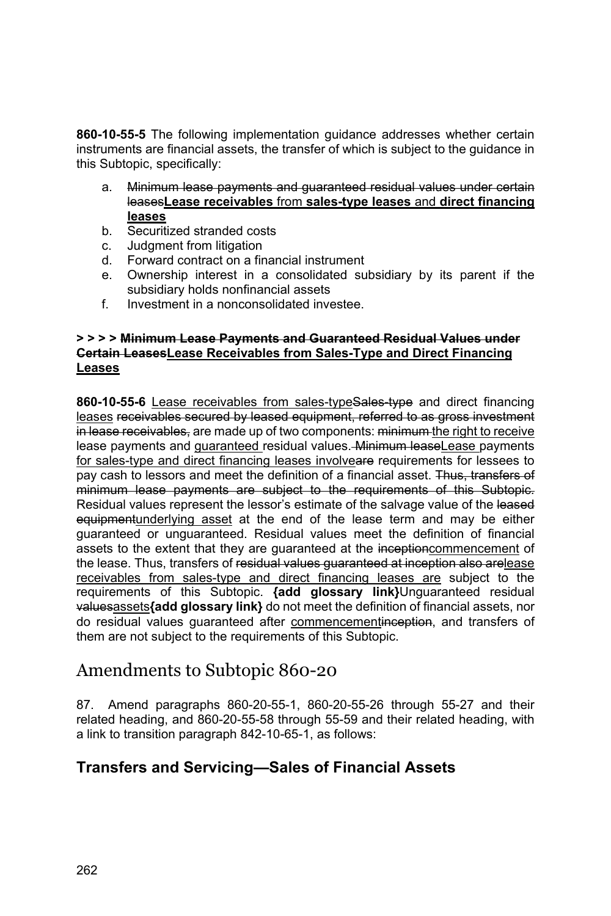**860-10-55-5** The following implementation guidance addresses whether certain instruments are financial assets, the transfer of which is subject to the guidance in this Subtopic, specifically:

- a. Minimum lease payments and guaranteed residual values under certain leases**Lease receivables** from **sales-type leases** and **direct financing leases**
- b. Securitized stranded costs
- c. Judgment from litigation
- d. Forward contract on a financial instrument
- e. Ownership interest in a consolidated subsidiary by its parent if the subsidiary holds nonfinancial assets
- f. Investment in a nonconsolidated investee.

#### **> > > > Minimum Lease Payments and Guaranteed Residual Values under Certain LeasesLease Receivables from Sales-Type and Direct Financing Leases**

860-10-55-6 Lease receivables from sales-typeSales-type and direct financing leases receivables secured by leased equipment, referred to as gross investment in lease receivables, are made up of two components: minimum the right to receive lease payments and guaranteed residual values. Minimum leaseLease payments for sales-type and direct financing leases involveare requirements for lessees to pay cash to lessors and meet the definition of a financial asset. Thus, transfers of minimum lease payments are subject to the requirements of this Subtopic. Residual values represent the lessor's estimate of the salvage value of the leased equipmentunderlying asset at the end of the lease term and may be either guaranteed or unguaranteed. Residual values meet the definition of financial assets to the extent that they are guaranteed at the inceptioncommencement of the lease. Thus, transfers of residual values guaranteed at inception also arelease receivables from sales-type and direct financing leases are subject to the requirements of this Subtopic. **{add glossary link}**Unguaranteed residual valuesassets**{add glossary link}** do not meet the definition of financial assets, nor do residual values guaranteed after commencementinception, and transfers of them are not subject to the requirements of this Subtopic.

# Amendments to Subtopic 860-20

87. Amend paragraphs 860-20-55-1, 860-20-55-26 through 55-27 and their related heading, and 860-20-55-58 through 55-59 and their related heading, with a link to transition paragraph 842-10-65-1, as follows:

## **Transfers and Servicing—Sales of Financial Assets**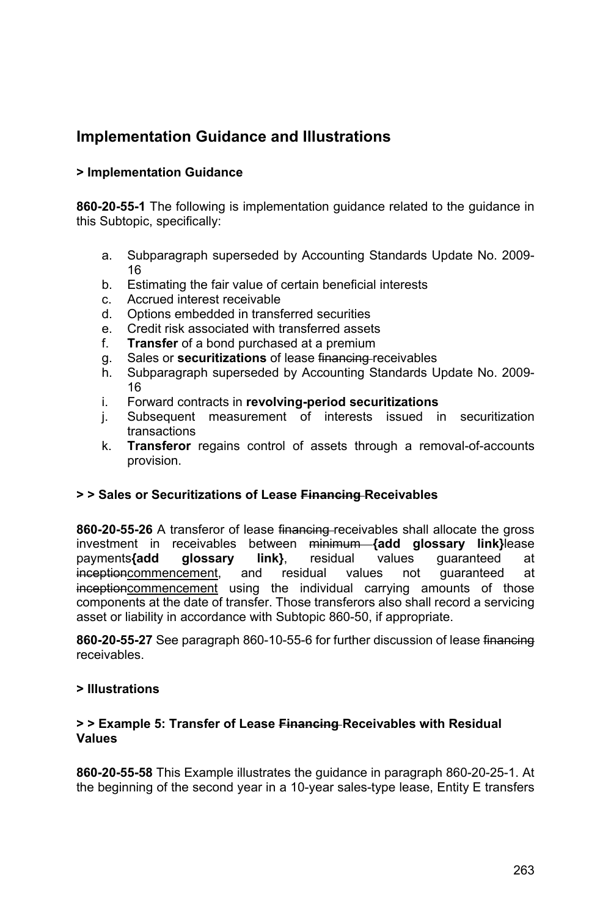# **Implementation Guidance and Illustrations**

#### **> Implementation Guidance**

**860-20-55-1** The following is implementation guidance related to the guidance in this Subtopic, specifically:

- a. Subparagraph superseded by Accounting Standards Update No. 2009- 16
- b. Estimating the fair value of certain beneficial interests
- c. Accrued interest receivable
- d. Options embedded in transferred securities
- e. Credit risk associated with transferred assets
- f. **Transfer** of a bond purchased at a premium
- g. Sales or **securitizations** of lease financing receivables
- h. Subparagraph superseded by Accounting Standards Update No. 2009- 16
- i. Forward contracts in **revolving-period securitizations**
- j. Subsequent measurement of interests issued in securitization transactions
- k. **Transferor** regains control of assets through a removal-of-accounts provision.

#### **> > Sales or Securitizations of Lease Financing Receivables**

**860-20-55-26** A transferor of lease financing receivables shall allocate the gross investment in receivables between minimum **{add glossary link}**lease payments**{add glossary link}**, residual values guaranteed at inceptioncommencement, and residual values not guaranteed at inceptioncommencement using the individual carrying amounts of those components at the date of transfer. Those transferors also shall record a servicing asset or liability in accordance with Subtopic 860-50, if appropriate.

**860-20-55-27** See paragraph 860-10-55-6 for further discussion of lease financing receivables.

#### **> Illustrations**

#### **> > Example 5: Transfer of Lease Financing Receivables with Residual Values**

**860-20-55-58** This Example illustrates the guidance in paragraph 860-20-25-1. At the beginning of the second year in a 10-year sales-type lease, Entity E transfers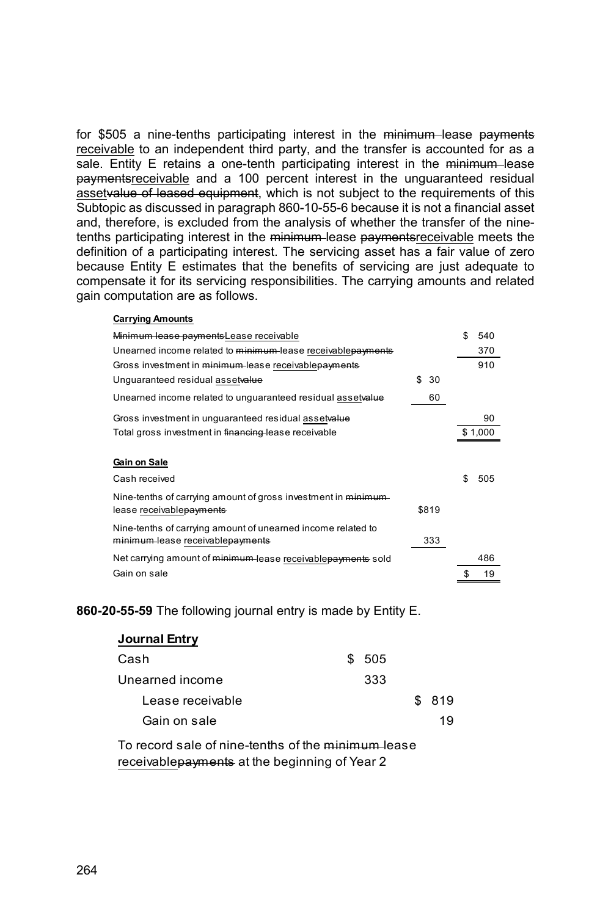for \$505 a nine-tenths participating interest in the minimum lease payments receivable to an independent third party, and the transfer is accounted for as a sale. Entity E retains a one-tenth participating interest in the minimum lease paymentsreceivable and a 100 percent interest in the unguaranteed residual assetvalue of leased equipment, which is not subject to the requirements of this Subtopic as discussed in paragraph 860-10-55-6 because it is not a financial asset and, therefore, is excluded from the analysis of whether the transfer of the ninetenths participating interest in the minimum lease paymentsreceivable meets the definition of a participating interest. The servicing asset has a fair value of zero because Entity E estimates that the benefits of servicing are just adequate to compensate it for its servicing responsibilities. The carrying amounts and related gain computation are as follows.

### **Carrying Amounts**

| Minimum lease payments Lease receivable                        |           | \$. | 540     |
|----------------------------------------------------------------|-----------|-----|---------|
| Unearned income related to minimum-lease receivablepayments    |           |     | 370     |
| Gross investment in minimum lease receivablepayments           |           |     | 910     |
| Unguaranteed residual assetvalue                               | 30<br>\$. |     |         |
| Unearned income related to unguaranteed residual assetvalue    | 60        |     |         |
| Gross investment in unguaranteed residual assetvalue           |           |     | 90      |
| Total gross investment in financing lease receivable           |           |     | \$1,000 |
| Gain on Sale                                                   |           |     |         |
| Cash received                                                  |           | \$. | 505     |
| Nine-tenths of carrying amount of gross investment in minimum- |           |     |         |
| lease receivable <del>payments</del>                           | \$819     |     |         |
| Nine-tenths of carrying amount of unearned income related to   |           |     |         |
| minimum lease receivablepayments                               | 333       |     |         |
| Net carrying amount of minimum lease receivable payments sold  |           |     | 486     |
| Gain on sale                                                   |           | \$  | 19      |

#### **860-20-55-59** The following journal entry is made by Entity E.

| Journal Entry    |        |        |
|------------------|--------|--------|
| Cash             | \$ 505 |        |
| Unearned income  | 333    |        |
| Lease receivable |        | \$ 819 |
| Gain on sale     |        | 19     |

To record sale of nine-tenths of the minimum lease receivable payments at the beginning of Year 2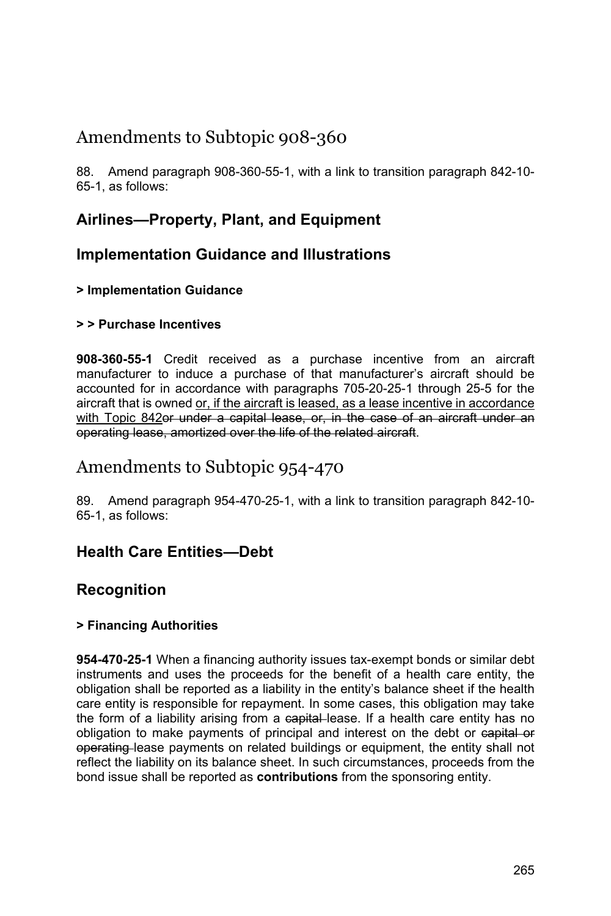# Amendments to Subtopic 908-360

88. Amend paragraph 908-360-55-1, with a link to transition paragraph 842-10- 65-1, as follows:

# **Airlines—Property, Plant, and Equipment**

## **Implementation Guidance and Illustrations**

#### **> Implementation Guidance**

#### **> > Purchase Incentives**

**908-360-55-1** Credit received as a purchase incentive from an aircraft manufacturer to induce a purchase of that manufacturer's aircraft should be accounted for in accordance with paragraphs 705-20-25-1 through 25-5 for the aircraft that is owned or, if the aircraft is leased, as a lease incentive in accordance with Topic 842or under a capital lease, or, in the case of an aircraft under an operating lease, amortized over the life of the related aircraft.

# Amendments to Subtopic 954-470

89. Amend paragraph 954-470-25-1, with a link to transition paragraph 842-10- 65-1, as follows:

## **Health Care Entities—Debt**

## **Recognition**

#### **> Financing Authorities**

**954-470-25-1** When a financing authority issues tax-exempt bonds or similar debt instruments and uses the proceeds for the benefit of a health care entity, the obligation shall be reported as a liability in the entity's balance sheet if the health care entity is responsible for repayment. In some cases, this obligation may take the form of a liability arising from a capital lease. If a health care entity has no obligation to make payments of principal and interest on the debt or eapital or operating lease payments on related buildings or equipment, the entity shall not reflect the liability on its balance sheet. In such circumstances, proceeds from the bond issue shall be reported as **contributions** from the sponsoring entity.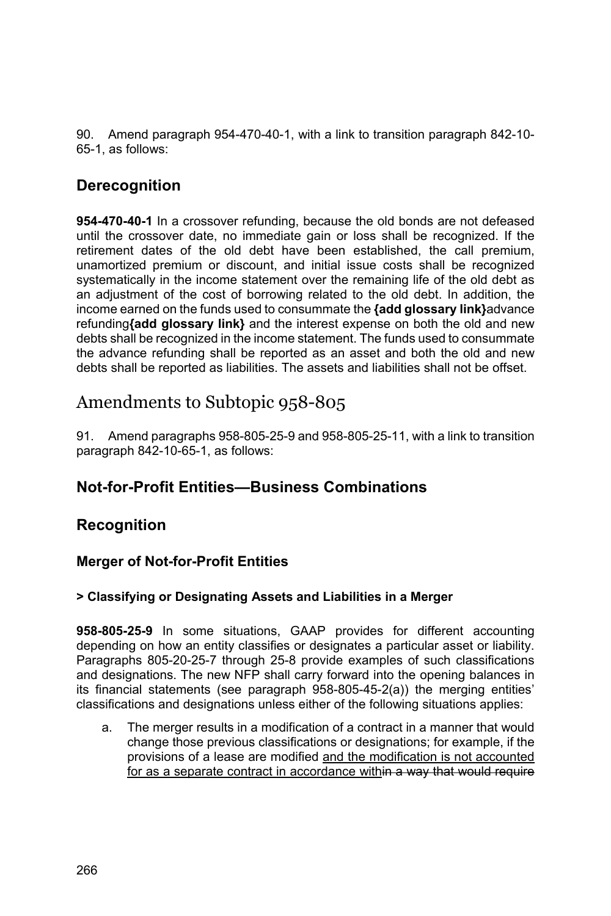90. Amend paragraph 954-470-40-1, with a link to transition paragraph 842-10- 65-1, as follows:

## **Derecognition**

**954-470-40-1** In a crossover refunding, because the old bonds are not defeased until the crossover date, no immediate gain or loss shall be recognized. If the retirement dates of the old debt have been established, the call premium, unamortized premium or discount, and initial issue costs shall be recognized systematically in the income statement over the remaining life of the old debt as an adjustment of the cost of borrowing related to the old debt. In addition, the income earned on the funds used to consummate the **{add glossary link}**advance refunding**{add glossary link}** and the interest expense on both the old and new debts shall be recognized in the income statement. The funds used to consummate the advance refunding shall be reported as an asset and both the old and new debts shall be reported as liabilities. The assets and liabilities shall not be offset.

# Amendments to Subtopic 958-805

91. Amend paragraphs 958-805-25-9 and 958-805-25-11, with a link to transition paragraph 842-10-65-1, as follows:

## **Not-for-Profit Entities—Business Combinations**

## **Recognition**

### **Merger of Not-for-Profit Entities**

#### **> Classifying or Designating Assets and Liabilities in a Merger**

**958-805-25-9** In some situations, GAAP provides for different accounting depending on how an entity classifies or designates a particular asset or liability. Paragraphs 805-20-25-7 through 25-8 provide examples of such classifications and designations. The new NFP shall carry forward into the opening balances in its financial statements (see paragraph 958-805-45-2(a)) the merging entities' classifications and designations unless either of the following situations applies:

a. The merger results in a modification of a contract in a manner that would change those previous classifications or designations; for example, if the provisions of a lease are modified and the modification is not accounted for as a separate contract in accordance within a way that would require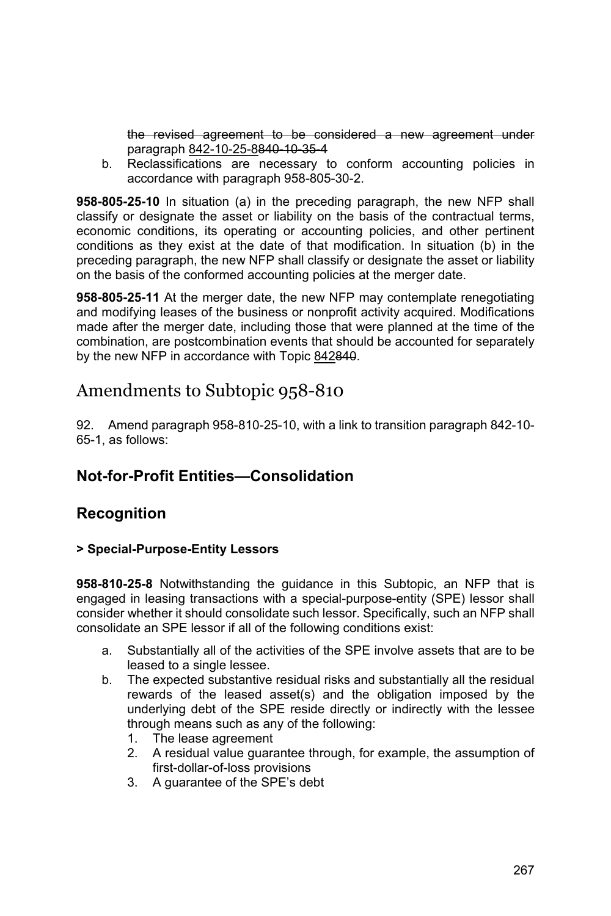the revised agreement to be considered a new agreement under paragraph 842-10-25-8840-10-35-4

b. Reclassifications are necessary to conform accounting policies in accordance with paragraph 958-805-30-2.

**958-805-25-10** In situation (a) in the preceding paragraph, the new NFP shall classify or designate the asset or liability on the basis of the contractual terms, economic conditions, its operating or accounting policies, and other pertinent conditions as they exist at the date of that modification. In situation (b) in the preceding paragraph, the new NFP shall classify or designate the asset or liability on the basis of the conformed accounting policies at the merger date.

**958-805-25-11** At the merger date, the new NFP may contemplate renegotiating and modifying leases of the business or nonprofit activity acquired. Modifications made after the merger date, including those that were planned at the time of the combination, are postcombination events that should be accounted for separately by the new NFP in accordance with Topic 842840.

# Amendments to Subtopic 958-810

92. Amend paragraph 958-810-25-10, with a link to transition paragraph 842-10- 65-1, as follows:

# **Not-for-Profit Entities—Consolidation**

## **Recognition**

#### **> Special-Purpose-Entity Lessors**

**958-810-25-8** Notwithstanding the guidance in this Subtopic, an NFP that is engaged in leasing transactions with a special-purpose-entity (SPE) lessor shall consider whether it should consolidate such lessor. Specifically, such an NFP shall consolidate an SPE lessor if all of the following conditions exist:

- a. Substantially all of the activities of the SPE involve assets that are to be leased to a single lessee.
- b. The expected substantive residual risks and substantially all the residual rewards of the leased asset(s) and the obligation imposed by the underlying debt of the SPE reside directly or indirectly with the lessee through means such as any of the following:
	- 1. The lease agreement
	- 2. A residual value guarantee through, for example, the assumption of first-dollar-of-loss provisions
	- 3. A guarantee of the SPE's debt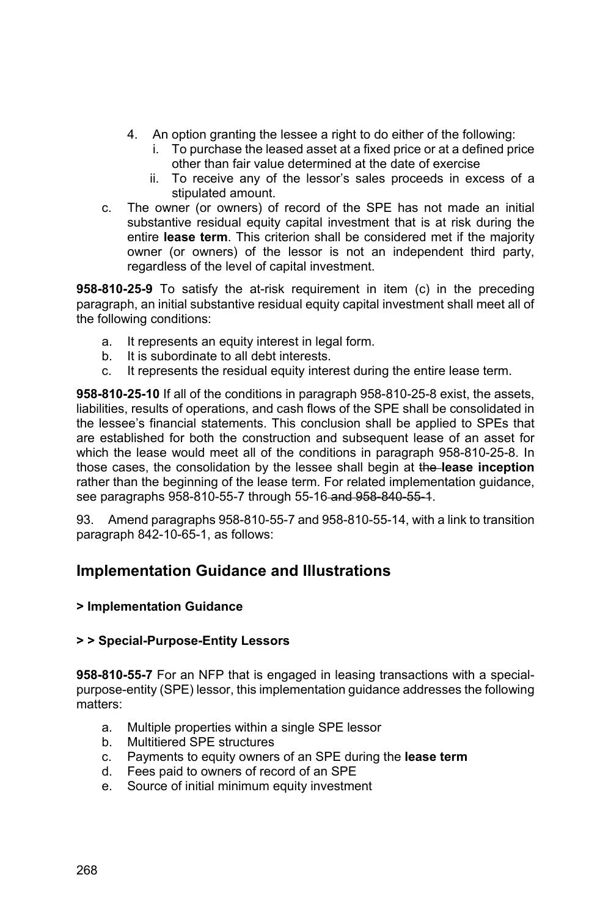- 4. An option granting the lessee a right to do either of the following:
	- i. To purchase the leased asset at a fixed price or at a defined price other than fair value determined at the date of exercise
	- ii. To receive any of the lessor's sales proceeds in excess of a stipulated amount.
- c. The owner (or owners) of record of the SPE has not made an initial substantive residual equity capital investment that is at risk during the entire **lease term**. This criterion shall be considered met if the majority owner (or owners) of the lessor is not an independent third party, regardless of the level of capital investment.

**958-810-25-9** To satisfy the at-risk requirement in item (c) in the preceding paragraph, an initial substantive residual equity capital investment shall meet all of the following conditions:

- a. It represents an equity interest in legal form.
- b. It is subordinate to all debt interests.
- c. It represents the residual equity interest during the entire lease term.

**958-810-25-10** If all of the conditions in paragraph 958-810-25-8 exist, the assets, liabilities, results of operations, and cash flows of the SPE shall be consolidated in the lessee's financial statements. This conclusion shall be applied to SPEs that are established for both the construction and subsequent lease of an asset for which the lease would meet all of the conditions in paragraph 958-810-25-8. In those cases, the consolidation by the lessee shall begin at the **lease inception**  rather than the beginning of the lease term. For related implementation guidance, see paragraphs 958-810-55-7 through 55-16-and 958-840-55-1.

93. Amend paragraphs 958-810-55-7 and 958-810-55-14, with a link to transition paragraph 842-10-65-1, as follows:

## **Implementation Guidance and Illustrations**

#### **> Implementation Guidance**

#### **> > Special-Purpose-Entity Lessors**

**958-810-55-7** For an NFP that is engaged in leasing transactions with a specialpurpose-entity (SPE) lessor, this implementation guidance addresses the following matters:

- a. Multiple properties within a single SPE lessor
- b. Multitiered SPE structures
- c. Payments to equity owners of an SPE during the **lease term**
- d. Fees paid to owners of record of an SPE
- e. Source of initial minimum equity investment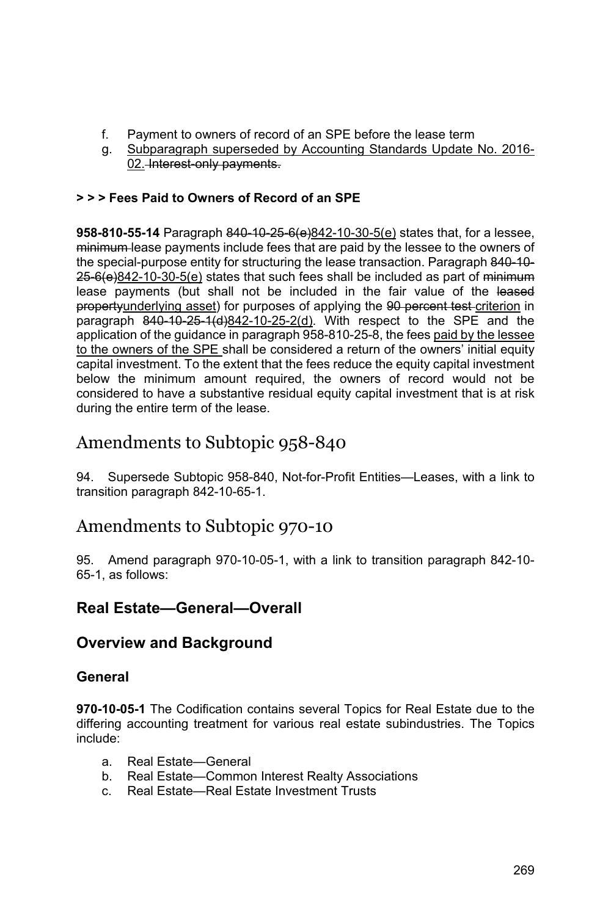- f. Payment to owners of record of an SPE before the lease term
- g. Subparagraph superseded by Accounting Standards Update No. 2016- 02. Interest-only payments.

### **> > > Fees Paid to Owners of Record of an SPE**

**958-810-55-14** Paragraph 840-10-25-6(e)842-10-30-5(e) states that, for a lessee, minimum lease payments include fees that are paid by the lessee to the owners of the special-purpose entity for structuring the lease transaction. Paragraph 840-10- $25-6$ (e)842-10-30-5(e) states that such fees shall be included as part of minimum lease payments (but shall not be included in the fair value of the leased propertyunderlying asset) for purposes of applying the 90 percent test criterion in paragraph  $840-10-25-1$  (d)842-10-25-2(d). With respect to the SPE and the application of the guidance in paragraph 958-810-25-8, the fees paid by the lessee to the owners of the SPE shall be considered a return of the owners' initial equity capital investment. To the extent that the fees reduce the equity capital investment below the minimum amount required, the owners of record would not be considered to have a substantive residual equity capital investment that is at risk during the entire term of the lease.

# Amendments to Subtopic 958-840

94. Supersede Subtopic 958-840, Not-for-Profit Entities—Leases, with a link to transition paragraph 842-10-65-1.

# Amendments to Subtopic 970-10

95. Amend paragraph 970-10-05-1, with a link to transition paragraph 842-10- 65-1, as follows:

# **Real Estate—General—Overall**

## **Overview and Background**

### **General**

**970-10-05-1** The Codification contains several Topics for Real Estate due to the differing accounting treatment for various real estate subindustries. The Topics include:

- a. Real Estate—General
- b. Real Estate—Common Interest Realty Associations
- c. Real Estate—Real Estate Investment Trusts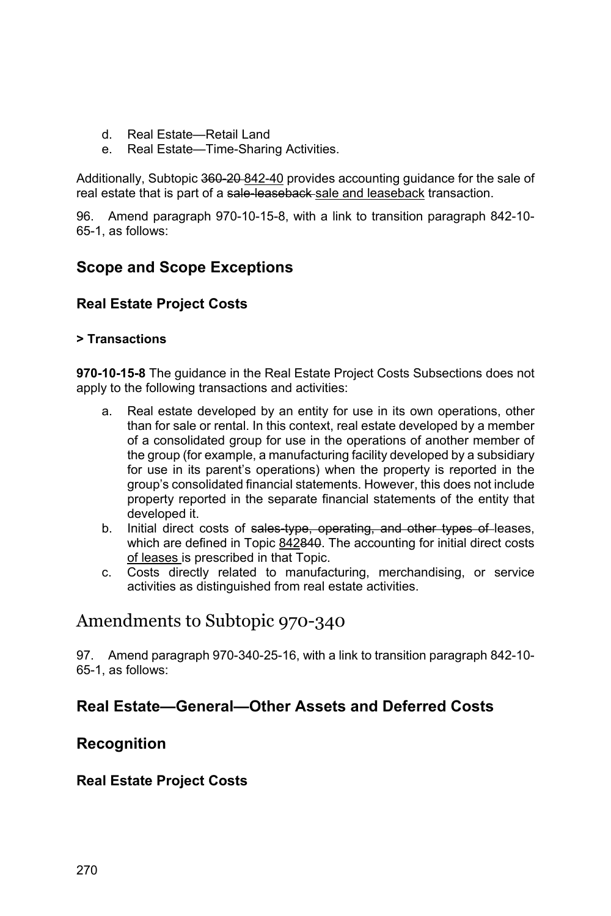- d. Real Estate—Retail Land
- e. Real Estate—Time-Sharing Activities.

Additionally, Subtopic 360-20-842-40 provides accounting quidance for the sale of real estate that is part of a sale leaseback sale and leaseback transaction.

96. Amend paragraph 970-10-15-8, with a link to transition paragraph 842-10- 65-1, as follows:

## **Scope and Scope Exceptions**

### **Real Estate Project Costs**

#### **> Transactions**

**970-10-15-8** The guidance in the Real Estate Project Costs Subsections does not apply to the following transactions and activities:

- a. Real estate developed by an entity for use in its own operations, other than for sale or rental. In this context, real estate developed by a member of a consolidated group for use in the operations of another member of the group (for example, a manufacturing facility developed by a subsidiary for use in its parent's operations) when the property is reported in the group's consolidated financial statements. However, this does not include property reported in the separate financial statements of the entity that developed it.
- b. Initial direct costs of sales type, operating, and other types of leases, which are defined in Topic 842840. The accounting for initial direct costs of leases is prescribed in that Topic.
- c. Costs directly related to manufacturing, merchandising, or service activities as distinguished from real estate activities.

# Amendments to Subtopic 970-340

97. Amend paragraph 970-340-25-16, with a link to transition paragraph 842-10- 65-1, as follows:

## **Real Estate—General—Other Assets and Deferred Costs**

## **Recognition**

#### **Real Estate Project Costs**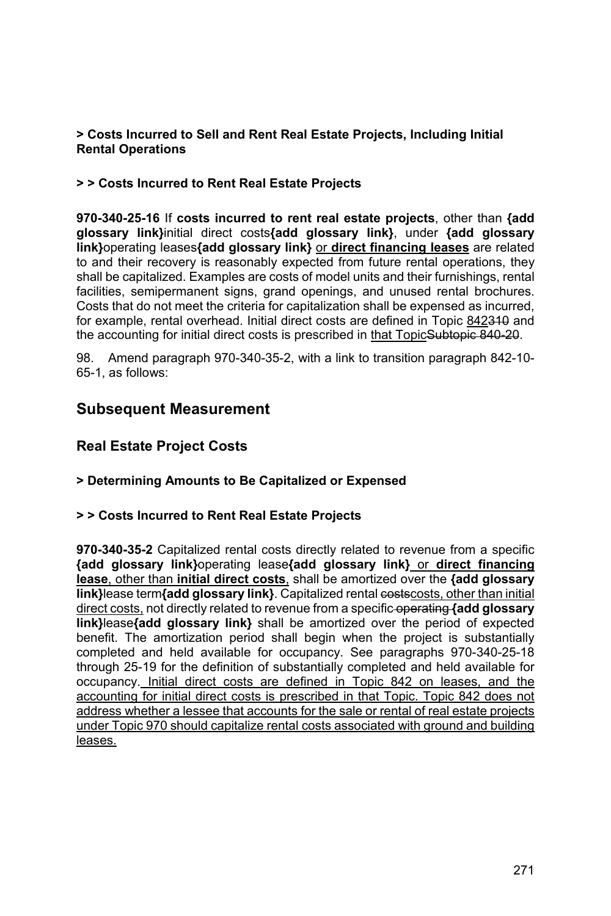#### **> Costs Incurred to Sell and Rent Real Estate Projects, Including Initial Rental Operations**

#### **> > Costs Incurred to Rent Real Estate Projects**

**970-340-25-16** If **costs incurred to rent real estate projects**, other than **{add glossary link}**initial direct costs**{add glossary link}**, under **{add glossary link}**operating leases**{add glossary link}** or **direct financing leases** are related to and their recovery is reasonably expected from future rental operations, they shall be capitalized. Examples are costs of model units and their furnishings, rental facilities, semipermanent signs, grand openings, and unused rental brochures. Costs that do not meet the criteria for capitalization shall be expensed as incurred, for example, rental overhead. Initial direct costs are defined in Topic 842340 and the accounting for initial direct costs is prescribed in that TopicSubtopic 840-20.

98. Amend paragraph 970-340-35-2, with a link to transition paragraph 842-10- 65-1, as follows:

### **Subsequent Measurement**

### **Real Estate Project Costs**

#### **> Determining Amounts to Be Capitalized or Expensed**

#### **> > Costs Incurred to Rent Real Estate Projects**

**970-340-35-2** Capitalized rental costs directly related to revenue from a specific **{add glossary link}**operating lease**{add glossary link}** or **direct financing lease**, other than **initial direct costs**, shall be amortized over the **{add glossary link}lease term{add glossary link}**. Capitalized rental costscosts, other than initial direct costs, not directly related to revenue from a specific operating **{add glossary link}**lease**{add glossary link}** shall be amortized over the period of expected benefit. The amortization period shall begin when the project is substantially completed and held available for occupancy. See paragraphs 970-340-25-18 through 25-19 for the definition of substantially completed and held available for occupancy. Initial direct costs are defined in Topic 842 on leases, and the accounting for initial direct costs is prescribed in that Topic. Topic 842 does not address whether a lessee that accounts for the sale or rental of real estate projects under Topic 970 should capitalize rental costs associated with ground and building leases.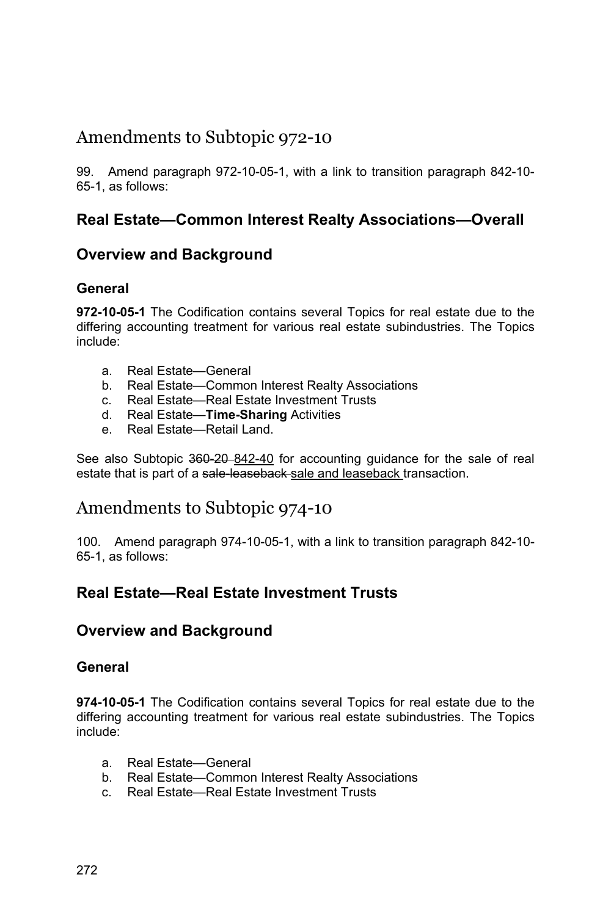# Amendments to Subtopic 972-10

99. Amend paragraph 972-10-05-1, with a link to transition paragraph 842-10- 65-1, as follows:

## **Real Estate—Common Interest Realty Associations—Overall**

## **Overview and Background**

### **General**

**972-10-05-1** The Codification contains several Topics for real estate due to the differing accounting treatment for various real estate subindustries. The Topics include:

- a. Real Estate—General
- b. Real Estate—Common Interest Realty Associations
- c. Real Estate—Real Estate Investment Trusts
- d. Real Estate—**Time-Sharing** Activities
- e. Real Estate—Retail Land.

See also Subtopic 360-20-842-40 for accounting guidance for the sale of real estate that is part of a sale-leaseback-sale and leaseback transaction.

## Amendments to Subtopic 974-10

100. Amend paragraph 974-10-05-1, with a link to transition paragraph 842-10- 65-1, as follows:

## **Real Estate—Real Estate Investment Trusts**

### **Overview and Background**

#### **General**

**974-10-05-1** The Codification contains several Topics for real estate due to the differing accounting treatment for various real estate subindustries. The Topics include:

- a. Real Estate—General
- b. Real Estate—Common Interest Realty Associations
- c. Real Estate—Real Estate Investment Trusts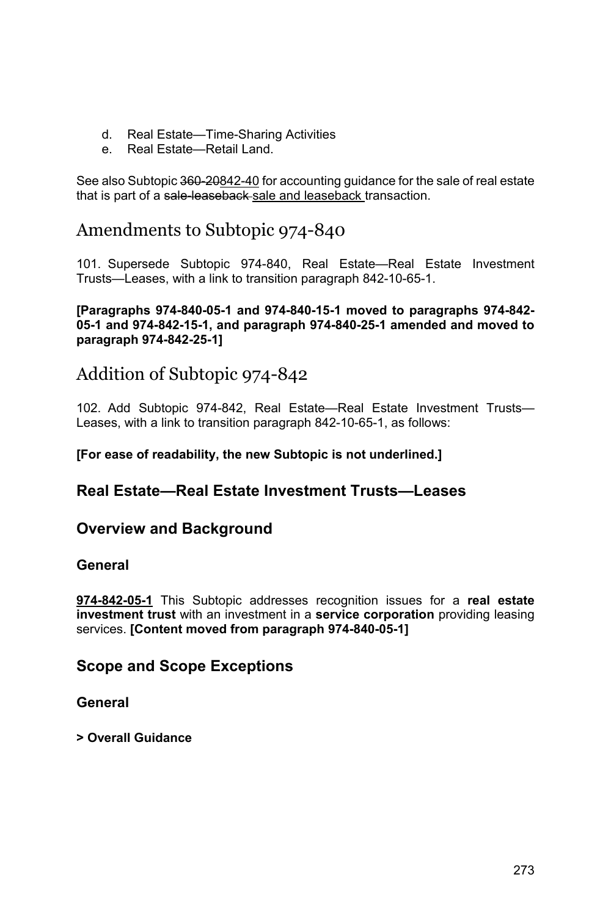- d. Real Estate—Time-Sharing Activities
- e. Real Estate—Retail Land.

See also Subtopic 360-20842-40 for accounting guidance for the sale of real estate that is part of a sale-leaseback-sale and leaseback transaction.

# Amendments to Subtopic 974-840

101. Supersede Subtopic 974-840, Real Estate—Real Estate Investment Trusts—Leases, with a link to transition paragraph 842-10-65-1.

#### **[Paragraphs 974-840-05-1 and 974-840-15-1 moved to paragraphs 974-842- 05-1 and 974-842-15-1, and paragraph 974-840-25-1 amended and moved to paragraph 974-842-25-1]**

# Addition of Subtopic 974-842

102. Add Subtopic 974-842, Real Estate—Real Estate Investment Trusts— Leases, with a link to transition paragraph 842-10-65-1, as follows:

#### **[For ease of readability, the new Subtopic is not underlined.]**

### **Real Estate—Real Estate Investment Trusts—Leases**

### **Overview and Background**

#### **General**

**974-842-05-1** This Subtopic addresses recognition issues for a **real estate investment trust** with an investment in a **service corporation** providing leasing services. **[Content moved from paragraph 974-840-05-1]** 

### **Scope and Scope Exceptions**

#### **General**

**> Overall Guidance**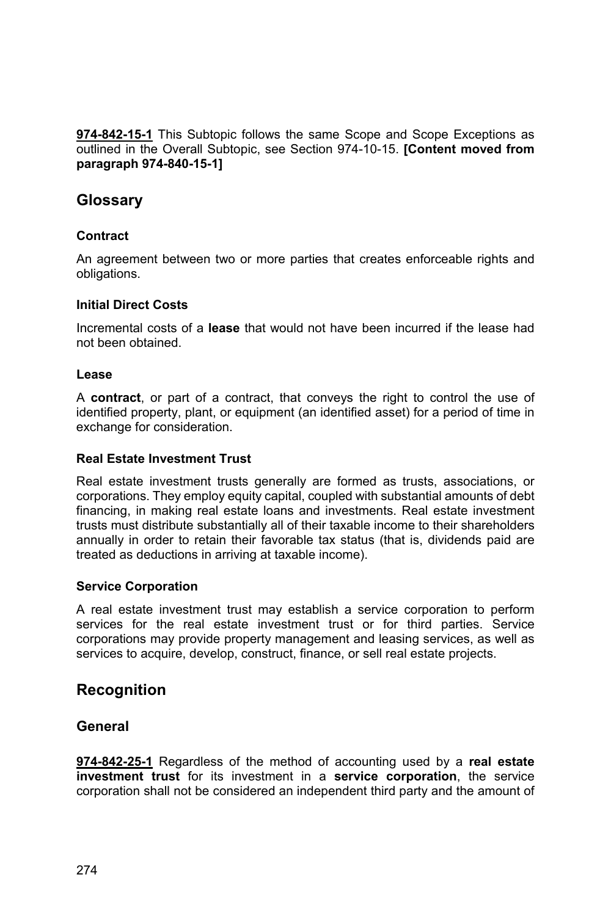**974-842-15-1** This Subtopic follows the same Scope and Scope Exceptions as outlined in the Overall Subtopic, see Section 974-10-15. **[Content moved from paragraph 974-840-15-1]** 

### **Glossary**

#### **Contract**

An agreement between two or more parties that creates enforceable rights and obligations.

#### **Initial Direct Costs**

Incremental costs of a **lease** that would not have been incurred if the lease had not been obtained.

#### **Lease**

A **contract**, or part of a contract, that conveys the right to control the use of identified property, plant, or equipment (an identified asset) for a period of time in exchange for consideration.

#### **Real Estate Investment Trust**

Real estate investment trusts generally are formed as trusts, associations, or corporations. They employ equity capital, coupled with substantial amounts of debt financing, in making real estate loans and investments. Real estate investment trusts must distribute substantially all of their taxable income to their shareholders annually in order to retain their favorable tax status (that is, dividends paid are treated as deductions in arriving at taxable income).

#### **Service Corporation**

A real estate investment trust may establish a service corporation to perform services for the real estate investment trust or for third parties. Service corporations may provide property management and leasing services, as well as services to acquire, develop, construct, finance, or sell real estate projects.

### **Recognition**

#### **General**

**974-842-25-1** Regardless of the method of accounting used by a **real estate investment trust** for its investment in a **service corporation**, the service corporation shall not be considered an independent third party and the amount of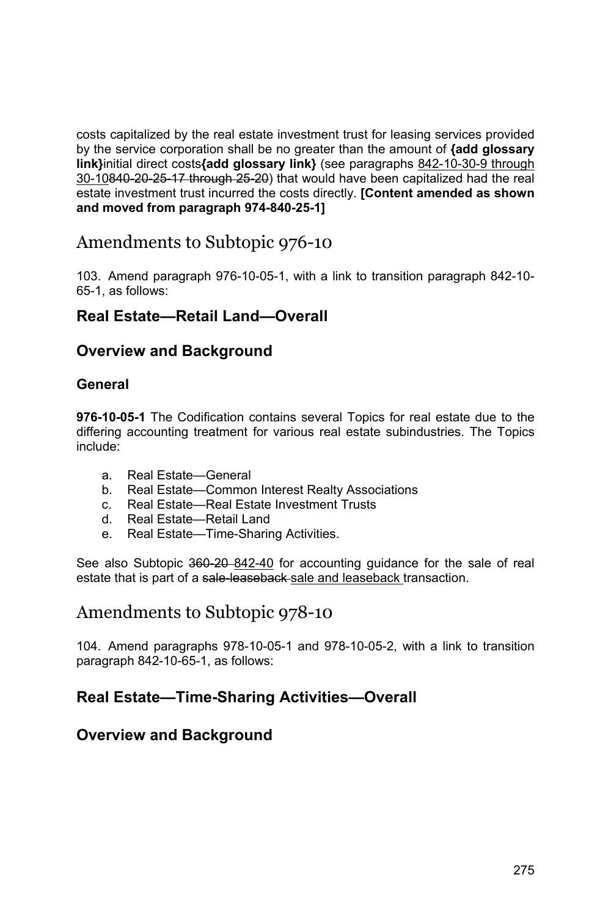costs capitalized by the real estate investment trust for leasing services provided by the service corporation shall be no greater than the amount of **{add glossary link}**initial direct costs**{add glossary link}** (see paragraphs 842-10-30-9 through 30-10840-20-25-17 through 25-20) that would have been capitalized had the real estate investment trust incurred the costs directly. **[Content amended as shown and moved from paragraph 974-840-25-1]** 

# Amendments to Subtopic 976-10

103. Amend paragraph 976-10-05-1, with a link to transition paragraph 842-10- 65-1, as follows:

### **Real Estate—Retail Land—Overall**

### **Overview and Background**

#### **General**

**976-10-05-1** The Codification contains several Topics for real estate due to the differing accounting treatment for various real estate subindustries. The Topics include:

- a. Real Estate—General
- b. Real Estate—Common Interest Realty Associations
- c. Real Estate—Real Estate Investment Trusts
- d. Real Estate—Retail Land
- e. Real Estate—Time-Sharing Activities.

See also Subtopic 360-20-842-40 for accounting guidance for the sale of real estate that is part of a sale-leaseback sale and leaseback transaction.

# Amendments to Subtopic 978-10

104. Amend paragraphs 978-10-05-1 and 978-10-05-2, with a link to transition paragraph 842-10-65-1, as follows:

## **Real Estate—Time-Sharing Activities—Overall**

### **Overview and Background**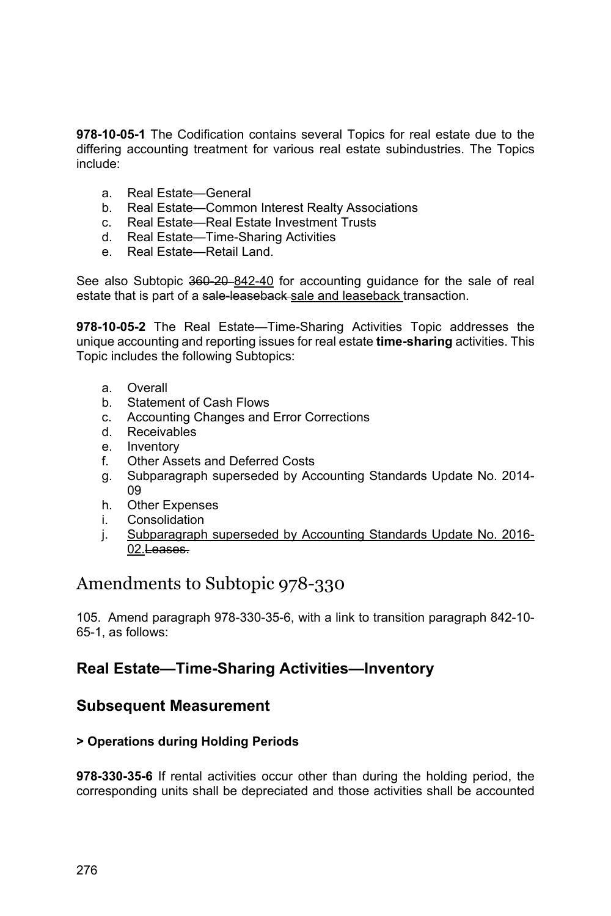**978-10-05-1** The Codification contains several Topics for real estate due to the differing accounting treatment for various real estate subindustries. The Topics include:

- a. Real Estate—General
- b. Real Estate—Common Interest Realty Associations
- c. Real Estate—Real Estate Investment Trusts
- d. Real Estate—Time-Sharing Activities
- e. Real Estate—Retail Land.

See also Subtopic 360-20-842-40 for accounting guidance for the sale of real estate that is part of a sale-leaseback-sale and leaseback transaction.

**978-10-05-2** The Real Estate—Time-Sharing Activities Topic addresses the unique accounting and reporting issues for real estate **time-sharing** activities. This Topic includes the following Subtopics:

- a. Overall
- b. Statement of Cash Flows
- c. Accounting Changes and Error Corrections
- d. Receivables
- e. Inventory
- f. Other Assets and Deferred Costs
- g. Subparagraph superseded by Accounting Standards Update No. 2014- 09
- h. Other Expenses
- i. Consolidation
- j. Subparagraph superseded by Accounting Standards Update No. 2016- 02.Leases.

# Amendments to Subtopic 978-330

105. Amend paragraph 978-330-35-6, with a link to transition paragraph 842-10- 65-1, as follows:

## **Real Estate—Time-Sharing Activities—Inventory**

### **Subsequent Measurement**

#### **> Operations during Holding Periods**

**978-330-35-6** If rental activities occur other than during the holding period, the corresponding units shall be depreciated and those activities shall be accounted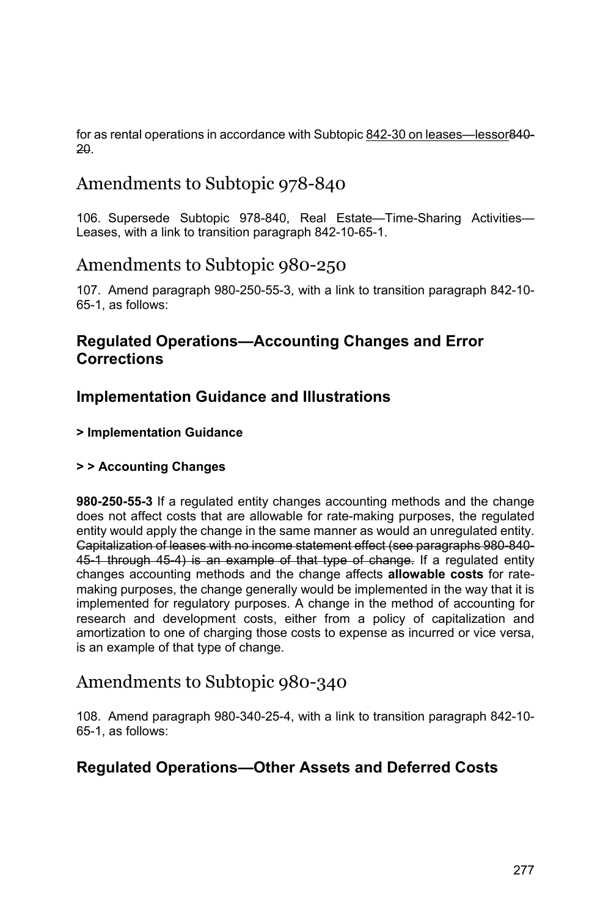for as rental operations in accordance with Subtopic 842-30 on leases—lessor840- 20.

# Amendments to Subtopic 978-840

106. Supersede Subtopic 978-840, Real Estate—Time-Sharing Activities— Leases, with a link to transition paragraph 842-10-65-1.

# Amendments to Subtopic 980-250

107. Amend paragraph 980-250-55-3, with a link to transition paragraph 842-10- 65-1, as follows:

## **Regulated Operations—Accounting Changes and Error Corrections**

# **Implementation Guidance and Illustrations**

#### **> Implementation Guidance**

#### **> > Accounting Changes**

**980-250-55-3** If a regulated entity changes accounting methods and the change does not affect costs that are allowable for rate-making purposes, the regulated entity would apply the change in the same manner as would an unregulated entity. Capitalization of leases with no income statement effect (see paragraphs 980-840- 45-1 through 45-4) is an example of that type of change. If a regulated entity changes accounting methods and the change affects **allowable costs** for ratemaking purposes, the change generally would be implemented in the way that it is implemented for regulatory purposes. A change in the method of accounting for research and development costs, either from a policy of capitalization and amortization to one of charging those costs to expense as incurred or vice versa, is an example of that type of change.

# Amendments to Subtopic 980-340

108. Amend paragraph 980-340-25-4, with a link to transition paragraph 842-10- 65-1, as follows:

## **Regulated Operations—Other Assets and Deferred Costs**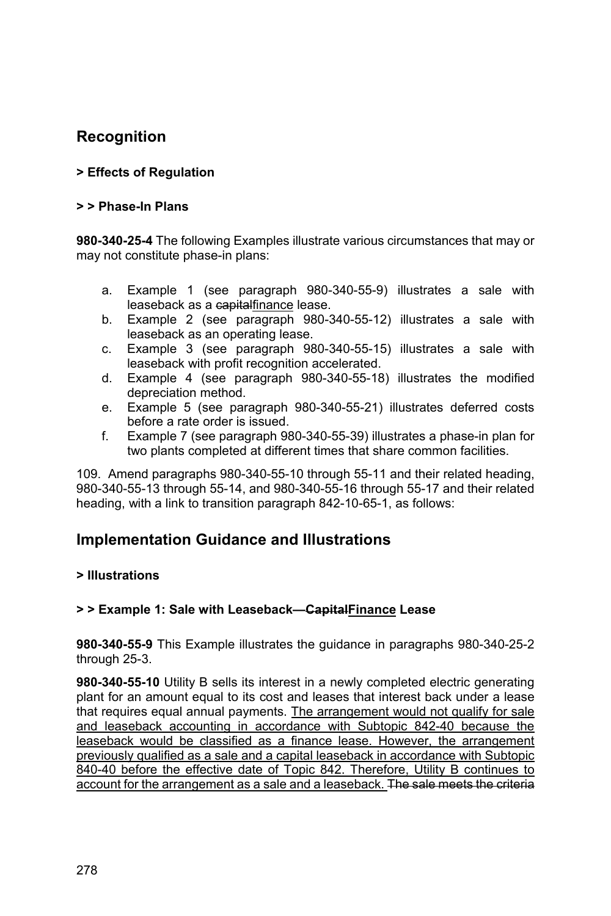# **Recognition**

### **> Effects of Regulation**

#### **> > Phase-In Plans**

**980-340-25-4** The following Examples illustrate various circumstances that may or may not constitute phase-in plans:

- a. Example 1 (see paragraph 980-340-55-9) illustrates a sale with leaseback as a capitalfinance lease.
- b. Example 2 (see paragraph 980-340-55-12) illustrates a sale with leaseback as an operating lease.
- c. Example 3 (see paragraph 980-340-55-15) illustrates a sale with leaseback with profit recognition accelerated.
- d. Example 4 (see paragraph 980-340-55-18) illustrates the modified depreciation method.
- e. Example 5 (see paragraph 980-340-55-21) illustrates deferred costs before a rate order is issued.
- f. Example 7 (see paragraph 980-340-55-39) illustrates a phase-in plan for two plants completed at different times that share common facilities.

109. Amend paragraphs 980-340-55-10 through 55-11 and their related heading, 980-340-55-13 through 55-14, and 980-340-55-16 through 55-17 and their related heading, with a link to transition paragraph 842-10-65-1, as follows:

## **Implementation Guidance and Illustrations**

#### **> Illustrations**

#### **> > Example 1: Sale with Leaseback—CapitalFinance Lease**

**980-340-55-9** This Example illustrates the guidance in paragraphs 980-340-25-2 through 25-3.

**980-340-55-10** Utility B sells its interest in a newly completed electric generating plant for an amount equal to its cost and leases that interest back under a lease that requires equal annual payments. The arrangement would not qualify for sale and leaseback accounting in accordance with Subtopic 842-40 because the leaseback would be classified as a finance lease. However, the arrangement previously qualified as a sale and a capital leaseback in accordance with Subtopic 840-40 before the effective date of Topic 842. Therefore, Utility B continues to account for the arrangement as a sale and a leaseback. The sale meets the criteria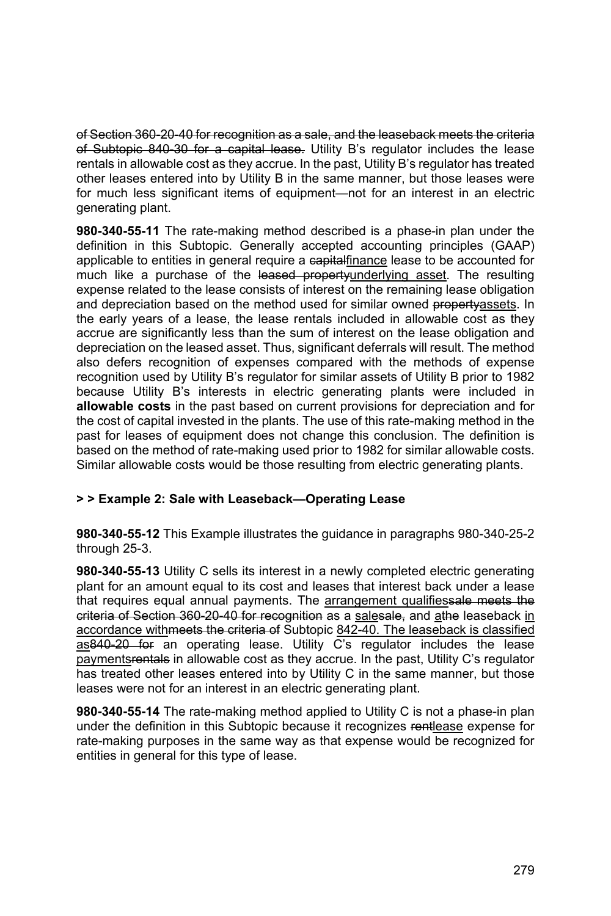of Section 360-20-40 for recognition as a sale, and the leaseback meets the criteria of Subtopic 840-30 for a capital lease. Utility B's regulator includes the lease rentals in allowable cost as they accrue. In the past, Utility B's regulator has treated other leases entered into by Utility B in the same manner, but those leases were for much less significant items of equipment—not for an interest in an electric generating plant.

**980-340-55-11** The rate-making method described is a phase-in plan under the definition in this Subtopic. Generally accepted accounting principles (GAAP) applicable to entities in general require a eapitalfinance lease to be accounted for much like a purchase of the leased propertyunderlying asset. The resulting expense related to the lease consists of interest on the remaining lease obligation and depreciation based on the method used for similar owned propertyassets. In the early years of a lease, the lease rentals included in allowable cost as they accrue are significantly less than the sum of interest on the lease obligation and depreciation on the leased asset. Thus, significant deferrals will result. The method also defers recognition of expenses compared with the methods of expense recognition used by Utility B's regulator for similar assets of Utility B prior to 1982 because Utility B's interests in electric generating plants were included in **allowable costs** in the past based on current provisions for depreciation and for the cost of capital invested in the plants. The use of this rate-making method in the past for leases of equipment does not change this conclusion. The definition is based on the method of rate-making used prior to 1982 for similar allowable costs. Similar allowable costs would be those resulting from electric generating plants.

#### **> > Example 2: Sale with Leaseback—Operating Lease**

**980-340-55-12** This Example illustrates the guidance in paragraphs 980-340-25-2 through 25-3.

**980-340-55-13** Utility C sells its interest in a newly completed electric generating plant for an amount equal to its cost and leases that interest back under a lease that requires equal annual payments. The arrangement qualifiessale meets the criteria of Section 360-20-40 for recognition as a salesale, and athe leaseback in accordance with meets the criteria of Subtopic 842-40. The leaseback is classified as840-20 for an operating lease. Utility C's regulator includes the lease paymentsrentals in allowable cost as they accrue. In the past, Utility C's regulator has treated other leases entered into by Utility C in the same manner, but those leases were not for an interest in an electric generating plant.

**980-340-55-14** The rate-making method applied to Utility C is not a phase-in plan under the definition in this Subtopic because it recognizes rentlease expense for rate-making purposes in the same way as that expense would be recognized for entities in general for this type of lease.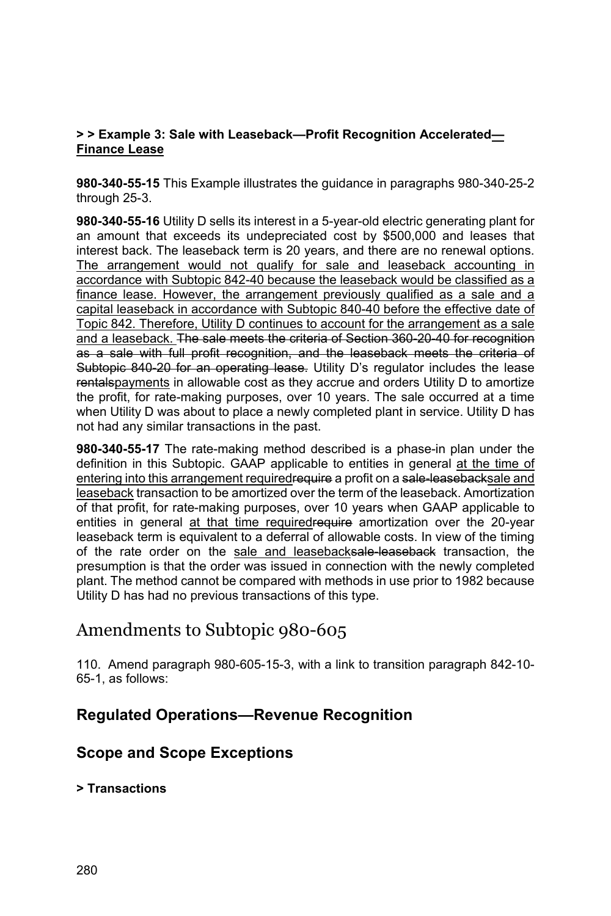#### **> > Example 3: Sale with Leaseback—Profit Recognition Accelerated— Finance Lease**

**980-340-55-15** This Example illustrates the guidance in paragraphs 980-340-25-2 through 25-3.

**980-340-55-16** Utility D sells its interest in a 5-year-old electric generating plant for an amount that exceeds its undepreciated cost by \$500,000 and leases that interest back. The leaseback term is 20 years, and there are no renewal options. The arrangement would not qualify for sale and leaseback accounting in accordance with Subtopic 842-40 because the leaseback would be classified as a finance lease. However, the arrangement previously qualified as a sale and a capital leaseback in accordance with Subtopic 840-40 before the effective date of Topic 842. Therefore, Utility D continues to account for the arrangement as a sale and a leaseback. The sale meets the criteria of Section 360-20-40 for recognition as a sale with full profit recognition, and the leaseback meets the criteria of Subtopic 840-20 for an operating lease. Utility D's regulator includes the lease rentalspayments in allowable cost as they accrue and orders Utility D to amortize the profit, for rate-making purposes, over 10 years. The sale occurred at a time when Utility D was about to place a newly completed plant in service. Utility D has not had any similar transactions in the past.

**980-340-55-17** The rate-making method described is a phase-in plan under the definition in this Subtopic. GAAP applicable to entities in general at the time of entering into this arrangement requiredrequire a profit on a sale-leasebacksale and leaseback transaction to be amortized over the term of the leaseback. Amortization of that profit, for rate-making purposes, over 10 years when GAAP applicable to entities in general at that time requiredrequire amortization over the 20-year leaseback term is equivalent to a deferral of allowable costs. In view of the timing of the rate order on the sale and leasebacksale-leaseback transaction, the presumption is that the order was issued in connection with the newly completed plant. The method cannot be compared with methods in use prior to 1982 because Utility D has had no previous transactions of this type.

# Amendments to Subtopic 980-605

110. Amend paragraph 980-605-15-3, with a link to transition paragraph 842-10- 65-1, as follows:

## **Regulated Operations—Revenue Recognition**

## **Scope and Scope Exceptions**

**> Transactions**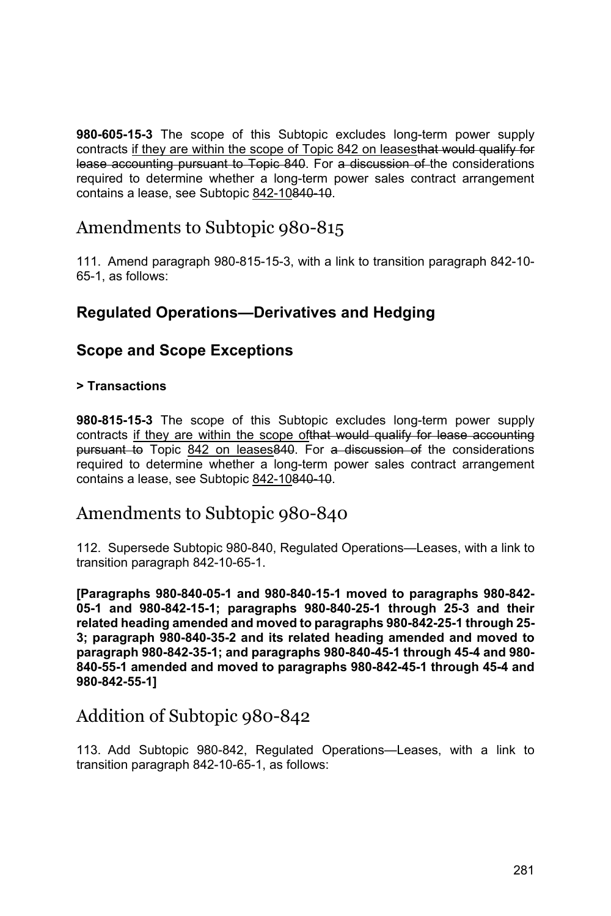**980-605-15-3** The scope of this Subtopic excludes long-term power supply contracts if they are within the scope of Topic 842 on leasesthat would qualify for lease accounting pursuant to Topic 840. For a discussion of the considerations required to determine whether a long-term power sales contract arrangement contains a lease, see Subtopic 842-10840-10.

# Amendments to Subtopic 980-815

111. Amend paragraph 980-815-15-3, with a link to transition paragraph 842-10- 65-1, as follows:

## **Regulated Operations—Derivatives and Hedging**

### **Scope and Scope Exceptions**

#### **> Transactions**

**980-815-15-3** The scope of this Subtopic excludes long-term power supply contracts if they are within the scope of that would qualify for lease accounting pursuant to Topic 842 on leases 840. For a discussion of the considerations required to determine whether a long-term power sales contract arrangement contains a lease, see Subtopic 842-10840-10.

## Amendments to Subtopic 980-840

112. Supersede Subtopic 980-840, Regulated Operations—Leases, with a link to transition paragraph 842-10-65-1.

**[Paragraphs 980-840-05-1 and 980-840-15-1 moved to paragraphs 980-842- 05-1 and 980-842-15-1; paragraphs 980-840-25-1 through 25-3 and their related heading amended and moved to paragraphs 980-842-25-1 through 25- 3; paragraph 980-840-35-2 and its related heading amended and moved to paragraph 980-842-35-1; and paragraphs 980-840-45-1 through 45-4 and 980- 840-55-1 amended and moved to paragraphs 980-842-45-1 through 45-4 and 980-842-55-1]** 

# Addition of Subtopic 980-842

113. Add Subtopic 980-842, Regulated Operations—Leases, with a link to transition paragraph 842-10-65-1, as follows: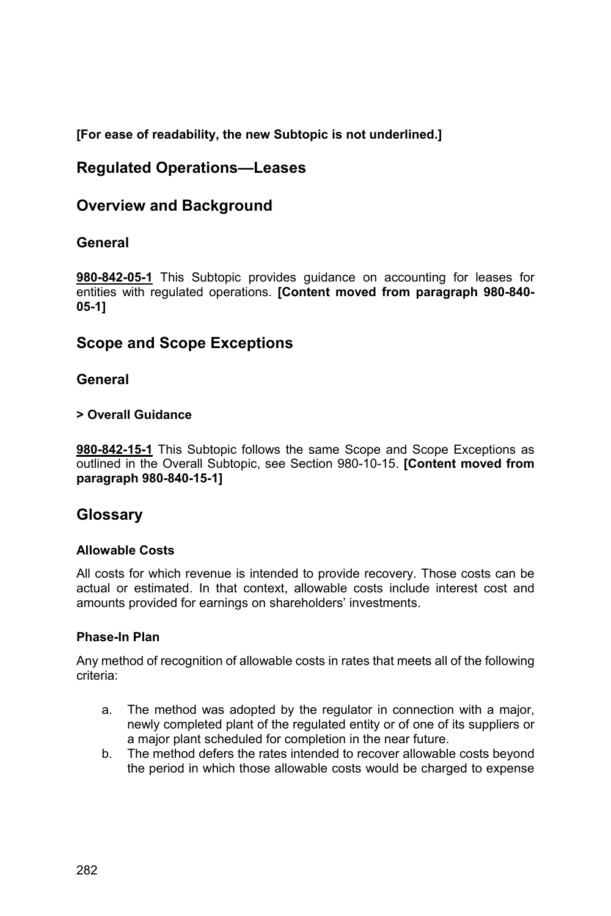**[For ease of readability, the new Subtopic is not underlined.]** 

## **Regulated Operations—Leases**

## **Overview and Background**

### **General**

**980-842-05-1** This Subtopic provides guidance on accounting for leases for entities with regulated operations. **[Content moved from paragraph 980-840- 05-1]**

### **Scope and Scope Exceptions**

### **General**

#### **> Overall Guidance**

**980-842-15-1** This Subtopic follows the same Scope and Scope Exceptions as outlined in the Overall Subtopic, see Section 980-10-15. **[Content moved from paragraph 980-840-15-1]** 

### **Glossary**

#### **Allowable Costs**

All costs for which revenue is intended to provide recovery. Those costs can be actual or estimated. In that context, allowable costs include interest cost and amounts provided for earnings on shareholders' investments.

#### **Phase-In Plan**

Any method of recognition of allowable costs in rates that meets all of the following criteria:

- a. The method was adopted by the regulator in connection with a major, newly completed plant of the regulated entity or of one of its suppliers or a major plant scheduled for completion in the near future.
- b. The method defers the rates intended to recover allowable costs beyond the period in which those allowable costs would be charged to expense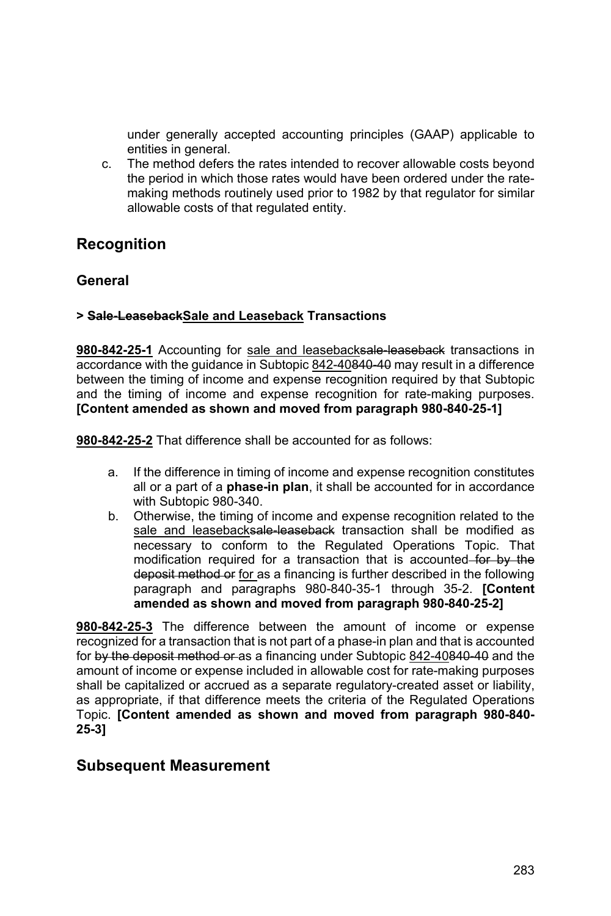under generally accepted accounting principles (GAAP) applicable to entities in general.

c. The method defers the rates intended to recover allowable costs beyond the period in which those rates would have been ordered under the ratemaking methods routinely used prior to 1982 by that regulator for similar allowable costs of that regulated entity.

## **Recognition**

### **General**

#### **> Sale-LeasebackSale and Leaseback Transactions**

980-842-25-1 Accounting for sale and leasebacksale-leaseback transactions in accordance with the guidance in Subtopic 842-40840-40 may result in a difference between the timing of income and expense recognition required by that Subtopic and the timing of income and expense recognition for rate-making purposes. **[Content amended as shown and moved from paragraph 980-840-25-1]** 

**980-842-25-2** That difference shall be accounted for as follows:

- a. If the difference in timing of income and expense recognition constitutes all or a part of a **phase-in plan**, it shall be accounted for in accordance with Subtopic 980-340.
- b. Otherwise, the timing of income and expense recognition related to the sale and leasebacksale-leaseback transaction shall be modified as necessary to conform to the Regulated Operations Topic. That modification required for a transaction that is accounted for by the deposit method or for as a financing is further described in the following paragraph and paragraphs 980-840-35-1 through 35-2. **[Content amended as shown and moved from paragraph 980-840-25-2]**

**980-842-25-3** The difference between the amount of income or expense recognized for a transaction that is not part of a phase-in plan and that is accounted for by the deposit method or as a financing under Subtopic 842-40840-40 and the amount of income or expense included in allowable cost for rate-making purposes shall be capitalized or accrued as a separate regulatory-created asset or liability, as appropriate, if that difference meets the criteria of the Regulated Operations Topic. **[Content amended as shown and moved from paragraph 980-840- 25-3]** 

#### **Subsequent Measurement**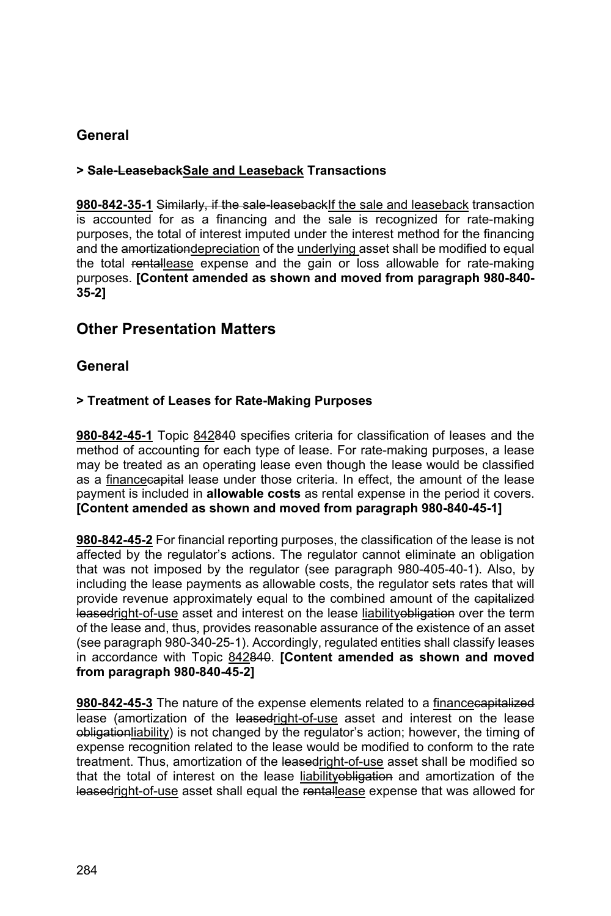### **General**

#### **> Sale-LeasebackSale and Leaseback Transactions**

**980-842-35-1** Similarly, if the sale-leasebackIf the sale and leaseback transaction is accounted for as a financing and the sale is recognized for rate-making purposes, the total of interest imputed under the interest method for the financing and the amortizationdepreciation of the underlying asset shall be modified to equal the total rentallease expense and the gain or loss allowable for rate-making purposes. **[Content amended as shown and moved from paragraph 980-840- 35-2]**

### **Other Presentation Matters**

### **General**

#### **> Treatment of Leases for Rate-Making Purposes**

**980-842-45-1** Topic 842840 specifies criteria for classification of leases and the method of accounting for each type of lease. For rate-making purposes, a lease may be treated as an operating lease even though the lease would be classified as a financecapital lease under those criteria. In effect, the amount of the lease payment is included in **allowable costs** as rental expense in the period it covers. **[Content amended as shown and moved from paragraph 980-840-45-1]** 

**980-842-45-2** For financial reporting purposes, the classification of the lease is not affected by the regulator's actions. The regulator cannot eliminate an obligation that was not imposed by the regulator (see paragraph 980-405-40-1). Also, by including the lease payments as allowable costs, the regulator sets rates that will provide revenue approximately equal to the combined amount of the eapitalized leasedright-of-use asset and interest on the lease liabilityobligation over the term of the lease and, thus, provides reasonable assurance of the existence of an asset (see paragraph 980-340-25-1). Accordingly, regulated entities shall classify leases in accordance with Topic 842840. **[Content amended as shown and moved from paragraph 980-840-45-2]** 

**980-842-45-3** The nature of the expense elements related to a financecapitalized lease (amortization of the leasedright-of-use asset and interest on the lease obligationliability) is not changed by the regulator's action; however, the timing of expense recognition related to the lease would be modified to conform to the rate treatment. Thus, amortization of the leasedright-of-use asset shall be modified so that the total of interest on the lease liabilityobligation and amortization of the leasedright-of-use asset shall equal the rentallease expense that was allowed for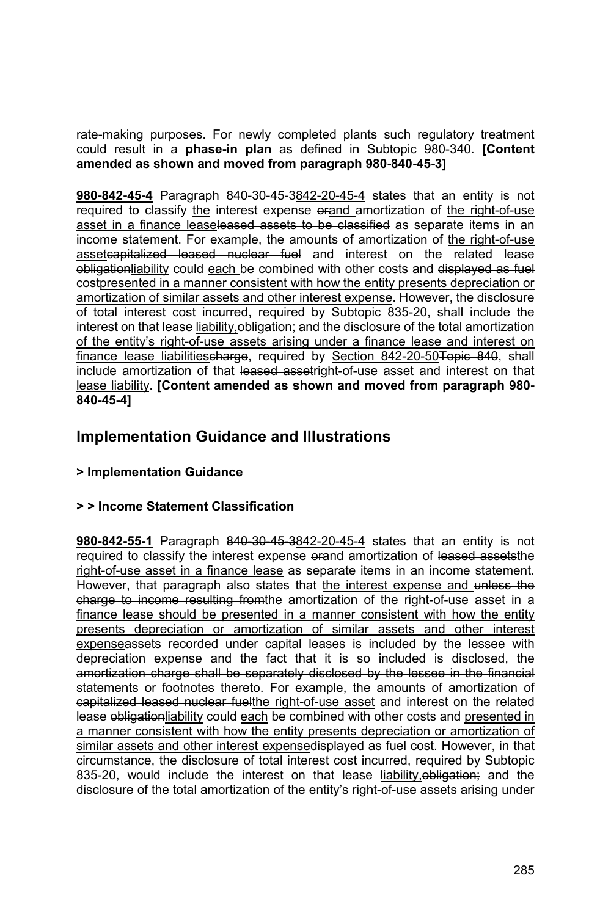rate-making purposes. For newly completed plants such regulatory treatment could result in a **phase-in plan** as defined in Subtopic 980-340. **[Content amended as shown and moved from paragraph 980-840-45-3]** 

**980-842-45-4** Paragraph 840-30-45-3842-20-45-4 states that an entity is not required to classify the interest expense orand amortization of the right-of-use asset in a finance leaseleased assets to be classified as separate items in an income statement. For example, the amounts of amortization of the right-of-use assetcapitalized leased nuclear fuel and interest on the related lease obligationliability could each be combined with other costs and displayed as fuel costpresented in a manner consistent with how the entity presents depreciation or amortization of similar assets and other interest expense. However, the disclosure of total interest cost incurred, required by Subtopic 835-20, shall include the interest on that lease liability, obligation; and the disclosure of the total amortization of the entity's right-of-use assets arising under a finance lease and interest on finance lease liabilitiescharge, required by Section 842-20-50 Topic 840, shall include amortization of that leased assetright-of-use asset and interest on that lease liability. **[Content amended as shown and moved from paragraph 980- 840-45-4]** 

## **Implementation Guidance and Illustrations**

#### **> Implementation Guidance**

#### **> > Income Statement Classification**

**980-842-55-1** Paragraph 840-30-45-3842-20-45-4 states that an entity is not required to classify the interest expense orand amortization of leased assets the right-of-use asset in a finance lease as separate items in an income statement. However, that paragraph also states that the interest expense and unless the charge to income resulting from the amortization of the right-of-use asset in a finance lease should be presented in a manner consistent with how the entity presents depreciation or amortization of similar assets and other interest expenseassets recorded under capital leases is included by the lessee with depreciation expense and the fact that it is so included is disclosed, the amortization charge shall be separately disclosed by the lessee in the financial statements or footnotes thereto. For example, the amounts of amortization of capitalized leased nuclear fuelthe right-of-use asset and interest on the related lease obligationliability could each be combined with other costs and presented in a manner consistent with how the entity presents depreciation or amortization of similar assets and other interest expensedisplayed as fuel cost. However, in that circumstance, the disclosure of total interest cost incurred, required by Subtopic 835-20, would include the interest on that lease liability, obligation; and the disclosure of the total amortization of the entity's right-of-use assets arising under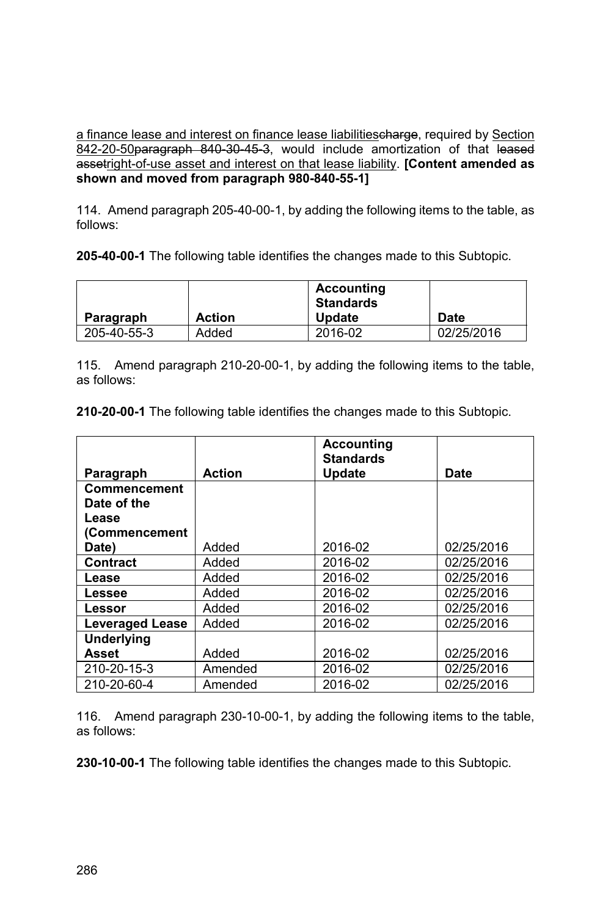a finance lease and interest on finance lease liabilitiescharge, required by Section 842-20-50paragraph 840-30-45-3, would include amortization of that leased assetright-of-use asset and interest on that lease liability. **[Content amended as shown and moved from paragraph 980-840-55-1]** 

114. Amend paragraph 205-40-00-1, by adding the following items to the table, as follows:

**205-40-00-1** The following table identifies the changes made to this Subtopic.

| Paragraph   | <b>Action</b> | <b>Accounting</b><br><b>Standards</b><br><b>Update</b> | Date       |
|-------------|---------------|--------------------------------------------------------|------------|
|             |               |                                                        |            |
| 205-40-55-3 | Added         | 2016-02                                                | 02/25/2016 |

115. Amend paragraph 210-20-00-1, by adding the following items to the table, as follows:

**210-20-00-1** The following table identifies the changes made to this Subtopic.

|                        |               | <b>Accounting</b><br><b>Standards</b> |             |
|------------------------|---------------|---------------------------------------|-------------|
| Paragraph              | <b>Action</b> | Update                                | <b>Date</b> |
| Commencement           |               |                                       |             |
| Date of the            |               |                                       |             |
| Lease                  |               |                                       |             |
| (Commencement          |               |                                       |             |
| Date)                  | Added         | 2016-02                               | 02/25/2016  |
| <b>Contract</b>        | Added         | 2016-02                               | 02/25/2016  |
| Lease                  | Added         | 2016-02                               | 02/25/2016  |
| Lessee                 | Added         | 2016-02                               | 02/25/2016  |
| Lessor                 | Added         | 2016-02                               | 02/25/2016  |
| <b>Leveraged Lease</b> | Added         | 2016-02                               | 02/25/2016  |
| <b>Underlying</b>      |               |                                       |             |
| Asset                  | Added         | 2016-02                               | 02/25/2016  |
| 210-20-15-3            | Amended       | 2016-02                               | 02/25/2016  |
| 210-20-60-4            | Amended       | 2016-02                               | 02/25/2016  |

116. Amend paragraph 230-10-00-1, by adding the following items to the table, as follows: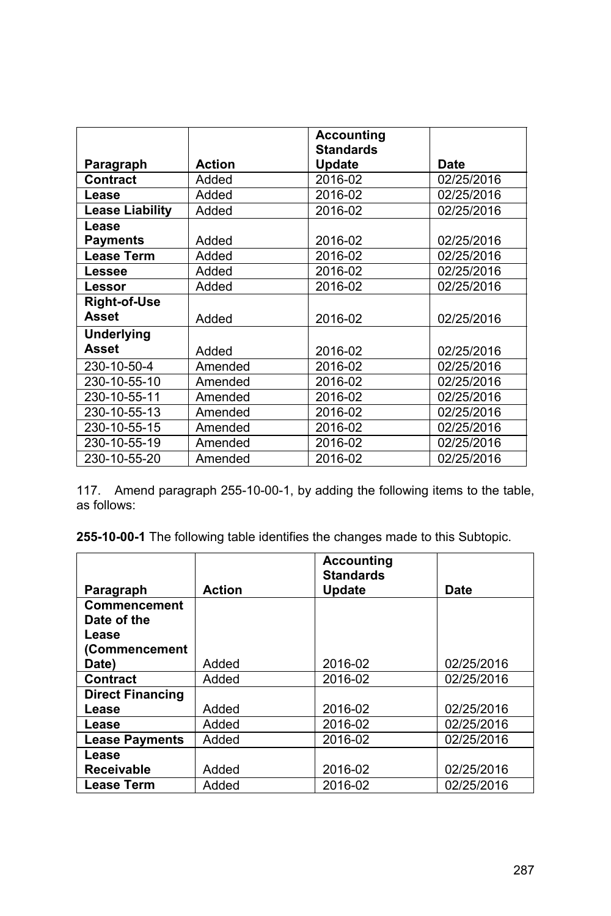|                        |               | <b>Accounting</b> |            |
|------------------------|---------------|-------------------|------------|
|                        |               | <b>Standards</b>  |            |
| Paragraph              | <b>Action</b> | <b>Update</b>     | Date       |
| Contract               | Added         | 2016-02           | 02/25/2016 |
| Lease                  | Added         | 2016-02           | 02/25/2016 |
| <b>Lease Liability</b> | Added         | 2016-02           | 02/25/2016 |
| Lease                  |               |                   |            |
| <b>Payments</b>        | Added         | 2016-02           | 02/25/2016 |
| <b>Lease Term</b>      | Added         | 2016-02           | 02/25/2016 |
| Lessee                 | Added         | 2016-02           | 02/25/2016 |
| Lessor                 | Added         | 2016-02           | 02/25/2016 |
| <b>Right-of-Use</b>    |               |                   |            |
| <b>Asset</b>           | Added         | 2016-02           | 02/25/2016 |
| <b>Underlying</b>      |               |                   |            |
| <b>Asset</b>           | Added         | 2016-02           | 02/25/2016 |
| 230-10-50-4            | Amended       | 2016-02           | 02/25/2016 |
| 230-10-55-10           | Amended       | 2016-02           | 02/25/2016 |
| 230-10-55-11           | Amended       | 2016-02           | 02/25/2016 |
| 230-10-55-13           | Amended       | 2016-02           | 02/25/2016 |
| 230-10-55-15           | Amended       | 2016-02           | 02/25/2016 |
| 230-10-55-19           | Amended       | 2016-02           | 02/25/2016 |
| 230-10-55-20           | Amended       | 2016-02           | 02/25/2016 |

117. Amend paragraph 255-10-00-1, by adding the following items to the table, as follows:

|                         |               | <b>Accounting</b><br><b>Standards</b> |            |
|-------------------------|---------------|---------------------------------------|------------|
| Paragraph               | <b>Action</b> | Update                                | Date       |
| <b>Commencement</b>     |               |                                       |            |
| Date of the             |               |                                       |            |
| Lease                   |               |                                       |            |
| (Commencement           |               |                                       |            |
| Date)                   | Added         | 2016-02                               | 02/25/2016 |
| <b>Contract</b>         | Added         | 2016-02                               | 02/25/2016 |
| <b>Direct Financing</b> |               |                                       |            |
| Lease                   | Added         | 2016-02                               | 02/25/2016 |
| Lease                   | Added         | 2016-02                               | 02/25/2016 |
| <b>Lease Payments</b>   | Added         | 2016-02                               | 02/25/2016 |
| Lease                   |               |                                       |            |
| <b>Receivable</b>       | Added         | 2016-02                               | 02/25/2016 |
| <b>Lease Term</b>       | Added         | 2016-02                               | 02/25/2016 |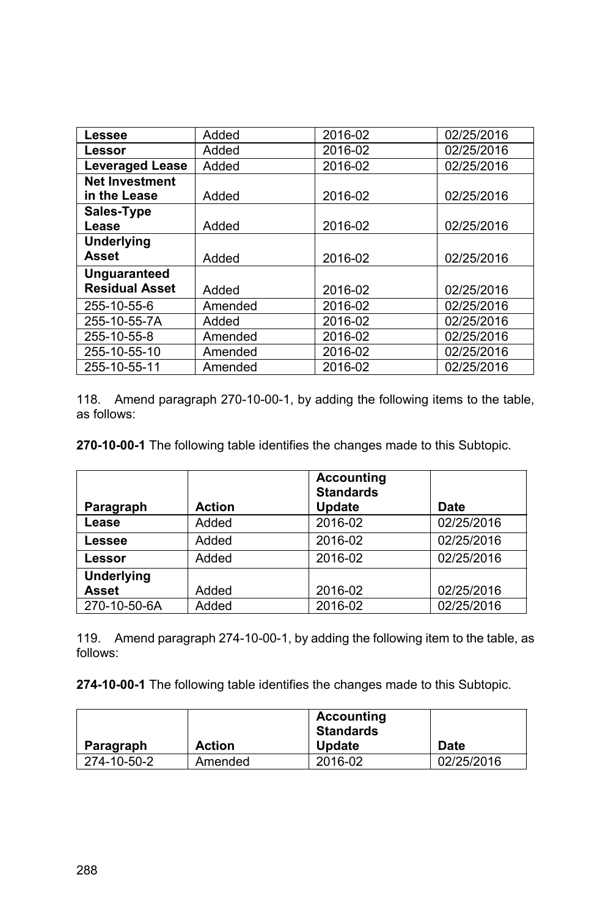| Lessee                 | Added   | 2016-02 | 02/25/2016 |
|------------------------|---------|---------|------------|
| Lessor                 | Added   | 2016-02 | 02/25/2016 |
| <b>Leveraged Lease</b> | Added   | 2016-02 | 02/25/2016 |
| <b>Net Investment</b>  |         |         |            |
| in the Lease           | Added   | 2016-02 | 02/25/2016 |
| Sales-Type             |         |         |            |
| Lease                  | Added   | 2016-02 | 02/25/2016 |
| <b>Underlying</b>      |         |         |            |
| <b>Asset</b>           | Added   | 2016-02 | 02/25/2016 |
| <b>Unguaranteed</b>    |         |         |            |
| <b>Residual Asset</b>  | Added   | 2016-02 | 02/25/2016 |
| 255-10-55-6            | Amended | 2016-02 | 02/25/2016 |
| 255-10-55-7A           | Added   | 2016-02 | 02/25/2016 |
| 255-10-55-8            | Amended | 2016-02 | 02/25/2016 |
| 255-10-55-10           | Amended | 2016-02 | 02/25/2016 |
| 255-10-55-11           | Amended | 2016-02 | 02/25/2016 |

118. Amend paragraph 270-10-00-1, by adding the following items to the table, as follows:

**270-10-00-1** The following table identifies the changes made to this Subtopic.

| Paragraph         | <b>Action</b> | <b>Accounting</b><br><b>Standards</b><br><b>Update</b> | Date       |
|-------------------|---------------|--------------------------------------------------------|------------|
| Lease             | Added         | 2016-02                                                | 02/25/2016 |
| Lessee            | Added         | 2016-02                                                | 02/25/2016 |
| Lessor            | Added         | 2016-02                                                | 02/25/2016 |
| <b>Underlying</b> |               |                                                        |            |
| <b>Asset</b>      | Added         | 2016-02                                                | 02/25/2016 |
| 270-10-50-6A      | Added         | 2016-02                                                | 02/25/2016 |

119. Amend paragraph 274-10-00-1, by adding the following item to the table, as follows:

|             |               | Accounting<br>Standards |             |
|-------------|---------------|-------------------------|-------------|
| Paragraph   | <b>Action</b> | <b>Update</b>           | <b>Date</b> |
| 274-10-50-2 | Amended       | 2016-02                 | 02/25/2016  |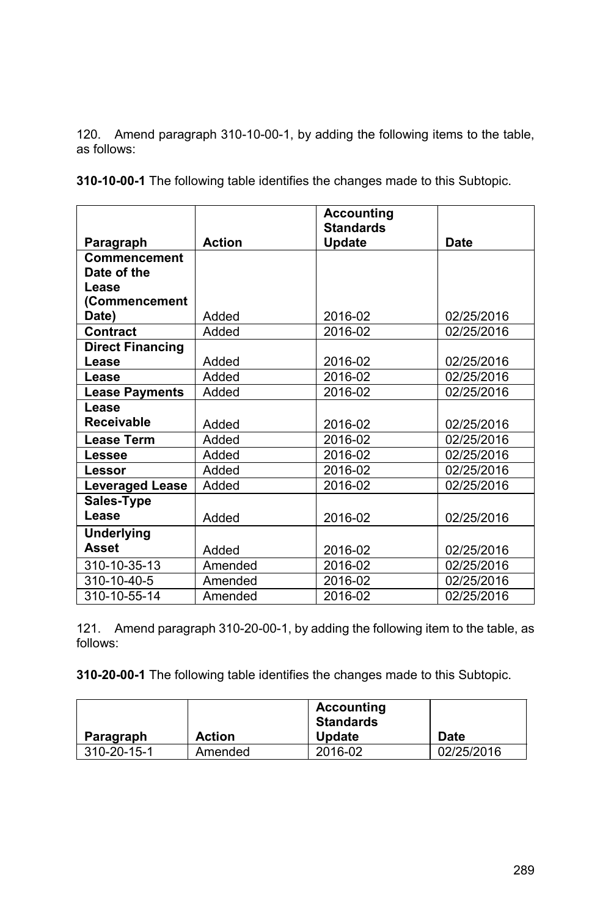120. Amend paragraph 310-10-00-1, by adding the following items to the table, as follows:

**310-10-00-1** The following table identifies the changes made to this Subtopic.

|                         |               | <b>Accounting</b><br><b>Standards</b> |            |
|-------------------------|---------------|---------------------------------------|------------|
| Paragraph               | <b>Action</b> | Update                                | Date       |
| Commencement            |               |                                       |            |
| Date of the             |               |                                       |            |
| Lease                   |               |                                       |            |
| (Commencement           |               |                                       |            |
| Date)                   | Added         | 2016-02                               | 02/25/2016 |
| Contract                | Added         | 2016-02                               | 02/25/2016 |
| <b>Direct Financing</b> |               |                                       |            |
| Lease                   | Added         | 2016-02                               | 02/25/2016 |
| Lease                   | Added         | 2016-02                               | 02/25/2016 |
| <b>Lease Payments</b>   | Added         | 2016-02                               | 02/25/2016 |
| Lease                   |               |                                       |            |
| <b>Receivable</b>       | Added         | 2016-02                               | 02/25/2016 |
| <b>Lease Term</b>       | Added         | 2016-02                               | 02/25/2016 |
| Lessee                  | Added         | 2016-02                               | 02/25/2016 |
| Lessor                  | Added         | 2016-02                               | 02/25/2016 |
| <b>Leveraged Lease</b>  | Added         | 2016-02                               | 02/25/2016 |
| Sales-Type              |               |                                       |            |
| Lease                   | Added         | 2016-02                               | 02/25/2016 |
| <b>Underlying</b>       |               |                                       |            |
| Asset                   | Added         | 2016-02                               | 02/25/2016 |
| 310-10-35-13            | Amended       | 2016-02                               | 02/25/2016 |
| 310-10-40-5             | Amended       | 2016-02                               | 02/25/2016 |
| 310-10-55-14            | Amended       | 2016-02                               | 02/25/2016 |

121. Amend paragraph 310-20-00-1, by adding the following item to the table, as follows:

|             |               | <b>Accounting</b><br><b>Standards</b> |            |
|-------------|---------------|---------------------------------------|------------|
| Paragraph   | <b>Action</b> | <b>Update</b>                         | Date       |
| 310-20-15-1 | Amended       | 2016-02                               | 02/25/2016 |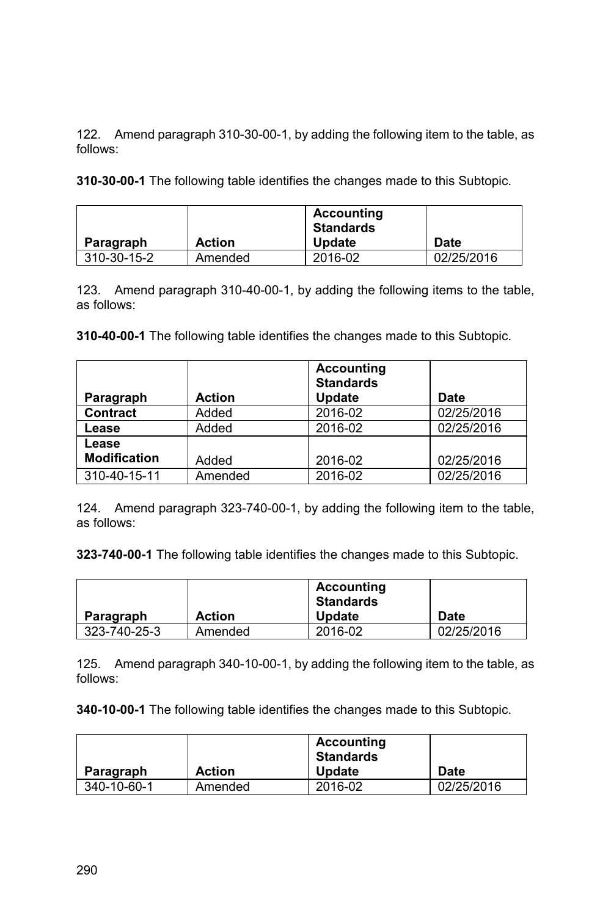122. Amend paragraph 310-30-00-1, by adding the following item to the table, as follows:

**310-30-00-1** The following table identifies the changes made to this Subtopic.

| Paragraph   | <b>Action</b> | <b>Accounting</b><br><b>Standards</b><br><b>Update</b> | <b>Date</b> |
|-------------|---------------|--------------------------------------------------------|-------------|
| 310-30-15-2 | Amended       | 2016-02                                                | 02/25/2016  |

123. Amend paragraph 310-40-00-1, by adding the following items to the table, as follows:

**310-40-00-1** The following table identifies the changes made to this Subtopic.

| Paragraph           | <b>Action</b> | <b>Accounting</b><br><b>Standards</b><br>Update | Date       |
|---------------------|---------------|-------------------------------------------------|------------|
| <b>Contract</b>     | Added         | 2016-02                                         | 02/25/2016 |
| Lease               | Added         | 2016-02                                         | 02/25/2016 |
| Lease               |               |                                                 |            |
| <b>Modification</b> | Added         | 2016-02                                         | 02/25/2016 |
| 310-40-15-11        | Amended       | 2016-02                                         | 02/25/2016 |

124. Amend paragraph 323-740-00-1, by adding the following item to the table, as follows:

**323-740-00-1** The following table identifies the changes made to this Subtopic.

|              |               | <b>Accounting</b><br><b>Standards</b> |            |
|--------------|---------------|---------------------------------------|------------|
| Paragraph    | <b>Action</b> | <b>Update</b>                         | Date       |
| 323-740-25-3 | Amended       | 2016-02                               | 02/25/2016 |

125. Amend paragraph 340-10-00-1, by adding the following item to the table, as follows:

| Paragraph   | <b>Action</b> | <b>Accounting</b><br><b>Standards</b><br><b>Update</b> | <b>Date</b> |
|-------------|---------------|--------------------------------------------------------|-------------|
| 340-10-60-1 | Amended       | 2016-02                                                | 02/25/2016  |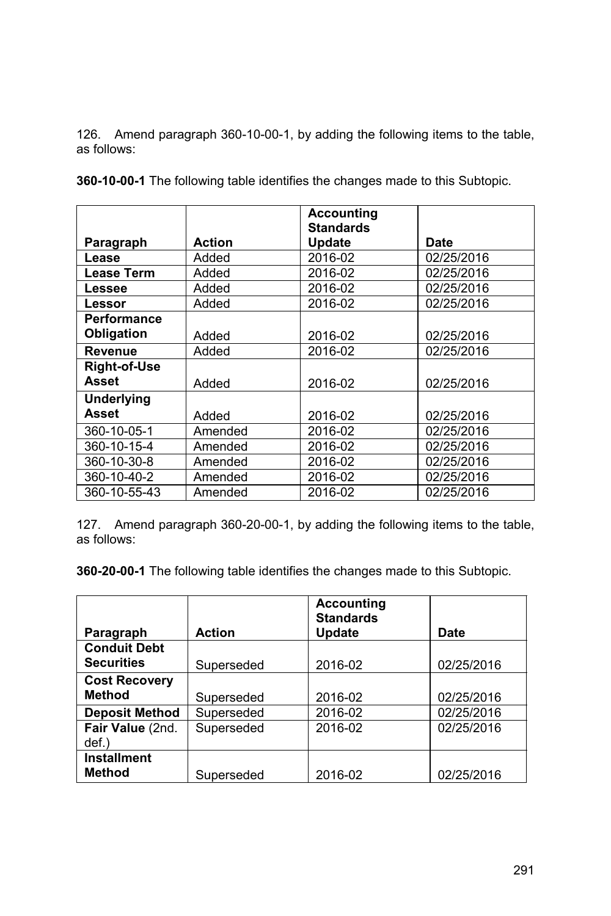126. Amend paragraph 360-10-00-1, by adding the following items to the table, as follows:

|                     |               | <b>Accounting</b><br><b>Standards</b> |             |
|---------------------|---------------|---------------------------------------|-------------|
| Paragraph           | <b>Action</b> | <b>Update</b>                         | <b>Date</b> |
| Lease               | Added         | 2016-02                               | 02/25/2016  |
| <b>Lease Term</b>   | Added         | 2016-02                               | 02/25/2016  |
| Lessee              | Added         | 2016-02                               | 02/25/2016  |
| Lessor              | Added         | 2016-02                               | 02/25/2016  |
| Performance         |               |                                       |             |
| Obligation          | Added         | 2016-02                               | 02/25/2016  |
| <b>Revenue</b>      | Added         | 2016-02                               | 02/25/2016  |
| <b>Right-of-Use</b> |               |                                       |             |
| Asset               | Added         | 2016-02                               | 02/25/2016  |
| <b>Underlying</b>   |               |                                       |             |
| Asset               | Added         | 2016-02                               | 02/25/2016  |
| 360-10-05-1         | Amended       | 2016-02                               | 02/25/2016  |
| 360-10-15-4         | Amended       | 2016-02                               | 02/25/2016  |
| 360-10-30-8         | Amended       | 2016-02                               | 02/25/2016  |
| 360-10-40-2         | Amended       | 2016-02                               | 02/25/2016  |
| 360-10-55-43        | Amended       | 2016-02                               | 02/25/2016  |

**360-10-00-1** The following table identifies the changes made to this Subtopic.

127. Amend paragraph 360-20-00-1, by adding the following items to the table, as follows:

|                                          |               | <b>Accounting</b><br><b>Standards</b> |            |
|------------------------------------------|---------------|---------------------------------------|------------|
| Paragraph                                | <b>Action</b> | <b>Update</b>                         | Date       |
| <b>Conduit Debt</b><br><b>Securities</b> | Superseded    | 2016-02                               | 02/25/2016 |
| <b>Cost Recovery</b>                     |               |                                       |            |
| <b>Method</b>                            | Superseded    | 2016-02                               | 02/25/2016 |
| <b>Deposit Method</b>                    | Superseded    | 2016-02                               | 02/25/2016 |
| Fair Value (2nd.<br>def.)                | Superseded    | 2016-02                               | 02/25/2016 |
| <b>Installment</b><br><b>Method</b>      | Superseded    | 2016-02                               | 02/25/2016 |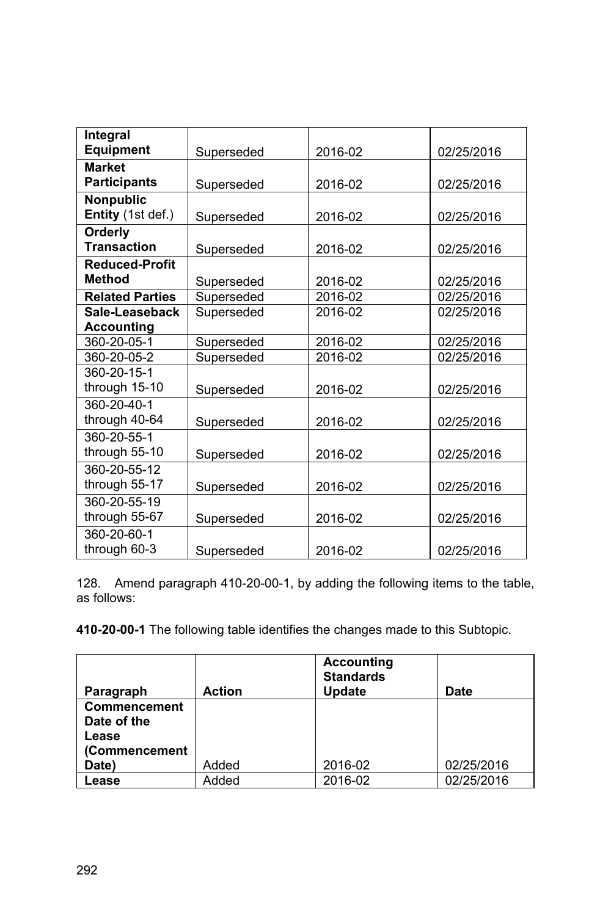| Integral               |            |         |            |
|------------------------|------------|---------|------------|
| <b>Equipment</b>       | Superseded | 2016-02 | 02/25/2016 |
| <b>Market</b>          |            |         |            |
| <b>Participants</b>    | Superseded | 2016-02 | 02/25/2016 |
| <b>Nonpublic</b>       |            |         |            |
| Entity (1st def.)      | Superseded | 2016-02 | 02/25/2016 |
| Orderly                |            |         |            |
| <b>Transaction</b>     | Superseded | 2016-02 | 02/25/2016 |
| <b>Reduced-Profit</b>  |            |         |            |
| <b>Method</b>          | Superseded | 2016-02 | 02/25/2016 |
| <b>Related Parties</b> | Superseded | 2016-02 | 02/25/2016 |
| Sale-Leaseback         | Superseded | 2016-02 | 02/25/2016 |
| <b>Accounting</b>      |            |         |            |
| 360-20-05-1            | Superseded | 2016-02 | 02/25/2016 |
| 360-20-05-2            | Superseded | 2016-02 | 02/25/2016 |
| 360-20-15-1            |            |         |            |
| through 15-10          | Superseded | 2016-02 | 02/25/2016 |
| 360-20-40-1            |            |         |            |
| through 40-64          | Superseded | 2016-02 | 02/25/2016 |
| 360-20-55-1            |            |         |            |
| through 55-10          | Superseded | 2016-02 | 02/25/2016 |
| 360-20-55-12           |            |         |            |
| through 55-17          | Superseded | 2016-02 | 02/25/2016 |
| 360-20-55-19           |            |         |            |
| through 55-67          | Superseded | 2016-02 | 02/25/2016 |
| 360-20-60-1            |            |         |            |
| through 60-3           | Superseded | 2016-02 | 02/25/2016 |

128. Amend paragraph 410-20-00-1, by adding the following items to the table, as follows:

| Paragraph                                                    | <b>Action</b> | <b>Accounting</b><br><b>Standards</b><br><b>Update</b> | Date       |
|--------------------------------------------------------------|---------------|--------------------------------------------------------|------------|
| <b>Commencement</b><br>Date of the<br>Lease<br>(Commencement |               |                                                        |            |
| Date)                                                        | Added         | 2016-02                                                | 02/25/2016 |
| Lease                                                        | Added         | 2016-02                                                | 02/25/2016 |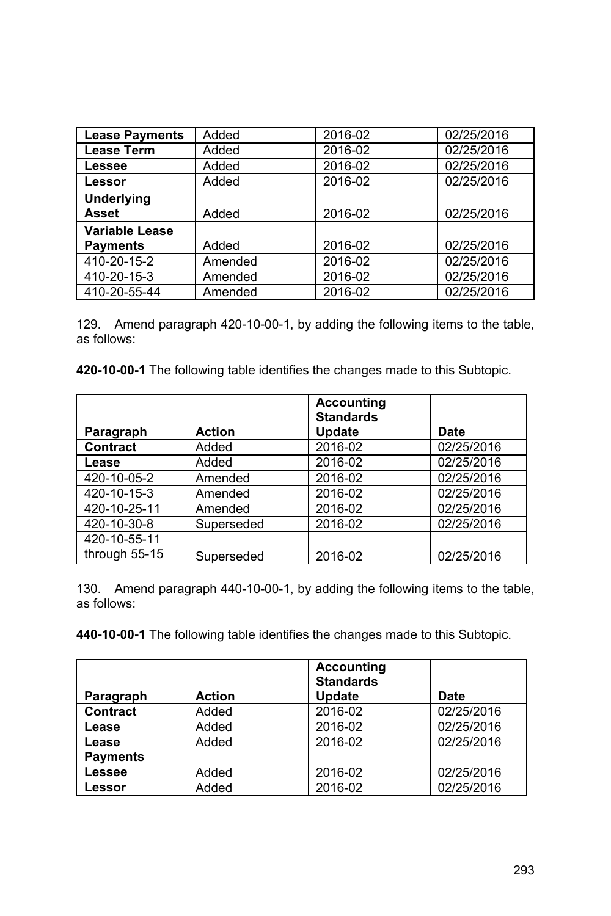| <b>Lease Payments</b> | Added   | 2016-02 | 02/25/2016 |
|-----------------------|---------|---------|------------|
| <b>Lease Term</b>     | Added   | 2016-02 | 02/25/2016 |
| Lessee                | Added   | 2016-02 | 02/25/2016 |
| Lessor                | Added   | 2016-02 | 02/25/2016 |
| <b>Underlying</b>     |         |         |            |
| <b>Asset</b>          | Added   | 2016-02 | 02/25/2016 |
| Variable Lease        |         |         |            |
| <b>Payments</b>       | Added   | 2016-02 | 02/25/2016 |
| 410-20-15-2           | Amended | 2016-02 | 02/25/2016 |
| 410-20-15-3           | Amended | 2016-02 | 02/25/2016 |
| 410-20-55-44          | Amended | 2016-02 | 02/25/2016 |

129. Amend paragraph 420-10-00-1, by adding the following items to the table, as follows:

**420-10-00-1** The following table identifies the changes made to this Subtopic.

|                 |               | <b>Accounting</b><br><b>Standards</b> |            |
|-----------------|---------------|---------------------------------------|------------|
| Paragraph       | <b>Action</b> | Update                                | Date       |
| <b>Contract</b> | Added         | 2016-02                               | 02/25/2016 |
| Lease           | Added         | 2016-02                               | 02/25/2016 |
| 420-10-05-2     | Amended       | 2016-02                               | 02/25/2016 |
| 420-10-15-3     | Amended       | 2016-02                               | 02/25/2016 |
| 420-10-25-11    | Amended       | 2016-02                               | 02/25/2016 |
| 420-10-30-8     | Superseded    | 2016-02                               | 02/25/2016 |
| 420-10-55-11    |               |                                       |            |
| through 55-15   | Superseded    | 2016-02                               | 02/25/2016 |

130. Amend paragraph 440-10-00-1, by adding the following items to the table, as follows:

|                 |               | <b>Accounting</b><br><b>Standards</b> |            |
|-----------------|---------------|---------------------------------------|------------|
| Paragraph       | <b>Action</b> | <b>Update</b>                         | Date       |
| <b>Contract</b> | Added         | 2016-02                               | 02/25/2016 |
| Lease           | Added         | 2016-02                               | 02/25/2016 |
| Lease           | Added         | 2016-02                               | 02/25/2016 |
| <b>Payments</b> |               |                                       |            |
| Lessee          | Added         | 2016-02                               | 02/25/2016 |
| Lessor          | Added         | 2016-02                               | 02/25/2016 |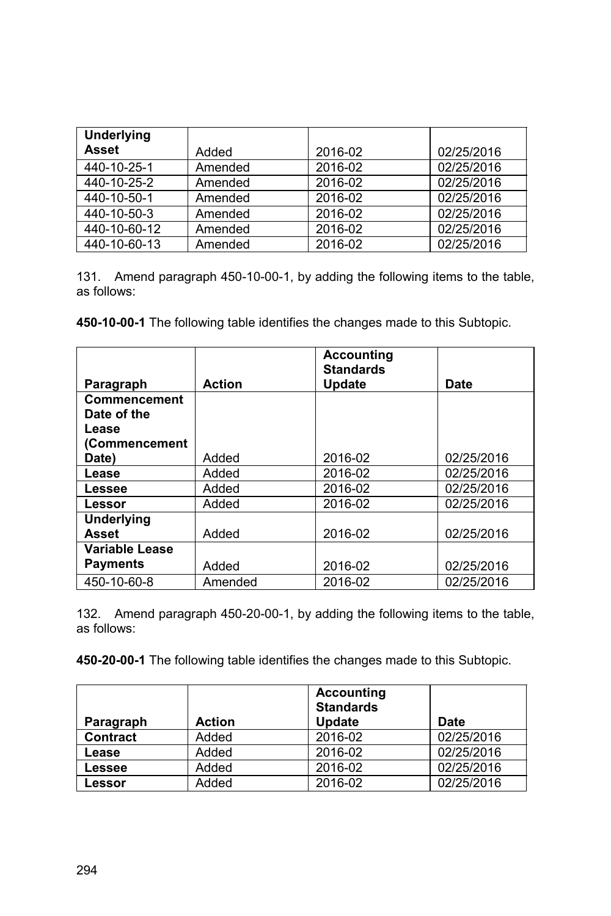| <b>Underlying</b><br><b>Asset</b> | Added   | 2016-02 | 02/25/2016 |
|-----------------------------------|---------|---------|------------|
| 440-10-25-1                       | Amended | 2016-02 | 02/25/2016 |
| 440-10-25-2                       | Amended | 2016-02 | 02/25/2016 |
| 440-10-50-1                       | Amended | 2016-02 | 02/25/2016 |
| 440-10-50-3                       | Amended | 2016-02 | 02/25/2016 |
| 440-10-60-12                      | Amended | 2016-02 | 02/25/2016 |
| 440-10-60-13                      | Amended | 2016-02 | 02/25/2016 |

131. Amend paragraph 450-10-00-1, by adding the following items to the table, as follows:

**450-10-00-1** The following table identifies the changes made to this Subtopic.

|                     |               | <b>Accounting</b><br><b>Standards</b> |            |
|---------------------|---------------|---------------------------------------|------------|
| Paragraph           | <b>Action</b> | Update                                | Date       |
| <b>Commencement</b> |               |                                       |            |
| Date of the         |               |                                       |            |
| Lease               |               |                                       |            |
| (Commencement       |               |                                       |            |
| Date)               | Added         | 2016-02                               | 02/25/2016 |
| Lease               | Added         | 2016-02                               | 02/25/2016 |
| Lessee              | Added         | 2016-02                               | 02/25/2016 |
| Lessor              | Added         | 2016-02                               | 02/25/2016 |
| <b>Underlying</b>   |               |                                       |            |
| <b>Asset</b>        | Added         | 2016-02                               | 02/25/2016 |
| Variable Lease      |               |                                       |            |
| <b>Payments</b>     | Added         | 2016-02                               | 02/25/2016 |
| 450-10-60-8         | Amended       | 2016-02                               | 02/25/2016 |

132. Amend paragraph 450-20-00-1, by adding the following items to the table, as follows:

| Paragraph       | <b>Action</b> | <b>Accounting</b><br><b>Standards</b><br><b>Update</b> | Date       |
|-----------------|---------------|--------------------------------------------------------|------------|
| <b>Contract</b> | Added         | 2016-02                                                | 02/25/2016 |
| Lease           | Added         | 2016-02                                                | 02/25/2016 |
| Lessee          | Added         | 2016-02                                                | 02/25/2016 |
| Lessor          | Added         | 2016-02                                                | 02/25/2016 |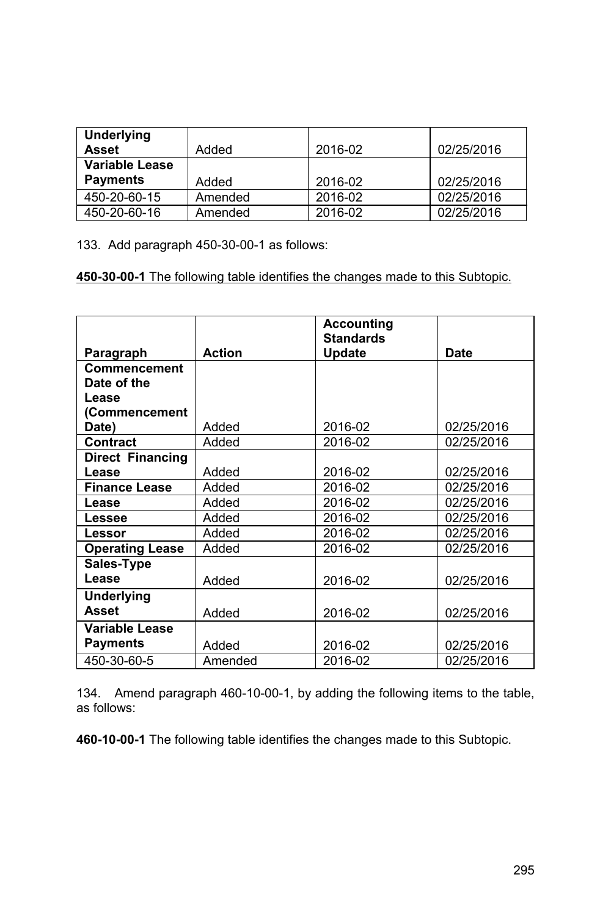| Underlying            |         |         |            |
|-----------------------|---------|---------|------------|
| <b>Asset</b>          | Added   | 2016-02 | 02/25/2016 |
| <b>Variable Lease</b> |         |         |            |
| <b>Payments</b>       | Added   | 2016-02 | 02/25/2016 |
| 450-20-60-15          | Amended | 2016-02 | 02/25/2016 |
| 450-20-60-16          | Amended | 2016-02 | 02/25/2016 |

133. Add paragraph 450-30-00-1 as follows:

**450-30-00-1** The following table identifies the changes made to this Subtopic.

|                         |               | <b>Accounting</b><br><b>Standards</b> |            |
|-------------------------|---------------|---------------------------------------|------------|
| Paragraph               | <b>Action</b> | Update                                | Date       |
| Commencement            |               |                                       |            |
| Date of the             |               |                                       |            |
| Lease                   |               |                                       |            |
| (Commencement           |               |                                       |            |
| Date)                   | Added         | 2016-02                               | 02/25/2016 |
| <b>Contract</b>         | Added         | 2016-02                               | 02/25/2016 |
| <b>Direct Financing</b> |               |                                       |            |
| Lease                   | Added         | 2016-02                               | 02/25/2016 |
| <b>Finance Lease</b>    | Added         | 2016-02                               | 02/25/2016 |
| Lease                   | Added         | 2016-02                               | 02/25/2016 |
| Lessee                  | Added         | 2016-02                               | 02/25/2016 |
| Lessor                  | Added         | 2016-02                               | 02/25/2016 |
| <b>Operating Lease</b>  | Added         | 2016-02                               | 02/25/2016 |
| Sales-Type              |               |                                       |            |
| Lease                   | Added         | 2016-02                               | 02/25/2016 |
| <b>Underlying</b>       |               |                                       |            |
| <b>Asset</b>            | Added         | 2016-02                               | 02/25/2016 |
| <b>Variable Lease</b>   |               |                                       |            |
| <b>Payments</b>         | Added         | 2016-02                               | 02/25/2016 |
| 450-30-60-5             | Amended       | 2016-02                               | 02/25/2016 |

134. Amend paragraph 460-10-00-1, by adding the following items to the table, as follows: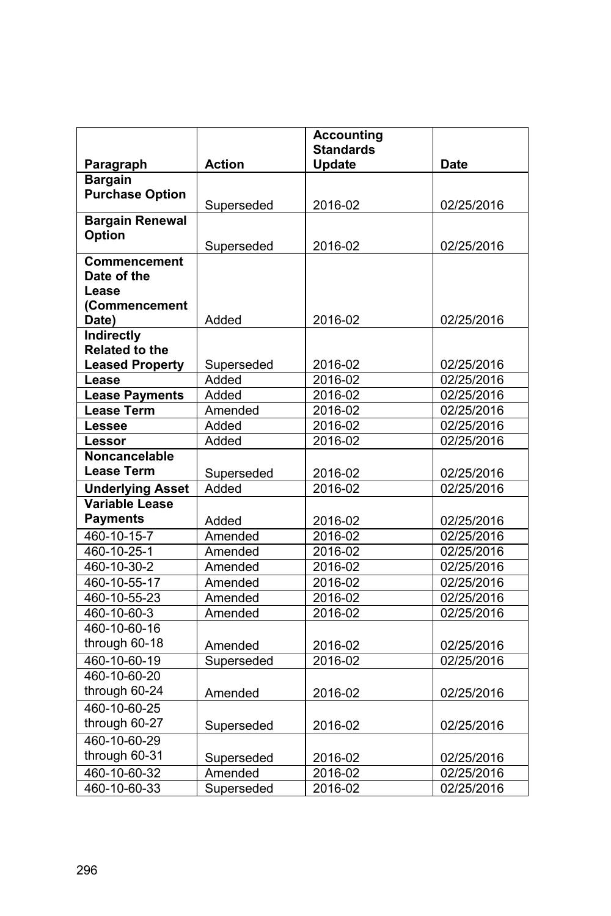|                         |               | <b>Accounting</b>                 |                          |
|-------------------------|---------------|-----------------------------------|--------------------------|
| Paragraph               | <b>Action</b> | <b>Standards</b><br><b>Update</b> | <b>Date</b>              |
| <b>Bargain</b>          |               |                                   |                          |
| <b>Purchase Option</b>  |               |                                   |                          |
|                         | Superseded    | 2016-02                           | 02/25/2016               |
| <b>Bargain Renewal</b>  |               |                                   |                          |
| Option                  |               |                                   |                          |
|                         | Superseded    | 2016-02                           | 02/25/2016               |
| <b>Commencement</b>     |               |                                   |                          |
| Date of the             |               |                                   |                          |
| Lease<br>(Commencement  |               |                                   |                          |
| Date)                   | Added         | 2016-02                           | 02/25/2016               |
| <b>Indirectly</b>       |               |                                   |                          |
| Related to the          |               |                                   |                          |
| <b>Leased Property</b>  | Superseded    | 2016-02                           | 02/25/2016               |
| Lease                   | Added         | 2016-02                           | 02/25/2016               |
| <b>Lease Payments</b>   | Added         | 2016-02                           | 02/25/2016               |
| <b>Lease Term</b>       | Amended       | 2016-02                           | 02/25/2016               |
| Lessee                  | Added         | 2016-02                           | 02/25/2016               |
| Lessor                  | Added         | 2016-02                           | 02/25/2016               |
| Noncancelable           |               |                                   |                          |
| <b>Lease Term</b>       | Superseded    | 2016-02                           | 02/25/2016               |
| <b>Underlying Asset</b> | Added         | 2016-02                           | 02/25/2016               |
| <b>Variable Lease</b>   |               |                                   |                          |
| <b>Payments</b>         | Added         | 2016-02                           | 02/25/2016               |
| 460-10-15-7             | Amended       | 2016-02                           | 02/25/2016               |
| 460-10-25-1             | Amended       | 2016-02                           | $\overline{02}$ /25/2016 |
| 460-10-30-2             | Amended       | 2016-02                           | 02/25/2016               |
| 460-10-55-17            | Amended       | 2016-02                           | 02/25/2016               |
| 460-10-55-23            | Amended       | 2016-02                           | 02/25/2016               |
| 460-10-60-3             | Amended       | 2016-02                           | 02/25/2016               |
| 460-10-60-16            |               |                                   |                          |
| through 60-18           | Amended       | 2016-02                           | 02/25/2016               |
| 460-10-60-19            | Superseded    | 2016-02                           | 02/25/2016               |
| 460-10-60-20            |               |                                   |                          |
| through 60-24           | Amended       | 2016-02                           | 02/25/2016               |
| 460-10-60-25            |               |                                   |                          |
| through 60-27           | Superseded    | 2016-02                           | 02/25/2016               |
| 460-10-60-29            |               |                                   |                          |
| through 60-31           | Superseded    | 2016-02                           | 02/25/2016               |
| 460-10-60-32            | Amended       | 2016-02                           | 02/25/2016               |
| 460-10-60-33            | Superseded    | 2016-02                           | 02/25/2016               |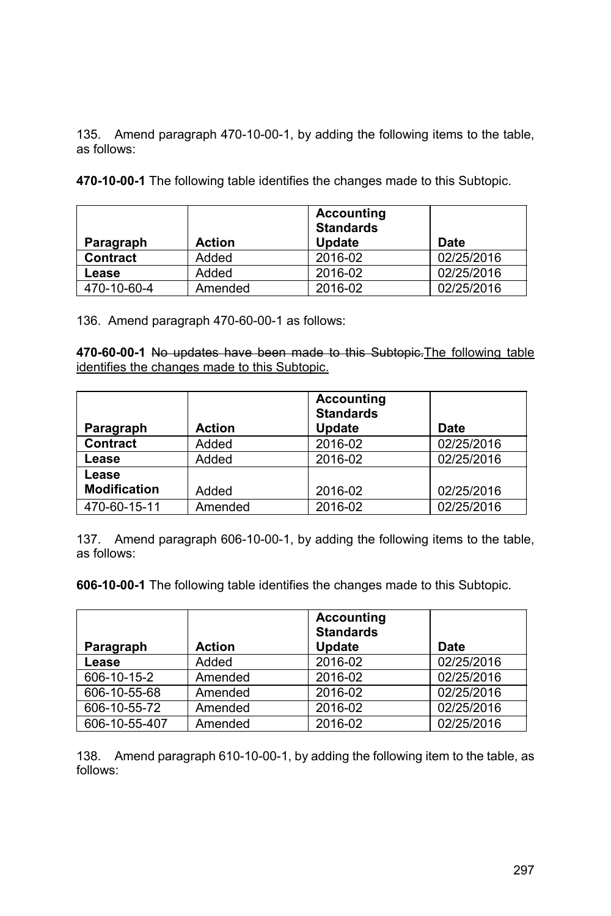135. Amend paragraph 470-10-00-1, by adding the following items to the table, as follows:

**470-10-00-1** The following table identifies the changes made to this Subtopic.

| Paragraph       | <b>Action</b> | <b>Accounting</b><br><b>Standards</b><br><b>Update</b> | Date       |
|-----------------|---------------|--------------------------------------------------------|------------|
| <b>Contract</b> | Added         | 2016-02                                                | 02/25/2016 |
| Lease           | Added         | 2016-02                                                | 02/25/2016 |
| 470-10-60-4     | Amended       | 2016-02                                                | 02/25/2016 |

136. Amend paragraph 470-60-00-1 as follows:

**470-60-00-1** No updates have been made to this Subtopic.The following table identifies the changes made to this Subtopic.

| Paragraph           | <b>Action</b> | <b>Accounting</b><br><b>Standards</b><br>Update | Date       |
|---------------------|---------------|-------------------------------------------------|------------|
| <b>Contract</b>     | Added         | 2016-02                                         | 02/25/2016 |
| Lease               | Added         | 2016-02                                         | 02/25/2016 |
| Lease               |               |                                                 |            |
| <b>Modification</b> | Added         | 2016-02                                         | 02/25/2016 |
| 470-60-15-11        | Amended       | 2016-02                                         | 02/25/2016 |

137. Amend paragraph 606-10-00-1, by adding the following items to the table, as follows:

**606-10-00-1** The following table identifies the changes made to this Subtopic.

|               |               | <b>Accounting</b><br><b>Standards</b> |            |
|---------------|---------------|---------------------------------------|------------|
| Paragraph     | <b>Action</b> | Update                                | Date       |
| Lease         | Added         | 2016-02                               | 02/25/2016 |
| 606-10-15-2   | Amended       | 2016-02                               | 02/25/2016 |
| 606-10-55-68  | Amended       | 2016-02                               | 02/25/2016 |
| 606-10-55-72  | Amended       | 2016-02                               | 02/25/2016 |
| 606-10-55-407 | Amended       | 2016-02                               | 02/25/2016 |

138. Amend paragraph 610-10-00-1, by adding the following item to the table, as follows: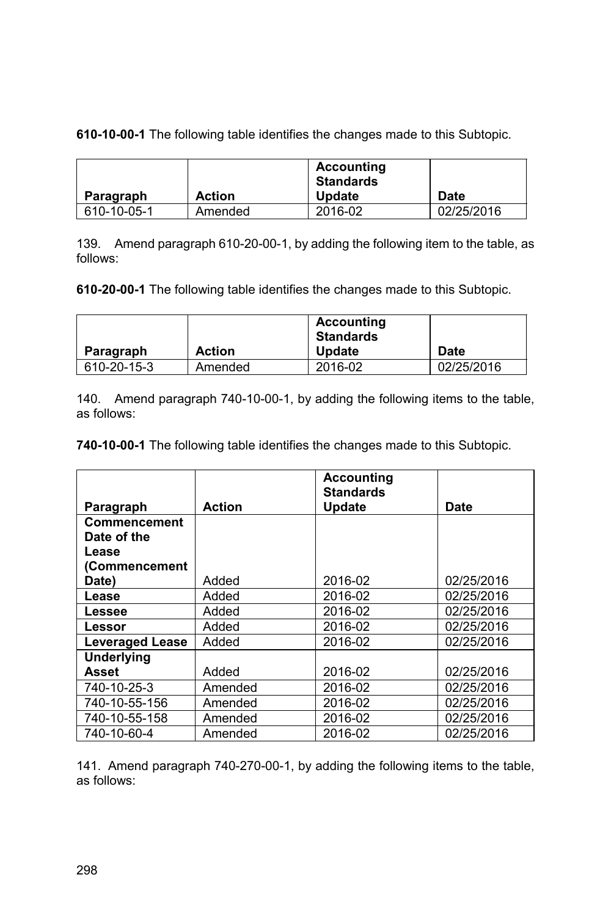**610-10-00-1** The following table identifies the changes made to this Subtopic.

|             |               | <b>Accounting</b><br><b>Standards</b> |            |
|-------------|---------------|---------------------------------------|------------|
| Paragraph   | <b>Action</b> | <b>Update</b>                         | Date       |
| 610-10-05-1 | Amended       | 2016-02                               | 02/25/2016 |

139. Amend paragraph 610-20-00-1, by adding the following item to the table, as follows:

**610-20-00-1** The following table identifies the changes made to this Subtopic.

|             |               | <b>Accounting</b><br><b>Standards</b> |             |
|-------------|---------------|---------------------------------------|-------------|
| Paragraph   | <b>Action</b> | <b>Update</b>                         | <b>Date</b> |
| 610-20-15-3 | Amended       | 2016-02                               | 02/25/2016  |

140. Amend paragraph 740-10-00-1, by adding the following items to the table, as follows:

**740-10-00-1** The following table identifies the changes made to this Subtopic.

|                        |               | <b>Accounting</b><br><b>Standards</b> |            |
|------------------------|---------------|---------------------------------------|------------|
| Paragraph              | <b>Action</b> | <b>Update</b>                         | Date       |
| Commencement           |               |                                       |            |
| Date of the            |               |                                       |            |
| Lease                  |               |                                       |            |
| (Commencement          |               |                                       |            |
| Date)                  | Added         | 2016-02                               | 02/25/2016 |
| Lease                  | Added         | 2016-02                               | 02/25/2016 |
| Lessee                 | Added         | 2016-02                               | 02/25/2016 |
| Lessor                 | Added         | 2016-02                               | 02/25/2016 |
| <b>Leveraged Lease</b> | Added         | 2016-02                               | 02/25/2016 |
| <b>Underlying</b>      |               |                                       |            |
| Asset                  | Added         | 2016-02                               | 02/25/2016 |
| 740-10-25-3            | Amended       | 2016-02                               | 02/25/2016 |
| 740-10-55-156          | Amended       | 2016-02                               | 02/25/2016 |
| 740-10-55-158          | Amended       | 2016-02                               | 02/25/2016 |
| 740-10-60-4            | Amended       | 2016-02                               | 02/25/2016 |

141. Amend paragraph 740-270-00-1, by adding the following items to the table, as follows: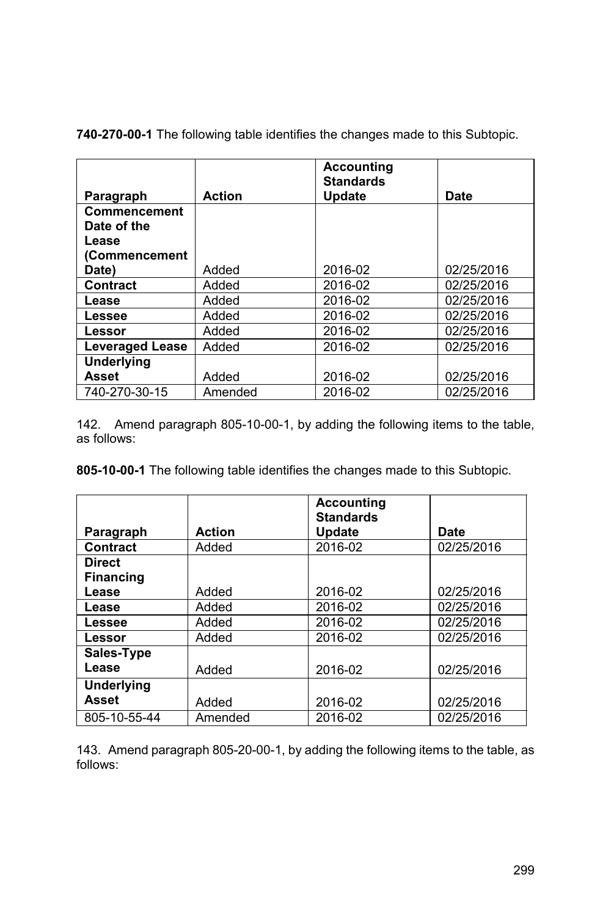|                        |               | <b>Accounting</b><br><b>Standards</b> |            |
|------------------------|---------------|---------------------------------------|------------|
| Paragraph              | <b>Action</b> | <b>Update</b>                         | Date       |
| <b>Commencement</b>    |               |                                       |            |
| Date of the            |               |                                       |            |
| Lease                  |               |                                       |            |
| (Commencement          |               |                                       |            |
| Date)                  | Added         | 2016-02                               | 02/25/2016 |
| <b>Contract</b>        | Added         | 2016-02                               | 02/25/2016 |
| Lease                  | Added         | 2016-02                               | 02/25/2016 |
| Lessee                 | Added         | 2016-02                               | 02/25/2016 |
| Lessor                 | Added         | 2016-02                               | 02/25/2016 |
| <b>Leveraged Lease</b> | Added         | 2016-02                               | 02/25/2016 |
| <b>Underlying</b>      |               |                                       |            |
| <b>Asset</b>           | Added         | 2016-02                               | 02/25/2016 |
| 740-270-30-15          | Amended       | 2016-02                               | 02/25/2016 |

**740-270-00-1** The following table identifies the changes made to this Subtopic.

142. Amend paragraph 805-10-00-1, by adding the following items to the table, as follows:

**805-10-00-1** The following table identifies the changes made to this Subtopic.

|                                   |               | <b>Accounting</b><br><b>Standards</b> |            |
|-----------------------------------|---------------|---------------------------------------|------------|
| Paragraph                         | <b>Action</b> | <b>Update</b>                         | Date       |
| Contract                          | Added         | 2016-02                               | 02/25/2016 |
| <b>Direct</b><br><b>Financing</b> |               |                                       |            |
| Lease                             | Added         | 2016-02                               | 02/25/2016 |
| Lease                             | Added         | 2016-02                               | 02/25/2016 |
| Lessee                            | Added         | 2016-02                               | 02/25/2016 |
| Lessor                            | Added         | 2016-02                               | 02/25/2016 |
| Sales-Type                        |               |                                       |            |
| Lease                             | Added         | 2016-02                               | 02/25/2016 |
| <b>Underlying</b>                 |               |                                       |            |
| <b>Asset</b>                      | Added         | 2016-02                               | 02/25/2016 |
| 805-10-55-44                      | Amended       | 2016-02                               | 02/25/2016 |

143. Amend paragraph 805-20-00-1, by adding the following items to the table, as follows: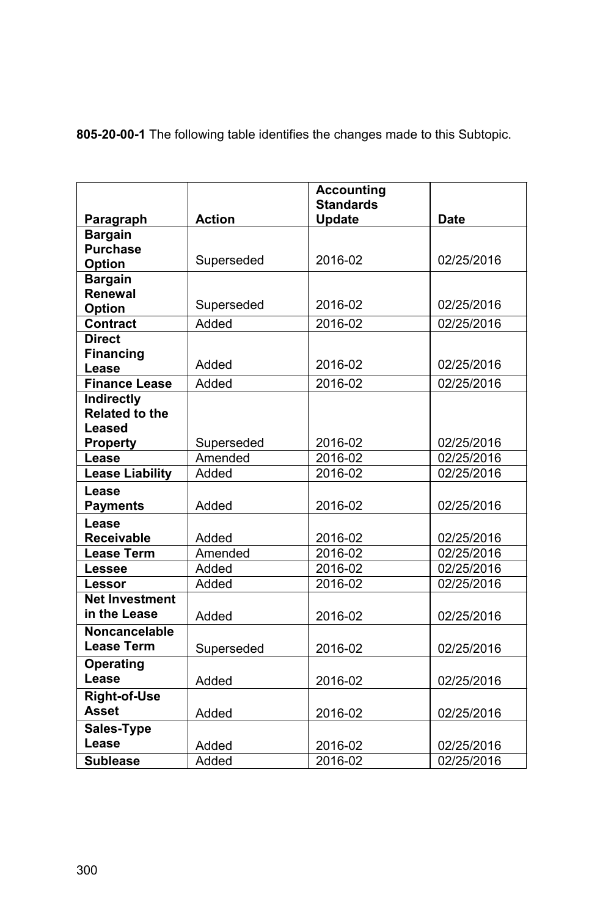|                                     |               | <b>Accounting</b><br><b>Standards</b> |             |
|-------------------------------------|---------------|---------------------------------------|-------------|
| Paragraph                           | <b>Action</b> | <b>Update</b>                         | <b>Date</b> |
| <b>Bargain</b>                      |               |                                       |             |
| <b>Purchase</b>                     |               |                                       |             |
| <b>Option</b>                       | Superseded    | 2016-02                               | 02/25/2016  |
| <b>Bargain</b>                      |               |                                       |             |
| Renewal                             |               |                                       |             |
| <b>Option</b>                       | Superseded    | 2016-02                               | 02/25/2016  |
| Contract                            | Added         | 2016-02                               | 02/25/2016  |
| <b>Direct</b>                       |               |                                       |             |
| <b>Financing</b>                    | Added         | 2016-02                               | 02/25/2016  |
| Lease                               |               |                                       |             |
| <b>Finance Lease</b>                | Added         | 2016-02                               | 02/25/2016  |
| Indirectly<br><b>Related to the</b> |               |                                       |             |
| Leased                              |               |                                       |             |
| <b>Property</b>                     | Superseded    | 2016-02                               | 02/25/2016  |
| Lease                               | Amended       | 2016-02                               | 02/25/2016  |
| <b>Lease Liability</b>              | Added         | 2016-02                               | 02/25/2016  |
| Lease                               |               |                                       |             |
| <b>Payments</b>                     | Added         | 2016-02                               | 02/25/2016  |
| Lease                               |               |                                       |             |
| <b>Receivable</b>                   | Added         | 2016-02                               | 02/25/2016  |
| <b>Lease Term</b>                   | Amended       | 2016-02                               | 02/25/2016  |
| Lessee                              | Added         | 2016-02                               | 02/25/2016  |
| Lessor                              | Added         | 2016-02                               | 02/25/2016  |
| <b>Net Investment</b>               |               |                                       |             |
| in the Lease                        | Added         | 2016-02                               | 02/25/2016  |
| <b>Noncancelable</b>                |               |                                       |             |
| <b>Lease Term</b>                   | Superseded    | 2016-02                               | 02/25/2016  |
| <b>Operating</b>                    |               |                                       |             |
| Lease                               | Added         | 2016-02                               | 02/25/2016  |
| <b>Right-of-Use</b>                 |               |                                       |             |
| <b>Asset</b>                        | Added         | 2016-02                               | 02/25/2016  |
| Sales-Type                          |               |                                       |             |
| Lease                               | Added         | 2016-02                               | 02/25/2016  |
| <b>Sublease</b>                     | Added         | 2016-02                               | 02/25/2016  |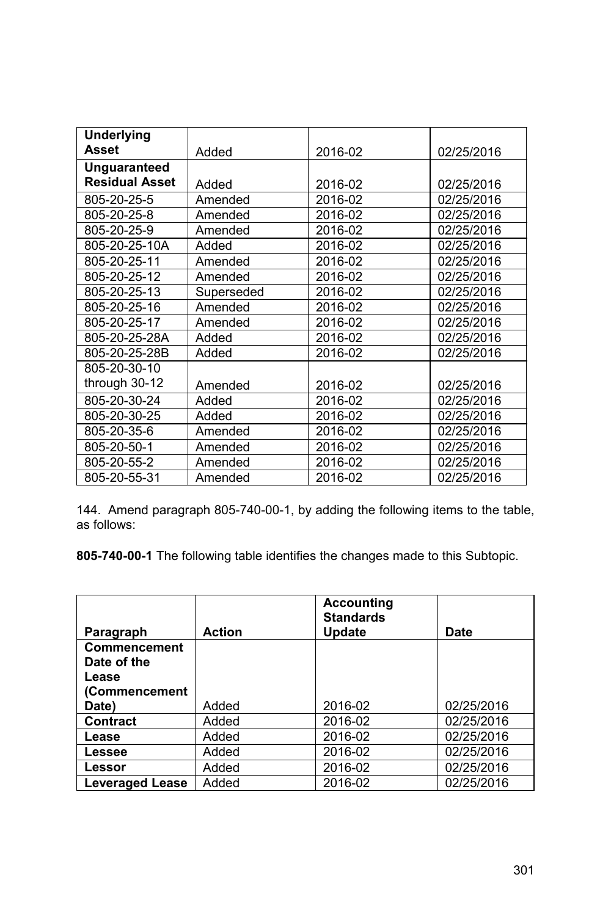| <b>Underlying</b>     |            |         |            |
|-----------------------|------------|---------|------------|
| <b>Asset</b>          | Added      | 2016-02 | 02/25/2016 |
| <b>Unguaranteed</b>   |            |         |            |
| <b>Residual Asset</b> | Added      | 2016-02 | 02/25/2016 |
| 805-20-25-5           | Amended    | 2016-02 | 02/25/2016 |
| 805-20-25-8           | Amended    | 2016-02 | 02/25/2016 |
| 805-20-25-9           | Amended    | 2016-02 | 02/25/2016 |
| 805-20-25-10A         | Added      | 2016-02 | 02/25/2016 |
| 805-20-25-11          | Amended    | 2016-02 | 02/25/2016 |
| 805-20-25-12          | Amended    | 2016-02 | 02/25/2016 |
| 805-20-25-13          | Superseded | 2016-02 | 02/25/2016 |
| 805-20-25-16          | Amended    | 2016-02 | 02/25/2016 |
| 805-20-25-17          | Amended    | 2016-02 | 02/25/2016 |
| 805-20-25-28A         | Added      | 2016-02 | 02/25/2016 |
| 805-20-25-28B         | Added      | 2016-02 | 02/25/2016 |
| 805-20-30-10          |            |         |            |
| through 30-12         | Amended    | 2016-02 | 02/25/2016 |
| 805-20-30-24          | Added      | 2016-02 | 02/25/2016 |
| 805-20-30-25          | Added      | 2016-02 | 02/25/2016 |
| 805-20-35-6           | Amended    | 2016-02 | 02/25/2016 |
| 805-20-50-1           | Amended    | 2016-02 | 02/25/2016 |
| 805-20-55-2           | Amended    | 2016-02 | 02/25/2016 |
| 805-20-55-31          | Amended    | 2016-02 | 02/25/2016 |

144. Amend paragraph 805-740-00-1, by adding the following items to the table, as follows:

|                             |               | <b>Accounting</b><br><b>Standards</b> |            |
|-----------------------------|---------------|---------------------------------------|------------|
| Paragraph                   | <b>Action</b> | <b>Update</b>                         | Date       |
| Commencement<br>Date of the |               |                                       |            |
| Lease                       |               |                                       |            |
| (Commencement               |               |                                       |            |
| Date)                       | Added         | 2016-02                               | 02/25/2016 |
| <b>Contract</b>             | Added         | 2016-02                               | 02/25/2016 |
| Lease                       | Added         | 2016-02                               | 02/25/2016 |
| Lessee                      | Added         | 2016-02                               | 02/25/2016 |
| Lessor                      | Added         | 2016-02                               | 02/25/2016 |
| <b>Leveraged Lease</b>      | Added         | 2016-02                               | 02/25/2016 |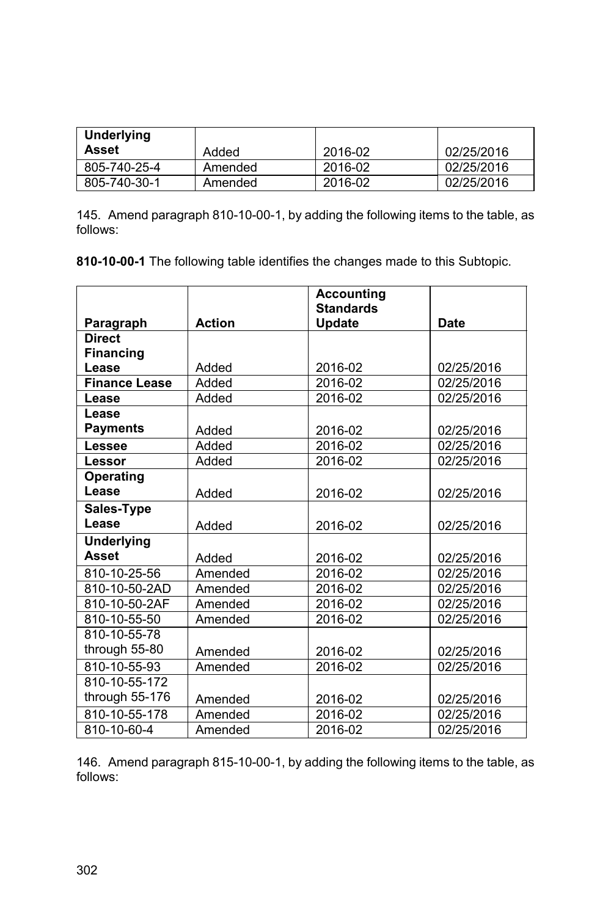| Underlying<br>Asset | Added   | 2016-02 | 02/25/2016 |
|---------------------|---------|---------|------------|
| 805-740-25-4        | Amended | 2016-02 | 02/25/2016 |
| 805-740-30-1        | Amended | 2016-02 | 02/25/2016 |

145. Amend paragraph 810-10-00-1, by adding the following items to the table, as follows:

**810-10-00-1** The following table identifies the changes made to this Subtopic.

|                      |               | <b>Accounting</b> |            |
|----------------------|---------------|-------------------|------------|
|                      |               | <b>Standards</b>  |            |
| Paragraph            | <b>Action</b> | <b>Update</b>     | Date       |
| <b>Direct</b>        |               |                   |            |
| <b>Financing</b>     |               |                   |            |
| Lease                | Added         | 2016-02           | 02/25/2016 |
| <b>Finance Lease</b> | Added         | 2016-02           | 02/25/2016 |
| Lease                | Added         | 2016-02           | 02/25/2016 |
| Lease                |               |                   |            |
| <b>Payments</b>      | Added         | 2016-02           | 02/25/2016 |
| Lessee               | Added         | 2016-02           | 02/25/2016 |
| Lessor               | Added         | 2016-02           | 02/25/2016 |
| <b>Operating</b>     |               |                   |            |
| Lease                | Added         | 2016-02           | 02/25/2016 |
| Sales-Type           |               |                   |            |
| Lease                | Added         | 2016-02           | 02/25/2016 |
| <b>Underlying</b>    |               |                   |            |
| Asset                | Added         | 2016-02           | 02/25/2016 |
| 810-10-25-56         | Amended       | 2016-02           | 02/25/2016 |
| 810-10-50-2AD        | Amended       | 2016-02           | 02/25/2016 |
| 810-10-50-2AF        | Amended       | 2016-02           | 02/25/2016 |
| 810-10-55-50         | Amended       | 2016-02           | 02/25/2016 |
| 810-10-55-78         |               |                   |            |
| through 55-80        | Amended       | 2016-02           | 02/25/2016 |
| 810-10-55-93         | Amended       | 2016-02           | 02/25/2016 |
| 810-10-55-172        |               |                   |            |
| through 55-176       | Amended       | 2016-02           | 02/25/2016 |
| 810-10-55-178        | Amended       | 2016-02           | 02/25/2016 |
| 810-10-60-4          | Amended       | 2016-02           | 02/25/2016 |

146. Amend paragraph 815-10-00-1, by adding the following items to the table, as follows: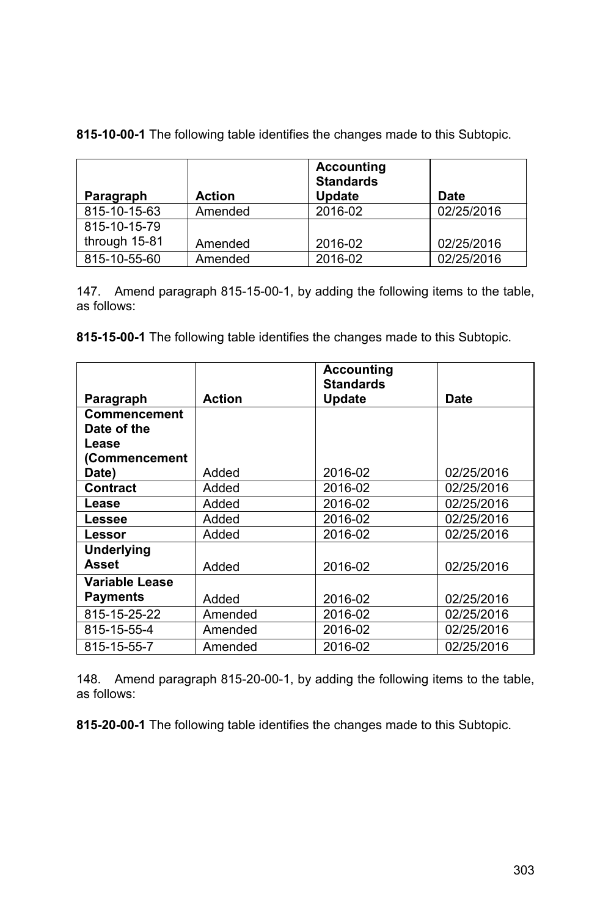|  |  |  |  | 815-10-00-1 The following table identifies the changes made to this Subtopic. |
|--|--|--|--|-------------------------------------------------------------------------------|
|--|--|--|--|-------------------------------------------------------------------------------|

| Paragraph     | <b>Action</b> | <b>Accounting</b><br><b>Standards</b><br><b>Update</b> | Date       |
|---------------|---------------|--------------------------------------------------------|------------|
| 815-10-15-63  | Amended       | 2016-02                                                | 02/25/2016 |
| 815-10-15-79  |               |                                                        |            |
| through 15-81 | Amended       | 2016-02                                                | 02/25/2016 |
| 815-10-55-60  | Amended       | 2016-02                                                | 02/25/2016 |

147. Amend paragraph 815-15-00-1, by adding the following items to the table, as follows:

**815-15-00-1** The following table identifies the changes made to this Subtopic.

|                   |               | <b>Accounting</b><br><b>Standards</b> |            |
|-------------------|---------------|---------------------------------------|------------|
| Paragraph         | <b>Action</b> | <b>Update</b>                         | Date       |
| Commencement      |               |                                       |            |
| Date of the       |               |                                       |            |
| Lease             |               |                                       |            |
| (Commencement     |               |                                       |            |
| Date)             | Added         | 2016-02                               | 02/25/2016 |
| Contract          | Added         | 2016-02                               | 02/25/2016 |
| Lease             | Added         | 2016-02                               | 02/25/2016 |
| Lessee            | Added         | 2016-02                               | 02/25/2016 |
| Lessor            | Added         | 2016-02                               | 02/25/2016 |
| <b>Underlying</b> |               |                                       |            |
| Asset             | Added         | 2016-02                               | 02/25/2016 |
| Variable Lease    |               |                                       |            |
| Payments          | Added         | 2016-02                               | 02/25/2016 |
| 815-15-25-22      | Amended       | 2016-02                               | 02/25/2016 |
| 815-15-55-4       | Amended       | 2016-02                               | 02/25/2016 |
| 815-15-55-7       | Amended       | 2016-02                               | 02/25/2016 |

148. Amend paragraph 815-20-00-1, by adding the following items to the table, as follows: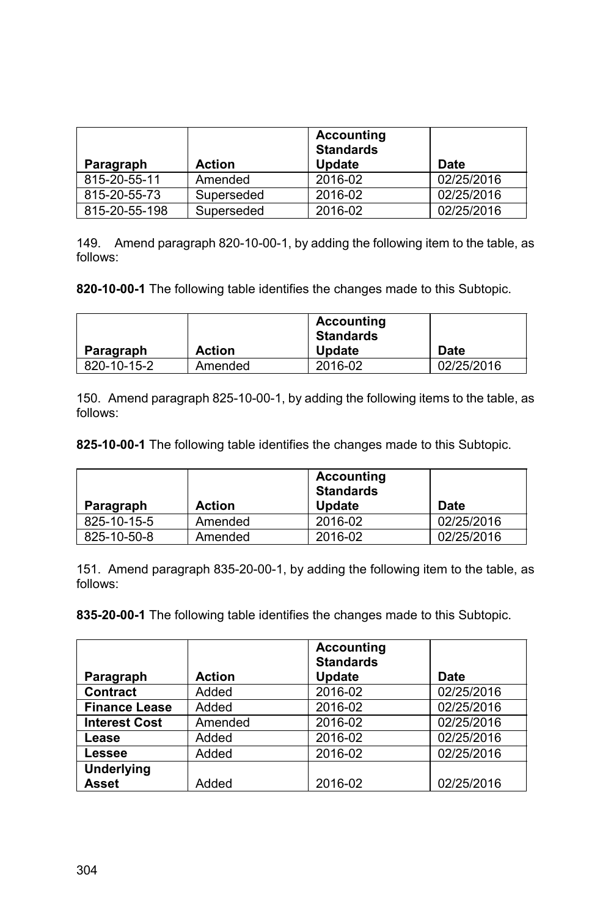| Paragraph     | <b>Action</b> | <b>Accounting</b><br><b>Standards</b><br><b>Update</b> | Date       |
|---------------|---------------|--------------------------------------------------------|------------|
| 815-20-55-11  | Amended       | 2016-02                                                | 02/25/2016 |
| 815-20-55-73  | Superseded    | 2016-02                                                | 02/25/2016 |
| 815-20-55-198 | Superseded    | 2016-02                                                | 02/25/2016 |

149. Amend paragraph 820-10-00-1, by adding the following item to the table, as follows:

**820-10-00-1** The following table identifies the changes made to this Subtopic.

|             |               | <b>Accounting</b><br><b>Standards</b> |             |
|-------------|---------------|---------------------------------------|-------------|
| Paragraph   | <b>Action</b> | <b>Update</b>                         | <b>Date</b> |
| 820-10-15-2 | Amended       | 2016-02                               | 02/25/2016  |

150. Amend paragraph 825-10-00-1, by adding the following items to the table, as follows:

**825-10-00-1** The following table identifies the changes made to this Subtopic.

|             |               | <b>Accounting</b><br><b>Standards</b> |             |
|-------------|---------------|---------------------------------------|-------------|
| Paragraph   | <b>Action</b> | <b>Update</b>                         | <b>Date</b> |
| 825-10-15-5 | Amended       | 2016-02                               | 02/25/2016  |
| 825-10-50-8 | Amended       | 2016-02                               | 02/25/2016  |

151. Amend paragraph 835-20-00-1, by adding the following item to the table, as follows:

|                      |               | <b>Accounting</b><br><b>Standards</b> |            |
|----------------------|---------------|---------------------------------------|------------|
| Paragraph            | <b>Action</b> | Update                                | Date       |
| <b>Contract</b>      | Added         | 2016-02                               | 02/25/2016 |
| <b>Finance Lease</b> | Added         | 2016-02                               | 02/25/2016 |
| <b>Interest Cost</b> | Amended       | 2016-02                               | 02/25/2016 |
| Lease                | Added         | 2016-02                               | 02/25/2016 |
| Lessee               | Added         | 2016-02                               | 02/25/2016 |
| <b>Underlying</b>    |               |                                       |            |
| <b>Asset</b>         | Added         | 2016-02                               | 02/25/2016 |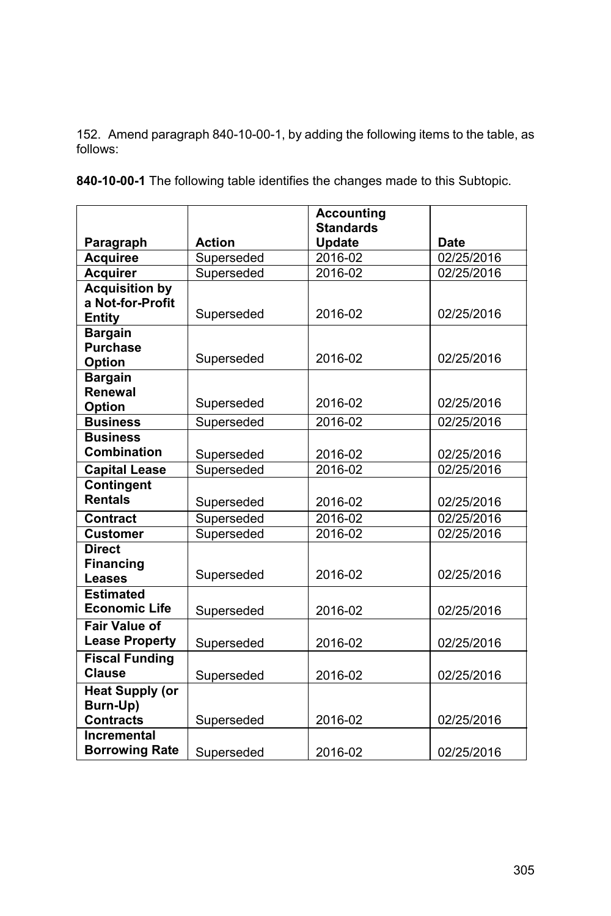152. Amend paragraph 840-10-00-1, by adding the following items to the table, as follows:

|                        |               | <b>Accounting</b>                 |             |
|------------------------|---------------|-----------------------------------|-------------|
| Paragraph              | <b>Action</b> | <b>Standards</b><br><b>Update</b> | <b>Date</b> |
| <b>Acquiree</b>        | Superseded    | 2016-02                           | 02/25/2016  |
| <b>Acquirer</b>        | Superseded    | 2016-02                           | 02/25/2016  |
| <b>Acquisition by</b>  |               |                                   |             |
| a Not-for-Profit       |               |                                   |             |
| <b>Entity</b>          | Superseded    | 2016-02                           | 02/25/2016  |
| <b>Bargain</b>         |               |                                   |             |
| <b>Purchase</b>        |               |                                   |             |
| <b>Option</b>          | Superseded    | 2016-02                           | 02/25/2016  |
| <b>Bargain</b>         |               |                                   |             |
| Renewal                |               |                                   |             |
| <b>Option</b>          | Superseded    | 2016-02                           | 02/25/2016  |
| <b>Business</b>        | Superseded    | 2016-02                           | 02/25/2016  |
| <b>Business</b>        |               |                                   |             |
| <b>Combination</b>     | Superseded    | 2016-02                           | 02/25/2016  |
| <b>Capital Lease</b>   | Superseded    | 2016-02                           | 02/25/2016  |
| Contingent             |               |                                   |             |
| <b>Rentals</b>         | Superseded    | 2016-02                           | 02/25/2016  |
| <b>Contract</b>        | Superseded    | 2016-02                           | 02/25/2016  |
| <b>Customer</b>        | Superseded    | 2016-02                           | 02/25/2016  |
| <b>Direct</b>          |               |                                   |             |
| <b>Financing</b>       |               |                                   |             |
| <b>Leases</b>          | Superseded    | 2016-02                           | 02/25/2016  |
| <b>Estimated</b>       |               |                                   |             |
| <b>Economic Life</b>   | Superseded    | 2016-02                           | 02/25/2016  |
| <b>Fair Value of</b>   |               |                                   |             |
| <b>Lease Property</b>  | Superseded    | 2016-02                           | 02/25/2016  |
| <b>Fiscal Funding</b>  |               |                                   |             |
| <b>Clause</b>          | Superseded    | 2016-02                           | 02/25/2016  |
| <b>Heat Supply (or</b> |               |                                   |             |
| Burn-Up)               |               |                                   |             |
| <b>Contracts</b>       | Superseded    | 2016-02                           | 02/25/2016  |
| Incremental            |               |                                   |             |
| <b>Borrowing Rate</b>  | Superseded    | 2016-02                           | 02/25/2016  |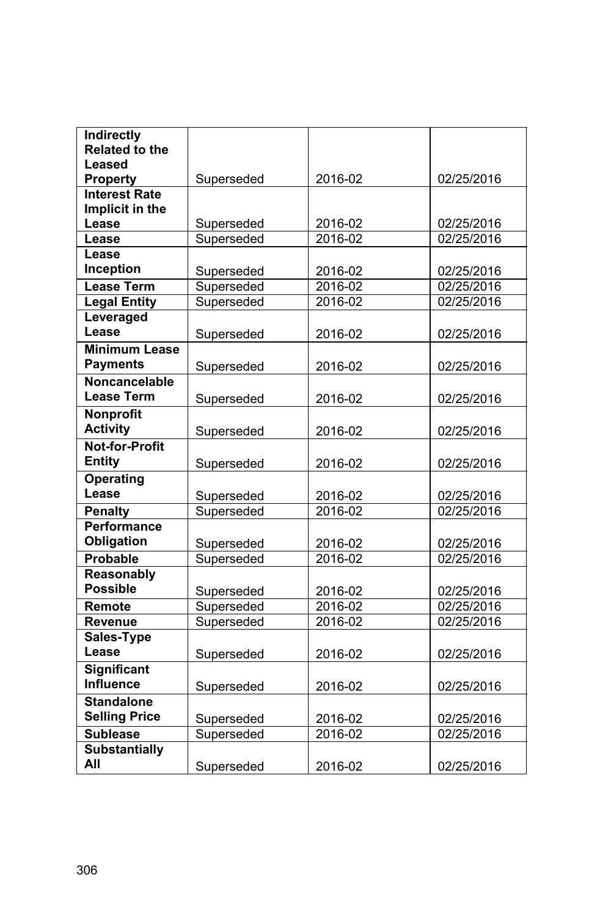| Indirectly            |            |         |            |
|-----------------------|------------|---------|------------|
| <b>Related to the</b> |            |         |            |
| Leased                |            |         |            |
| <b>Property</b>       | Superseded | 2016-02 | 02/25/2016 |
| <b>Interest Rate</b>  |            |         |            |
| Implicit in the       |            |         |            |
| Lease                 | Superseded | 2016-02 | 02/25/2016 |
| Lease                 | Superseded | 2016-02 | 02/25/2016 |
| Lease                 |            |         |            |
| Inception             | Superseded | 2016-02 | 02/25/2016 |
| <b>Lease Term</b>     | Superseded | 2016-02 | 02/25/2016 |
| <b>Legal Entity</b>   | Superseded | 2016-02 | 02/25/2016 |
| Leveraged             |            |         |            |
| Lease                 | Superseded | 2016-02 | 02/25/2016 |
| <b>Minimum Lease</b>  |            |         |            |
| <b>Payments</b>       | Superseded | 2016-02 | 02/25/2016 |
| Noncancelable         |            |         |            |
| <b>Lease Term</b>     | Superseded | 2016-02 | 02/25/2016 |
| <b>Nonprofit</b>      |            |         |            |
| <b>Activity</b>       | Superseded | 2016-02 | 02/25/2016 |
| <b>Not-for-Profit</b> |            |         |            |
| <b>Entity</b>         | Superseded | 2016-02 | 02/25/2016 |
| <b>Operating</b>      |            |         |            |
| Lease                 | Superseded | 2016-02 | 02/25/2016 |
| <b>Penalty</b>        | Superseded | 2016-02 | 02/25/2016 |
| <b>Performance</b>    |            |         |            |
| Obligation            | Superseded | 2016-02 | 02/25/2016 |
| Probable              | Superseded | 2016-02 | 02/25/2016 |
| Reasonably            |            |         |            |
| <b>Possible</b>       | Superseded | 2016-02 | 02/25/2016 |
| Remote                | Superseded | 2016-02 | 02/25/2016 |
| Revenue               | Superseded | 2016-02 | 02/25/2016 |
| Sales-Type            |            |         |            |
| Lease                 | Superseded | 2016-02 | 02/25/2016 |
| <b>Significant</b>    |            |         |            |
| <b>Influence</b>      | Superseded | 2016-02 | 02/25/2016 |
| <b>Standalone</b>     |            |         |            |
| <b>Selling Price</b>  | Superseded | 2016-02 | 02/25/2016 |
| <b>Sublease</b>       | Superseded | 2016-02 | 02/25/2016 |
| <b>Substantially</b>  |            |         |            |
| All                   | Superseded | 2016-02 | 02/25/2016 |
|                       |            |         |            |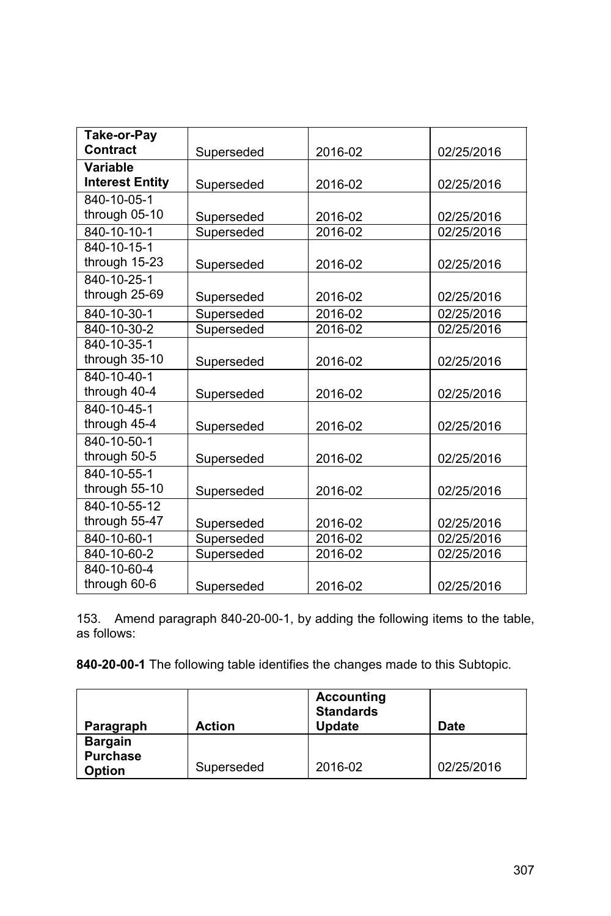| Take-or-Pay            |            |             |            |
|------------------------|------------|-------------|------------|
| Contract               | Superseded | 2016-02     | 02/25/2016 |
| Variable               |            |             |            |
| <b>Interest Entity</b> | Superseded | 2016-02     | 02/25/2016 |
| 840-10-05-1            |            |             |            |
| through 05-10          | Superseded | 2016-02     | 02/25/2016 |
| 840-10-10-1            | Superseded | 2016-02     | 02/25/2016 |
| 840-10-15-1            |            |             |            |
| through 15-23          | Superseded | 2016-02     | 02/25/2016 |
| 840-10-25-1            |            |             |            |
| through 25-69          | Superseded | 2016-02     | 02/25/2016 |
| 840-10-30-1            | Superseded | 2016-02     | 02/25/2016 |
| 840-10-30-2            | Superseded | 2016-02     | 02/25/2016 |
| 840-10-35-1            |            |             |            |
| through 35-10          | Superseded | 2016-02     | 02/25/2016 |
| 840-10-40-1            |            |             |            |
| through 40-4           | Superseded | 2016-02     | 02/25/2016 |
| 840-10-45-1            |            |             |            |
| through 45-4           | Superseded | 2016-02     | 02/25/2016 |
| 840-10-50-1            |            |             |            |
| through 50-5           | Superseded | 2016-02     | 02/25/2016 |
| 840-10-55-1            |            |             |            |
| through 55-10          | Superseded | 2016-02     | 02/25/2016 |
| 840-10-55-12           |            |             |            |
| through 55-47          | Superseded | 2016-02     | 02/25/2016 |
| 840-10-60-1            | Superseded | $2016 - 02$ | 02/25/2016 |
| 840-10-60-2            | Superseded | 2016-02     | 02/25/2016 |
| 840-10-60-4            |            |             |            |
| through 60-6           | Superseded | 2016-02     | 02/25/2016 |

153. Amend paragraph 840-20-00-1, by adding the following items to the table, as follows:

| <b>Action</b> | <b>Standards</b><br>Update | Date       |
|---------------|----------------------------|------------|
|               |                            | 02/25/2016 |
|               | Superseded                 | 2016-02    |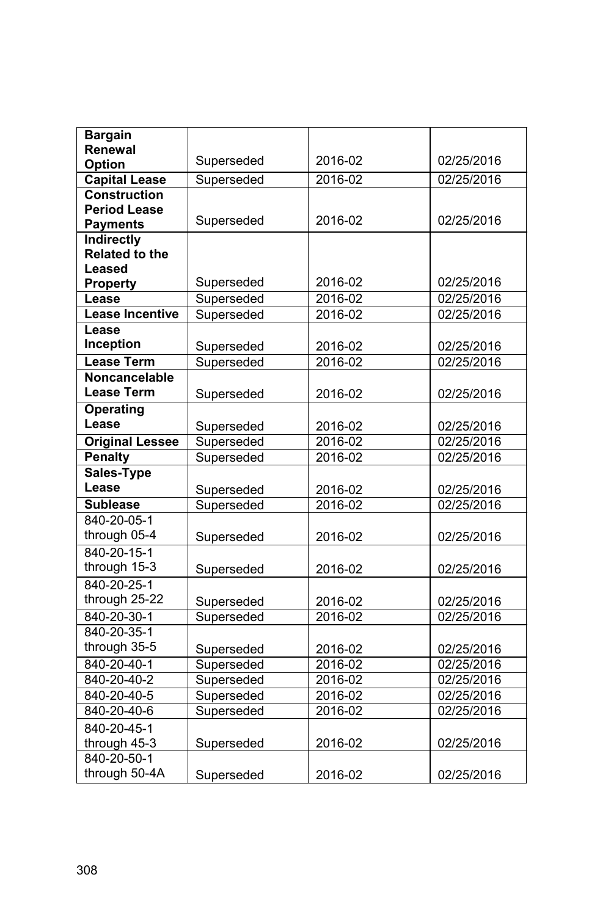| <b>Bargain</b><br>Renewal |            |         |            |
|---------------------------|------------|---------|------------|
| Option                    | Superseded | 2016-02 | 02/25/2016 |
| <b>Capital Lease</b>      | Superseded | 2016-02 | 02/25/2016 |
| <b>Construction</b>       |            |         |            |
| <b>Period Lease</b>       |            |         |            |
| <b>Payments</b>           | Superseded | 2016-02 | 02/25/2016 |
| Indirectly                |            |         |            |
| <b>Related to the</b>     |            |         |            |
| Leased                    |            |         |            |
| <b>Property</b>           | Superseded | 2016-02 | 02/25/2016 |
| Lease                     | Superseded | 2016-02 | 02/25/2016 |
| <b>Lease Incentive</b>    | Superseded | 2016-02 | 02/25/2016 |
| Lease                     |            |         |            |
| Inception                 | Superseded | 2016-02 | 02/25/2016 |
| <b>Lease Term</b>         | Superseded | 2016-02 | 02/25/2016 |
| <b>Noncancelable</b>      |            |         |            |
| <b>Lease Term</b>         | Superseded | 2016-02 | 02/25/2016 |
| <b>Operating</b>          |            |         |            |
| Lease                     | Superseded | 2016-02 | 02/25/2016 |
| <b>Original Lessee</b>    | Superseded | 2016-02 | 02/25/2016 |
| <b>Penalty</b>            | Superseded | 2016-02 | 02/25/2016 |
| <b>Sales-Type</b>         |            |         |            |
| Lease                     | Superseded | 2016-02 | 02/25/2016 |
| Sublease                  | Superseded | 2016-02 | 02/25/2016 |
| 840-20-05-1               |            |         |            |
| through 05-4              | Superseded | 2016-02 | 02/25/2016 |
| 840-20-15-1               |            |         |            |
| through 15-3              | Superseded | 2016-02 | 02/25/2016 |
| 840-20-25-1               |            |         |            |
| through 25-22             | Superseded | 2016-02 | 02/25/2016 |
| 840-20-30-1               | Superseded | 2016-02 | 02/25/2016 |
| 840-20-35-1               |            |         |            |
| through 35-5              | Superseded | 2016-02 | 02/25/2016 |
| 840-20-40-1               | Superseded | 2016-02 | 02/25/2016 |
| 840-20-40-2               | Superseded | 2016-02 | 02/25/2016 |
| 840-20-40-5               | Superseded | 2016-02 | 02/25/2016 |
| 840-20-40-6               | Superseded | 2016-02 | 02/25/2016 |
| 840-20-45-1               |            |         |            |
| through 45-3              | Superseded | 2016-02 | 02/25/2016 |
| 840-20-50-1               |            |         |            |
| through 50-4A             | Superseded | 2016-02 | 02/25/2016 |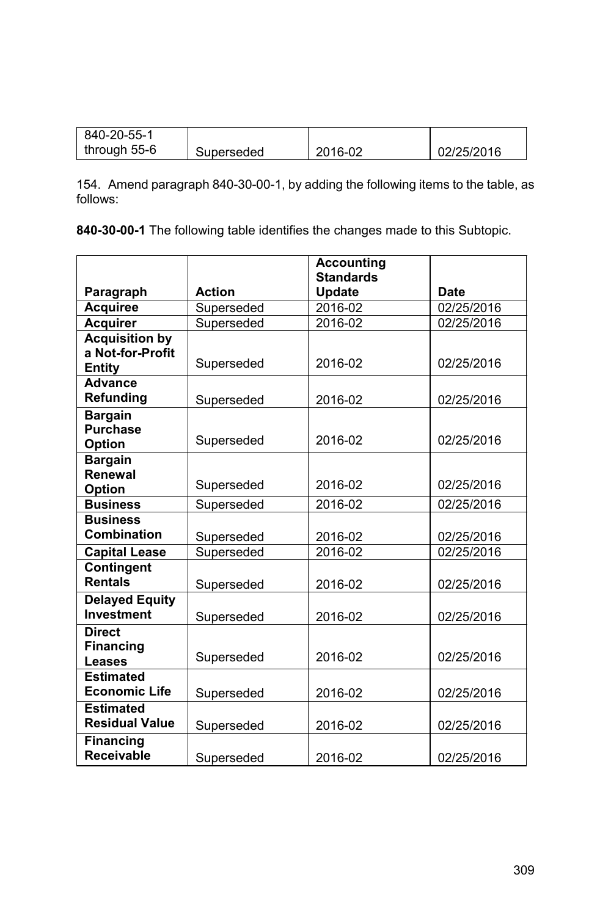| 840-20-55-1  |            |         |            |
|--------------|------------|---------|------------|
| through 55-6 | Superseded | 2016-02 | 02/25/2016 |

154. Amend paragraph 840-30-00-1, by adding the following items to the table, as follows:

|                                  |               | <b>Accounting</b><br><b>Standards</b> |             |
|----------------------------------|---------------|---------------------------------------|-------------|
| Paragraph                        | <b>Action</b> | <b>Update</b>                         | <b>Date</b> |
| <b>Acquiree</b>                  | Superseded    | 2016-02                               | 02/25/2016  |
| <b>Acquirer</b>                  | Superseded    | 2016-02                               | 02/25/2016  |
| <b>Acquisition by</b>            |               |                                       |             |
| a Not-for-Profit                 |               |                                       |             |
| Entity                           | Superseded    | 2016-02                               | 02/25/2016  |
| <b>Advance</b>                   |               |                                       |             |
| Refunding                        | Superseded    | 2016-02                               | 02/25/2016  |
| <b>Bargain</b>                   |               |                                       |             |
| <b>Purchase</b>                  | Superseded    | 2016-02                               | 02/25/2016  |
| Option                           |               |                                       |             |
| <b>Bargain</b><br><b>Renewal</b> |               |                                       |             |
| Option                           | Superseded    | 2016-02                               | 02/25/2016  |
| <b>Business</b>                  | Superseded    | 2016-02                               | 02/25/2016  |
| <b>Business</b>                  |               |                                       |             |
| Combination                      | Superseded    | 2016-02                               | 02/25/2016  |
| <b>Capital Lease</b>             | Superseded    | 2016-02                               | 02/25/2016  |
| <b>Contingent</b>                |               |                                       |             |
| <b>Rentals</b>                   | Superseded    | 2016-02                               | 02/25/2016  |
| <b>Delayed Equity</b>            |               |                                       |             |
| <b>Investment</b>                | Superseded    | 2016-02                               | 02/25/2016  |
| <b>Direct</b>                    |               |                                       |             |
| <b>Financing</b>                 |               | 2016-02                               | 02/25/2016  |
| Leases                           | Superseded    |                                       |             |
| <b>Estimated</b>                 |               |                                       |             |
| <b>Economic Life</b>             | Superseded    | 2016-02                               | 02/25/2016  |
| <b>Estimated</b>                 |               |                                       |             |
| <b>Residual Value</b>            | Superseded    | 2016-02                               | 02/25/2016  |
| <b>Financing</b>                 |               |                                       |             |
| <b>Receivable</b>                | Superseded    | 2016-02                               | 02/25/2016  |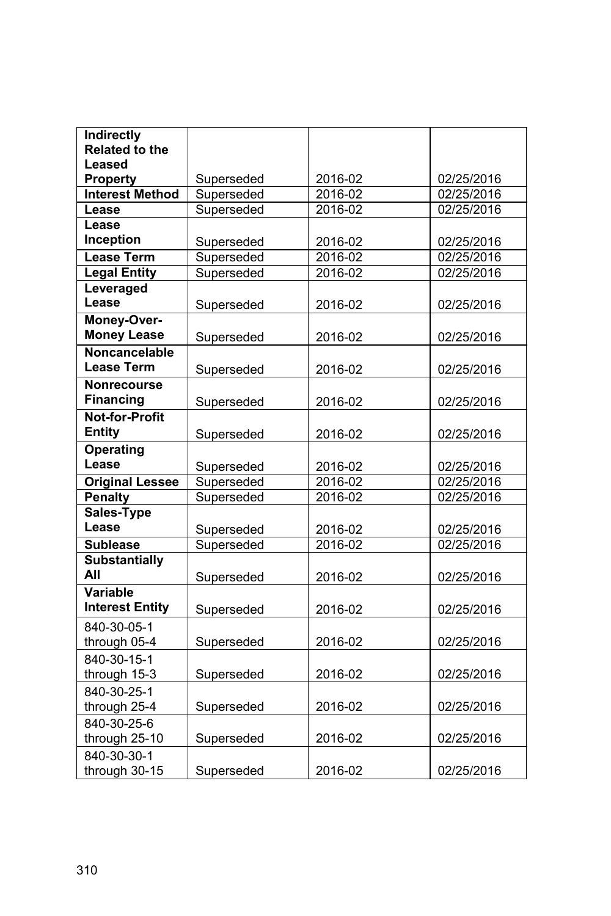| <b>Indirectly</b>      |            |         |            |
|------------------------|------------|---------|------------|
| <b>Related to the</b>  |            |         |            |
| Leased                 |            |         |            |
| <b>Property</b>        | Superseded | 2016-02 | 02/25/2016 |
| <b>Interest Method</b> | Superseded | 2016-02 | 02/25/2016 |
| Lease                  | Superseded | 2016-02 | 02/25/2016 |
| Lease                  |            |         |            |
| Inception              | Superseded | 2016-02 | 02/25/2016 |
| Lease Term             | Superseded | 2016-02 | 02/25/2016 |
| <b>Legal Entity</b>    | Superseded | 2016-02 | 02/25/2016 |
| Leveraged              |            |         |            |
| Lease                  | Superseded | 2016-02 | 02/25/2016 |
| Money-Over-            |            |         |            |
| <b>Money Lease</b>     | Superseded | 2016-02 | 02/25/2016 |
| Noncancelable          |            |         |            |
| <b>Lease Term</b>      | Superseded | 2016-02 | 02/25/2016 |
| <b>Nonrecourse</b>     |            |         |            |
| <b>Financing</b>       | Superseded | 2016-02 | 02/25/2016 |
| <b>Not-for-Profit</b>  |            |         |            |
| <b>Entity</b>          | Superseded | 2016-02 | 02/25/2016 |
| Operating              |            |         |            |
| Lease                  | Superseded | 2016-02 | 02/25/2016 |
| <b>Original Lessee</b> | Superseded | 2016-02 | 02/25/2016 |
| <b>Penalty</b>         | Superseded | 2016-02 | 02/25/2016 |
| Sales-Type             |            |         |            |
| Lease                  | Superseded | 2016-02 | 02/25/2016 |
| <b>Sublease</b>        | Superseded | 2016-02 | 02/25/2016 |
| <b>Substantially</b>   |            |         |            |
| All                    | Superseded | 2016-02 | 02/25/2016 |
| Variable               |            |         |            |
| <b>Interest Entity</b> | Superseded | 2016-02 | 02/25/2016 |
| 840-30-05-1            |            |         |            |
| through 05-4           | Superseded | 2016-02 | 02/25/2016 |
| 840-30-15-1            |            |         |            |
| through 15-3           | Superseded | 2016-02 | 02/25/2016 |
| 840-30-25-1            |            |         |            |
| through 25-4           | Superseded | 2016-02 | 02/25/2016 |
| 840-30-25-6            |            |         |            |
| through 25-10          | Superseded | 2016-02 | 02/25/2016 |
| 840-30-30-1            |            |         |            |
| through 30-15          | Superseded | 2016-02 | 02/25/2016 |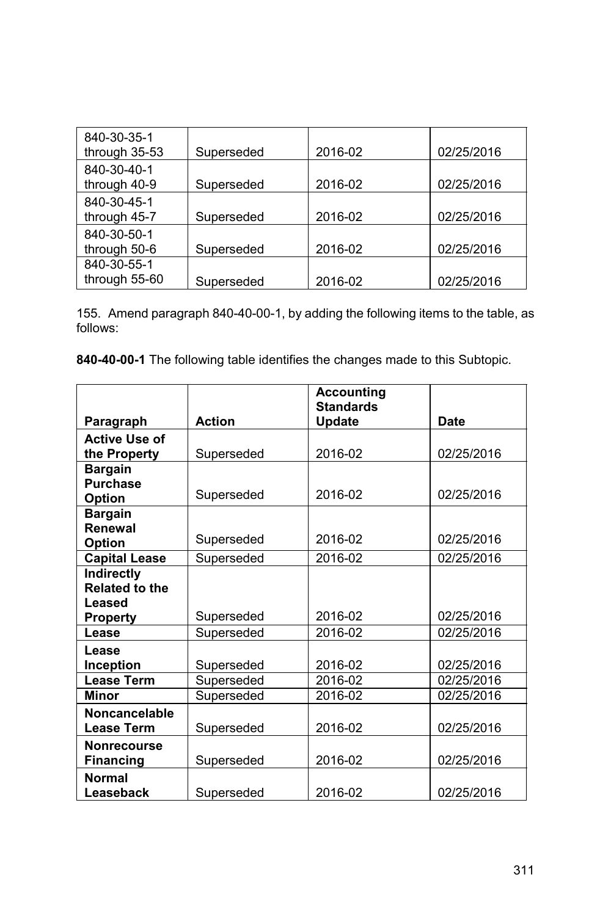| 840-30-35-1<br>through 35-53 | Superseded | 2016-02 | 02/25/2016 |
|------------------------------|------------|---------|------------|
| 840-30-40-1                  |            |         |            |
| through 40-9                 | Superseded | 2016-02 | 02/25/2016 |
| 840-30-45-1                  |            |         |            |
| through 45-7                 | Superseded | 2016-02 | 02/25/2016 |
| 840-30-50-1                  |            |         |            |
| through 50-6                 | Superseded | 2016-02 | 02/25/2016 |
| 840-30-55-1                  |            |         |            |
| through 55-60                | Superseded | 2016-02 | 02/25/2016 |

155. Amend paragraph 840-40-00-1, by adding the following items to the table, as follows:

|                       |               | <b>Accounting</b> |             |
|-----------------------|---------------|-------------------|-------------|
|                       |               | <b>Standards</b>  |             |
| Paragraph             | <b>Action</b> | <b>Update</b>     | <b>Date</b> |
| <b>Active Use of</b>  |               |                   |             |
| the Property          | Superseded    | 2016-02           | 02/25/2016  |
| <b>Bargain</b>        |               |                   |             |
| <b>Purchase</b>       |               |                   |             |
| <b>Option</b>         | Superseded    | 2016-02           | 02/25/2016  |
| <b>Bargain</b>        |               |                   |             |
| <b>Renewal</b>        |               |                   |             |
| Option                | Superseded    | 2016-02           | 02/25/2016  |
| <b>Capital Lease</b>  | Superseded    | 2016-02           | 02/25/2016  |
| Indirectly            |               |                   |             |
| <b>Related to the</b> |               |                   |             |
| Leased                |               |                   |             |
| <b>Property</b>       | Superseded    | 2016-02           | 02/25/2016  |
| Lease                 | Superseded    | 2016-02           | 02/25/2016  |
| Lease                 |               |                   |             |
| <b>Inception</b>      | Superseded    | 2016-02           | 02/25/2016  |
| <b>Lease Term</b>     | Superseded    | 2016-02           | 02/25/2016  |
| Minor                 | Superseded    | 2016-02           | 02/25/2016  |
| <b>Noncancelable</b>  |               |                   |             |
| <b>Lease Term</b>     | Superseded    | 2016-02           | 02/25/2016  |
| <b>Nonrecourse</b>    |               |                   |             |
| <b>Financing</b>      | Superseded    | 2016-02           | 02/25/2016  |
| <b>Normal</b>         |               |                   |             |
| Leaseback             | Superseded    | 2016-02           | 02/25/2016  |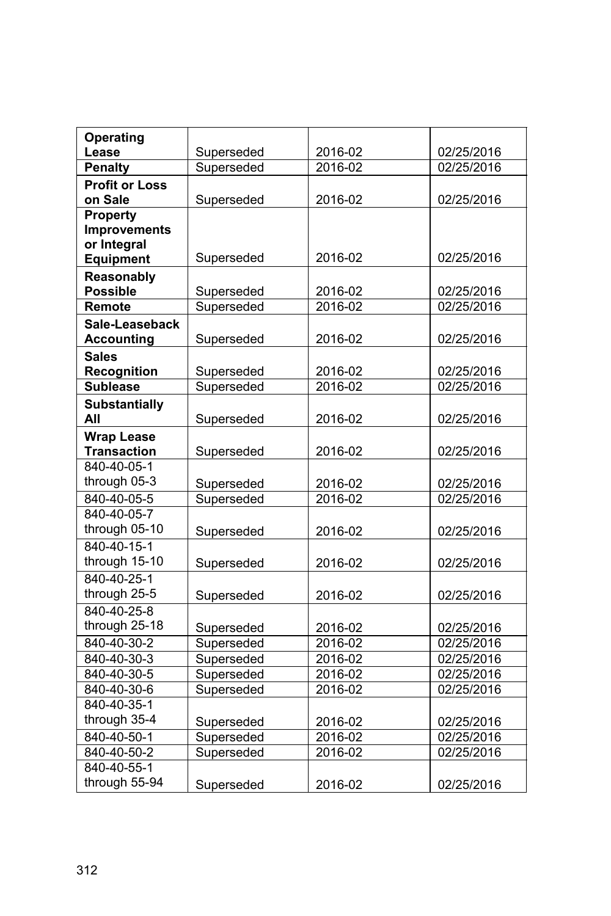| <b>Operating</b>      |            |             |            |
|-----------------------|------------|-------------|------------|
| Lease                 | Superseded | 2016-02     | 02/25/2016 |
| <b>Penalty</b>        | Superseded | 2016-02     | 02/25/2016 |
| <b>Profit or Loss</b> |            |             |            |
| on Sale               | Superseded | 2016-02     | 02/25/2016 |
| Property              |            |             |            |
| <b>Improvements</b>   |            |             |            |
| or Integral           |            |             |            |
| <b>Equipment</b>      | Superseded | 2016-02     | 02/25/2016 |
| Reasonably            |            |             |            |
| <b>Possible</b>       | Superseded | 2016-02     | 02/25/2016 |
| Remote                | Superseded | 2016-02     | 02/25/2016 |
| Sale-Leaseback        |            |             |            |
| <b>Accounting</b>     | Superseded | 2016-02     | 02/25/2016 |
| <b>Sales</b>          |            |             |            |
| Recognition           | Superseded | 2016-02     | 02/25/2016 |
| <b>Sublease</b>       | Superseded | $2016 - 02$ | 02/25/2016 |
| <b>Substantially</b>  |            |             |            |
| All                   | Superseded | 2016-02     | 02/25/2016 |
| <b>Wrap Lease</b>     |            |             |            |
| <b>Transaction</b>    | Superseded | 2016-02     | 02/25/2016 |
| 840-40-05-1           |            |             |            |
| through 05-3          | Superseded | 2016-02     | 02/25/2016 |
| 840-40-05-5           | Superseded | 2016-02     | 02/25/2016 |
| 840-40-05-7           |            |             |            |
| through 05-10         | Superseded | 2016-02     | 02/25/2016 |
| 840-40-15-1           |            |             |            |
| through 15-10         | Superseded | 2016-02     | 02/25/2016 |
| 840-40-25-1           |            |             |            |
| through 25-5          | Superseded | 2016-02     | 02/25/2016 |
| 840-40-25-8           |            |             |            |
| through 25-18         | Superseded | 2016-02     | 02/25/2016 |
| 840-40-30-2           | Superseded | 2016-02     | 02/25/2016 |
| 840-40-30-3           | Superseded | 2016-02     | 02/25/2016 |
| 840-40-30-5           | Superseded | 2016-02     | 02/25/2016 |
| 840-40-30-6           | Superseded | 2016-02     | 02/25/2016 |
| 840-40-35-1           |            |             |            |
| through 35-4          | Superseded | 2016-02     | 02/25/2016 |
| 840-40-50-1           | Superseded | 2016-02     | 02/25/2016 |
| 840-40-50-2           | Superseded | 2016-02     | 02/25/2016 |
| 840-40-55-1           |            |             |            |
| through 55-94         | Superseded | 2016-02     | 02/25/2016 |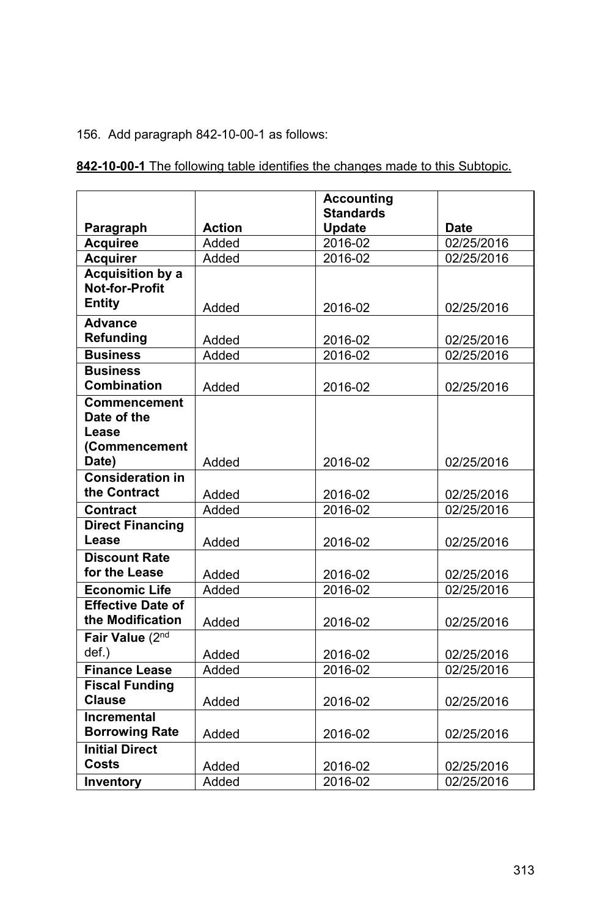## 156. Add paragraph 842-10-00-1 as follows:

|                                                  |               | <b>Accounting</b> |             |
|--------------------------------------------------|---------------|-------------------|-------------|
|                                                  |               | <b>Standards</b>  |             |
| Paragraph                                        | <b>Action</b> | Update            | <b>Date</b> |
| <b>Acquiree</b>                                  | Added         | 2016-02           | 02/25/2016  |
| <b>Acquirer</b>                                  | Added         | 2016-02           | 02/25/2016  |
| <b>Acquisition by a</b><br><b>Not-for-Profit</b> |               |                   |             |
|                                                  |               |                   |             |
| <b>Entity</b>                                    | Added         | 2016-02           | 02/25/2016  |
| <b>Advance</b>                                   |               |                   |             |
| Refunding                                        | Added         | 2016-02           | 02/25/2016  |
| <b>Business</b>                                  | Added         | 2016-02           | 02/25/2016  |
| <b>Business</b>                                  |               |                   |             |
| <b>Combination</b>                               | Added         | 2016-02           | 02/25/2016  |
| <b>Commencement</b>                              |               |                   |             |
| Date of the                                      |               |                   |             |
| Lease                                            |               |                   |             |
| (Commencement                                    |               |                   |             |
| Date)                                            | Added         | 2016-02           | 02/25/2016  |
| <b>Consideration in</b>                          |               |                   |             |
| the Contract                                     | Added         | 2016-02           | 02/25/2016  |
| <b>Contract</b>                                  | Added         | 2016-02           | 02/25/2016  |
| <b>Direct Financing</b>                          |               |                   |             |
| Lease                                            | Added         | 2016-02           | 02/25/2016  |
| <b>Discount Rate</b>                             |               |                   |             |
| for the Lease                                    | Added         | 2016-02           | 02/25/2016  |
| <b>Economic Life</b>                             | Added         | 2016-02           | 02/25/2016  |
| <b>Effective Date of</b>                         |               |                   |             |
| the Modification                                 | Added         | 2016-02           | 02/25/2016  |
| Fair Value (2nd                                  |               |                   |             |
| def.)                                            | Added         | 2016-02           | 02/25/2016  |
| <b>Finance Lease</b>                             | Added         | 2016-02           | 02/25/2016  |
| <b>Fiscal Funding</b>                            |               |                   |             |
| <b>Clause</b>                                    | Added         | 2016-02           | 02/25/2016  |
| <b>Incremental</b>                               |               |                   |             |
| <b>Borrowing Rate</b>                            | Added         | 2016-02           | 02/25/2016  |
| <b>Initial Direct</b>                            |               |                   |             |
| Costs                                            | Added         | 2016-02           | 02/25/2016  |
| Inventory                                        | Added         | 2016-02           | 02/25/2016  |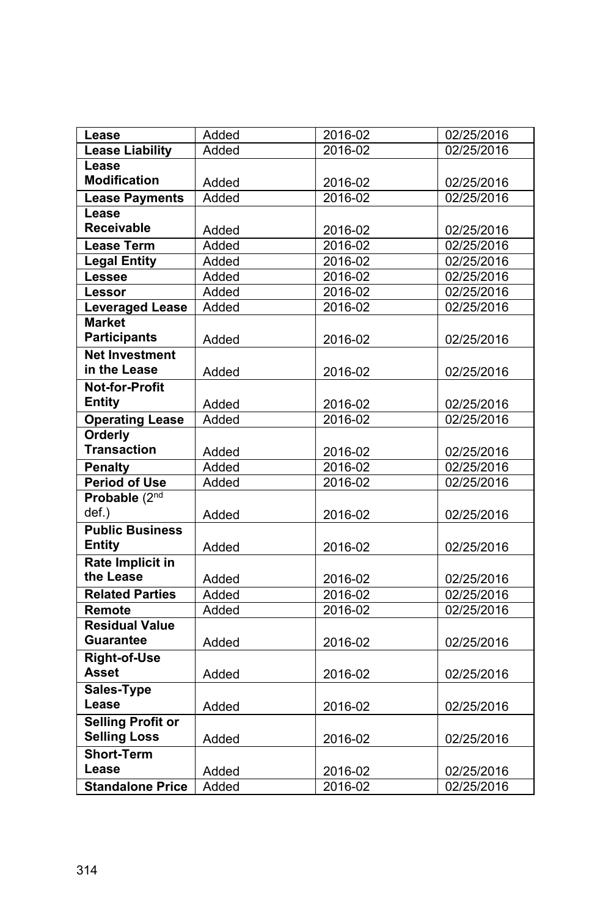| Lease                    | Added | 2016-02 | 02/25/2016 |
|--------------------------|-------|---------|------------|
| <b>Lease Liability</b>   | Added | 2016-02 | 02/25/2016 |
| Lease                    |       |         |            |
| <b>Modification</b>      | Added | 2016-02 | 02/25/2016 |
| <b>Lease Payments</b>    | Added | 2016-02 | 02/25/2016 |
| Lease                    |       |         |            |
| <b>Receivable</b>        | Added | 2016-02 | 02/25/2016 |
| <b>Lease Term</b>        | Added | 2016-02 | 02/25/2016 |
| <b>Legal Entity</b>      | Added | 2016-02 | 02/25/2016 |
| Lessee                   | Added | 2016-02 | 02/25/2016 |
| Lessor                   | Added | 2016-02 | 02/25/2016 |
| <b>Leveraged Lease</b>   | Added | 2016-02 | 02/25/2016 |
| <b>Market</b>            |       |         |            |
| <b>Participants</b>      | Added | 2016-02 | 02/25/2016 |
| <b>Net Investment</b>    |       |         |            |
| in the Lease             | Added | 2016-02 | 02/25/2016 |
| <b>Not-for-Profit</b>    |       |         |            |
| <b>Entity</b>            | Added | 2016-02 | 02/25/2016 |
| <b>Operating Lease</b>   | Added | 2016-02 | 02/25/2016 |
| Orderly                  |       |         |            |
| <b>Transaction</b>       | Added | 2016-02 | 02/25/2016 |
| <b>Penalty</b>           | Added | 2016-02 | 02/25/2016 |
| <b>Period of Use</b>     | Added | 2016-02 | 02/25/2016 |
| Probable (2nd            |       |         |            |
| def.)                    | Added | 2016-02 | 02/25/2016 |
| <b>Public Business</b>   |       |         |            |
| <b>Entity</b>            | Added | 2016-02 | 02/25/2016 |
| <b>Rate Implicit in</b>  |       |         |            |
| the Lease                | Added | 2016-02 | 02/25/2016 |
| <b>Related Parties</b>   | Added | 2016-02 | 02/25/2016 |
| Remote                   | Added | 2016-02 | 02/25/2016 |
| <b>Residual Value</b>    |       |         |            |
| <b>Guarantee</b>         | Added | 2016-02 | 02/25/2016 |
| <b>Right-of-Use</b>      |       |         |            |
| Asset                    | Added | 2016-02 | 02/25/2016 |
| Sales-Type               |       |         |            |
| Lease                    |       |         |            |
| <b>Selling Profit or</b> | Added | 2016-02 | 02/25/2016 |
| <b>Selling Loss</b>      |       |         |            |
| <b>Short-Term</b>        | Added | 2016-02 | 02/25/2016 |
| Lease                    |       |         |            |
|                          | Added | 2016-02 | 02/25/2016 |
| <b>Standalone Price</b>  | Added | 2016-02 | 02/25/2016 |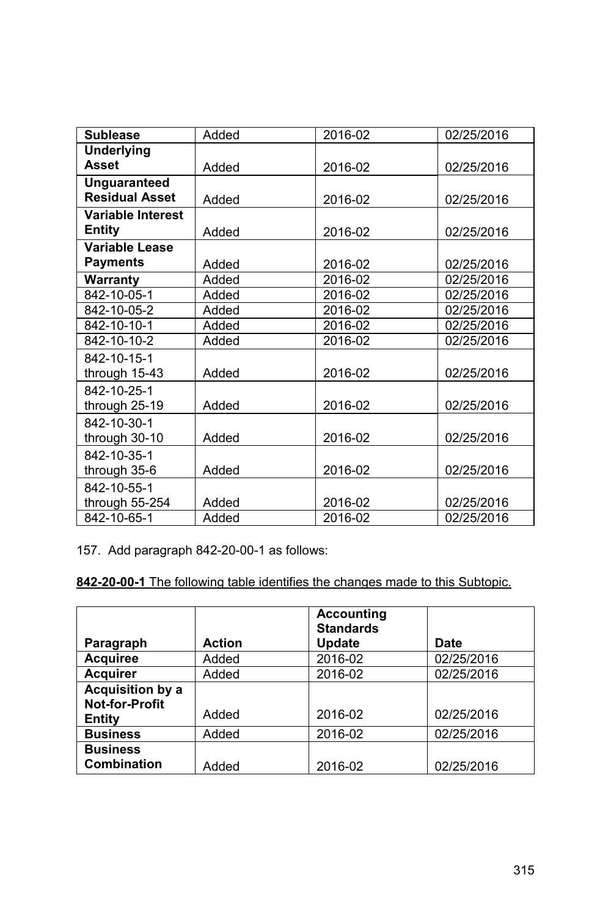| <b>Sublease</b>          | Added | 2016-02 | 02/25/2016 |
|--------------------------|-------|---------|------------|
| <b>Underlying</b>        |       |         |            |
| <b>Asset</b>             | Added | 2016-02 | 02/25/2016 |
| <b>Unguaranteed</b>      |       |         |            |
| <b>Residual Asset</b>    | Added | 2016-02 | 02/25/2016 |
| <b>Variable Interest</b> |       |         |            |
| Entity                   | Added | 2016-02 | 02/25/2016 |
| Variable Lease           |       |         |            |
| <b>Payments</b>          | Added | 2016-02 | 02/25/2016 |
| Warranty                 | Added | 2016-02 | 02/25/2016 |
| 842-10-05-1              | Added | 2016-02 | 02/25/2016 |
| 842-10-05-2              | Added | 2016-02 | 02/25/2016 |
| 842-10-10-1              | Added | 2016-02 | 02/25/2016 |
| 842-10-10-2              | Added | 2016-02 | 02/25/2016 |
| 842-10-15-1              |       |         |            |
| through 15-43            | Added | 2016-02 | 02/25/2016 |
| 842-10-25-1              |       |         |            |
| through 25-19            | Added | 2016-02 | 02/25/2016 |
| 842-10-30-1              |       |         |            |
| through 30-10            | Added | 2016-02 | 02/25/2016 |
| 842-10-35-1              |       |         |            |
| through 35-6             | Added | 2016-02 | 02/25/2016 |
| 842-10-55-1              |       |         |            |
| through 55-254           | Added | 2016-02 | 02/25/2016 |
| 842-10-65-1              | Added | 2016-02 | 02/25/2016 |

157. Add paragraph 842-20-00-1 as follows:

|                       |               | <b>Accounting</b><br><b>Standards</b> |            |
|-----------------------|---------------|---------------------------------------|------------|
| Paragraph             | <b>Action</b> | Update                                | Date       |
| <b>Acquiree</b>       | Added         | 2016-02                               | 02/25/2016 |
| <b>Acquirer</b>       | Added         | 2016-02                               | 02/25/2016 |
| Acquisition by a      |               |                                       |            |
| <b>Not-for-Profit</b> |               |                                       |            |
| Entity                | Added         | 2016-02                               | 02/25/2016 |
| <b>Business</b>       | Added         | 2016-02                               | 02/25/2016 |
| <b>Business</b>       |               |                                       |            |
| <b>Combination</b>    | Added         | 2016-02                               | 02/25/2016 |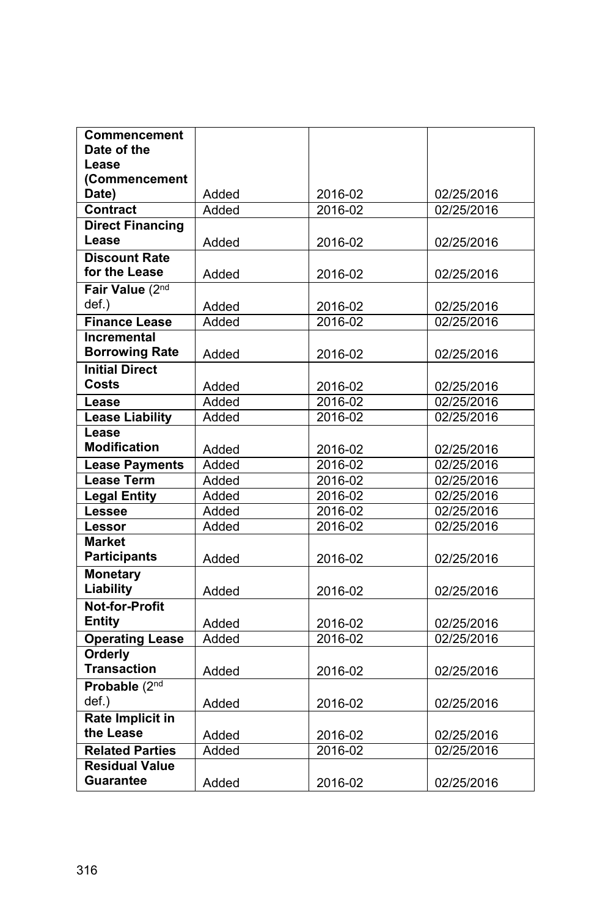| Commencement            |       |         |                          |
|-------------------------|-------|---------|--------------------------|
| Date of the             |       |         |                          |
| Lease                   |       |         |                          |
| (Commencement           |       |         |                          |
| Date)                   | Added | 2016-02 | 02/25/2016               |
| <b>Contract</b>         | Added | 2016-02 | 02/25/2016               |
| <b>Direct Financing</b> |       |         |                          |
| Lease                   | Added | 2016-02 | 02/25/2016               |
| <b>Discount Rate</b>    |       |         |                          |
| for the Lease           | Added | 2016-02 | 02/25/2016               |
| Fair Value (2nd         |       |         |                          |
| def.)                   | Added | 2016-02 | 02/25/2016               |
| <b>Finance Lease</b>    | Added | 2016-02 | 02/25/2016               |
| Incremental             |       |         |                          |
| <b>Borrowing Rate</b>   | Added | 2016-02 | 02/25/2016               |
| <b>Initial Direct</b>   |       |         |                          |
| Costs                   | Added | 2016-02 | 02/25/2016               |
| Lease                   | Added | 2016-02 | 02/25/2016               |
| <b>Lease Liability</b>  | Added | 2016-02 | 02/25/2016               |
| Lease                   |       |         |                          |
| <b>Modification</b>     | Added | 2016-02 | 02/25/2016               |
| <b>Lease Payments</b>   | Added | 2016-02 | $\overline{02}$ /25/2016 |
| <b>Lease Term</b>       | Added | 2016-02 | 02/25/2016               |
| <b>Legal Entity</b>     | Added | 2016-02 | 02/25/2016               |
| Lessee                  | Added | 2016-02 | 02/25/2016               |
| Lessor                  | Added | 2016-02 | 02/25/2016               |
| <b>Market</b>           |       |         |                          |
| <b>Participants</b>     | Added | 2016-02 | 02/25/2016               |
| <b>Monetary</b>         |       |         |                          |
| Liability               | Added | 2016-02 | 02/25/2016               |
| <b>Not-for-Profit</b>   |       |         |                          |
| <b>Entity</b>           | Added | 2016-02 | 02/25/2016               |
| <b>Operating Lease</b>  | Added | 2016-02 | 02/25/2016               |
| Orderly                 |       |         |                          |
| <b>Transaction</b>      | Added | 2016-02 | 02/25/2016               |
| Probable (2nd           |       |         |                          |
| def.)                   | Added | 2016-02 | 02/25/2016               |
| Rate Implicit in        |       |         |                          |
| the Lease               | Added | 2016-02 | 02/25/2016               |
| <b>Related Parties</b>  | Added | 2016-02 | 02/25/2016               |
| <b>Residual Value</b>   |       |         |                          |
| Guarantee               | Added | 2016-02 | 02/25/2016               |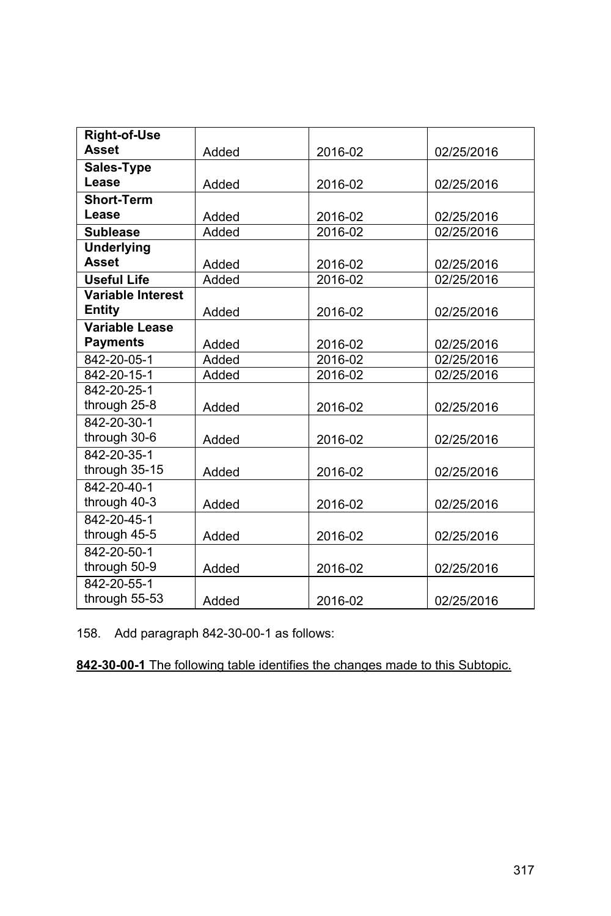| <b>Right-of-Use</b>      |       |         |            |
|--------------------------|-------|---------|------------|
| <b>Asset</b>             | Added | 2016-02 | 02/25/2016 |
| Sales-Type               |       |         |            |
| Lease                    | Added | 2016-02 | 02/25/2016 |
| <b>Short-Term</b>        |       |         |            |
| Lease                    | Added | 2016-02 | 02/25/2016 |
| <b>Sublease</b>          | Added | 2016-02 | 02/25/2016 |
| <b>Underlying</b>        |       |         |            |
| <b>Asset</b>             | Added | 2016-02 | 02/25/2016 |
| <b>Useful Life</b>       | Added | 2016-02 | 02/25/2016 |
| <b>Variable Interest</b> |       |         |            |
| Entity                   | Added | 2016-02 | 02/25/2016 |
| Variable Lease           |       |         |            |
| <b>Payments</b>          | Added | 2016-02 | 02/25/2016 |
| 842-20-05-1              | Added | 2016-02 | 02/25/2016 |
| 842-20-15-1              | Added | 2016-02 | 02/25/2016 |
| 842-20-25-1              |       |         |            |
| through 25-8             | Added | 2016-02 | 02/25/2016 |
| 842-20-30-1              |       |         |            |
| through 30-6             | Added | 2016-02 | 02/25/2016 |
| 842-20-35-1              |       |         |            |
| through 35-15            | Added | 2016-02 | 02/25/2016 |
| 842-20-40-1              |       |         |            |
| through 40-3             | Added | 2016-02 | 02/25/2016 |
| 842-20-45-1              |       |         |            |
| through 45-5             | Added | 2016-02 | 02/25/2016 |
| 842-20-50-1              |       |         |            |
| through 50-9             | Added | 2016-02 | 02/25/2016 |
| 842-20-55-1              |       |         |            |
| through 55-53            | Added | 2016-02 | 02/25/2016 |

158. Add paragraph 842-30-00-1 as follows: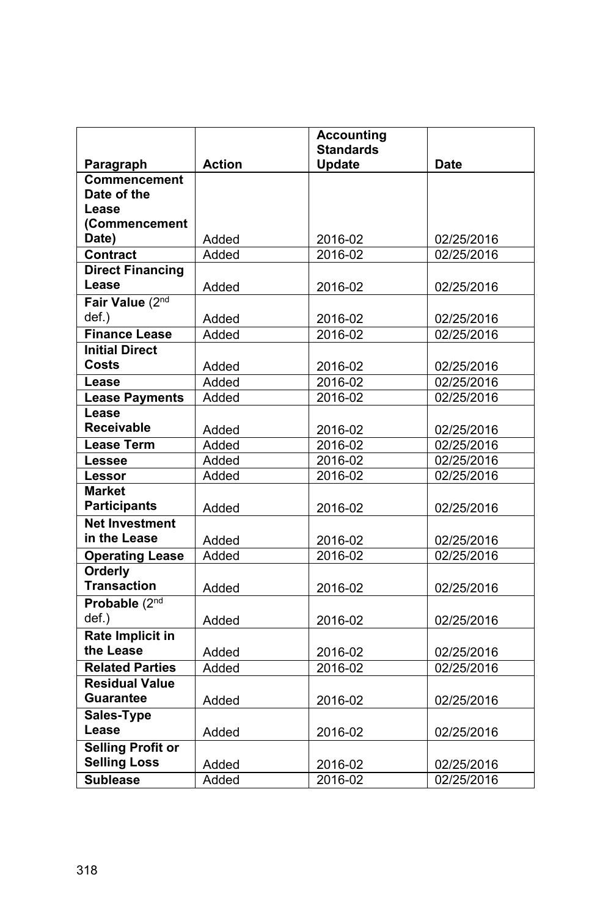|                          |               | <b>Accounting</b> |             |
|--------------------------|---------------|-------------------|-------------|
|                          |               | <b>Standards</b>  |             |
| Paragraph                | <b>Action</b> | <b>Update</b>     | <b>Date</b> |
| Commencement             |               |                   |             |
| Date of the              |               |                   |             |
| Lease                    |               |                   |             |
| (Commencement            |               |                   |             |
| Date)<br><b>Contract</b> | Added         | 2016-02           | 02/25/2016  |
|                          | Added         | $2016 - 02$       | 02/25/2016  |
| <b>Direct Financing</b>  |               |                   |             |
| Lease                    | Added         | 2016-02           | 02/25/2016  |
| Fair Value (2nd          |               |                   |             |
| def.)                    | Added         | 2016-02           | 02/25/2016  |
| <b>Finance Lease</b>     | Added         | 2016-02           | 02/25/2016  |
| <b>Initial Direct</b>    |               |                   |             |
| Costs                    | Added         | 2016-02           | 02/25/2016  |
| Lease                    | Added         | 2016-02           | 02/25/2016  |
| <b>Lease Payments</b>    | Added         | 2016-02           | 02/25/2016  |
| Lease                    |               |                   |             |
| <b>Receivable</b>        | Added         | 2016-02           | 02/25/2016  |
| <b>Lease Term</b>        | Added         | 2016-02           | 02/25/2016  |
| Lessee                   | Added         | 2016-02           | 02/25/2016  |
| Lessor                   | Added         | 2016-02           | 02/25/2016  |
| <b>Market</b>            |               |                   |             |
| <b>Participants</b>      | Added         | 2016-02           | 02/25/2016  |
| <b>Net Investment</b>    |               |                   |             |
| in the Lease             | Added         | 2016-02           | 02/25/2016  |
| <b>Operating Lease</b>   | Added         | 2016-02           | 02/25/2016  |
| Orderly                  |               |                   |             |
| <b>Transaction</b>       | Added         | 2016-02           | 02/25/2016  |
| Probable (2nd            |               |                   |             |
| def.)                    | Added         | 2016-02           | 02/25/2016  |
| <b>Rate Implicit in</b>  |               |                   |             |
| the Lease                | Added         | 2016-02           | 02/25/2016  |
| <b>Related Parties</b>   | Added         | 2016-02           | 02/25/2016  |
| <b>Residual Value</b>    |               |                   |             |
| Guarantee                | Added         | 2016-02           | 02/25/2016  |
| Sales-Type               |               |                   |             |
| Lease                    | Added         | 2016-02           | 02/25/2016  |
| <b>Selling Profit or</b> |               |                   |             |
| <b>Selling Loss</b>      | Added         | 2016-02           | 02/25/2016  |
| <b>Sublease</b>          | Added         | 2016-02           | 02/25/2016  |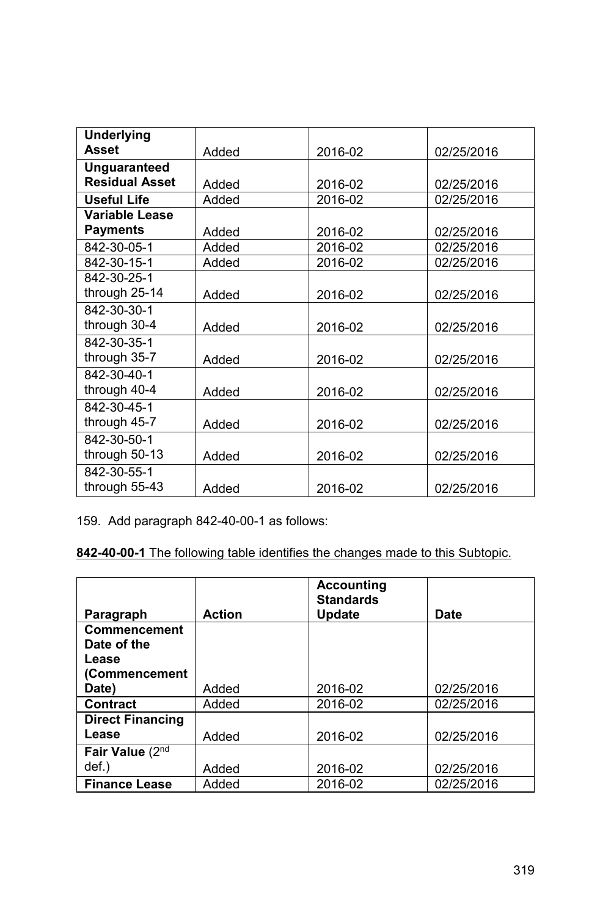| <b>Underlying</b><br>Asset | Added |         | 02/25/2016 |
|----------------------------|-------|---------|------------|
| Unguaranteed               |       | 2016-02 |            |
| <b>Residual Asset</b>      |       |         |            |
|                            | Added | 2016-02 | 02/25/2016 |
| <b>Useful Life</b>         | Added | 2016-02 | 02/25/2016 |
| Variable Lease             |       |         |            |
| <b>Payments</b>            | Added | 2016-02 | 02/25/2016 |
| 842-30-05-1                | Added | 2016-02 | 02/25/2016 |
| 842-30-15-1                | Added | 2016-02 | 02/25/2016 |
| 842-30-25-1                |       |         |            |
| through 25-14              | Added | 2016-02 | 02/25/2016 |
| 842-30-30-1                |       |         |            |
| through 30-4               | Added | 2016-02 | 02/25/2016 |
| 842-30-35-1                |       |         |            |
| through 35-7               | Added | 2016-02 | 02/25/2016 |
| 842-30-40-1                |       |         |            |
| through 40-4               | Added | 2016-02 | 02/25/2016 |
| 842-30-45-1                |       |         |            |
| through 45-7               | Added | 2016-02 | 02/25/2016 |
| 842-30-50-1                |       |         |            |
| through 50-13              | Added | 2016-02 | 02/25/2016 |
| 842-30-55-1                |       |         |            |
| through 55-43              | Added | 2016-02 | 02/25/2016 |

159. Add paragraph 842-40-00-1 as follows:

|                         |               | <b>Accounting</b><br><b>Standards</b> |            |
|-------------------------|---------------|---------------------------------------|------------|
| Paragraph               | <b>Action</b> | Update                                | Date       |
| Commencement            |               |                                       |            |
| Date of the             |               |                                       |            |
| Lease                   |               |                                       |            |
| (Commencement           |               |                                       |            |
| Date)                   | Added         | 2016-02                               | 02/25/2016 |
| Contract                | Added         | 2016-02                               | 02/25/2016 |
| <b>Direct Financing</b> |               |                                       |            |
| Lease                   | Added         | 2016-02                               | 02/25/2016 |
| Fair Value (2nd         |               |                                       |            |
| def.)                   | Added         | 2016-02                               | 02/25/2016 |
| <b>Finance Lease</b>    | Added         | 2016-02                               | 02/25/2016 |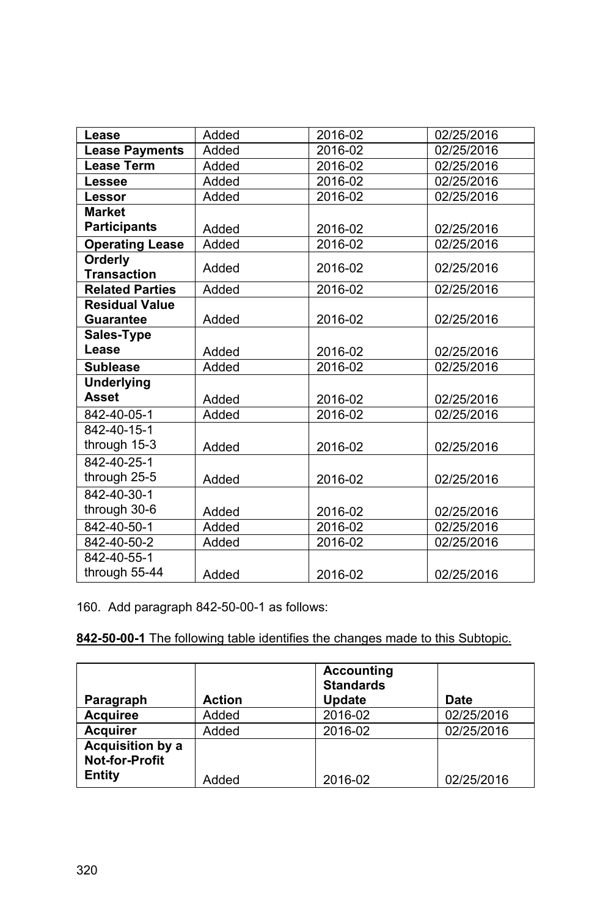| Lease                  | Added | 2016-02 | 02/25/2016 |
|------------------------|-------|---------|------------|
| <b>Lease Payments</b>  | Added | 2016-02 | 02/25/2016 |
| <b>Lease Term</b>      | Added | 2016-02 | 02/25/2016 |
| Lessee                 | Added | 2016-02 | 02/25/2016 |
| <b>Lessor</b>          | Added | 2016-02 | 02/25/2016 |
| <b>Market</b>          |       |         |            |
| <b>Participants</b>    | Added | 2016-02 | 02/25/2016 |
| <b>Operating Lease</b> | Added | 2016-02 | 02/25/2016 |
| Orderly                | Added | 2016-02 | 02/25/2016 |
| <b>Transaction</b>     |       |         |            |
| <b>Related Parties</b> | Added | 2016-02 | 02/25/2016 |
| <b>Residual Value</b>  |       |         |            |
| <b>Guarantee</b>       | Added | 2016-02 | 02/25/2016 |
| Sales-Type             |       |         |            |
| Lease                  | Added | 2016-02 | 02/25/2016 |
| <b>Sublease</b>        | Added | 2016-02 | 02/25/2016 |
| <b>Underlying</b>      |       |         |            |
| <b>Asset</b>           | Added | 2016-02 | 02/25/2016 |
| 842-40-05-1            | Added | 2016-02 | 02/25/2016 |
| 842-40-15-1            |       |         |            |
| through 15-3           | Added | 2016-02 | 02/25/2016 |
| 842-40-25-1            |       |         |            |
| through 25-5           | Added | 2016-02 | 02/25/2016 |
| 842-40-30-1            |       |         |            |
| through 30-6           | Added | 2016-02 | 02/25/2016 |
| 842-40-50-1            | Added | 2016-02 | 02/25/2016 |
| 842-40-50-2            | Added | 2016-02 | 02/25/2016 |
| 842-40-55-1            |       |         |            |
| through 55-44          | Added | 2016-02 | 02/25/2016 |

160. Add paragraph 842-50-00-1 as follows:

| Paragraph                                                  | <b>Action</b> | <b>Accounting</b><br><b>Standards</b><br><b>Update</b> | Date       |
|------------------------------------------------------------|---------------|--------------------------------------------------------|------------|
| <b>Acquiree</b>                                            | Added         | 2016-02                                                | 02/25/2016 |
| <b>Acquirer</b>                                            | Added         | 2016-02                                                | 02/25/2016 |
| <b>Acquisition by a</b><br><b>Not-for-Profit</b><br>Entity | Added         | 2016-02                                                | 02/25/2016 |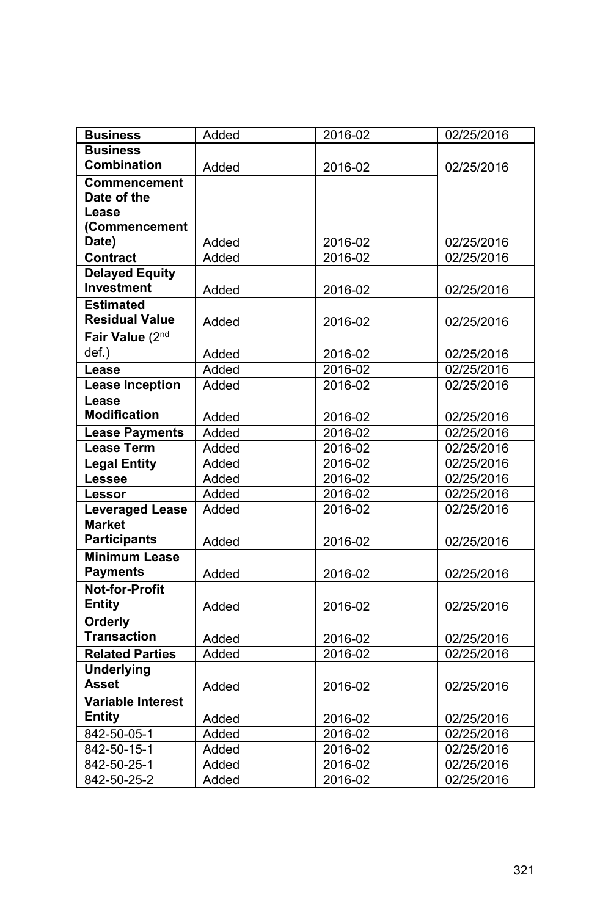| <b>Business</b>          | Added | 2016-02     | 02/25/2016 |
|--------------------------|-------|-------------|------------|
| <b>Business</b>          |       |             |            |
| Combination              | Added | 2016-02     | 02/25/2016 |
| <b>Commencement</b>      |       |             |            |
| Date of the              |       |             |            |
| Lease                    |       |             |            |
| (Commencement            |       |             |            |
| Date)                    | Added | 2016-02     | 02/25/2016 |
| <b>Contract</b>          | Added | 2016-02     | 02/25/2016 |
| <b>Delayed Equity</b>    |       |             |            |
| Investment               | Added | 2016-02     | 02/25/2016 |
| <b>Estimated</b>         |       |             |            |
| <b>Residual Value</b>    | Added | 2016-02     | 02/25/2016 |
| Fair Value (2nd          |       |             |            |
| def.)                    | Added | 2016-02     | 02/25/2016 |
| Lease                    | Added | $2016 - 02$ | 02/25/2016 |
| <b>Lease Inception</b>   | Added | 2016-02     | 02/25/2016 |
| Lease                    |       |             |            |
| <b>Modification</b>      | Added | 2016-02     | 02/25/2016 |
| <b>Lease Payments</b>    | Added | 2016-02     | 02/25/2016 |
| <b>Lease Term</b>        | Added | 2016-02     | 02/25/2016 |
| <b>Legal Entity</b>      | Added | 2016-02     | 02/25/2016 |
| Lessee                   | Added | 2016-02     | 02/25/2016 |
| Lessor                   | Added | 2016-02     | 02/25/2016 |
| <b>Leveraged Lease</b>   | Added | 2016-02     | 02/25/2016 |
| <b>Market</b>            |       |             |            |
| <b>Participants</b>      | Added | 2016-02     | 02/25/2016 |
| <b>Minimum Lease</b>     |       |             |            |
| <b>Payments</b>          | Added | 2016-02     | 02/25/2016 |
| <b>Not-for-Profit</b>    |       |             |            |
| <b>Entity</b>            | Added | 2016-02     | 02/25/2016 |
| Orderly                  |       |             |            |
| <b>Transaction</b>       | Added | 2016-02     | 02/25/2016 |
| <b>Related Parties</b>   | Added | 2016-02     | 02/25/2016 |
| <b>Underlying</b>        |       |             |            |
| Asset                    | Added | 2016-02     | 02/25/2016 |
| <b>Variable Interest</b> |       |             |            |
| <b>Entity</b>            | Added | 2016-02     | 02/25/2016 |
| 842-50-05-1              | Added | 2016-02     | 02/25/2016 |
| 842-50-15-1              | Added | 2016-02     | 02/25/2016 |
| 842-50-25-1              | Added | 2016-02     | 02/25/2016 |
| 842-50-25-2              | Added | 2016-02     | 02/25/2016 |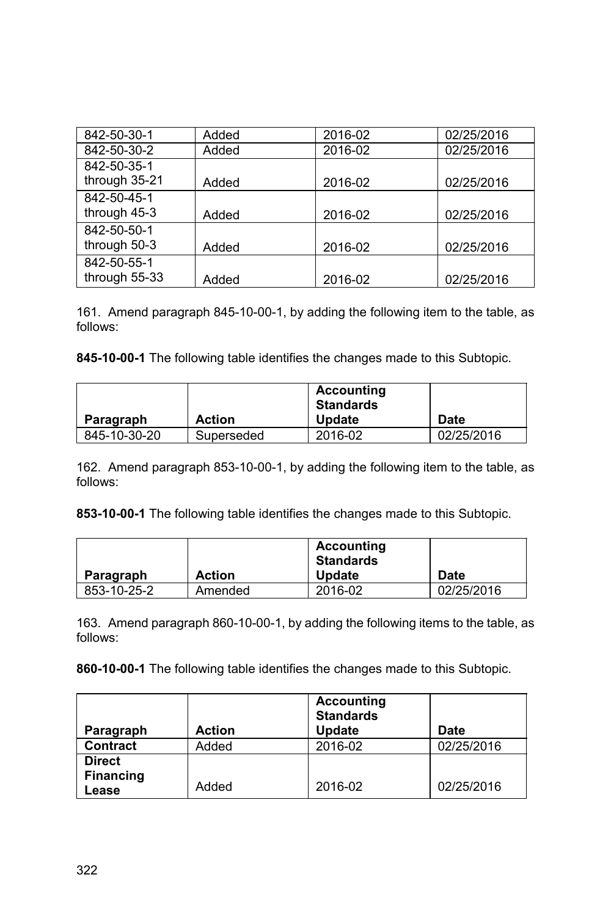| 842-50-30-1   | Added | 2016-02 | 02/25/2016 |
|---------------|-------|---------|------------|
| 842-50-30-2   | Added | 2016-02 | 02/25/2016 |
| 842-50-35-1   |       |         |            |
| through 35-21 | Added | 2016-02 | 02/25/2016 |
| 842-50-45-1   |       |         |            |
| through 45-3  | Added | 2016-02 | 02/25/2016 |
| 842-50-50-1   |       |         |            |
| through 50-3  | Added | 2016-02 | 02/25/2016 |
| 842-50-55-1   |       |         |            |
| through 55-33 | Added | 2016-02 | 02/25/2016 |

161. Amend paragraph 845-10-00-1, by adding the following item to the table, as follows:

**845-10-00-1** The following table identifies the changes made to this Subtopic.

|              |               | <b>Accounting</b><br><b>Standards</b> |            |
|--------------|---------------|---------------------------------------|------------|
| Paragraph    | <b>Action</b> | <b>Update</b>                         | Date       |
| 845-10-30-20 | Superseded    | 2016-02                               | 02/25/2016 |

162. Amend paragraph 853-10-00-1, by adding the following item to the table, as follows:

**853-10-00-1** The following table identifies the changes made to this Subtopic.

| Paragraph   | <b>Action</b> | Accounting<br><b>Standards</b><br><b>Update</b> | <b>Date</b> |
|-------------|---------------|-------------------------------------------------|-------------|
| 853-10-25-2 | Amended       | 2016-02                                         | 02/25/2016  |

163. Amend paragraph 860-10-00-1, by adding the following items to the table, as follows:

| Paragraph                 | <b>Action</b> | <b>Accounting</b><br><b>Standards</b><br><b>Update</b> | Date       |
|---------------------------|---------------|--------------------------------------------------------|------------|
| <b>Contract</b>           | Added         | 2016-02                                                | 02/25/2016 |
| <b>Direct</b>             |               |                                                        |            |
| <b>Financing</b><br>Lease | Added         | 2016-02                                                | 02/25/2016 |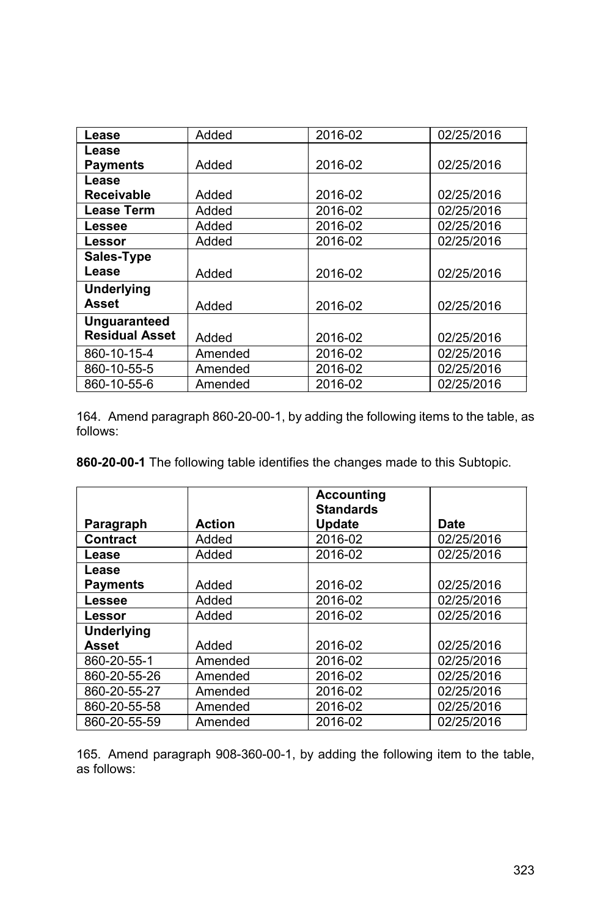| Lease                 | Added   | 2016-02 | 02/25/2016 |
|-----------------------|---------|---------|------------|
| Lease                 |         |         |            |
| <b>Payments</b>       | Added   | 2016-02 | 02/25/2016 |
| Lease                 |         |         |            |
| <b>Receivable</b>     | Added   | 2016-02 | 02/25/2016 |
| <b>Lease Term</b>     | Added   | 2016-02 | 02/25/2016 |
| Lessee                | Added   | 2016-02 | 02/25/2016 |
| Lessor                | Added   | 2016-02 | 02/25/2016 |
| Sales-Type            |         |         |            |
| Lease                 | Added   | 2016-02 | 02/25/2016 |
| <b>Underlying</b>     |         |         |            |
| <b>Asset</b>          | Added   | 2016-02 | 02/25/2016 |
| <b>Unguaranteed</b>   |         |         |            |
| <b>Residual Asset</b> | Added   | 2016-02 | 02/25/2016 |
| 860-10-15-4           | Amended | 2016-02 | 02/25/2016 |
| 860-10-55-5           | Amended | 2016-02 | 02/25/2016 |
| 860-10-55-6           | Amended | 2016-02 | 02/25/2016 |

164. Amend paragraph 860-20-00-1, by adding the following items to the table, as follows:

**860-20-00-1** The following table identifies the changes made to this Subtopic.

|                   |               | <b>Accounting</b><br><b>Standards</b> |            |
|-------------------|---------------|---------------------------------------|------------|
| Paragraph         | <b>Action</b> | <b>Update</b>                         | Date       |
| <b>Contract</b>   | Added         | 2016-02                               | 02/25/2016 |
| Lease             | Added         | 2016-02                               | 02/25/2016 |
| Lease             |               |                                       |            |
| <b>Payments</b>   | Added         | 2016-02                               | 02/25/2016 |
| Lessee            | Added         | 2016-02                               | 02/25/2016 |
| Lessor            | Added         | 2016-02                               | 02/25/2016 |
| <b>Underlying</b> |               |                                       |            |
| Asset             | Added         | 2016-02                               | 02/25/2016 |
| 860-20-55-1       | Amended       | 2016-02                               | 02/25/2016 |
| 860-20-55-26      | Amended       | 2016-02                               | 02/25/2016 |
| 860-20-55-27      | Amended       | 2016-02                               | 02/25/2016 |
| 860-20-55-58      | Amended       | 2016-02                               | 02/25/2016 |
| 860-20-55-59      | Amended       | 2016-02                               | 02/25/2016 |

165. Amend paragraph 908-360-00-1, by adding the following item to the table, as follows: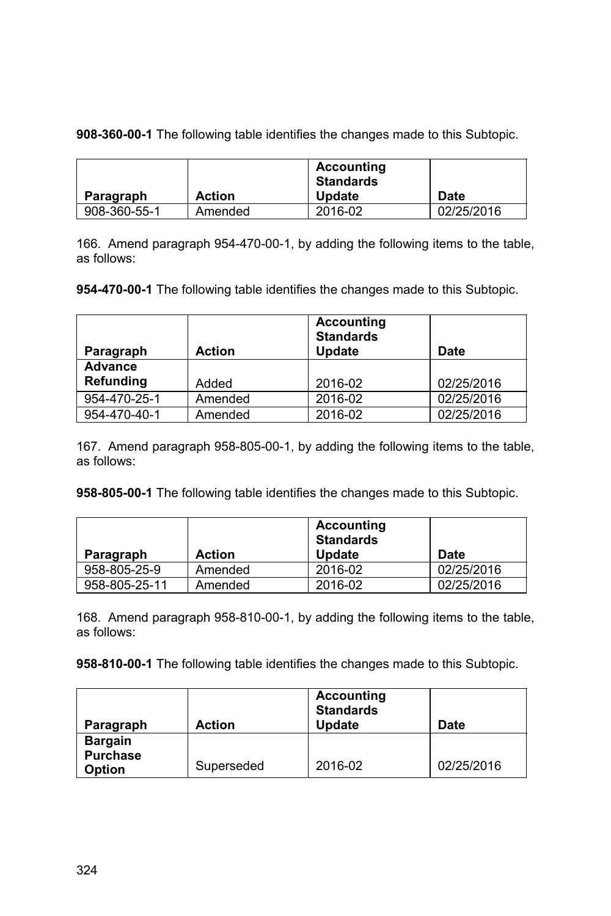**908-360-00-1** The following table identifies the changes made to this Subtopic.

|              |               | <b>Accounting</b><br><b>Standards</b> |            |
|--------------|---------------|---------------------------------------|------------|
| Paragraph    | <b>Action</b> | <b>Update</b>                         | Date       |
| 908-360-55-1 | Amended       | 2016-02                               | 02/25/2016 |

166. Amend paragraph 954-470-00-1, by adding the following items to the table, as follows:

**954-470-00-1** The following table identifies the changes made to this Subtopic.

| Paragraph      | <b>Action</b> | Accounting<br><b>Standards</b><br>Update | Date       |
|----------------|---------------|------------------------------------------|------------|
| <b>Advance</b> |               |                                          |            |
| Refunding      | Added         | 2016-02                                  | 02/25/2016 |
| 954-470-25-1   | Amended       | 2016-02                                  | 02/25/2016 |
| 954-470-40-1   | Amended       | 2016-02                                  | 02/25/2016 |

167. Amend paragraph 958-805-00-1, by adding the following items to the table, as follows:

**958-805-00-1** The following table identifies the changes made to this Subtopic.

|               |               | <b>Accounting</b><br><b>Standards</b> |            |
|---------------|---------------|---------------------------------------|------------|
| Paragraph     | <b>Action</b> | <b>Update</b>                         | Date       |
| 958-805-25-9  | Amended       | 2016-02                               | 02/25/2016 |
| 958-805-25-11 | Amended       | 2016-02                               | 02/25/2016 |

168. Amend paragraph 958-810-00-1, by adding the following items to the table, as follows:

| Paragraph                                          | <b>Action</b> | <b>Accounting</b><br><b>Standards</b><br><b>Update</b> | Date       |
|----------------------------------------------------|---------------|--------------------------------------------------------|------------|
| <b>Bargain</b><br><b>Purchase</b><br><b>Option</b> | Superseded    | 2016-02                                                | 02/25/2016 |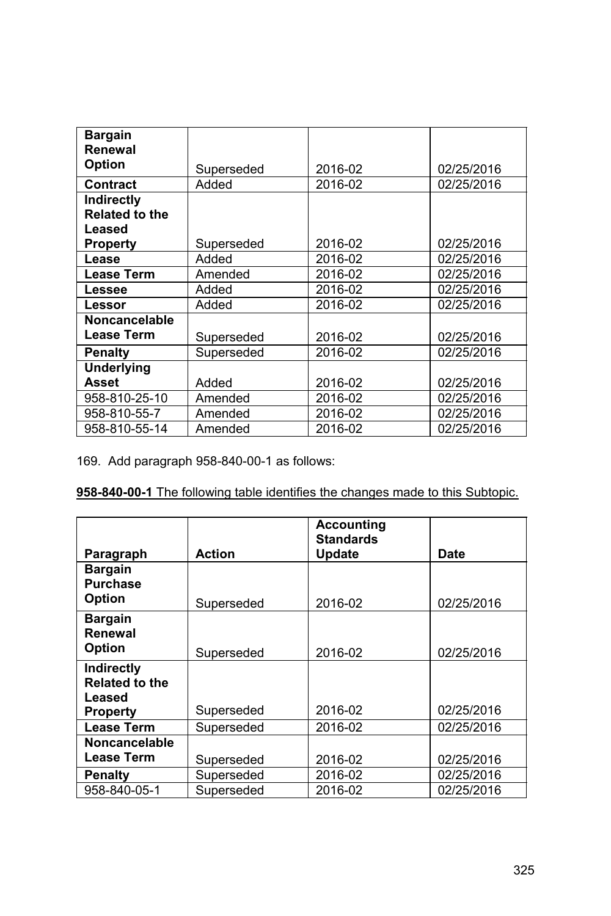| <b>Bargain</b>        |            |         |            |
|-----------------------|------------|---------|------------|
| Renewal               |            |         |            |
| <b>Option</b>         |            |         |            |
|                       | Superseded | 2016-02 | 02/25/2016 |
| Contract              | Added      | 2016-02 | 02/25/2016 |
| <b>Indirectly</b>     |            |         |            |
| <b>Related to the</b> |            |         |            |
| Leased                |            |         |            |
| <b>Property</b>       | Superseded | 2016-02 | 02/25/2016 |
| Lease                 | Added      | 2016-02 | 02/25/2016 |
| <b>Lease Term</b>     | Amended    | 2016-02 | 02/25/2016 |
| Lessee                | Added      | 2016-02 | 02/25/2016 |
| Lessor                | Added      | 2016-02 | 02/25/2016 |
| <b>Noncancelable</b>  |            |         |            |
| <b>Lease Term</b>     | Superseded | 2016-02 | 02/25/2016 |
| Penalty               | Superseded | 2016-02 | 02/25/2016 |
| <b>Underlying</b>     |            |         |            |
| Asset                 | Added      | 2016-02 | 02/25/2016 |
| 958-810-25-10         | Amended    | 2016-02 | 02/25/2016 |
| 958-810-55-7          | Amended    | 2016-02 | 02/25/2016 |
| 958-810-55-14         | Amended    | 2016-02 | 02/25/2016 |

169. Add paragraph 958-840-00-1 as follows:

|                                                                         |               | <b>Accounting</b><br><b>Standards</b> |            |
|-------------------------------------------------------------------------|---------------|---------------------------------------|------------|
| Paragraph                                                               | <b>Action</b> | <b>Update</b>                         | Date       |
| <b>Bargain</b><br><b>Purchase</b><br><b>Option</b>                      | Superseded    | 2016-02                               | 02/25/2016 |
| <b>Bargain</b><br>Renewal<br><b>Option</b>                              | Superseded    | 2016-02                               | 02/25/2016 |
| <b>Indirectly</b><br><b>Related to the</b><br>Leased<br><b>Property</b> | Superseded    | 2016-02                               | 02/25/2016 |
| <b>Lease Term</b>                                                       | Superseded    | 2016-02                               | 02/25/2016 |
| <b>Noncancelable</b>                                                    |               |                                       |            |
| <b>Lease Term</b>                                                       | Superseded    | 2016-02                               | 02/25/2016 |
| Penalty                                                                 | Superseded    | 2016-02                               | 02/25/2016 |
| 958-840-05-1                                                            | Superseded    | 2016-02                               | 02/25/2016 |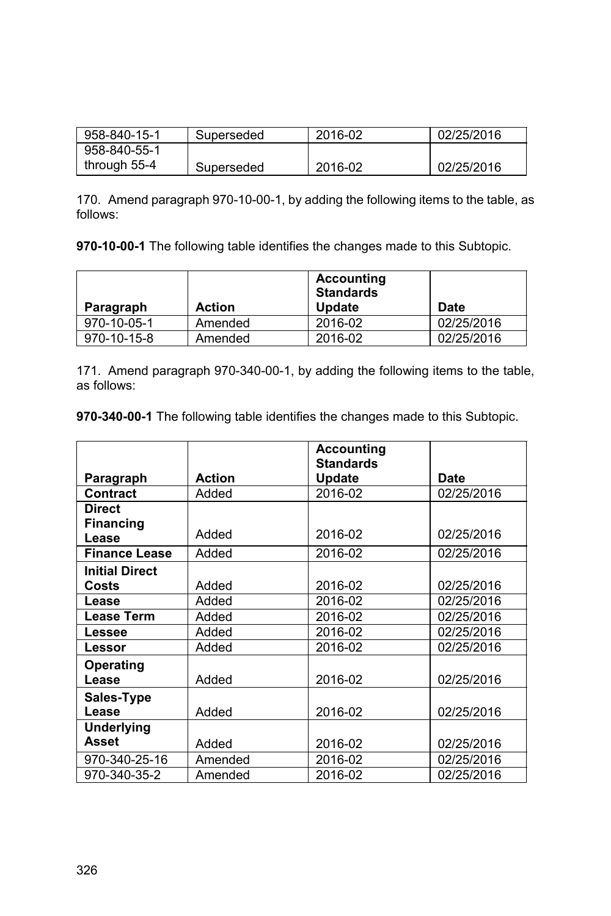| 958-840-15-1 | Superseded | 2016-02 | 02/25/2016 |
|--------------|------------|---------|------------|
| 958-840-55-1 |            |         |            |
| through 55-4 | Superseded | 2016-02 | 02/25/2016 |

170. Amend paragraph 970-10-00-1, by adding the following items to the table, as follows:

**970-10-00-1** The following table identifies the changes made to this Subtopic.

| Paragraph   | <b>Action</b> | <b>Accounting</b><br><b>Standards</b><br><b>Update</b> | Date       |
|-------------|---------------|--------------------------------------------------------|------------|
| 970-10-05-1 | Amended       | 2016-02                                                | 02/25/2016 |
| 970-10-15-8 | Amended       | 2016-02                                                | 02/25/2016 |

171. Amend paragraph 970-340-00-1, by adding the following items to the table, as follows:

|                       |               | <b>Accounting</b><br><b>Standards</b> |            |
|-----------------------|---------------|---------------------------------------|------------|
| Paragraph             | <b>Action</b> | <b>Update</b>                         | Date       |
| Contract              | Added         | 2016-02                               | 02/25/2016 |
| <b>Direct</b>         |               |                                       |            |
| <b>Financing</b>      |               |                                       |            |
| Lease                 | Added         | 2016-02                               | 02/25/2016 |
| <b>Finance Lease</b>  | Added         | 2016-02                               | 02/25/2016 |
| <b>Initial Direct</b> |               |                                       |            |
| Costs                 | Added         | 2016-02                               | 02/25/2016 |
| Lease                 | Added         | 2016-02                               | 02/25/2016 |
| <b>Lease Term</b>     | Added         | 2016-02                               | 02/25/2016 |
| <b>Lessee</b>         | Added         | 2016-02                               | 02/25/2016 |
| Lessor                | Added         | 2016-02                               | 02/25/2016 |
| Operating             |               |                                       |            |
| Lease                 | Added         | 2016-02                               | 02/25/2016 |
| Sales-Type            |               |                                       |            |
| Lease                 | Added         | 2016-02                               | 02/25/2016 |
| <b>Underlying</b>     |               |                                       |            |
| <b>Asset</b>          | Added         | 2016-02                               | 02/25/2016 |
| 970-340-25-16         | Amended       | 2016-02                               | 02/25/2016 |
| 970-340-35-2          | Amended       | 2016-02                               | 02/25/2016 |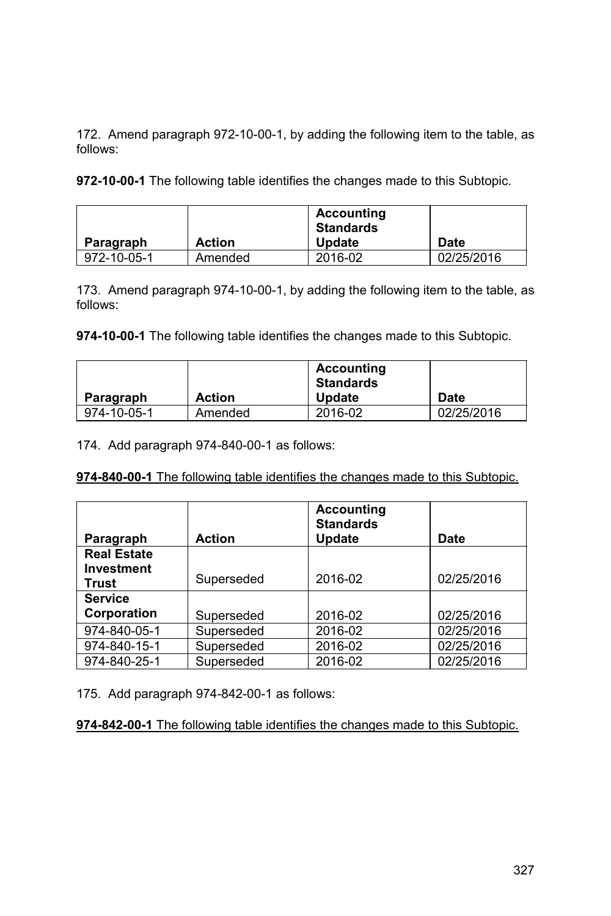172. Amend paragraph 972-10-00-1, by adding the following item to the table, as follows:

**972-10-00-1** The following table identifies the changes made to this Subtopic.

| Paragraph   | <b>Action</b> | <b>Accounting</b><br>Standards<br><b>Update</b> | Date       |
|-------------|---------------|-------------------------------------------------|------------|
| 972-10-05-1 | Amended       | 2016-02                                         | 02/25/2016 |

173. Amend paragraph 974-10-00-1, by adding the following item to the table, as follows:

**974-10-00-1** The following table identifies the changes made to this Subtopic.

|             | <b>Action</b> | Accounting<br>Standards | Date       |
|-------------|---------------|-------------------------|------------|
| Paragraph   |               | <b>Update</b>           |            |
| 974-10-05-1 | Amended       | 2016-02                 | 02/25/2016 |

174. Add paragraph 974-840-00-1 as follows:

**974-840-00-1** The following table identifies the changes made to this Subtopic.

|                    |               | <b>Accounting</b><br><b>Standards</b> |            |
|--------------------|---------------|---------------------------------------|------------|
| Paragraph          | <b>Action</b> | Update                                | Date       |
| <b>Real Estate</b> |               |                                       |            |
| Investment         |               |                                       |            |
| Trust              | Superseded    | 2016-02                               | 02/25/2016 |
| <b>Service</b>     |               |                                       |            |
| Corporation        | Superseded    | 2016-02                               | 02/25/2016 |
| 974-840-05-1       | Superseded    | 2016-02                               | 02/25/2016 |
| 974-840-15-1       | Superseded    | 2016-02                               | 02/25/2016 |
| 974-840-25-1       | Superseded    | 2016-02                               | 02/25/2016 |

175. Add paragraph 974-842-00-1 as follows: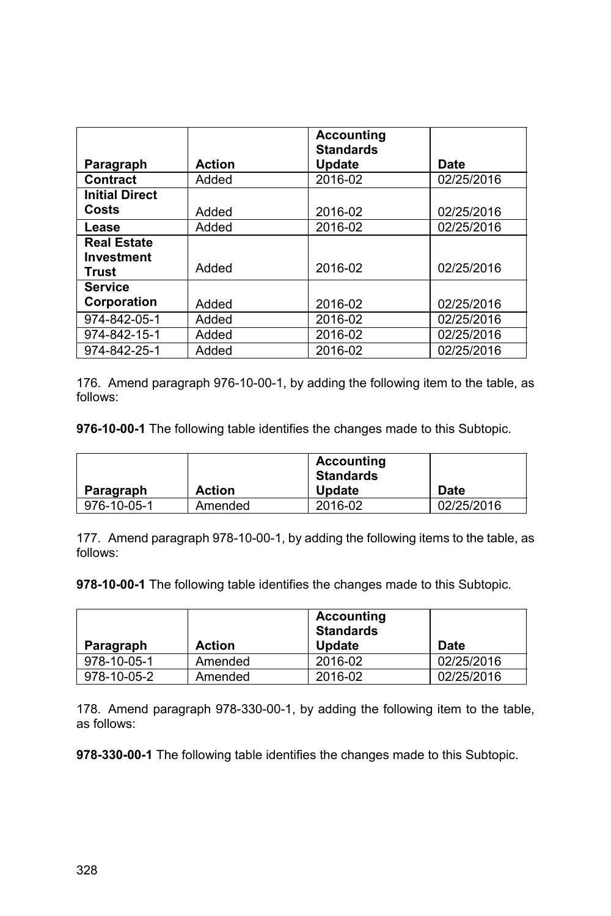|                       |               | <b>Accounting</b><br><b>Standards</b> |            |
|-----------------------|---------------|---------------------------------------|------------|
| Paragraph             | <b>Action</b> | Update                                | Date       |
| Contract              | Added         | 2016-02                               | 02/25/2016 |
| <b>Initial Direct</b> |               |                                       |            |
| Costs                 | Added         | 2016-02                               | 02/25/2016 |
| Lease                 | Added         | 2016-02                               | 02/25/2016 |
| <b>Real Estate</b>    |               |                                       |            |
| Investment            |               |                                       |            |
| Trust                 | Added         | 2016-02                               | 02/25/2016 |
| <b>Service</b>        |               |                                       |            |
| Corporation           | Added         | 2016-02                               | 02/25/2016 |
| 974-842-05-1          | Added         | 2016-02                               | 02/25/2016 |
| 974-842-15-1          | Added         | 2016-02                               | 02/25/2016 |
| 974-842-25-1          | Added         | 2016-02                               | 02/25/2016 |

176. Amend paragraph 976-10-00-1, by adding the following item to the table, as follows:

**976-10-00-1** The following table identifies the changes made to this Subtopic.

|             |               | <b>Accounting</b><br><b>Standards</b> |            |
|-------------|---------------|---------------------------------------|------------|
| Paragraph   | <b>Action</b> | <b>Update</b>                         | Date       |
| 976-10-05-1 | Amended       | 2016-02                               | 02/25/2016 |

177. Amend paragraph 978-10-00-1, by adding the following items to the table, as follows:

**978-10-00-1** The following table identifies the changes made to this Subtopic.

|             |               | <b>Accounting</b><br><b>Standards</b> |             |
|-------------|---------------|---------------------------------------|-------------|
| Paragraph   | <b>Action</b> | <b>Update</b>                         | <b>Date</b> |
| 978-10-05-1 | Amended       | 2016-02                               | 02/25/2016  |
| 978-10-05-2 | Amended       | 2016-02                               | 02/25/2016  |

178. Amend paragraph 978-330-00-1, by adding the following item to the table, as follows: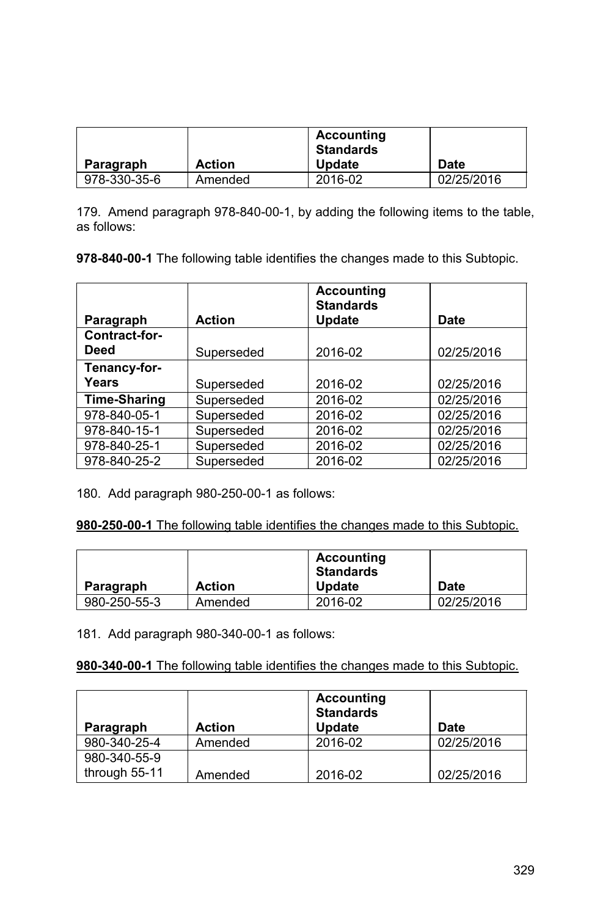| Paragraph    | <b>Action</b> | Accounting<br><b>Standards</b><br><b>Update</b> | Date       |
|--------------|---------------|-------------------------------------------------|------------|
|              |               |                                                 |            |
| 978-330-35-6 | Amended       | 2016-02                                         | 02/25/2016 |

179. Amend paragraph 978-840-00-1, by adding the following items to the table, as follows:

**978-840-00-1** The following table identifies the changes made to this Subtopic.

|                              |               | <b>Accounting</b><br><b>Standards</b> |            |
|------------------------------|---------------|---------------------------------------|------------|
| Paragraph                    | <b>Action</b> | <b>Update</b>                         | Date       |
| Contract-for-<br><b>Deed</b> | Superseded    | 2016-02                               | 02/25/2016 |
| Tenancy-for-                 |               |                                       |            |
| Years                        | Superseded    | 2016-02                               | 02/25/2016 |
| <b>Time-Sharing</b>          | Superseded    | 2016-02                               | 02/25/2016 |
| 978-840-05-1                 | Superseded    | 2016-02                               | 02/25/2016 |
| 978-840-15-1                 | Superseded    | 2016-02                               | 02/25/2016 |
| 978-840-25-1                 | Superseded    | 2016-02                               | 02/25/2016 |
| 978-840-25-2                 | Superseded    | 2016-02                               | 02/25/2016 |

180. Add paragraph 980-250-00-1 as follows:

**980-250-00-1** The following table identifies the changes made to this Subtopic.

| Paragraph    | <b>Action</b> | Accounting<br><b>Standards</b><br><b>Update</b> | <b>Date</b> |
|--------------|---------------|-------------------------------------------------|-------------|
| 980-250-55-3 | Amended       | 2016-02                                         | 02/25/2016  |

181. Add paragraph 980-340-00-1 as follows:

| Paragraph     | <b>Action</b> | Accounting<br><b>Standards</b><br><b>Update</b> | <b>Date</b> |
|---------------|---------------|-------------------------------------------------|-------------|
| 980-340-25-4  | Amended       | 2016-02                                         | 02/25/2016  |
| 980-340-55-9  |               |                                                 |             |
| through 55-11 | Amended       | 2016-02                                         | 02/25/2016  |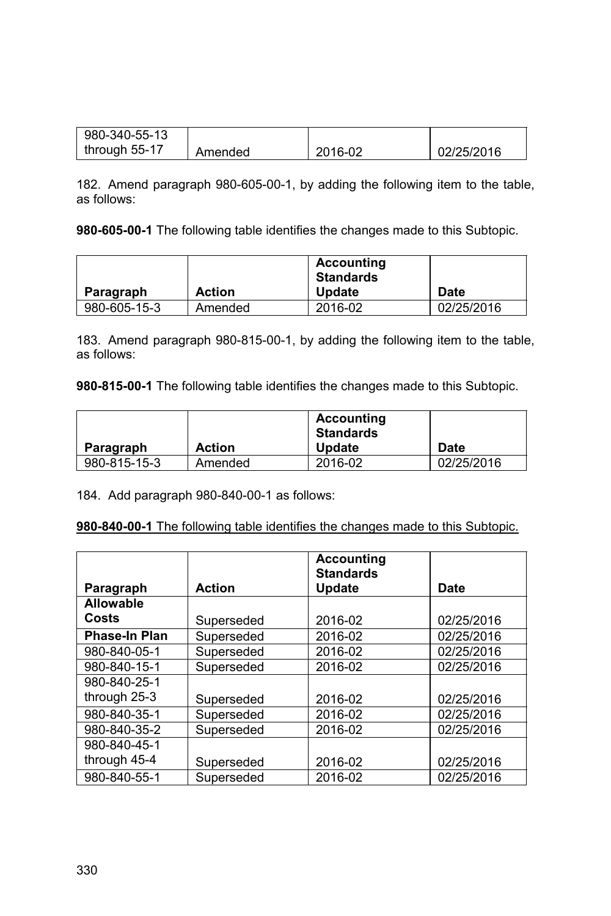| 980-340-55-13 |         |         |            |
|---------------|---------|---------|------------|
| through 55-17 | Amended | 2016-02 | 02/25/2016 |

182. Amend paragraph 980-605-00-1, by adding the following item to the table, as follows:

**980-605-00-1** The following table identifies the changes made to this Subtopic.

|              |               | Accounting<br><b>Standards</b> |             |
|--------------|---------------|--------------------------------|-------------|
| Paragraph    | <b>Action</b> | <b>Update</b>                  | <b>Date</b> |
| 980-605-15-3 | Amended       | 2016-02                        | 02/25/2016  |

183. Amend paragraph 980-815-00-1, by adding the following item to the table, as follows:

**980-815-00-1** The following table identifies the changes made to this Subtopic.

|              |               | <b>Accounting</b><br><b>Standards</b> |            |
|--------------|---------------|---------------------------------------|------------|
| Paragraph    | <b>Action</b> | <b>Update</b>                         | Date       |
| 980-815-15-3 | Amended       | 2016-02                               | 02/25/2016 |

184. Add paragraph 980-840-00-1 as follows:

**980-840-00-1** The following table identifies the changes made to this Subtopic.

|                  |               | <b>Accounting</b><br><b>Standards</b> |            |
|------------------|---------------|---------------------------------------|------------|
| Paragraph        | <b>Action</b> | Update                                | Date       |
| <b>Allowable</b> |               |                                       |            |
| Costs            | Superseded    | 2016-02                               | 02/25/2016 |
| Phase-In Plan    | Superseded    | 2016-02                               | 02/25/2016 |
| 980-840-05-1     | Superseded    | 2016-02                               | 02/25/2016 |
| 980-840-15-1     | Superseded    | 2016-02                               | 02/25/2016 |
| 980-840-25-1     |               |                                       |            |
| through 25-3     | Superseded    | 2016-02                               | 02/25/2016 |
| 980-840-35-1     | Superseded    | 2016-02                               | 02/25/2016 |
| 980-840-35-2     | Superseded    | 2016-02                               | 02/25/2016 |
| 980-840-45-1     |               |                                       |            |
| through 45-4     | Superseded    | 2016-02                               | 02/25/2016 |
| 980-840-55-1     | Superseded    | 2016-02                               | 02/25/2016 |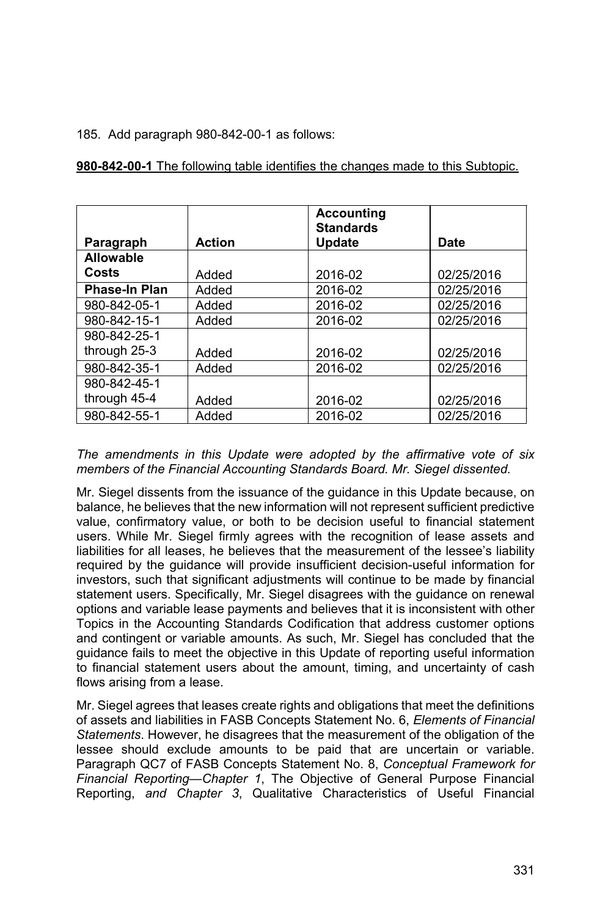## 185. Add paragraph 980-842-00-1 as follows:

| 980-842-00-1 The following table identifies the changes made to this Subtopic. |
|--------------------------------------------------------------------------------|
|--------------------------------------------------------------------------------|

|                      |               | <b>Accounting</b><br><b>Standards</b> |            |
|----------------------|---------------|---------------------------------------|------------|
| Paragraph            | <b>Action</b> | <b>Update</b>                         | Date       |
| <b>Allowable</b>     |               |                                       |            |
| Costs                | Added         | 2016-02                               | 02/25/2016 |
| <b>Phase-In Plan</b> | Added         | 2016-02                               | 02/25/2016 |
| 980-842-05-1         | Added         | 2016-02                               | 02/25/2016 |
| 980-842-15-1         | Added         | 2016-02                               | 02/25/2016 |
| 980-842-25-1         |               |                                       |            |
| through 25-3         | Added         | 2016-02                               | 02/25/2016 |
| 980-842-35-1         | Added         | 2016-02                               | 02/25/2016 |
| 980-842-45-1         |               |                                       |            |
| through 45-4         | Added         | 2016-02                               | 02/25/2016 |
| 980-842-55-1         | Added         | 2016-02                               | 02/25/2016 |

## *The amendments in this Update were adopted by the affirmative vote of six members of the Financial Accounting Standards Board. Mr. Siegel dissented.*

Mr. Siegel dissents from the issuance of the guidance in this Update because, on balance, he believes that the new information will not represent sufficient predictive value, confirmatory value, or both to be decision useful to financial statement users. While Mr. Siegel firmly agrees with the recognition of lease assets and liabilities for all leases, he believes that the measurement of the lessee's liability required by the guidance will provide insufficient decision-useful information for investors, such that significant adjustments will continue to be made by financial statement users. Specifically, Mr. Siegel disagrees with the guidance on renewal options and variable lease payments and believes that it is inconsistent with other Topics in the Accounting Standards Codification that address customer options and contingent or variable amounts. As such, Mr. Siegel has concluded that the guidance fails to meet the objective in this Update of reporting useful information to financial statement users about the amount, timing, and uncertainty of cash flows arising from a lease.

Mr. Siegel agrees that leases create rights and obligations that meet the definitions of assets and liabilities in FASB Concepts Statement No. 6, *Elements of Financial Statements*. However, he disagrees that the measurement of the obligation of the lessee should exclude amounts to be paid that are uncertain or variable. Paragraph QC7 of FASB Concepts Statement No. 8, *Conceptual Framework for Financial Reporting—Chapter 1*, The Objective of General Purpose Financial Reporting, *and Chapter 3*, Qualitative Characteristics of Useful Financial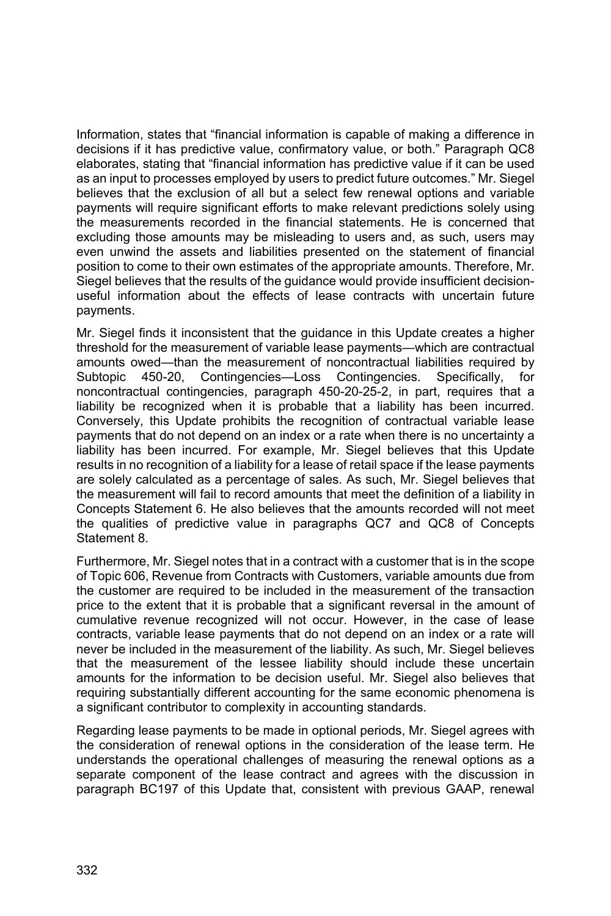Information, states that "financial information is capable of making a difference in decisions if it has predictive value, confirmatory value, or both." Paragraph QC8 elaborates, stating that "financial information has predictive value if it can be used as an input to processes employed by users to predict future outcomes." Mr. Siegel believes that the exclusion of all but a select few renewal options and variable payments will require significant efforts to make relevant predictions solely using the measurements recorded in the financial statements. He is concerned that excluding those amounts may be misleading to users and, as such, users may even unwind the assets and liabilities presented on the statement of financial position to come to their own estimates of the appropriate amounts. Therefore, Mr. Siegel believes that the results of the guidance would provide insufficient decisionuseful information about the effects of lease contracts with uncertain future payments.

Mr. Siegel finds it inconsistent that the guidance in this Update creates a higher threshold for the measurement of variable lease payments—which are contractual amounts owed—than the measurement of noncontractual liabilities required by Subtopic 450-20, Contingencies—Loss Contingencies. Specifically, for noncontractual contingencies, paragraph 450-20-25-2, in part, requires that a liability be recognized when it is probable that a liability has been incurred. Conversely, this Update prohibits the recognition of contractual variable lease payments that do not depend on an index or a rate when there is no uncertainty a liability has been incurred. For example, Mr. Siegel believes that this Update results in no recognition of a liability for a lease of retail space if the lease payments are solely calculated as a percentage of sales. As such, Mr. Siegel believes that the measurement will fail to record amounts that meet the definition of a liability in Concepts Statement 6. He also believes that the amounts recorded will not meet the qualities of predictive value in paragraphs QC7 and QC8 of Concepts Statement 8.

Furthermore, Mr. Siegel notes that in a contract with a customer that is in the scope of Topic 606, Revenue from Contracts with Customers, variable amounts due from the customer are required to be included in the measurement of the transaction price to the extent that it is probable that a significant reversal in the amount of cumulative revenue recognized will not occur. However, in the case of lease contracts, variable lease payments that do not depend on an index or a rate will never be included in the measurement of the liability. As such, Mr. Siegel believes that the measurement of the lessee liability should include these uncertain amounts for the information to be decision useful. Mr. Siegel also believes that requiring substantially different accounting for the same economic phenomena is a significant contributor to complexity in accounting standards.

Regarding lease payments to be made in optional periods, Mr. Siegel agrees with the consideration of renewal options in the consideration of the lease term. He understands the operational challenges of measuring the renewal options as a separate component of the lease contract and agrees with the discussion in paragraph BC197 of this Update that, consistent with previous GAAP, renewal